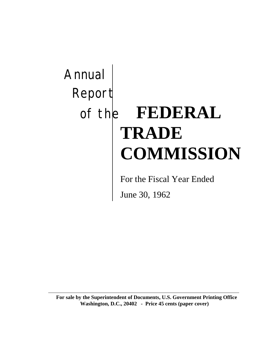# Annual Report of the **FEDERAL TRADE COMMISSION**

For the Fiscal Year Ended

June 30, 1962

**For sale by the Superintendent of Documents, U.S. Government Printing Office Washington, D.C., 20402 - Price 45 cents (paper cover)**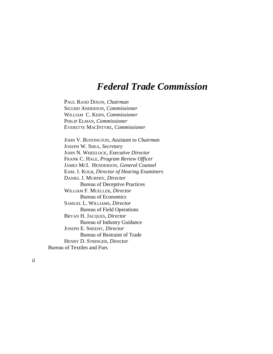# *Federal Trade Commission*

PAUL RAND DIXON, *Chairman* SIGURD ANDERSON, *Commissioner* WILLIAM C. KERN, *Commissioner* PHILIP ELMAN, *Commissioner* EVERETTE MACINTYRE, *Commissioner*

JOHN V. BUFFINGTON, *Assistant to Chairman* JOSEPH W. SHEA, *Secretary* JOHN N. WHEELOCK, *Executive Director* FRANK C. HALE, *Program Review Officer* JAMES MCI. HENDERSON, *General Counsel* EARL J. KOLB, *Director of Hearing Examiners* DANIEL J. MURPHY, *Director* Bureau of Deceptive Practices WILLIAM F. MUELLER, *Director* Bureau of Economics SAMUEL L. WILLIAMS, *Director* Bureau of Field Operations BRYAN H. JACQUES, *Director* Bureau of Industry Guidance JOSEPH E. SHEEHY, *Director* Bureau of Restraint of Trade HENRY D. STRINGER, *Director* Bureau of Textiles and Furs

ii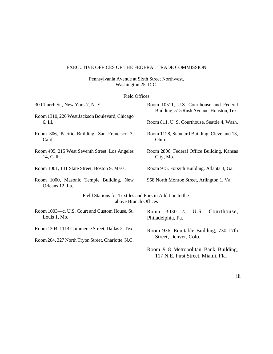#### EXECUTIVE OFFICES OF THE FEDERAL TRADE COMMISSION

Pennsylvania Avenue at Sixth Street Northwest, Washington 25, D.C.

#### Field Offices

| 30 Church St., New York 7, N.Y.                                                 | Room 10511, U.S. Courthouse and Federal<br>Building, 515 Rusk Avenue, Houston, Tex. |  |  |
|---------------------------------------------------------------------------------|-------------------------------------------------------------------------------------|--|--|
| Room 1310, 226 West Jackson Boulevard, Chicago<br>6, Ill.                       | Room 811, U.S. Courthouse, Seattle 4, Wash.                                         |  |  |
| Room 306, Pacific Building, San Francisco 3,<br>Calif.                          | Room 1128, Standard Building, Cleveland 13,<br>Ohio.                                |  |  |
| Room 405, 215 West Seventh Street, Los Angeles<br>14, Calif.                    | Room 2806, Federal Office Building, Kansas<br>City, Mo.                             |  |  |
| Room 1001, 131 State Street, Boston 9, Mass.                                    | Room 915, Forsyth Building, Atlanta 3, Ga.                                          |  |  |
| Room 1000, Masonic Temple Building, New<br>Orleans 12, La.                      | 958 North Monroe Street, Arlington 1, Va.                                           |  |  |
| Field Stations for Textiles and Furs in Addition to the<br>above Branch Offices |                                                                                     |  |  |
| Room 1003-c, U.S. Court and Custom House, St.<br>Louis 1, Mo.                   | $3030 - A$ , U.S. Courthouse,<br>Room<br>Philadelphia, Pa.                          |  |  |
| Room 1304, 1114 Commerce Street, Dallas 2, Tex.                                 | Room 936, Equitable Building, 730 17th<br>Street, Denver, Colo.                     |  |  |
| Room 204, 327 North Tryon Street, Charlotte, N.C.                               |                                                                                     |  |  |
|                                                                                 | Room 918 Metropolitan Bank Building,<br>117 N.E. First Street, Miami, Fla.          |  |  |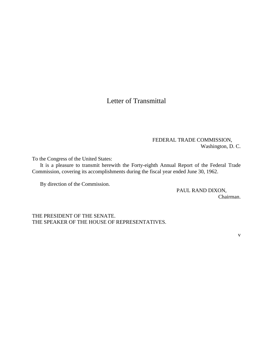## Letter of Transmittal

#### FEDERAL TRADE COMMISSION, Washington, D. C.

To the Congress of the United States:

It is a pleasure to transmit herewith the Forty-eighth Annual Report of the Federal Trade Commission, covering its accomplishments during the fiscal year ended June 30, 1962.

By direction of the Commission.

PAUL RAND DIXON, Chairman.

THE PRESIDENT OF THE SENATE. THE SPEAKER OF THE HOUSE OF REPRESENTATIVES.

v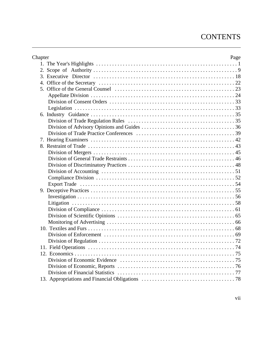## **CONTENTS**

| Chapter | Page |
|---------|------|
|         |      |
|         |      |
|         |      |
|         |      |
|         |      |
|         |      |
|         |      |
|         |      |
|         |      |
|         |      |
|         |      |
|         |      |
|         |      |
|         |      |
|         |      |
|         |      |
|         |      |
|         |      |
|         |      |
|         |      |
|         |      |
|         |      |
|         |      |
|         |      |
|         |      |
|         |      |
|         |      |
|         |      |
|         |      |
|         |      |
|         |      |
|         |      |
|         |      |
|         |      |
|         |      |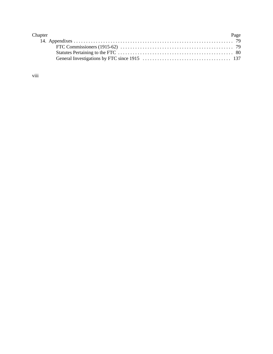| Chapter | Page |
|---------|------|
|         |      |
|         |      |
|         |      |
|         |      |

viii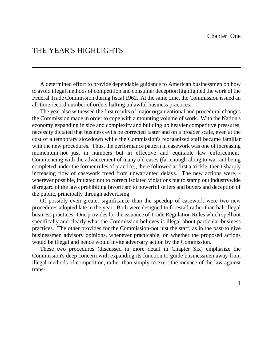A determined effort to provide dependable guidance to American businessmen on how to avoid illegal methods of competition and consumer deception highlighted the work of the Federal Trade Commission during fiscal 1962. At the same time, the Commission issued an all-time record number of orders halting unlawful business practices.

The year also witnessed the first results of major organizational and procedural changes the Commission made in order to cope with a mounting volume of work. With the Nation's economy expanding in size and complexity and building up heavier competitive pressures, necessity dictated that business evils be corrected faster and on a broader scale, even at the cost of a temporary slowdown while the Commission's reorganized staff became familiar with the new procedures. Thus, the performance pattern in casework was one of increasing momentum-not just in numbers but in effective and equitable law enforcement. Commencing with the advancement of many old cases (far enough along to warrant being completed under the former rules of practice), there followed at first a trickle, then t sharply increasing flow of casework freed from unwarranted delays. The new actions were, wherever possible, initiated not to correct isolated violations but to stamp out industrywide disregard of the laws prohibiting favoritism to powerful sellers and buyers and deception of the public, principally through advertising.

Of possibly even greater significance than the speedup of casework were two new procedures adopted late in the year. Both were designed to forestall rather than halt illegal business practices. One provides for the issuance of Trade Regulation Rules which spell out specifically and clearly what the Commission believes is illegal about particular business practices. The other provides for the Commission-not just the staff, as in the past-to give businessmen advisory opinions, whenever practicable, on whether the proposed actions would be illegal and hence would invite adversary action by the Commission.

These two procedures (discussed in more detail in Chapter Six) emphasize the Commission's deep concern with expanding its function to guide businessmen away from illegal methods of competition, rather than simply to exert the menace of the law against trans-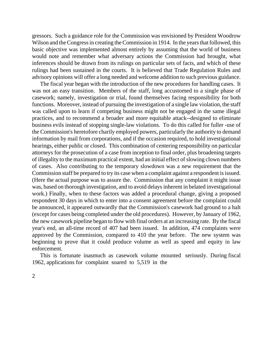gressors. Such a guidance role for the Commission was envisioned by President Woodrow Wilson and the Congress in creating the Commission in 1914. In the years that followed, this basic objective was implemented almost entirely by assuming that the world of business would note and remember what adversary actions the Commission had brought, what inferences should be drawn from its rulings on particular sets of facts, and which of these rulings had been sustained in the courts. It is believed that Trade Regulation Rules and advisory opinions will offer a long needed and welcome addition to such previous guidance.

The fiscal year began with the introduction of the new procedures for handling cases. It was not an easy transition. Members of the staff, long accustomed to a single phase of casework; namely, investigation or trial, found themselves facing responsibility for both functions. Moreover, instead of pursuing the investigation of a single law violation, the staff was called upon to learn if competing business might not be engaged in the same illegal practices, and to recommend a broader and more equitable attack--designed to eliminate business evils instead of stopping single-law violations. To do this called for fuller -use of the Commission's heretofore charily employed powers, particularly the authority to demand information by mail from corporations, and if the occasion required, to hold investigational hearings, either public or closed. This combination of centering responsibility on particular attorneys for the prosecution of a case from inception to final order, plus broadening targets of illegality to the maximum practical extent, had an initial effect of slowing clown numbers of cases. Also contributing to the temporary slowdown was a new requirement that the Commission staff be prepared to try its case when a complaint against a respondent is issued. (Here the actual purpose was to assure the. Commission that any complaint it might issue was, based on thorough investigation, and to avoid delays inherent in belated investigational work.) Finally, when to these factors was added a procedural change, giving a proposed respondent 30 days in which to enter into a consent agreement before the complaint could be announced, it appeared outwardly that the Commission's casework had ground to a halt (except for cases being completed under the old procedures). However, by January of 1962, the new casework pipeline began to flow with final orders at an increasing rate. By the fiscal year's end, an all-time record of 407 had been issued. In addition, 474 complaints were approved by the Commission, compared to 410 the year before. The new system was beginning to prove that it could produce volume as well as speed and equity in law enforcement.

This is fortunate inasmuch as casework volume mounted seriously. During fiscal 1962, applications for complaint soared to 5,519 in the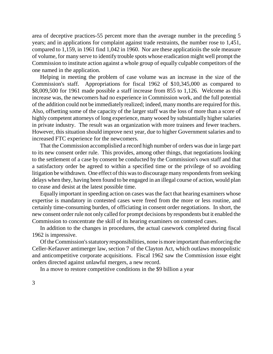area of deceptive practices-55 percent more than the average number in the preceding 5 years; and in applications for complaint against trade restraints, the number rose to 1,451, compared to 1,159, in 1961 find 1,042 in 1960. Nor are these applicatioiis the sole measure of volume, for many serve to identify trouble spots whose eradication might well prompt the Commission to institute action against a whole group of equally culpable competitors of the one named in the application.

Helping in meeting the problem of case volume was an increase in the size of the Commission's staff. Appropriations for fiscal 1962 of \$10,345,000 as compared to \$8,009,500 for 1961 made possible a staff increase from 855 to 1,126. Welcome as this increase was, the newcomers had no experience in Commission work, and the full potential of the addition could not be immediately realized; indeed, manymonths are required for this. Also, offsetting some of the capacity of the larger staff was the loss of more than a score of highly competent attorneys of long experience, many wooed by substantially higher salaries in private industry. The result was an organization with more trainees and fewer teachers. However, this situation should improve next year, due to higher Government salaries and to increased FTC experience for the newcomers.

That the Commission accomplislied a record high number of orders was due in large part to its new consent order rule. This provides, among other things, that negotiations looking to the settlement of a case by consent be conducted by the Commission's own staff and that a satisfactory order be agreed to within a specified time or the privilege of so avoiding litigation be withdrawn. One effect of this was to discourage many respondents from seeking delays when they, having been found to be engaged in an illegal course of action, would plan to cease and desist at the latest possible time.

Equally important in speeding action on cases was the fact that hearing examiners whose expertise is mandatory in contested cases were freed from the more or less routine, and certainly time-consuming burden, of officiating in consent order negotiations. In short, the new consent order rule not only called for prompt decisions by respondents but it enabled the Commission to concentrate the skill of its hearing examiners on contested cases.

In addition to the changes in procedures, the actual casework completed during fiscal 1962 is impressive.

Of theCommission'sstatutory responsibilities, none is more important than enforcing the Celler-Kefauver antimerger law, section 7 of the Clayton Act, which outlaws monopolistic and anticompetitive corporate acquisitions. Fiscal 1962 saw the Commission issue eight orders directed against unlawful mergers, a new record.

In a move to restore competitive conditions in the \$9 billion a year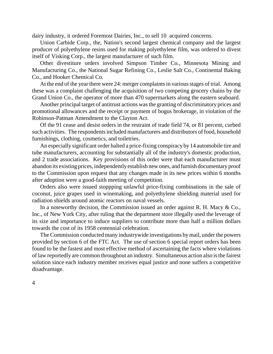dairy industry, it ordered Foremost Dairies, Inc., to sell 10 acquired concerns.

Union Carbide Corp., the, Nation's second largest chemical company and the largest producer of polyethylene resins used for making polyethylene film, was ordered to divest itself of Visking Corp., the largest manufacturer of such film.

Other divestiture orders involved Simpson Timber Co., Minnesota Mining and Manufacturing Co., the National Sugar Refining Co., Leslie Salt Co., Continental Baking Co., and Hooker Chemical Co.

At the end of the year there were 24: merger complaints in various stages of trial. Among these was a complaint challenging the acquisition of two competing grocery chains by the Grand Union Co., the operator of more than 470 supermarkets along the eastern seaboard.

Another principal target of antitrust actions wasthe granting of discriminatory prices and promotional allowances and the receipt or payment of bogus brokerage, in violation of the Robinson-Patman Amendment to the Clayton Act.

Of the 91 cease and desist orders in the restraint of trade field 74, or 81 percent, curbed such activities. The respondents included manufacturers and distributors of food, household furnishings, clothing, cosmetics, and toiletries.

An especially significant order halted a price-fixing conspiracy by 14 automobile tire and tube manufacturers, accounting for substantially all of the industry's domestic production, and 2 trade associations. Key provisions of this order were that each manufacturer must abandon its existing prices, independentlyestablish new ones, and furnish documentary proof to the Commission upon request that any changes made in its new prices within 6 months after adoption were a good-faith meeting of competition.

Orders also were issued stoppping unlawful price-fixing combinations in the sale of coconut, juice grapes used in winemaking, and polyethylene shielding material used for radiation shields around atomic reactors on naval vessels.

In a noteworthy decision, the Commission issued an order against R. H. Macy  $& Co.,$ Inc., of New York City, after ruling that the department store illegally used the leverage of its size and importance to induce suppliers to contribute more than half a million dollars towards the cost of its 1958 centennial celebration.

The Commission conducted many industrywide investigations bymail, under the powers provided by section 6 of the FTC Act. The use of section 6 special report orders has been found to be the fastest and most effective method of ascertaining the facts where violations of law reportedly are common throughout an industry. Simultaneous action also is the fairest solution since each industry member receives equal justice and none suffers a competitive disadvantage.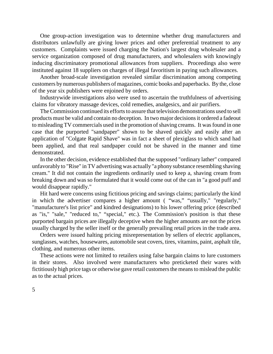One group-action investigation was to determine whether drug manufacturers and distributors unlawfully are giving lower prices and other preferential treatment to any customers. Complaints were issued charging the Nation's largest drug wholesaler and a service organization composed of drug manufacturers, and wholesalers with knowingly inducing discriminatory promotional allowances from suppliers. Proceedings also were instituted against 18 suppliers on charges of illegal favoritism in paying such allowances.

Another broad-scale investigation revealed similar discrimination among competing customers by numerous publishers of magazines, comic books and paperbacks. By the, close of the year six publishers were enjoined by orders.

Industrywide investigations also were used to ascertain the truthfulness of advertising claims for vibratory massage devices, cold remedies, analgesics, and air purifiers.

The Commission continued its efforts to assure that television demonstrations used to sell products must be valid and contain no deception. In two major decisions it ordered a fadeout to misleading TV commercials used in the promotion of shaving creams. It was found in one case that the purported "sandpaper" shown to be shaved quickly and easily after an application of "Colgate Rapid Shave" was in fact a sheet of plexiglass to which sand had been applied, and that real sandpaper could not be shaved in the manner and time demonstrated.

In the other decision, evidence established that the supposed "ordinary lather" compared unfavorably to "Rise" in TV advertising was actually "a phony substance resembling shaving cream." It did not contain the ingredients ordinarily used to keep a, shaving cream from breaking down and was so formulated that it would come out of the can in "a good puff and would disappear rapidly."

Hit hard were concerns using fictitious pricing and savings claims; particularly the kind in which the advertiser compares a higher amount ( "was," "usually," "regularly," "manufacturer's list price" and kindred designations) to his lower offering price (described as "is," "sale," "reduced to," "special," etc.). The Commission's position is that these purported bargain prices are illegally deceptive when the higher amounts are not the prices usually charged by the seller itself or the generally prevailing retail prices in the trade area.

Orders were issued halting pricing misrepresentation by sellers of electric appliances, sunglasses, watches, housewares, automobile seat covers, tires, vitamins, paint, asphalt tile, clothing, and numerous other items.

These actions were not limited to retailers using false bargain claims to lure customers in their stores. Also involved were manufacturers who preticketed their wares with fictitiously high price tags or otherwise gave retail customers the means to mislead the public as to the actual prices.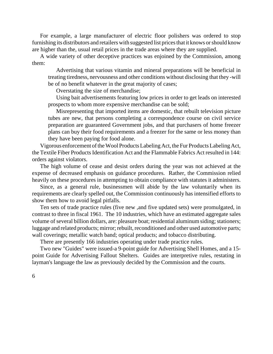For example, a large manufacturer of electric floor polishers was ordered to stop furnishing its distributors and retailers with suggested list prices that it knows or should know are higher than the, usual retail prices in the trade areas where they are supplied.

A wide variety of other deceptive practices was enjoined by the Commission, among them:

Advertising that various vitamin and mineral preparations will be beneficial in treating tiredness, nervousness and other conditions without disclosing that they -will be of no benefit whatever in the great majority of cases;

Overstating the size of merchandise;

Using bait advertisements featuring low prices in order to get leads on interested prospects to whom more expensive merchandise can be sold;

Misrepresenting that imported items are domestic, that rebuilt television picture tubes are new, that persons completing a correspondence course on civil service preparation are guaranteed Government jobs, and that purchasers of home freezer plans can buy their food requirements and a freezer for the same or less money than they have been paying for food alone.

Vigorous enforcement of the Wool Products Labeling Act, the Fur Products Labeling Act, the Textile Fiber Products Identification Act and the Flammable Fabrics Act resulted in 144: orders against violators.

The high volume of cease and desist orders during the year was not achieved at the expense of decreased emphasis on guidance procedures. Rather, the Commission relied heavily on these procedures in attempting to obtain compliance with statutes it administers.

Since, as a general rule, businessmen will abide by the law voluntarily when its requirements are clearly spelled out, the Commission continuously has intensified efforts to show them how to avoid legal pitfalls.

Ten sets of trade practice rules (five new ,and five updated sets) were promulgated, in contrast to three in fiscal 1961. The 10 industries, which have an estimated aggregate sales volume of several billion dollars, are: pleasure boat; residential aluminum siding; stationers; luggage and related products; mirror; rebuilt, reconditioned and other used automotive parts; wall coverings; metallic watch band; optical products; and tobacco distributing.

There are presently 166 industries operating under trade practice rules.

Two new "Guides" were issued-a 9-point guide for Advertising Shell Homes, and a 15 point Guide for Advertising Fallout Shelters. Guides are interpretive rules, restating in layman's language the law as previously decided by the Commission and the courts.

6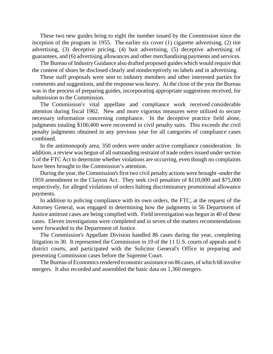These two new guides bring to eight the number issued by the Commission since the inception of the program in 1955. The earlier six cover (1) cigarette advertising, (2) tire advertising, (3) deceptive pricing, (4) bait advertising, (5) deceptive advertising of guarantees, and (6) advertising allowances and other merchandising payments and services.

The Bureau of Industry Guidance also drafted proposed guides which would require that the content of shoes be disclosed clearly and nondeceptively on labels and in advertising.

These staff proposals were sent to industry members and other interested parties for comments and suggestions, and the response was heavy. At the close of the year the Bureau was in the process of preparing guides, incorporating appropriate suggestions received, for submission to the Commission.

The Commission's vital appellate and compliance work received considerable attention during fiscal 1962. New and more vigorous measures were utilized to secure necessary information concerning compliance. In the deceptive practice field alone, judgments totaling \$100,400 were recovered in civil penalty suits. This exceeds the civil penalty judgments obtained in any previous year for all categories of compliance cases combined.

In the antimonopoly area, 350 orders were under active compliance consideration. In addition, a review was begun of all outstanding restraint of trade orders issued under section 5 of the FTC Act to determine whether violations are occurring, even though no complaints have been brought to the Commission's attention.

During the year, the Commission's first two civil penalty actions were brought -under the 1959 amendment to the Clayton Act. They seek civil penalties of \$110,000 and \$75,000 respectively, for alleged violations of orders halting discriminatory promotional allowance payments.

In addition to policing compliance with its own orders, the FTC, at the request of the Attorney General, was engaged in determining how the judgments in 56 Department of Justice antitrust cases are being complied with. Field investigation was begun in 40 of these cases. Eleven investigations were completed and in seven of the matters recommendations were forwarded to the Department of Justice.

The Commission's Appellate Division handled 86 cases during the year, completing litigation in 30. It represented the Commission in 10 of the 11 U.S. courts of appeals and 6 district courts, and participated with the Solicitor General's Office in preparing and presenting Commission cases before the Supreme Court.

The Bureau of Economics rendered economic assistance on 86 cases, of which 68 involve mergers. It also recorded and assembled the basic data on 1,360 mergers.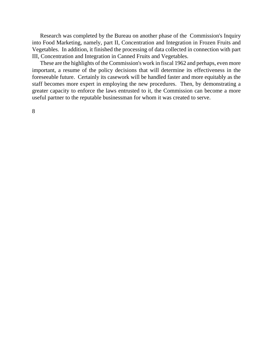Research was completed by the Bureau on another phase of the Commission's Inquiry into Food Marketing, namely, part II, Concentration and Integration in Frozen Fruits and Vegetables. In addition, it finished the processing of data collected in connection with part III, Concentration and Integration in Canned Fruits and Vegetables.

These are the highlights of the Commission's work in fiscal 1962 and perhaps, even more important, a resume of the policy decisions that will determine its effectiveness in the foreseeable future. Certainly its casework will be handled faster and more equitably as the staff becomes more expert in employing the new procedures. Then, by demonstrating a greater capacity to enforce the laws entrusted to it, the Commission can become a more useful partner to the reputable businessman for whom it was created to serve.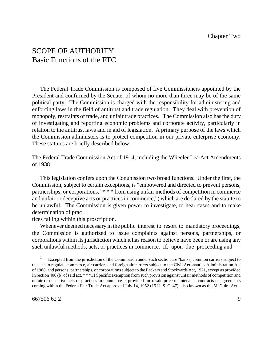## SCOPE OF AUTHORITY Basic Functions of the FTC

The Federal Trade Commission is composed of five Commissioners appointed by the President and confirmed by the Senate, of whom no more than three may be of the same political party. The Commission is charged with the responsibility for administering and enforcing laws in the field of antitrust and trade regulation. They deal with prevention of monopoly, restraints of trade, and unfair trade practices. The Commission also has the duty of investigating and reporting economic problems and corporate activity, particularly in relation to the antitrust laws and in aid of legislation. A primary purpose of the laws which the Commission administers is to protect competition in our private enterprise economy. These statutes are briefly described below.

The Federal Trade Commission Act of 1914, including the Wlieeler Lea Act Amendments of 1938

This legislation confers upon the Conunission two broad functions. Under the first, the Commission, subject to certain exceptions, is "empowered and directed to prevent persons, partnerships, or corporations,  $1$  \* \* \* from using unfair methods of competition in commerce and unfair or deceptive acts or practices in commerce,") which are declared by the statute to be unlawful. The Commission is given power to investigate, to hear cases and to make determination of prac

tices falling within this proscription.

Whenever deemed necessary in the public interest to resort to mandatory proceedings, the Commission is authorized to issue complaints against persons, partnerships, or corporations within its jurisdiction which it has reason to believe have been or are using any such unlawful methods, acts, or practices in commerce. If, upon due proceeding and

\_\_\_\_\_\_\_\_

<sup>1</sup> Excepted from the jurisdiction of the Commission under such section are "banks, common carriers subject to the acts to regulate commerce, air carriers and foreign air carriers subject to the Civil Aeronautics Administration Act of 1988, and persons, partnerships, or corporations subject to the Packers and Stockyards Act, 1921, except as provided In rection 406 (b) of said act. \*\*\*11 Specific exemption from such provision against unfair methods of competition and unfair or deceptive acts or practices in commerce Is provided for resale price maintenance contracts or agreements coming within the Federal Fair Trade Act approved July 14, 1952 (15 U. S. C. 47), also known as the McGuire Act.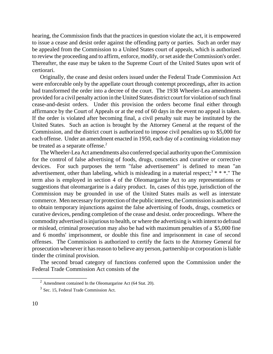hearing, the Commission finds that the practices in question violate the act, it is empowered to issue a cease and desist order against the offending party or parties. Such an order may be appealed from the Commission to a United States court of appeals, which is authorized to review the proceeding and to affirm, enforce, modify, orset aside the Commission's order. Thereafter, the ease may be taken to the Supreme Court of the United States upon writ of certiorari.

Originally, the cease and desist orders issued under the Federal Trade Commission Act were enforceable only by the appellate court through contempt proceedings, after its action had transformed the order into a decree of the court. The 1938 Wheeler-Lea amendments provided for a civil penalty action in the United States district court for violation of such final cease-and-desist orders. Under this provision the orders become final either through affirmance by the Court of Appeals or at the end of 60 days in the event no appeal is taken. If the order is violated after becoming final, a civil penalty suit may be instituted by the United States. Such an action is brought by the Attorney General at the request of the Commission, and the district court is authorized to impose civil penalties up to \$5,000 for each offense. Under an amendment enacted in 1950, each day of a continuing violation may be treated as a separate offense.<sup>2</sup>

The Wheeler-Lea Act amendments also conferred special authority upon the Commission for the control of false advertising of foods, drugs, cosmetics and curative or corrective devices. For such purposes the term "false advertisement" is defined to mean "an advertisement, other than labeling, which is misleading in a material respect;<sup>3</sup>  $* * *$ ." The term also is employed in section 4 of the Oleomargarine Act to any representations or suggestions that oleomargarine is a dairy product. In, cases of this type, jurisdiction of the Commission may be grounded in use of the United States mails as well as interstate commerce. Men necessary for protection of the public interest, the Commission is authorized to obtain temporary injunctions against the false advertising of foods, drugs, cosmetics or curative devices, pending completion of the cease and desist. order proceedings. Where the commodity advertised isinjuriousto health, or where the advertising is with intent to defraud or mislead, criminal prosecution may also be had with maximum penalties of a \$5,000 fine and 6 months' imprisonment, or double this fine and imprisonment in case of second offenses. The Commission is authorized to certify the facts to the Attorney General for prosecution whenever it has reason to believe any person, partnership or corporation is liable tinder the criminal provision.

The second broad category of functions conferred upon the Commission under the Federal Trade Commission Act consists of the

\_\_\_\_\_\_\_\_\_\_\_\_\_\_\_\_\_\_\_

 $2 \text{ Amen}$  contained In the Oleomargarine Act (64 Stat. 20).

<sup>&</sup>lt;sup>3</sup> Sec. 15, Federal Trade Commission Act.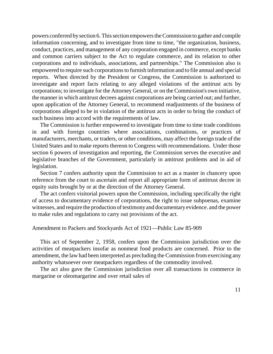powers conferred bysection 6.Thissection empowersthe Commission to gather and compile information concerning, and to investigate from time to time, "the organization, business, conduct, practices, and management of any corporation engaged in commerce, except banks and common carriers subject to the Act to regulate commerce, and its relation to other corporations and to individuals, associations, and partnerships." The Commission also is empowered to require such corporationsto furnish information and to file annual and special reports. When directed by the President or Congress, the Commission is authorized to investigate and report facts relating to any alleged violations of the antitrust acts by corporations; to investigate for the Attorney General, or on the Commission's own initiative, the manner in which antitrust decrees against corporations are being carried out; and further, upon application of the Attorney General, to recommend readjustments of the business of corporations alleged to be in violation of the antitrust acts in order to bring the conduct of such business into accord with the requirements of law.

The Commission is further empowered to investigate from time to time trade conditions in and with foreign countries where associations, combinations, or practices of manufacturers, merchants, or traders, or other conditions, may affect the foreign trade of the United States and to make reports thereon to Congress with recommendations. Under those section 6 powers of investigation and reporting, the Commission serves the executive and legislative branches of the Government, particularly in antitrust problems and in aid of legislation.

Section 7 confers authority upon the Commission to act as a master in chancery upon reference from the court to ascertain and report all appropriate form of antitrust decree in equity suits brought by or at the direction of the Attorney General.

The act confers visitorial powers upon the Commission, including specifically the right of access to documentary evidence of corporations, the right to issue subpoenas, examine witnesses, and require the production of testimony and documentary evidence. and the power to make rules and regulations to carry out provisions of the act.

#### Amendment to Packers and Stockyards Act of 1921—Public Law 85-909

This act of September 2, 1958, confers upon the Commission jurisdiction over the activities of meatpackers insofar as nonmeat food products are concerned. Prior to the amendment, the law had been interpreted as precluding the Commission from exercising any authority whatsoever over meatpackers regardless of the commodity involved.

The act also gave the Commission jurisdiction over all transactions in commerce in margarine or oleomargarine and over retail sales of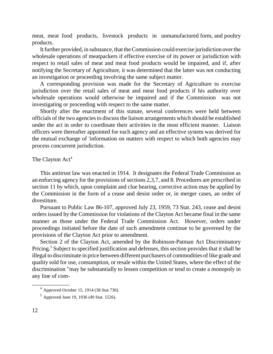meat, meat food products, livestock products in unmanufactured form, and poultry products.

It further provided, in substance, that the Commission could exercise jurisdiction over the wholesale operations of meatpackers if effective exercise of its power or jurisdiction with respect to retail sales of meat and meat food products would be impaired, and if, after notifying the Secretary of Agriculture, it was determined that the latter was not conducting an investigation or proceeding involving the same subject matter.

A corresponding provision was made for the Secretary of Agriculture to exercise jurisdiction over the retail sales of meat and meat food products if his authority over wholesale operations would otherwise be impaired and if the Commission was not investigating or proceeding with respect to the same matter.

Shortly after the enactment of this statute, several conferences were held between officials of the two agenciesto discussthe liaison arrangements which should be established under the act in order to coordinate their activities in the most efficient manner. Liaison officers were thereafter appointed for each agency and an effective system was derived for the mutual exchange of 'information on matters with respect to which both agencies may process concurrent jurisdiction.

The Clayton Act<sup>4</sup>

This antitrust law was enacted in 1914. It designates the Federal Trade Commission as an enforcing agency for the provisions of sections 2,3,7, and 8. Procedures are prescribed in section 11 by which, upon complaint and clue hearing, corrective action may be applied by the Commission in the form of a cease and desist order or, in merger cases, an order of divestiture.

Pursuant to Public Law 86-107, approved July 23, 1959, 73 Stat. 243, cease and desist orders issued by the Commission for violations of the Clayton Act became final in the same manner as those under the Federal Trade Commission Act. However, orders under proceedings initiated before the date of such amendment continue to be governed by the provisions of the Clayton Act prior to amendment.

Section 2 of the Clayton Act, amended by the Robinson-Patman Act Discriminatory Pricing.<sup>5</sup> Subject to specified justification and defenses, this section provides that it shall be illegal to discriminate in price between different purchasers of commodities of like grade and quality sold for use, consumption, or resale within the United States, where the effect of the discrimination "may be substantially to lessen competition or tend to create a monopoly in any line of com-

\_\_\_\_\_\_\_\_\_\_\_\_\_

 $<sup>4</sup>$  Approved October 15, 1914 (38 Stat 730).</sup>

<sup>5</sup> Approved June 19, 1936 (49 Stat. 1526).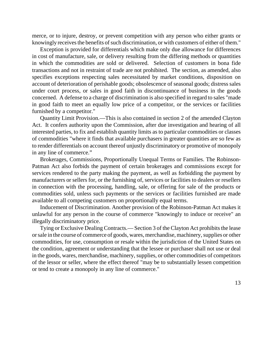merce, or to injure, destroy, or prevent competition with any person who either grants or knowingly receives the benefits of such discrimination, or with customers of either of them."

Exception is provided for differentials which make only due allowance for differences in cost of manufacture, sale, or delivery resulting from the differing methods or quantities in which the commodities are sold or delivered. Selection of customers in bona fide transactions and not in restraint of trade are not prohibited. The section, as amended, also specifies exceptions respecting sales necessitated by market conditions, disposition on account of deterioration of perishable goods; obsolescence of seasonal goods; distress sales under court process, or sales in good faith in discontinuance of business in the goods concerned. A defense to a charge of discrimination is also specified in regard to sales "made in good faith to meet an equally low price of a competitor, or the services or facilities furnished by a competitor."

Quantity Limit Provision.—This is also contained in section 2 of the amended Clayton Act. It confers authority upon the Commission, after due investigation and hearing of all interested parties, to fix and establish quantity limits as to particular commodities or classes of commodities "where it finds that available purchasers in greater quantities are so few as to render differentials on account thereof unjustly discriminatory or promotive of monopoly in any line of commerce."

Brokerages, Commissions, Proportionally Unequal Terms or Families. The Robinson-Patman Act also forbids the payment of certain brokerages and commissions except for services rendered to the party making the payment, as well as forbidding the payment by manufacturers or sellers for, or the furnishing of, services or facilities to dealers or resellers in connection with the processing, handling, sale, or offering for sale of the products or commodities sold, unless such payments or the services or facilities furnished are made available to all competing customers on proportionally equal terms.

Inducement of Discrimination. Another provision of the Robinson-Patman Act makes it unlawful for any person in the course of commerce "knowingly to induce or receive" an illegally discriminatory price.

Tying or Exclusive Dealing Contracts.— Section 3 of the Clayton Act prohibits the lease or sale in the course of commerce of goods, wares, merchandise, machinery, supplies or other commodities, for use, consumption or resale within the jurisdiction of the United States on the condition, agreement or understanding that the lessee or purchaser shall not use or deal in the goods, wares, merchandise, machinery, supplies, or other commodities of competitors of the lessor or seller, where the effect thereof "may be to substantially lessen competition or tend to create a monopoly in any line of commerce."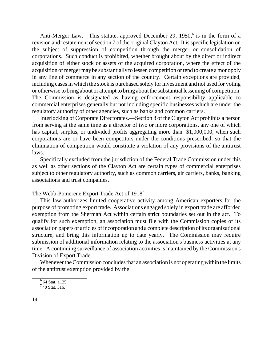Anti-Merger Law.—This statute, approved December 29, 1950,<sup>6</sup> is in the form of a revision and restatement of section 7 of the original Clayton Act. It is specific legislation on the subject of suppression of competition through the merger or consolidation of corporations. Such conduct is prohibited, whether brought about by the direct or indirect acquisition of either stock or assets of the acquired corporation, where the effect of the acquisition or merger may be substantially to lessen competition or tend to create a monopoly in any line of commerce in any section of the country. Certain exceptions are provided, including cases in which the stock is purchased solely for investment and not used for voting or otherwise to bring about or attempt to bring about the substantial lessening of competition. The Commission is designated as having enforcement responsibility applicable to commercial enterprises generally but not including specific businesses which are under the regulatory authority of other agencies, such as banks and common carriers.

Interlocking of Corporate Directorates.—Section 8 of the Clayton Act prohibits a person from serving at the same time as a director of two or more corporations, any one of which has capital, surplus, or undivided profits aggregating more than \$1,000,000, when such corporations are or have been competitors under the conditions prescribed, so that the elimination of competition would constitute a violation of any provisions of the antitrust laws.

Specifically excluded from the jurisdiction of the Federal Trade Commission under this as well as other sections of the Clayton Act are certain types of commercial enterprises subject to other regulatory authority, such as common carriers, air carriers, banks, banking associations and trust companies.

The Webb-Pomerene Export Trade Act of 1918<sup>7</sup>

This law authorizes limited cooperative activity among American exporters for the purpose of promoting export trade. Associations engaged solely in export trade are afforded exemption from the Sherman Act within certain strict boundaries set out in the act. To qualify for such exemption, an association must file with the Commission copies of its association papers or articles of incorporation and a complete description of its organizational structure, and bring this information up to date yearly. The Commission may require submission of additional information relating to the association's business activities at any time. A continuing surveillance of association activities is maintained by the Commission's Division of Export Trade.

Whenever the Commission concludes that an association is not operating within the limits of the antitrust exemption provided by the

\_\_\_\_\_\_\_\_\_\_\_\_\_\_\_\_\_\_\_

 $664$  Stat. 1125.

<sup>7</sup>40 Stat. 516.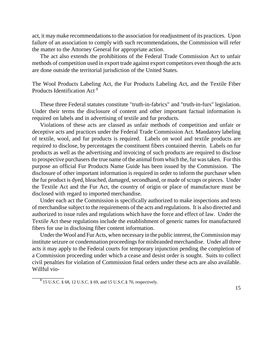act, it may make recommendations to the association for readjustment of its practices. Upon failure of an association to comply with such recommendations, the Commission will refer the matter to the Attorney General for appropriate action.

The act also extends the prohibitions of the Federal Trade Commission Act to unfair methods of competition used in export trade against export competitors even though the acts are done outside the territorial jurisdiction of the United States.

The Wool Products Labeling Act, the Fur Products Labeling Act, and the Textile Fiber Products Identification Act <sup>8</sup>

These three Federal statutes constitute "truth-in-fabrics" and "truth-in-furs" legislation. Under their terms the disclosure of content and other important factual information is required on labels and in advertising of textile and fur products.

Violations of these acts are classed as unfair methods of competition and unfair or deceptive acts and practices under the Federal Trade Commission Act. Mandatory labeling of textile, wool, and fur products is required. Labels on wool and textile products are required to disclose, by percentages the constituent fibers contained therein. Labels on fur products as well as the advertising and invoicing of such products are required to disclose to prospective purchasers the true name of the animal from which the, fur was taken. For this purpose an official Fur Products Name Guide has been issued by the Commission. The disclosure of other important information is required in order to inform the purchaser when the fur product is dyed, bleached, damaged, secondhand, or made of scraps or pieces. Under the Textile Act and the Fur Act, the country of origin or place of manufacture must be disclosed with regard to imported merchandise.

Under each act the Commission is specifically authorized to make inspections and tests of merchandise subject to the requirements of the acts and regulations. It is also directed and authorized to issue rules and regulations which have the force and effect of law. Under the Textile Act these regulations include the establishment of generic names for manufactured fibers for use in disclosing fiber content information.

Under the Wool and Fur Acts, when necessary in the public interest, the Commission may institute seizure or condemnation proceedings for misbranded merchandise. Under all three acts it may apply to the Federal courts for temporary injunction pending the completion of a Commission proceeding under which a cease and desist order is sought. Suits to collect civil penalties for violation of Commission final orders under these acts are also available. Willful vio-

\_\_\_\_\_\_\_\_\_\_\_

 $8\overline{15}$  U.S.C. § 68, 12 U.S.C. § 69, and 15 U.S.C. § 70, respectively.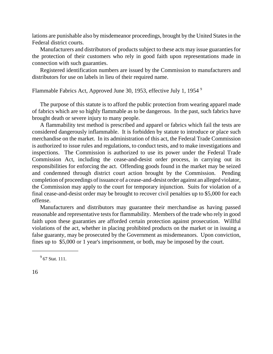lations are punishable also by misdemeanor proceedings, brought by the United Statesin the Federal district courts.

Manufacturers and distributors of products subject to these acts may issue guaranties for the protection of their customers who rely in good faith upon representations made in connection with such guaranties.

Registered identification numbers are issued by the Commission to manufacturers and distributors for use on labels in lieu of their required name.

```
Flammable Fabrics Act, Approved June 30, 1953, effective July 1, 1954 9
```
The purpose of this statute is to afford the public protection from wearing apparel made of fabrics which are so highly flammable as to be dangerous. In the past, such fabrics have brought death or severe injury to many people.

A flammability test method is prescribed and apparel or fabrics which fail the tests are considered dangerously inflammable. It is forbidden by statute to introduce or place such merchandise on the market. In its administration of this act, the Federal Trade Commission is authorized to issue rules and regulations, to conduct tests, and to make investigations and inspections. The Commission is authorized to use its power under the Federal Trade Commission Act, including the cease-and-desist order process, in carrying out its responsibilities for enforcing the act. Offending goods found in the market may be seized and condemned through district court action brought by the Commission. Pending completion of proceedings of issuance of a cease-and-desist order against an alleged violator, the Commission may apply to the court for temporary injunction. Suits for violation of a final cease-and-desist order may be brought to recover civil penalties up to \$5,000 for each offense.

Manufacturers and distributors may guarantee their merchandise as having passed reasonable and representative tests for flammability. Members of the trade who rely in good faith upon these guaranties are afforded certain protection against prosecution. Willful violations of the act, whether in placing prohibited products on the market or in issuing a false guaranty, may be prosecuted by the Government as misdemeanors. Upon conviction, fines up to \$5,000 or 1 year's imprisonment, or both, may be imposed by the court.

\_\_\_\_\_\_\_\_\_\_\_\_\_\_\_\_

 $^{9}$  67 Stat. 111.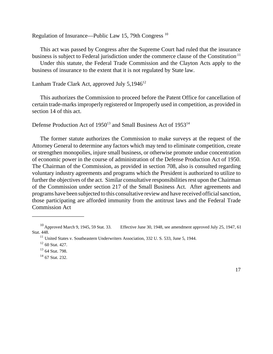Regulation of Insurance—Public Law 15, 79th Congress <sup>10</sup>

This act was passed by Congress after the Supreme Court had ruled that the insurance business is subject to Federal jurisdiction under the commerce clause of the Constitution<sup>11</sup>

Under this statute, the Federal Trade Commission and the Clayton Acts apply to the business of insurance to the extent that it is not regulated by State law.

Lanham Trade Clark Act, approved July 5,1946<sup>12</sup>

This authorizes the Commission to proceed before the Patent Office for cancellation of certain trade-marksimproperly registered or Improperly used in competition, as provided in section 14 of this act.

Defense Production Act of 1950<sup>13</sup> and Small Business Act of 1953<sup>14</sup>

The former statute authorizes the Commission to make surveys at the request of the Attorney General to determine any factors which may tend to eliminate competition, create or strengthen monopolies, injure small business, or otherwise promote undue concentration of economic power in the course of administration of the Defense Production Act of 1950. The Chairman of the Commission, as provided in section 708, also is consulted regarding voluntary industry agreements and programs which the President is authorized to utilize to further the objectives of the act. Similar consultative responsibilities rest upon the Chairman of the Commission under section 217 of the Small Business Act. After agreements and programs have been subjected to this consultative review and have received official sanction, those participating are afforded immunity from the antitrust laws and the Federal Trade Commission Act

\_\_\_\_\_\_\_\_\_\_\_\_\_\_\_\_\_\_

<sup>10</sup> Approved March 9, 1945, 59 Stat. 33. Effective June 30, 1948, see amendment approved July 25, 1947, 61 Stat. 448.

<sup>&</sup>lt;sup>11</sup> United States v. Southeastern Underwriters Association, 332 U. S. 533, June 5, 1944.

<sup>12</sup> 60 Stat. 427.

<sup>&</sup>lt;sup>13</sup> 64 Stat. 798.

 $14$  67 Stat. 232.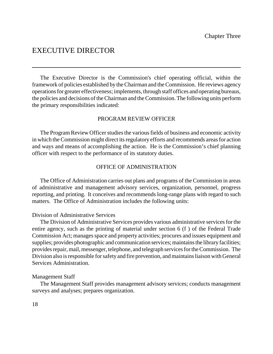## EXECUTIVE DIRECTOR

The Executive Director is the Commission's chief operating official, within the framework of policies established by theChairman and theCommission. He reviews agency operations for greater effectiveness; implements, through staff offices and operating bureaus, the policies and decisions of theChairman and theCommission. The following units perform the primary responsibilities indicated:

#### PROGRAM REVIEW OFFICER

The Program Review Officer studies the various fields of business and economic activity in which the Commission might direct its regulatory efforts and recommends areas for action and ways and means of accomplishing the action. He is the Commission's chief planning officer with respect to the performance of its statutory duties.

#### OFFICE OF ADMINISTRATION

The Office of Administration carries out plans and programs of the Commission in areas of administrative and management advisory services, organization, personnel, progress reporting, and printing. It conceives and recommends long-range plans with regard to such matters. The Office of Administration includes the following units:

#### Division of Administrative Services

The Division of Administrative Services provides various administrative services for the entire agency, such as the printing of material under section 6 (f ) of the Federal Trade Commission Act; manages space and property activities; procures and issues equipment and supplies; provides photographic and communication services; maintains the library facilities; provides repair, mail, messenger, telephone, and telegraph services for the Commission. The Division also is responsible for safety and fire prevention, and maintains liaison with General Services Administration.

#### Management Staff

The Management Staff provides management advisory services; conducts management surveys and analyses; prepares organization.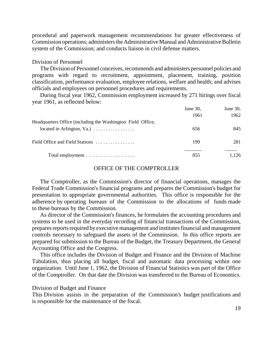procedural and paperwork management recommendations for greater effectiveness of Commission operations; administers the Administrative Manual and Administrative Bulletin system of the Commission; and conducts liaison in civil defense matters.

#### Division of Personnel

The Division of Personnel conceives, recommends and administers personnel policies and programs with regard to recruitment, appointment, placement, training, position classification, performance evaluation, employee relations, welfare and health; and advises officials and employees on personnel procedures and requirements.

During fiscal year 1962, Commission employment increased by 271 hirings over fiscal year 1961, as reflected below:

|                                                             | June 30, | June $30$ , |
|-------------------------------------------------------------|----------|-------------|
|                                                             | 1961     | 1962        |
| Headquarters Office (including the Washington Field Office, |          |             |
| located in Arlington, Va.) $\dots \dots \dots \dots$        | 656      | 845         |
| Field Office and Field Stations                             | 199      | 281         |
| Total employment                                            | 855      | 1,126       |

#### OFFICE OF THE COMPTROLLER

The Comptroller, as the Commission's director of financial operations, manages the Federal Trade Commission's financial programs and prepares the Commission's budget for presentation to appropriate governmental authorities. This office is responsible for the adherence by operating bureaus of the Commission to the allocations of funds made to these bureaus by the Commission.

As director of the Commission's finances, he formulates the accounting procedures and systems to be used in the everyday recording of financial transactions of the Commission, prepares reports required by executive management and institutes financial and management controls necessary to safeguard the assets of the Commission. In this office reports are prepared for submission to the Bureau of the Budget, the Treasury Department, the General Accounting Office and the Congress.

This office includes the Division of Budget and Finance and the Division of Machine Tabulation, thus placing all budget, fiscal and automatic data processing within one organization. Until June 1, 1962, the Division of Financial Statistics was part of the Office of the Comptroller. On that date the Division was transferred to the Bureau of Economics.

Division of Budget and Finance

This Division assists in the preparation of the Commission's budget justifications and is responsible for the maintenance of the fiscal.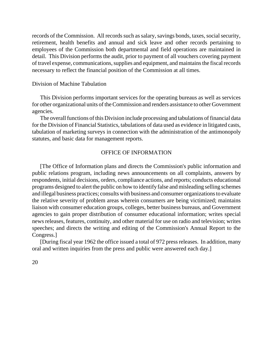records of the Commission. All records such as salary, savings bonds, taxes, social security, retirement, health benefits and annual and sick leave and other records pertaining to employees of the Commission both departmental and field operations are maintained in detail. This Division performs the audit, prior to payment of all vouchers covering payment of travel expense, communications, supplies and equipment, and maintains the fiscal records necessary to reflect the financial position of the Commission at all times.

#### Division of Machine Tabulation

This Division performs important services for the operating bureaus as well as services for other organizational units of the Commission and renders assistance to other Government agencies.

The overall functions of this Division include processing and tabulations of financial data for the Division of Financial Statistics, tabulations of data used as evidence in litigated casts, tabulation of marketing surveys in connection with the administration of the antimonopoly statutes, and basic data for management reports.

#### OFFICE OF INFORMATION

[The Office of Information plans and directs the Commission's public information and public relations program, including news announcements on all complaints, answers by respondents, initial decisions, orders, compliance actions, and reports; conducts educational programs designed to alert the public on how to identifyfalse and misleading selling schemes and illegal business practices; consults with business and consumer organizations to evaluate the relative severity of problem areas wherein consumers are being victimized; maintains liaison with consumer education groups, colleges, better business bureaus, and Government agencies to gain proper distribution of consumer educational information; writes special news releases, features, continuity, and other material for use on radio and television; writes speeches; and directs the writing and editing of the Commission's Annual Report to the Congress.]

[During fiscal year 1962 the office issued a total of 972 pressreleases. In addition, many oral and written inquiries from the press and public were answered each day.]

20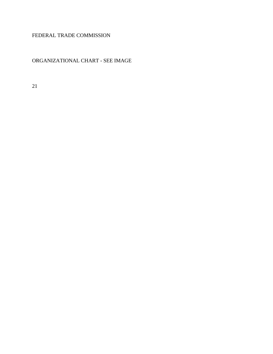### FEDERAL TRADE COMMISSION

#### ORGANIZATIONAL CHART - SEE IMAGE

21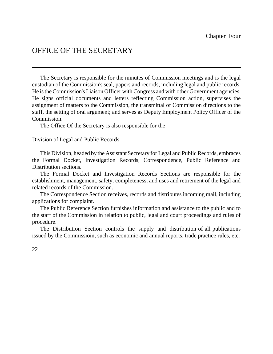## OFFICE OF THE SECRETARY

The Secretary is responsible for the minutes of Commission meetings and is the legal custodian of the Commission's seal, papers and records, including legal and public records. He is the Commission's Liaison Officer with Congress and with other Government agencies. He signs official documents and letters reflecting Commission action, supervises the assignment of matters to the Commission, the transmittal of Commission directions to the staff, the setting of oral argument; and serves as Deputy Employment Policy Officer of the Commission.

The Office Of the Secretary is also responsible for the

#### Division of Legal and Public Records

This Division, headed by the Assistant Secretary for Legal and Public Records, embraces the Formal Docket, Investigation Records, Correspondence, Public Reference and Distribution sections.

The Formal Docket and Investigation Records Sections are responsible for the establishment, management, safety, completeness, and uses and retirement of the legal and related records of the Commission.

The Correspondence Section receives, records and distributes incoming mail, including applications for complaint.

The Public Reference Section furnishes information and assistance to the public and to the staff of the Commission in relation to public, legal and court proceedings and rules of procedure.

The Distribution Section controls the supply and distribution of all publications issued by the Commissioin, such as economic and annual reports, trade practice rules, etc.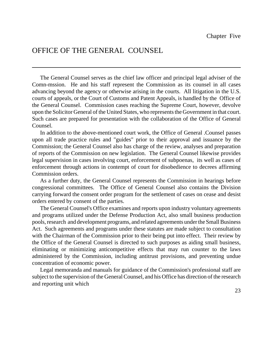## OFFICE OF THE GENERAL COUNSEL

The General Counsel serves as the chief law officer and principal legal adviser of the Comn-mssion. He and his staff represent the Commission as its counsel in all cases advancing beyond the agency or otherwise arising in the courts. All litigation in the U.S. courts of appeals, or the Court of Customs and Patent Appeals, is handled by the Office of the General Counsel. Commission cases reaching the Supreme Court, however, devolve upon the Solicitor General of the United States, who represents the Government in that court. Such cases are prepared for presentation with the collaboration of the Office of General Counsel.

In addition to the above-mentioned court work, the Office of General .Counsel passes upon all trade practice rules and "guides" prior to their approval and issuance by the Commission; the General Counsel also has charge of the review, analyses and preparation of reports of the Commission on new legislation. The General Counsel likewise provides legal supervision in cases involving court, enforcement of subpoenas, its well as cases of enforcement through actions in contempt of court for disobedience to decrees affirming Commission orders.

As a further duty, the General Counsel represents the Commission in hearings before congressional committees. The Office of General Counsel also contains the Division carrying forward the consent order program for the settlement of cases on cease and desist orders entered by consent of the parties.

The General Counsel's Office examines and reports upon industry voluntary agreements and programs utilized under the Defense Production Act, also small business production pools, research and development programs, and related agreements under the Small Business Act. Such agreements and programs under these statutes are made subject to consultation with the Chairman of the Commission prior to their being put into effect. Their review by the Office of the General Counsel is directed to such purposes as aiding small business, eliminating or minimizing anticompetitive effects that may run counter to the laws administered by the Commission, including antitrust provisions, and preventing undue concentration of economic power.

Legal memoranda and manuals for guidance of the Commission's professional staff are subject to the supervision of the General Counsel, and his Office has direction of the research and reporting unit which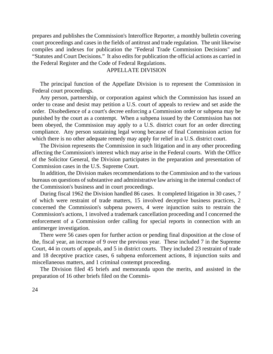prepares and publishes the Commission's Interoffice Reporter, a monthly bulletin covering court proceedings and cases in the fields of antitrust and trade regulation. The unit likewise compiles and indexes for publication the "Federal Trade Commission Decisions" and "Statutes and Court Decisions." It also edits for publication the official actions as carried in the Federal Register and the Code of Federal Regulations.

#### APPELLATE DIVISION

The principal function of the Appellate Division is to represent the Commission in Federal court proceedings.

Any person, partnership, or corporation against which the Commission has issued an order to cease and desist may petition a U.S. court of appeals to review and set aside the order. Disobedience of a court's decree enforcing a Commission order or subpena may be punished by the court as a contempt. When a subpena issued by the Commission has not been obeyed, the Commission may apply to a U.S. district court for an order directing compliance. Any person sustaining legal wrong because of final Commission action for which there is no other adequate remedy may apply for relief in a U.S. district court.

The Division represents the Commission in such litigation and in any other proceeding affecting the Commission's interest which may arise in the Federal courts. With the Office of the Solicitor General, the Division participates in the preparation and presentation of Commission cases in the U.S. Supreme Court.

In addition, the Division makes recommendations to the Commission and to the various bureaus on questions of substantive and administrative law arising in the internal conduct of the Commission's business and in court proceedings.

During fiscal 1962 the Division handled 86 cases. It completed litigation in 30 cases, 7 of which were restraint of trade matters, 15 involved deceptive business practices, 2 concerned the Commission's subpena powers, 4 were injunction suits to restrain the Commission's actions, 1 involved a trademark cancellation proceeding and I concerned the enforcement of a Commission order calling for special reports in connection with an antimerger investigation.

There were 56 cases open for further action or pending final disposition at the close of the, fiscal year, an increase of 9 over the previous year. These included 7 in the Supreme Court, 44 in courts of appeals, and 5 in district courts. They included 23 restraint of trade and 18 deceptive practice cases, 6 subpena enforcement actions, 8 injunction suits and miscellaneous matters, and 1 criminal contempt proceeding.

The Division filed 45 briefs and memoranda upon the merits, and assisted in the preparation of 16 other briefs filed on the Commis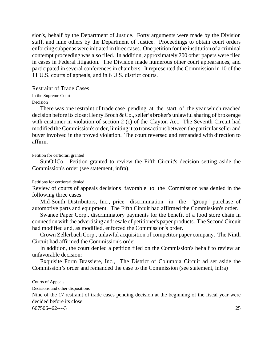sion's, behalf by the Department of Justice. Forty arguments were made by the Division staff, and nine others by the Department of Justice. Proceedings to obtain court orders enforcing subpenas were initiated in three cases. One petition for the institution of a criminal contempt proceeding was also filed. In addition, approximately 200 other papers were filed in cases in Federal litigation. The Division made numerous other court appearances, and participated in several conferences in chambers. It represented the Commission in 10 of the 11 U.S. courts of appeals, and in 6 U.S. district courts.

Restraint of Trade Cases In the Supreme Court

Decision

There was one restraint of trade case pending at the start of the year which reached decision before its close: Henry Broch & Co., seller's broker's unlawful sharing of brokerage with customer in violation of section 2 (c) of the Clayton Act. The Seventh Circuit had modified the Commission's order, limiting it to transactions between the particular seller and buyer involved in the proved violation. The court reversed and remanded with direction to affirm.

Petition for certiorari granted

SunOilCo. Petition granted to review the Fifth Circuit's decision setting aside the Commission's order (see statement, infra).

Petitions for certiorari denied

Review of courts of appeals decisions favorable to the Commission was denied in the following three cases:

Mid-South Distributors, Inc., price discrimination in the "group" purchase of automotive parts and equipment. The Fifth Circuit had affirmed the Commission's order.

Swanee Paper Corp., discriminatory payments for the benefit of a food store chain in connection with the advertising and resale of petitioner's paper products. The Second Circuit had modified and, as modified, enforced the Commission's order.

Crown Zellerbach Corp., unlawful acquisition of competitor paper company. The Ninth Circuit had affirmed the Commission's order.

In addition, the court denied a petition filed on the Commission's behalf to review an unfavorable decision:

Exquisite Form Brassiere, Inc., The District of Columbia Circuit ad set aside the Commission's order and remanded the case to the Commission (see statement, infra)

Courts of Appeals

Decisions and other dispositions

Nine of the 17 restraint of trade cases pending decision at the beginning of the fiscal year were decided before its close:

667506--62----3 25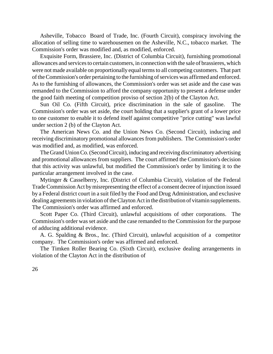Asheville, Tobacco Board of Trade, Inc. (Fourth Circuit), conspiracy involving the allocation of selling time to warehousemen on the Asheville, N.C., tobacco market. The Commission's order was modified and, as modified, enforced.

Exquisite Form, Brassiere, Inc. (District of Columbia Circuit), furnishing promotional allowances and services to certain customers, in connection with the sale of brassieres, which were not made available on proportionally equal termsto all competing customers. That part oftheCommission's order pertaining to the furnishing of services was affirmed and enforced. As to the furnishing of allowances, the Commission's order was set aside and the case was remanded to the Commission to afford the company opportunity to present a defense under the good faith meeting of competition proviso of section 2(b) of the Clayton Act.

Sun Oil Co. (Fifth Circuit), price discrimination in the sale of gasoline. The Commission's order was set aside, the court holding that a supplier's grant of a lower price to one customer to enable it to defend itself against competitive "price cutting" was lawful under section 2 (b) of the Clayton Act.

The American News Co. and the Union News Co. (Second Circuit), inducing and receiving discriminatory promotional allowancesfrom publishers. The Commission's order was modified and, as modified, was enforced.

The Grand Union Co. (Second Circuit), inducing and receiving discriminatory advertising and promotional allowances from suppliers. The court affirmed the Commission's decision that this activity was unlawful, but modified the Commission's order by limiting it to the particular arrangement involved in the case.

Mytinger & Casselberry, Inc. (District of Columbia Circuit), violation of the Federal Trade Commission Act by misrepresenting the effect of a consent decree of injunction issued by a Federal district court in a suit filed by the Food and Drug Administration, and exclusive dealing agreements in violation of the Clayton Act in the distribution of vitamin supplements. The Commission's order was affirmed and enforced.

Scott Paper Co. (Third Circuit), unlawful acquisitions of other corporations. The Commission's order was set aside and the case remanded to the Commission for the purpose of adducing additional evidence.

A. G. Spalding & Bros., Inc. (Third Circuit), unlawful acquisition of a competitor company. The Commission's order was affirmed and enforced.

The Timken Roller Bearing Co. (Sixth Circuit), exclusive dealing arrangements in violation of the Clayton Act in the distribution of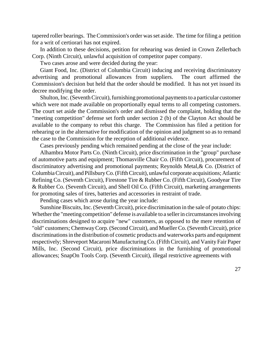tapered roller bearings. The Commission's order was set aside. The time for filing a petition for a writ of certiorari has not expired.

In addition to these decisions, petition for rehearing was denied in Crown Zellerbach Corp. (Ninth Circuit), unlawful acquisition of competitor paper company.

Two cases arose and were decided during the year:

Giant Food, Inc. (District of Columbia Circuit) inducing and receiving discriminatory advertising and promotional allowances from suppliers. The court affirmed the Commission's decision but held that the order should be modified. It has not yet issued its decree modifying the order.

Shulton, Inc. (Seventh Circuit), furnishing promotional payments to a particular customer which were not made available on proportionally equal terms to all competing customers. The court set aside the Commission's order and dismissed the complaint, holding that the "meeting competition" defense set forth under section 2 (b) of the Clayton Act should be available to the company to rebut this charge. The Commission has filed a petition for rehearing or in the alternative for modification of the opinion and judgment so as to remand the case to the Commission for the reception of additional evidence.

Cases previously pending which remained pending at the close of the year include:

Alhambra Motor Parts Co. (Ninth Circuit), price discrimination in the "group" purchase of automotive parts and equipment; Thomasville Chair Co. (Fifth Circuit), procurement of discriminatory advertising and promotional payments; Reynolds Metal,& Co. (District of Columbia Circuit), and Pillsbury Co. (Fifth Circuit), unlawful corporate acquisitions; Atlantic Refining Co. (Seventh Circuit), Firestone Tire & Rubber Co. (Fifth Circuit), Goodyear Tire & Rubber Co. (Seventh Circuit), and Shell Oil Co. (Fifth Circuit), marketing arrangements for promoting sales of tires, batteries and accessories in restraint of trade.

Pending cases which arose during the year include:

Sunshine Biscuits, Inc. (Seventh Circuit), price discrimination in the sale of potato chips: Whether the "meeting competition" defense is available to a seller in circumstances involving discriminations designed to acquire "new" customers, as opposed to the mere retention of "old" customers; ChemwayCorp. (Second Circuit), and Mueller Co. (SeventhCircuit), price discriminations in the distribution of cosmetic products and waterworks parts and equipment respectively; Shreveport Macaroni Manufacturing Co. (Fifth Circuit), and Vanity Fair Paper Mills, Inc. (Second Circuit), price discriminations in the furnishing of promotional allowances; SnapOn Tools Corp. (Seventh Circuit), illegal restrictive agreements with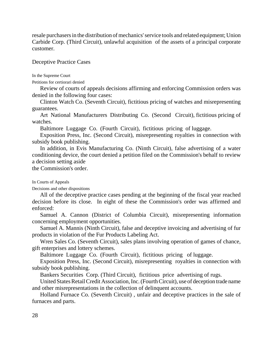resale purchasersin the distribution of mechanics'service tools and related equipment; Union Carbide Corp. (Third Circuit), unlawful acquisition of the assets of a principal corporate customer.

Deceptive Practice Cases

#### In the Supreme Court

Petitions for certiorari denied

Review of courts of appeals decisions affirming and enforcing Commission orders was denied in the following four cases:

Clinton Watch Co. (Seventh Circuit), fictitious pricing of watches and misrepresenting guarantees.

Art National Manufacturers Distributing Co. (Second Circuit), fictitious pricing of watches.

Baltimore Luggage Co. (Fourth Circuit), fictitious pricing of luggage.

Exposition Press, Inc. (Second Circuit), misrepresenting royalties in connection with subsidy book publishing.

In addition, in Evis Manufacturing Co. (Ninth Circuit), false advertising of a water conditioning device, the court denied a petition filed on the Commission's behalf to review a decision setting aside

the Commission's order.

In Courts of Appeals

Decisions and other dispositions

All of the deceptive practice cases pending at the beginning of the fiscal year reached decision before its close. In eight of these the Commission's order was affirmed and enforced:

Samuel A. Cannon (District of Columbia Circuit), misrepresenting information concerning employment opportunities.

Samuel A. Mannis (Ninth Circuit), false and deceptive invoicing and advertising of fur products in violation of the Fur Products Labeling Act.

Wren Sales Co. (Seventh Circuit), sales plans involving operation of games of chance, gift enterprises and lottery schemes.

Baltimore Luggage Co. (Fourth Circuit), fictitious pricing of luggage.

Exposition Press, Inc. (Second Circuit), misrepresenting royalties in connection with subsidy book publishing.

Bankers Securities Corp. (Third Circuit), fictitious price advertising of rugs.

United States Retail Credit Association, Inc. (Fourth Circuit), use of deception trade name and other misrepresentations in the collection of delinquent accounts.

Holland Furnace Co. (Seventh Circuit) , unfair and deceptive practices in the sale of furnaces and parts.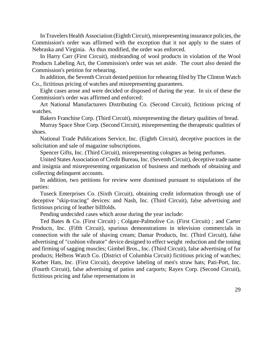In Travelers Health Association (Eighth Circuit), misrepresenting insurance policies, the Commission's order was affirmed with the exception that it not apply to the states of Nebraska and Virginia. As thus modified, the order was enforced.

In Harry Carr (First Circuit), misbranding of wool products in violation of the Wool Products Labeling Act, the Commission's order was set aside. The court also denied the Commission's petition for rehearing.

In addition, the Seventh Circuit denied petition for rehearing filed by The Clinton Watch Co., fictitious pricing of watches and misrepresenting guarantees.

Eight cases arose and were decided or disposed of during the year. In six of these the Commission's order was affirmed and enforced:

Art National Manufacturers Distributing Co. (Second Circuit), fictitious pricing of watches.

Bakers Franchise Corp. (Third Circuit), misrepresenting the dietary qualities of bread.

Murray Space Shoe Corp. (Second Circuit), misrepresenting the therapeutic qualities of shoes.

National Trade Publications Service, Inc. (Eighth Circuit), deceptive practices in the solicitation and sale of magazine subscriptions.

Spencer Gifts, Inc. (Third Circuit), misrepresenting colognes as being perfumes.

United States Association of Credit Bureau, Inc. (Seventh Circuit), deceptive trade name and insignia and misrepresenting organization of business and methods of obtaining and collecting delinquent accounts.

In addition, two petitions for review were dismissed pursuant to stipulations of the parties:

Tuseck Enterprises Co. (Sixth Circuit), obtaining credit information through use of deceptive "skip-tracing" devices: and Nash, Inc. (Third Circuit), false advertising and fictitious pricing of leather billfolds.

Pending undecided cases which arose during the year include:

Ted Bates & Co. (First Circuit) ; Colgate-Palmolive Co. (First Circuit) ; and Carter Products, Inc. (Fifth Circuit), spurious demonstrations in television commercials in connection with the sale of shaving cream; Damar Products, Inc. (Third Circuit), false advertising of "cushion vibrator" device designed to effect weight reduction and the toning and firming of sagging muscles; Gimbel Bros., Inc. (Third Circuit), false advertising of fur products; Helbros Watch Co. (District of Columbia Circuit) fictitious pricing of watches; Korber Hats, Inc. (First Circuit), deceptive labeling of men's straw hats; Pati-Port, Inc. (Fourth Circuit), false advertising of patios and carports; Rayex Corp. (Second Circuit), fictitious pricing and false representations in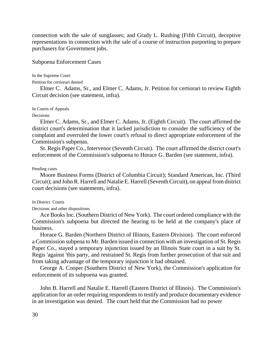connection with the sale of sunglasses; and Grady L. Rushing (Fifth Circuit), deceptive representations in connection with the sale of a course of instruction purporting to prepare purchasers for Government jobs.

Subpoena Enforcement Cases

#### In the Supreme Court

#### Petition for certiorari denied

Elmer C. Adams, Sr., and Elmer C. Adams, Jr. Petition for certiorari to review Eighth Circuit decision (see statement, infra).

#### In Courts of Appeals

#### Decisions

Elmer C. Adams, Sr., and Elmer C. Adams, Jr. (Eighth Circuit). The court affirmed the district court's determination that it lacked jurisdiction to consider the sufficiency of the complaint and overruled the lower court's refusal to direct appropriate enforcement of the Commission's subpenas.

St. Regis Paper Co., Intervenor (Seventh Circuit). The court affirmed the district court's enforcement of the Commission's subpoena to Horace G. Barden (see statement, infra).

#### Pending cases

Moore Business Forms (District of Columbia Circuit); Standard American, Inc. (Third Circuit); and John R. Harrell and Natalie E. Harrell (SeventhCircuit), on appeal from district court decisions (see statements, infra).

#### In District Courts

#### Decisions and other dispositions

Ace Books Inc. (Southern District of New York). The court ordered compliance with the Commission's subpoena but directed the hearing to be held at the company's place of business.

Horace G. Barden (Northern District of Illinois, Eastern Division). The court enforced a Commission subpena to Mr. Barden issued in connection with an investigation of St.Regis Paper Co., stayed a temporary injunction issued by an Illinois State court in a suit by St. Regis 'against 'this party, and restrained St. Regis from further prosecution of that suit and from taking advantage of the temporary injunction it had obtained.

George A. Cooper (Southern District of New York), the Commission's application for enforcement of its subpoena was granted.

John B. Harrell and Natalie E. Harrell (Eastern District of Illinois). The Commission's application for an order requiring respondents to testify and produce documentary evidence in an investigation was denied. The court held that the Commission had no power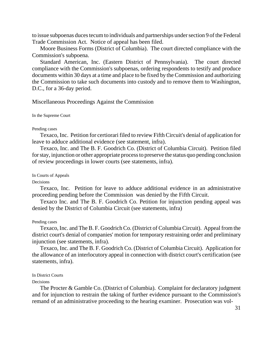to issue subpoenas duces tecum to individuals and partnerships under section 9 of the Federal Trade Commission Act. Notice of appeal has been filed.

Moore Business Forms (District of Columbia). The court directed compliance with the Commission's subpoena.

Standard American, Inc. (Eastern District of Pennsylvania). The court directed compliance with the Commission's subpoenas, ordering respondents to testify and produce documents within 30 days at a time and place to be fixed by the Commission and authorizing the Commission to take such documents into custody and to remove them to Washington, D.C., for a 36-day period.

Miscellaneous Proceedings Against the Commission

In the Supreme Court

#### Pending cases

Texaco, Inc. Petition for certiorari filed to review Fifth Circuit's denial of application for leave to adduce additional evidence (see statement, infra).

Texaco, Inc. and The B. F. Goodrich Co. (District of Columbia Circuit). Petition filed forstay, injunction or other appropriate process to preserve the status quo pending conclusion of review proceedings in lower courts (see statements, infra).

#### In Courts of Appeals

# Decisions

Texaco, Inc. Petition for leave to adduce additional evidence in an administrative proceeding pending before the Commission was denied by the Fifth Circuit.

Texaco Inc. and The B. F. Goodrich Co. Petition for injunction pending appeal was denied by the District of Columbia Circuit (see statements, infra)

#### Pending cases

Texaco, Inc. and The B. F. Goodrich Co. (District of Columbia Circuit). Appeal from the district court's denial of companies' motion for temporary restraining order and preliminary injunction (see statements, infra).

Texaco, Inc. and The B. F. Goodrich Co. (District of Columbia Circuit). Application for the allowance of an interlocutory appeal in connection with district court's certification (see statements, infra).

#### In District Courts

#### Decisions

The Procter & Gamble Co. (District of Columbia). Complaint for declaratory judgment and for injunction to restrain the taking of further evidence pursuant to the Commission's remand of an administrative proceeding to the hearing examiner. Prosecution was vol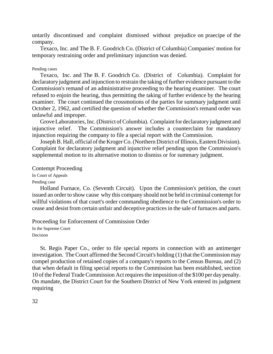untarily discontinued and complaint dismissed without prejudice on praecipe of the company.

Texaco, Inc. and The B. F. Goodrich Co. (District of Columbia) Companies' motion for temporary restraining order and preliminary injunction was denied.

#### Pending cases

Texaco, Inc. and The B. F. Goodrich Co. (District of Columbia). Complaint for declaratory judgment and injunction to restrain the taking of further evidence pursuant to the Commission's remand of an administrative proceeding to the hearing examiner. The court refused to enjoin the hearing, thus permitting the taking of further evidence by the hearing examiner. The court continued the crossmotions of the parties for summary judgment until October 2, 1962, and certified the question of whether the Commission's remand order was unlawful and improper.

Grove Laboratories, Inc. (District of Columbia). Complaint for declaratory judgment and injunctive relief. The Commission's answer includes a counterclaim for mandatory injunction requiring the company to file a special report with the Commission.

Joseph B. Hall, official of the Kroger Co. (Northern District of Illinois, Eastern Division). Complaint for declaratory judgment and injunctive relief pending upon the Commission's supplemental motion to its alternative motion to dismiss or for summary judgment.

# Contempt Proceeding

In Court of Appeals

# Pending case

Holland Furnace, Co. (Seventh Circuit). Upon the Commission's petition, the court issued an order to show cause why this company should not be held in criminal contempt for willful violations of that court's order commanding obedience to the Commission's order to cease and desist from certain unfair and deceptive practices in the sale of furnaces and parts.

Proceeding for Enforcement of Commission Order

In the Supreme Court

Decision

St. Regis Paper Co., order to file special reports in connection with an antimerger investigation. The Court affirmed the Second Circuit's holding (1) that the Commission may compel production of retained copies of a company's reports to the Census Bureau, and (2) that when default in filing special reports to the Commission has been established, section 10 of the Federal Trade Commission Act requires the imposition of the \$100 per day penalty. On mandate, the District Court for the Southern District of New York entered its judgment requiring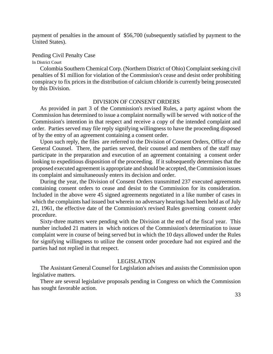payment of penalties in the amount of \$56,700 (subsequently satisfied by payment to the United States).

#### Pending Civil Penalty Case

# In District Court

Colombia Southern Chemical Corp. (Northern District of Ohio) Complaint seeking civil penalties of \$1 million for violation of the Commission's cease and desist order prohibiting conspiracy to fix prices in the distribution of calcium chloride is currently being prosecuted by this Division.

# DIVISION OF CONSENT ORDERS

As provided in part 3 of the Commission's revised Rules, a party against whom the Commission has determined to issue a complaint normally will be served with notice of the Commission's intention in that respect and receive a copy of the intended complaint and order. Parties served may file reply signifying willingness to have the proceeding disposed of by the entry of an agreement containing a consent order.

Upon such reply, the files are referred to the Division of Consent Orders, Office of the General Counsel. There, the parties served, their counsel and members of the staff may participate in the preparation and execution of an agreement containing a consent order looking to expeditious disposition of the proceeding. If it subsequently determines that the proposed executed agreement is appropriate and should be accepted, the Commission issues its complaint and simultaneously enters its decision and order.

During the year, the Division of Consent Orders transmitted 237 executed agreements containing consent orders to cease and desist to the Commission for its consideration. Included in the above were 45 signed agreements negotiated in a like number of cases in which the complaints had issued but wherein no adversary hearings had been held as of July 21, 1961, the effective date of the Commission's revised Rules governing consent order procedure.

Sixty-three matters were pending with the Division at the end of the fiscal year. This number included 21 matters in which notices of the Commission's determination to issue complaint were in course of being served but in which the 10 days allowed under the Rules for signifying willingness to utilize the consent order procedure had not expired and the parties had not replied in that respect.

### LEGISLATION

The Assistant General Counsel for Legislation advises and assists the Commission upon legislative matters.

There are several legislative proposals pending in Congress on which the Commission has sought favorable action.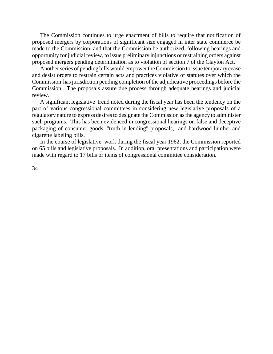The Commission continues to urge enactment of bills to require that notification of proposed mergers by corporations of significant size engaged in inter state commerce be made to the Commission, and that the Commission be authorized, following hearings and opportunity for judicial review, to issue preliminary injunctions or restraining orders against proposed mergers pending determination as to violation of section 7 of the Clayton Act.

Another series of pending bills would empower the Commission to issue temporary cease and desist orders to restrain certain acts and practices violative of statutes over which the Commission has jurisdiction pending completion of the adjudicative proceedings before the Commission. The proposals assure due process through adequate hearings and judicial review.

A significant legislative trend noted during the fiscal year has been the tendency on the part of various congressional committees in considering new legislative proposals of a regulatory nature to express desires to designate the Commission as the agency to administer such programs. This has been evidenced in congressional hearings on false and deceptive packaging of consumer goods, "truth in lending" proposals, and hardwood lumber and cigarette labeling bills.

In the course of legislative work during the fiscal year 1962, the Commission reported on 65 bills and legislative proposals. In addition, oral presentations and participation were made with regard to 17 bills or items of congressional committee consideration.

34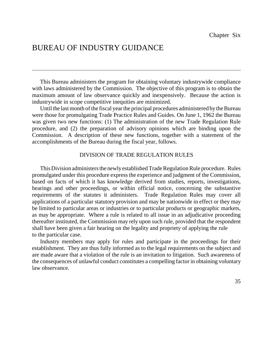# BUREAU OF INDUSTRY GUIDANCE

This Bureau administers the program for obtaining voluntary industrywide compliance with laws administered by the Commission. The objective of this program is to obtain the maximum amount of law observance quickly and inexpensively. Because the action is industrywide in scope competitive inequities are minimized.

Until the last month of the fiscal year the principal procedures administered by the Bureau were those for promulgating Trade Practice Rules and Guides. On June 1, 1962 the Bureau was given two new functions: (1) The administration of the new Trade Regulation Rule procedure, and (2) the preparation of advisory opinions which are binding upon the Commission. A description of these new functions, together with a statement of the accomplishments of the Bureau during the fiscal year, follows.

# DIVISION OF TRADE REGULATION RULES

This Division administers the newly established Trade Regulation Rule procedure. Rules promulgated under this procedure express the experience and judgment of the Commission, based on facts of which it has knowledge derived from studies, reports, investigations, hearings and other proceedings, or within official notice, concerning the substantive requirements of the statutes it administers. Trade Regulation Rules may cover all applications of a particular statutory provision and may be nationwide in effect or they may be limited to particular areas or industries or to particular products or geographic markets, as may be appropriate. Where a rule is related to all issue in an adjudicative proceeding thereafter instituted, the Commission may rely upon such rule, provided that the respondent shall have been given a fair hearing on the legality and propriety of applying the rule to the particular case.

Industry members may apply for rules and participate in the proceedings for their establishment. They are thus fully informed as to the legal requirements on the subject and are made aware that a violation of the rule is an invitation to litigation. Such awareness of the consequences of unlawful conduct constitutes a compelling factor in obtaining voluntary law observance.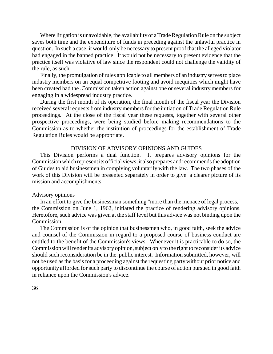Where litigation is unavoidable, the availability of a Trade Regulation Rule on the subject saves both time and the expenditure of funds in preceding against the unlawful practice in question. In such a case, it would only be necessary to present proof that the alleged violator had engaged in the banned practice. It would not be necessary to present evidence that the practice itself was violative of law since the respondent could not challenge the validity of the rule, as such.

Finally, the promulgation of rules applicable to all members of an industry serves to place industry members on an equal competitive footing and avoid inequities which might have been created had the .Commission taken action against one or several industry members for engaging in a widespread industry practice.

During the first month of its operation, the final month of the fiscal year the Division received several requests from industry members for the initiation of Trade Regulation Rule proceedings. At the close of the fiscal year these requests, together with several other prospective proceedings, were being studied before making recommendations to the Commission as to whether the institution of proceedings for the establishment of Trade Regulation Rules would be appropriate.

# DIVISION OF ADVISORY OPINIONS AND GUIDES

This Division performs a dual function. It prepares advisory opinions for the Commission which represent its official views; it also prepares and recommends the adoption of Guides to aid businessmen in complying voluntarily with the law. The two phases of the work of this Division will be presented separately in order to give a clearer picture of its mission and accomplishments.

#### Advisory opinions

In an effort to give the businessman something "more than the menace of legal process," the Commission on June 1, 1962, initiated the practice of rendering advisory opinions. Heretofore, such advice was given at the staff level but this advice was not binding upon the Commission.

The Commission is of the opinion that businessmen who, in good faith, seek the advice and counsel of the Commission in regard to a proposed course of business conduct are entitled to the benefit of the Commission's views. Whenever it is practicable to do so, the Commission will render its advisory opinion, subject only to the right to reconsider its advice should such reconsideration be in the. public interest. Information submitted, however, will not be used asthe basisfor a proceeding against the requesting party without prior notice and opportunity afforded for such party to discontinue the course of action pursued in good faith in reliance upon the Commission's advice.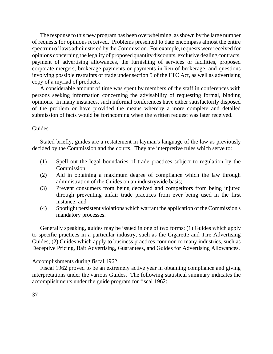The response to this new program has been overwhelming, as shown by the large number of requests for opinions received. Problems presented to date encompass almost the entire spectrum of laws administered by the Commission. For example, requests were received for opinions concerning the legality of proposed quantity discounts, exclusive dealing contracts, payment of advertising allowances, the furnishing of services or facilities, proposed corporate mergers, brokerage payments or payments in lieu of brokerage, and questions involving possible restraints of trade under section 5 of the FTC Act, as well as advertising copy of a myriad of products.

A considerable amount of time was spent by members of the staff in conferences with persons seeking information concerning the advisability of requesting formal, binding opinions. In many instances, such informal conferences have either satisfactorily disposed of the problem or have provided the means whereby a more complete and detailed submission of facts would be forthcoming when the written request was later received.

# Guides

Stated briefly, guides are a restatement in layman's language of the law as previously decided by the Commission and the courts. They are interpretive rules which serve to:

- (1) Spell out the legal boundaries of trade practices subject to regulation by the Commission;
- (2) Aid in obtaining a maximum degree of compliance which the law through administration of the Guides on an industrywide basis;
- (3) Prevent consumers from being deceived and competitors from being injured through preventing unfair trade practices from ever being used in the first instance; and
- (4) Spotlight persistent violations which warrant the application of the Commission's mandatory processes.

Generally speaking, guides may be issued in one of two forms: (1) Guides which apply to specific practices in a particular industry, such as the Cigarette and Tire Advertising Guides; (2) Guides which apply to business practices common to many industries, such as Deceptive Pricing, Bait Advertising, Guarantees, and Guides for Advertising Allowances.

# Accomplishments during fiscal 1962

Fiscal 1962 proved to be an extremely active year in obtaining compliance and giving interpretations under the various Guides. The following statistical summary indicates the accomplishments under the guide program for fiscal 1962: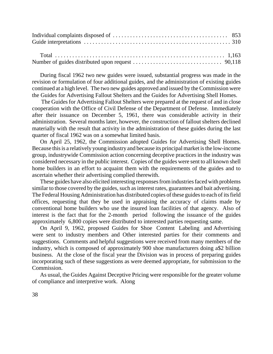During fiscal 1962 two new guides were issued, substantial progress was made in the revision or formulation of four additional guides, and the administration of existing guides continued at a high level. The two new guides approved and issued by the Commission were the Guides for Advertising Fallout Shelters and the Guides for Advertising Shell Homes.

The Guides for Advertising Fallout Shelters were prepared at the request of and in close cooperation with the Office of Civil Defense of the Department of Defense. Immediately after their issuance on December 5, 1961, there was considerable activity in their administration. Several months later, however, the construction of fallout shelters declined materially with the result that activity in the administration of these guides during the last quarter of fiscal 1962 was on a somewhat limited basis.

On April 25, 1962, the Commission adopted Guides for Advertising Shell Homes. Because this is a relatively young industry and because its principal market is the low-income group, industrywide Commission action concerning deceptive practices in the industry was considered necessary in the public interest. Copies of the guides were sent to all known shell home builders in an effort to acquaint them with the requirements of the guides and to ascertain whether their advertising complied therewith.

These guides have also elicited interesting responses from industries faced with problems similar to those covered by the guides, such as interest rates, guarantees and bait advertising. The Federal Housing Administration has distributed copies of these guides to each of its field offices, requesting that they be used in appraising the accuracy of claims made by conventional home builders who use the insured loan facilities of that agency. Also of interest is the fact that for the 2-month period following the issuance of the guides approximately 6,800 copies were distributed to interested parties requesting same.

On April 9, 1962, proposed Guides for Shoe Content Labeling and Advertising were sent to industry members and Other interested parties for their comments and suggestions. Comments and helpful suggestions were received from many members of the industry, which is composed of approximately 900 shoe manufacturers doing a\$2 billion business. At the close of the fiscal year the Division was in process of preparing guides incorporating such of these suggestions as were deemed appropriate, for submission to the Commission.

As usual, the Guides Against Deceptive Pricing were responsible for the greater volume of compliance and interpretive work. Along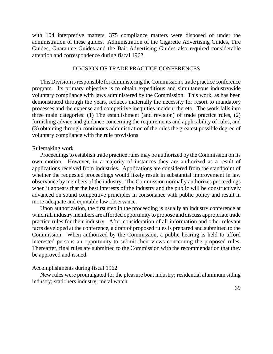with 104 interpretive matters, 375 compliance matters were disposed of under the administration of these guides. Administration of the Cigarette Advertising Guides, Tire Guides, Guarantee Guides and the Bait Advertising Guides also required considerable attention and correspondence during fiscal 1962.

#### DIVISION OF TRADE PRACTICE CONFERENCES

This Division is responsible for administering the Commission's trade practice conference program. Its primary objective is to obtain expeditious and simultaneous industrywide voluntary compliance with laws administered by the Commission. This work, as has been demonstrated through the years, reduces materially the necessity for resort to mandatory processes and the expense and competitive inequities incident thereto. The work falls into three main categories: (1) The establishment (and revision) of trade practice rules, (2) furnishing advice and guidance concerning the requirements and applicability of rules, and (3) obtaining through continuous administration of the rules the greatest possible degree of voluntary compliance with the rule provisions.

## Rulemaking work

Proceedings to establish trade practice rules may be authorized by the Commission on its own motion. However, in a majority of instances they are authorized as a result of applications received from industries. Applications are considered from the standpoint of whether the requested proceedings would likely result in substantial improvement in law observance by members of the industry. The Commission normally authorizes proceedings when it appears that the best interests of the industry and the public will be constructively advanced on sound competitive principles in consonance with public policy and result in more adequate and equitable law observance.

Upon authorization, the first step in the proceeding is usually an industry conference at which all industrymembers are afforded opportunity to propose and discuss appropriate trade practice rules for their industry. After consideration of all information and other relevant facts developed at the conference, a draft of proposed rules is prepared and submitted to the Commission. When authorized by the Commission, a public hearing is held to afford interested persons an opportunity to submit their views concerning the proposed rules. Thereafter, final rules are submitted to the Commission with the recommendation that they be approved and issued.

#### Accomplishments during fiscal 1962

New rules were promulgated for the pleasure boat industry; residential aluminum siding industry; stationers industry; metal watch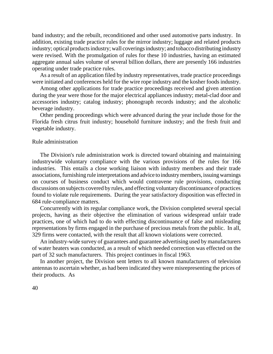band industry; and the rebuilt, reconditioned and other used automotive parts industry. In addition, existing trade practice rules for the mirror industry; luggage and related products industry; optical products industry; wall coverings industry; and tobacco distributing industry were revised. With the promulgation of rules for these 10 industries, having an estimated aggregate annual sales volume of several billion dollars, there are presently 166 industries operating under trade practice rules.

As a result of an application filed by industry representatives, trade practice proceedings were initiated and conferences held for the wire rope industry and the kosher foods industry.

Among other applications for trade practice proceedings received and given attention during the year were those for the major electrical appliances industry; metal-clad door and accessories industry; catalog industry; phonograph records industry; and the alcoholic beverage industry.

Other pending proceedings which were advanced during the year include those for the Florida fresh citrus fruit industry; household furniture industry; and the fresh fruit and vegetable industry.

# Rule administration

The Division's rule administration work is directed toward obtaining and maintaining industrywide voluntary compliance with the various provisions of the rules for 166 industries. This entails a close working liaison with industry members and their trade associations,furnishing rule interpretations and advice to industry members, issuing warnings on courses of business conduct which would contravene rule provisions, conducting discussions on subjects covered by rules, and effecting voluntary discontinuance of practices found to violate rule requirements. During the year satisfactory disposition was effected in 684 rule-compliance matters.

Concurrently with its regular compliance work, the Division completed several special projects, having as their objective the elimination of various widespread unfair trade practices, one of which had to do with effecting discontinuance of false and misleading representations by firms engaged in the purchase of precious metals from the public. In all, 329 firms were contacted, with the result that all known violations were corrected.

An industry-wide survey of guarantees and guarantee advertising used by manufacturers of water heaters was conducted, as a result of which needed correction was effected on the part of 32 such manufacturers. This project continues in fiscal 1963.

In another project, the Division sent letters to all known manufacturers of television antennas to ascertain whether, as had been indicated they were misrepresenting the prices of their products. As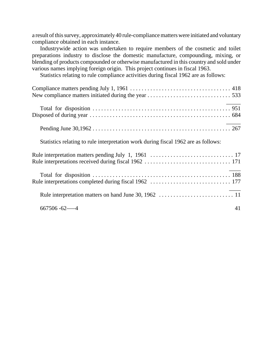a result of this survey, approximately 40 rule-compliance matters were initiated and voluntary compliance obtained in each instance.

Industrywide action was undertaken to require members of the cosmetic and toilet preparations industry to disclose the domestic manufacture, compounding, mixing, or blending of products compounded or otherwise manufactured in this country and sold under various names implying foreign origin. This project continues in fiscal 1963.

Statistics relating to rule compliance activities during fiscal 1962 are as follows:

Statistics relating to rule interpretation work during fiscal 1962 are as follows:

| $667506 - 62 - 4$ |  |
|-------------------|--|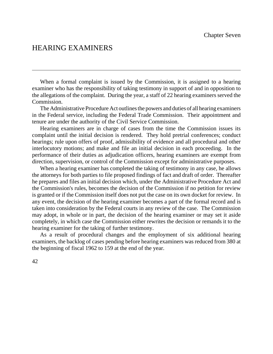# HEARING EXAMINERS

When a formal complaint is issued by the Commission, it is assigned to a hearing examiner who has the responsibility of taking testimony in support of and in opposition to the allegations of the complaint. During the year, a staff of 22 hearing examiners served the Commission.

The Administrative Procedure Act outlines the powers and duties of all hearing examiners in the Federal service, including the Federal Trade Commission. Their appointment and tenure are under the authority of the Civil Service Commission.

Hearing examiners are in charge of cases from the time the Commission issues its complaint until the initial decision is rendered. They hold pretrial conferences; conduct hearings; rule upon offers of proof, admissibility of evidence and all procedural and other interlocutory motions; and make and file an initial decision in each proceeding. In the performance of their duties as adjudication officers, hearing examiners are exempt from direction, supervision, or control of the Commission except for administrative purposes.

When a hearing examiner has completed the taking of testimony in any case, he allows the attorneys for both parties to file proposed findings of fact and draft of order. Thereafter he prepares and files an initial decision which, under the Administrative Procedure Act and the Commission's rules, becomes the decision of the Commission if no petition for review is granted or if the Commission itself does not put the case on its own docket for review. In any event, the decision of the hearing examiner becomes a part of the formal record and is taken into consideration by the Federal courts in any review of the case. The Commission may adopt, in whole or in part, the decision of the hearing examiner or may set it aside completely, in which case the Commission either rewrites the decision or remands it to the hearing examiner for the taking of further testimony.

As a result of procedural changes and the employment of six additional hearing examiners, the backlog of cases pending before hearing examiners was reduced from 380 at the beginning of fiscal 1962 to 159 at the end of the year.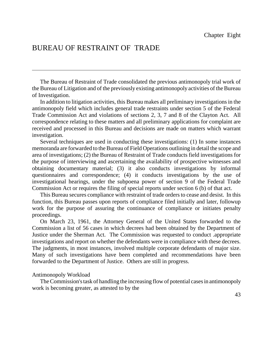# BUREAU OF RESTRAINT OF TRADE

The Bureau of Restraint of Trade consolidated the previous antimonopoly trial work of the Bureau of Litigation and of the previously existing antimonopoly activities of the Bureau of Investigation.

In addition to litigation activities, this Bureau makes all preliminary investigations in the antimonopoly field which includes general trade restraints under section 5 of the Federal Trade Commission Act and violations of sections 2, 3, 7 and 8 of the Clayton Act. All correspondence relating to these matters and all preliminary applications for complaint are received and processed in this Bureau and decisions are made on matters which warrant investigation.

Several techniques are used in conducting these investigations: (1) In some instances memoranda are forwarded to the Bureau of Field Operations outlining in detail the scope and area of investigations; (2) the Bureau of Restraint of Trade conducts field investigations for the purpose of interviewing and ascertaining the availability of prospective witnesses and obtaining documentary material; (3) it also conducts investigations by informal questionnaires and correspondence; (4) it conducts investigations by the use of investigational hearings, under the subpoena power of section 9 of the Federal Trade Commission Act or requires the filing of special reports under section 6 (b) of that act.

This Bureau secures compliance with restraint of trade orders to cease and desist. In this function, this Bureau passes upon reports of compliance filed initially and later, followup work for the purpose of assuring the continuance of compliance or initiates penalty proceedings.

On March 23, 1961, the Attorney General of the United States forwarded to the Commission a list of 56 cases in which decrees had been obtained by the Department of Justice under the Sherman Act. The Commission was requested to conduct .appropriate investigations and report on whether the defendants were in compliance with these decrees. The judgments, in most instances, involved multiple corporate defendants of major size. Many of such investigations have been completed and recommendations have been forwarded to the Department of Justice. Others are still in progress.

#### Antimonopoly Workload

TheCommission'stask of handling the increasing flow of potential cases in antimonopoly work is becoming greater, as attested to by the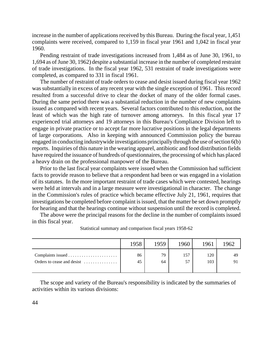increase in the number of applications received by this Bureau. During the fiscal year, 1,451 complaints were received, compared to 1,159 in fiscal year 1961 and 1,042 in fiscal year 1960.

Pending restraint of trade investigations increased from 1,484 as of June 30, 1961, to 1,694 as ofJune 30, 1962) despite a substantial increase in the number of completed restraint of trade investigations. In the fiscal year 1962, 531 restraint of trade investigations were completed, as compared to 331 in fiscal 1961.

The number of restraint of trade orders to cease and desist issued during fiscal year 1962 was substantially in excess of any recent year with the single exception of 1961. This record resulted from a successful drive to clear the docket of many of the older formal cases. During the same period there was a substantial reduction in the number of new complaints issued as compared with recent years. Several factors contributed to this reduction, not the least of which was the high rate of turnover among attorneys. In this fiscal year 17 experienced trial attorneys and 19 attorneys in this Bureau's Compliance Division left to engage in private practice or to accept far more lucrative positions in the legal departments of large corporations. Also in keeping with announced Commission policy the bureau engaged in conducting industrywide investigations principally through the use of section 6(b) reports. Inquiries of this nature in the wearing apparel, antibiotic and food distribution fields have required the issuance of hundreds of questionnaires, the processing of which has placed a heavy drain on the professional manpower of the Bureau.

Prior to the last fiscal year complaints were issued when the Commission had sufficient facts to provide reason to believe that a respondent had been or was engaged in a violation of its statutes. In the more important restraint of trade cases which were contested, hearings were held at intervals and in a large measure were investigational in character. The change in the Commission's rules of practice which became effective July 21, 1961, requires that investigations be completed before complaint is issued, that the matter be set down promptly for hearing and that the hearings continue without suspension until the record is completed.

The above were the principal reasons for the decline in the number of complaints issued in this fiscal year.

|                                                        | 1958     | 1959     | 1960      | 1961       | 1962 |
|--------------------------------------------------------|----------|----------|-----------|------------|------|
| Orders to cease and desist $\dots\dots\dots\dots\dots$ | 86<br>45 | 79<br>64 | 157<br>57 | 120<br>103 | 49   |
|                                                        |          |          |           |            |      |

Statistical summary and comparison fiscal years 1958-62

The scope and variety of the Bureau's responsibility is indicated by the summaries of activities within its various divisions: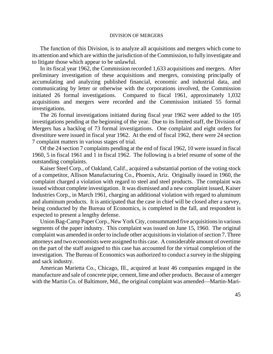#### DIVISION OF MERGERS

The function of this Division, is to analyze all acquisitions and mergers which come to its attention and which are within the jurisdiction of the Commission, to fully investigate and to litigate those which appear to be unlawful.

In its fiscal year 1962, the Commission recorded 1,633 acquisitions and mergers. After preliminary investigation of these acquisitions and mergers, consisting principally of accumulating and analyzing published financial, economic and industrial data, and communicating by letter or otherwise with the corporations involved, the Commission initiated 26 formal investigations. Compared to fiscal 1961, approximately 1,032 acquisitions and mergers were recorded and the Commission initiated 55 formal investigations.

The 26 formal investigations initiated during fiscal year 1962 were added to the 105 investigations pending at the beginning of the year. Due to its limited staff, the Division of Mergers has a backlog of 73 formal investigations. One complaint and eight orders for divestiture were issued in fiscal year 1962. At the end of fiscal 1962, there were 24 section 7 complaint matters in various stages of trial.

Of the 24 section 7 complaints pending at the end of fiscal 1962, 10 were issued in fiscal 1960, 5 in fiscal 1961 and 1 in fiscal 1962. The following is a brief resume of some of the outstanding complaints.

Kaiser Steel Corp., of Oakland, Calif., acquired a substantial portion of the voting stock of a competitor, Allison Manufacturing Co., Phoenix, Ariz. Originally issued in 1960, the complaint charged a violation with regard to steel and steel products. The complaint was issued without complete investigation. It was dismissed and a new complaint issued, Kaiser Industries Corp., in March 1961, charging an additional violation with regard to aluminum and aluminum products. It is anticipated that the case in chief will be closed after a survey, being conducted by the Bureau of Economics, is completed in the fall, and respondent is expected to present a lengthy defense.

UnionBag-Camp PaperCorp., New YorkCity, consummated five acquisitionsin various segments of the paper industry. This complaint was issued on June 15, 1960. The original complaint was amended in order to include other acquisitions in violation of section 7. Three attorneys and two economists were assigned to this case. A considerable amount of overtime on the part of the staff assigned to this case has accounted for the virtual completion of the investigation. The Bureau of Economics was authorized to conduct a survey in the shipping and sack industry.

American Marietta Co., Chicago, Ill., acquired at least 46 companies engaged in the manufacture and sale of concrete pipe, cement, lime and other products. Because of a merger with the Martin Co. of Baltimore, Md., the original complaint was amended—Martin-Mari-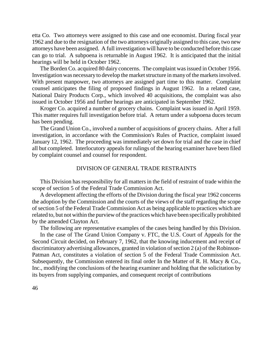etta Co. Two attorneys were assigned to this case and one economist. During fiscal year 1962 and due to the resignation of the two attorneys originally assigned to this case, two new attorneys have been assigned. A full investigation will have to be conducted before this case can go to trial. A subpoena is returnable in August 1962. It is anticipated that the initial hearings will be held in October 1962.

The Borden Co. acquired 80 dairy concerns. The complaint was issued in October 1956. Investigation was necessary to develop the market structure in many of the markets involved. With present manpower, two attorneys are assigned part time to this matter. Complaint counsel anticipates the filing of proposed findings in August 1962. In a related case, National Dairy Products Corp., which involved 40 acquisitions, the complaint was also issued in October 1956 and further hearings are anticipated in September 1962.

Kroger Co. acquired a number of grocery chains. Complaint was issued in April 1959. This matter requires full investigation before trial. A return under a subpoena duces tecum has been pending.

The Grand Union Co., involved a number of acquisitions of grocery chains. After a full investigation, in accordance with the Commission's Rules of Practice, complaint issued January 12, 1962. The proceeding was immediately set down for trial and the case in chief all but completed. Interlocutory appeals for rulings of the hearing examiner have been filed by complaint counsel and counsel for respondent.

# DIVISION OF GENERAL TRADE RESTRAINTS

This Division has responsibility for all matters in the field of restraint of trade within the scope of section 5 of the Federal Trade Commission Act.

A development affecting the efforts of the Division during the fiscal year 1962 concerns the adoption by the Commission and the courts of the views of the staff regarding the scope of section 5 of the Federal Trade Commission Act as being applicable to practices which are related to, but not within the purview of the practices which have been specifically prohibited by the amended Clayton Act.

The following are representative examples of the cases being handled by this Division.

In the case of The Grand Union Company v. FTC, the U.S. Court of Appeals for the Second Circuit decided, on February 7, 1962, that the knowing inducement and receipt of discriminatory advertising allowances, granted in violation of section 2 (a) of the Robinson-Patman Act, constitutes a violation of section 5 of the Federal Trade Commission Act. Subsequently, the Commission entered its final order In the Matter of R. H. Macy & Co., Inc., modifying the conclusions of the hearing examiner and holding that the solicitation by its buyers from supplying companies, and consequent receipt of contributions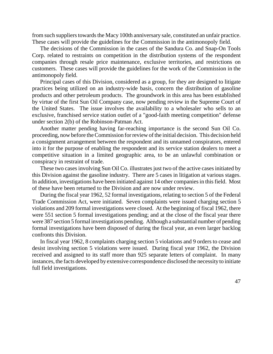from such suppliers towards the Macy 100th anniversary sale, constituted an unfair practice. These cases will provide the guidelines for the Commission in the antimonopoly field.

The decisions of the Commission in the cases of the Sandura Co. and Snap-On Tools Corp. related to restraints on competition in the distribution systems of the respondent companies through resale price maintenance, exclusive territories, and restrictions on customers. These cases will provide the guidelines for the work of the Commission in the antimonopoly field.

Principal cases of this Division, considered as a group, for they are designed to litigate practices being utilized on an industry-wide basis, concern the distribution of gasoline products and other petroleum products. The groundwork in this area has been established by virtue of the first Sun Oil Company case, now pending review in the Supreme Court of the United States. The issue involves the availability to a wholesaler who sells to an exclusive, franchised service station outlet of a "good-faith meeting competition" defense under section 2(b) of the Robinson-Patman Act.

Another matter pending having far-reaching importance is the second Sun Oil Co. proceeding, now before the Commission for review of the initial decision. This decision held a consignment arrangement between the respondent and its unnamed conspirators, entered into it for the purpose of enabling the respondent and its service station dealers to meet a competitive situation in a limited geographic area, to be an unlawful combination or conspiracy in restraint of trade.

These two cases involving Sun Oil Co. illustrates just two of the active cases initiated by this Division against the gasoline industry. There are 5 cases in litigation at various stages. In addition, investigations have been initiated against 14 other companies in this field. Most of these have been returned to the Division and are now under review.

During the fiscal year 1962, 52 formal investigations, relating to section 5 of the Federal Trade Commission Act, were initiated. Seven complaints were issued charging section 5 violations and 209 formal investigations were closed. At the beginning of fiscal 1962, there were 551 section 5 formal investigations pending; and at the close of the fiscal year there were 387 section 5 formal investigations pending. Although a substantial number of pending formal investigations have been disposed of during the fiscal year, an even larger backlog confronts this Division.

In fiscal year 1962, 8 complaints charging section 5 violations and 9 orders to cease and desist involving section 5 violations were issued. During fiscal year 1962, the Division received and assigned to its staff more than 925 separate letters of complaint. In many instances, the facts developed by extensive correspondence disclosed the necessity to initiate full field investigations.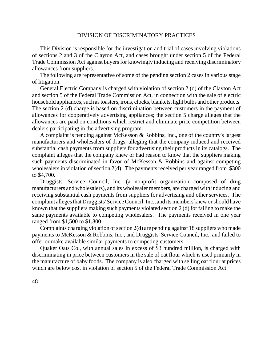# DIVISION OF DISCRIMINATORY PRACTICES

This Division is responsible for the investigation and trial of cases involving violations of sections 2 and 3 of the Clayton Act, and cases brought under section 5 of the Federal Trade Commission Act against buyers for knowingly inducing and receiving discriminatory allowances from suppliers.

The following are representative of some of the pending section 2 cases in various stage of litigation.

General Electric Company is charged with violation of section 2 (d) of the Clayton Act and section 5 of the Federal Trade Commission Act, in connection with the sale of electric household appliances, such as toasters, irons, clocks, blankets, light bulbs and other products. The section 2 (d) charge is based on discrimination between customers in the payment of allowances for cooperatively advertising appliances; the section 5 charge alleges that the allowances are paid on conditions which restrict and eliminate price competition between dealers participating in the advertising program.

A complaint is pending against McKesson & Robbins, Inc., one of the country's largest manufacturers and wholesalers of drugs, alleging that the company induced and received substantial cash payments from suppliers for advertising their products in its catalogs. The complaint alleges that the company knew or had reason to know that the suppliers making such payments discriminated in favor of McKesson & Robbins and against competing wholesalers in violation of section 2(d). The payments received per year ranged from \$300 to \$4,700.

Druggists' Service Council, Inc. (a nonprofit organization composed of drug manufacturers and wholesalers), and its wholesaler members, are charged with inducing and receiving substantial cash payments from suppliers for advertising and other services. The complaint alleges that Druggists' Service Council, Inc., and its members knew or should have known that the suppliers making such payments violated section 2 (d) for failing to make the same payments available to competing wholesalers. The payments received in one year ranged from \$1,500 to \$1,800.

Complaints charging violation of section  $2(d)$  are pending against 18 suppliers who made payments to McKesson & Robbins, Inc., and Druggists' Service Council, Inc., and failed to offer or make available similar payments to competing customers.

Quaker Oats Co., with annual sales in excess of \$3 hundred million, is charged with discriminating in price between customers in the sale of oat flour which is used primarily in the manufacture of baby foods. The company is also charged with selling oat flour at prices which are below cost in violation of section 5 of the Federal Trade Commission Act.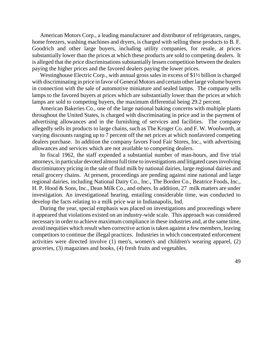American Motors Corp., a leading manufacturer and distributor of refrigerators, ranges, home freezers, washing machines and dryers, is charged with selling these products to B. F. Goodrich and other large buyers, including utility companies, for resale, at prices substantially lower than the prices at which these products are sold to competing dealers. It is alleged that the price discriminations substantially lessen competition between the dealers paying the higher prices and the favored dealers paying the lower prices.

Westinghouse Electric Corp., with annual gross sales in excess of \$1½ billion is charged with discriminating in price in favor of General Motors and certain other large volume buyers in connection with the sale of automotive miniature and sealed lamps. The company sells lamps to the favored buyers at prices which are substantially lower than the prices at which lamps are sold to competing buyers, the maximum differential being 29.2 percent.

American Bakeries Co., one of the large national baking concerns with multiple plants throughout the United States, is charged with discriminating in price and in the payment of advertising allowances and in the furnishing of services and facilities. The company allegedly sells its products to large chains, such as The Kroger Co. and F. W. Woolworth, at varying discounts ranging up to 7 percent off the net prices at which nonfavored competing dealers purchase. In addition the company favors Food Fair Stores, Inc., with advertising allowances and services which are not available to competing dealers.

In fiscal 1962, the staff expended a substantial number of man-hours, and five trial attorneys, in particular devoted almost full time to investigations and litigated cases involving discriminatory pricing in the sale of fluid milk by national dairies, large regional dairies and retail grocery chains. At present, proceedings are pending against nine national and large regional dairies, including National Dairy Co., Inc., The Borden Co., Beatrice Foods, Inc., H. P. Hood & Sons, Inc., Dean Milk Co., and others. In addition, 27 milk matters are under investigation. An investigational hearing, entailing considerable time, was conducted to develop the facts relating to a milk price war in Indianapolis, Ind.

During the year, special emphasis was placed on investigations and proceedings where it appeared that violations existed on an industry-wide scale. This approach was considered necessary in order to achieve maximum compliance in these industries and, at the same time, avoid inequities which result when corrective action istaken against a few members, leaving competitors to continue the illegal practices. Industries in which concentrated enforcement activities were directed involve (1) men's, women's and children's wearing apparel, (2) groceries, (3) magazines and books, (4) fresh fruits and vegetables.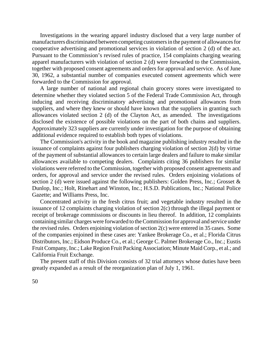Investigations in the wearing apparel industry disclosed that a very large number of manufacturers discriminated between competing customersin the payment of allowancesfor cooperative advertising and promotional services in violation of section 2 (d) of the act. Pursuant to the Commission's revised rules of practice, 154 complaints charging wearing apparel manufacturers with violation of section 2 (d) were forwarded to the Commission, together with proposed consent agreements and orders for approval and service. As of June 30, 1962, a substantial number of companies executed consent agreements which were forwarded to the Commission for approval.

A large number of national and regional chain grocery stores were investigated to determine whether they violated section 5 of the Federal Trade Commission Act, through inducing and receiving discriminatory advertising and promotional allowances from suppliers, and where they knew or should have known that the suppliers in granting such allowances violated section 2 (d) of the Clayton Act, as amended. The investigations disclosed the existence of possible violations on the part of both chains and suppliers. Approximately 323 suppliers are currently under investigation for the purpose of obtaining additional evidence required to establish both types of violations.

The Commission's activity in the book and magazine publishing industry resulted in the issuance of complaints against four publishers charging violation of section 2(d) by virtue of the payment of substantial allowances to certain large dealers and failure to make similar allowances available to competing dealers. Complaints citing 36 publishers for similar violations were referred to the Commission, together with proposed consent agreements and orders, for approval and service under the revised rules. Orders enjoining violations of section 2 (d) were issued against the following publishers: Golden Press, Inc.; Grosset & Dunlop, Inc.; Holt, Rinehart and Winston, Inc.; H.S.D. Publications, Inc.; National Police Gazette; and Williams Press, Inc.

Concentrated activity in the fresh citrus fruit; and vegetable industry resulted in the issuance of 12 complaints charging violation of section 2(c) through the illegal payment or receipt of brokerage commissions or discounts in lieu thereof. In addition, 12 complaints containing similar charges were forwarded to theCommission for approval and service under the revised rules. Orders enjoining violation of section 2(c) were entered in 35 cases. Some of the companies enjoined in these cases are: Yankee Brokerage Co., et al.; Florida Citrus Distributors, Inc.; Eidson Produce Co., et al.; George C. Palmer Brokerage Co., Inc.; Eustis Fruit Company, Inc.; Lake Region Fruit Packing Association; Minute Maid Corp., et al.; and California Fruit Exchange.

The present staff of this Division consists of 32 trial attorneys whose duties have been greatly expanded as a result of the reorganization plan of July 1, 1961.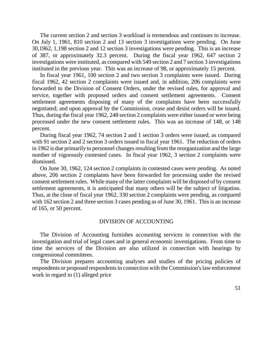The current section 2 and section 3 workload is tremendous and continues to increase. On July 1, 1961, 810 section 2 and 13 section 3 investigations were pending. On June 30,1962, 1,198 section 2 and 12 section 3 investigations were pending. This is an increase of 387, or approximately 32.3 percent. During the fiscal year 1962, 647 section 2 investigations were instituted, as compared with 549 section 2 and 7 section 3 investigations instituted in the previous year. This was an increase of 98, or approximately 15 percent.

In fiscal year 1961, 100 section 2 and two section 3 complaints were issued. During fiscal 1962, 42 section 2 complaints were issued and, in addition, 206 complaints were forwarded to the Division of Consent Orders, under the revised rules, for approval and service, together with proposed orders and consent settlement agreements. Consent settlement agreements disposing of many of the complaints have been successfully negotiated; and upon approval by the Commission, cease and desist orders will be issued. Thus, during the fiscal year 1962, 248 section 2 complaints were either issued or were being processed under the new consent settlement rules. This was an increase of 148, or 148 percent.

During fiscal year 1962, 74 section 2 and 1 section 3 orders were issued, as compared with 91 section 2 and 2 section 3 orders issued in fiscal year 1961. The reduction of orders in 1962 is due primarily to personnel changes resulting from the reorganization and the large number of vigorously contested cases. In fiscal year 1962, 3 section 2 complaints were dismissed.

On June 30, 1962, 124 section 2 complaints in contested cases were pending. As noted above, 206 section 2 complaints have been forwarded for processing under the revised consent settlement rules. While many of the latter complaints will be disposed of by consent settlement agreements, it is anticipated that many others will be the subject of litigation. Thus, at the close of fiscal year 1962, 330 section 2 complaints were pending, as compared with 162 section 2 and three section 3 cases pending as of June 30, 1961. This is an increase of 165, or 50 percent.

# DIVISION OF ACCOUNTING

The Division of Accounting furnishes accounting services in connection with the investigation and trial of legal cases and in general economic investigations. From time to time the services of the Division are also utilized in connection with hearings by congressional committees.

The Division prepares accounting analyses and studies of the pricing policies of respondents or proposed respondents in connection with the Commission's law enforcement work in regard to (1) alleged price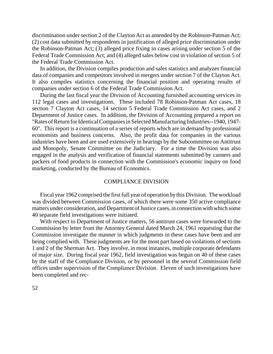discrimination under section 2 of the Clayton Act as amended by the Robinson-Patman Act; (2) cost data submitted by respondents in justification of alleged price discrimination under the Robinson-Patman Act; (3) alleged price fixing in cases arising under section 5 of the Federal Trade Commission Act; and (4) alleged sales below cost in violation of section 5 of the Federal Trade Commission Act.

In addition, the Division compiles production and sales statistics and analyzes financial data of companies and competitors involved in mergers under section 7 of the Clayton Act. It also compiles statistics concerning the financial position and operating results of companies under section 6 of the Federal Trade Commission Act.

During the last fiscal year the Division of Accounting furnished accounting services in 112 legal cases and investigations. These included 78 Robinson-Patman Act cases, 18 section 7 Clayton Act cases, 14 section 5 Federal Trade Commission Act cases, and 2 Department of Justice cases. In addition, the Division of Accounting prepared a report on "Rates of Return for Identical Companies in Selected Manufacturing Industries--1940, 1947-60". This report is a continuation of a series of reports which are in demand by professional economists and business concerns. Also, the profit data for companies in the various industries have been and are used extensively in hearings by the Subcommittee on Antitrust and Monopoly, Senate Committee on the Judiciary. For a time the Division was also engaged in the analysis and verification of financial statements submitted by canners and packers of food products in connection with the Commission's economic inquiry on food marketing, conducted by the Bureau of Economics.

### COMPLIANCE DIVISION

Fiscal year 1962 comprised the first full year of operation by this Division. The workload was divided between Commission cases, of which there were some 350 active compliance matters under consideration, and Department of Justice cases, in connection with which some 40 separate field investigations were initiated.

With respect to Department of Justice matters, 56 antitrust cases were forwarded to the Commission by letter from the Attorney General dated March 24, 1961 requesting that the Commission investigate the manner in which judgments in these cases have been and are being complied with. These judgments are for the most part based on violations of sections 1 and 2 of the Sherman Act. They involve, in most instances, multiple corporate defendants of major size. During fiscal year 1962, field investigation was begun on 40 of these cases by the staff of the Compliance Division, or by personnel in the several Commission field offices under supervision of the Compliance Division. Eleven of such investigations have been completed and rec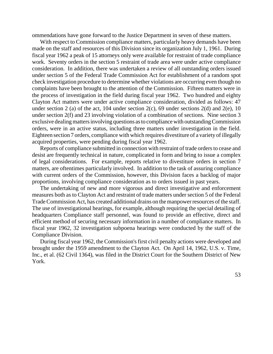ommendations have gone forward to the Justice Department in seven of these matters.

With respect to Commission compliance matters, particularly heavy demands have been made on the staff and resources of this Division since its organization July 1, 1961. During fiscal year 1962 a peak of 15 attorneys only were available for restraint of trade compliance work. Seventy orders in the section 5 restraint of trade area were under active compliance consideration. In addition, there was undertaken a review of all outstanding orders issued under section 5 of the Federal Trade Commission Act for establishment of a random spot check investigation procedure to determine whether violations are occurring even though no complaints have been brought to the attention of the Commission. Fifteen matters were in the process of investigation in the field during fiscal year 1962. Two hundred and eighty Clayton Act matters were under active compliance consideration, divided as follows: 47 under section 2 (a) of the act, 104 under section 2(c), 69 under sections 2(d) and 2(e), 10 under section 2(f) and 23 involving violation of a combination of sections. Nine section 3 exclusive dealing matters involving questions as to compliance with outstanding Commission orders, were in an active status, including three matters under investigation in the field. Eighteen section 7 orders, compliance with which requires divestiture of a variety of illegally acquired properties, were pending during fiscal year 1962.

Reports of compliance submitted in connection with restraint of trade orders to cease and desist are frequently technical in nature, complicated in form and bring to issue a complex of legal considerations. For example, reports relative to divestiture orders in section 7 matters, are oftentimes particularly involved. In addition to the task of assuring compliance with current orders of the Commission, however, this Division faces a backlog of major proportions, involving compliance consideration as to orders issued in past years.

The undertaking of new and more vigorous and direct investigative and enforcement measures both as to Clayton Act and restraint of trade matters under section 5 of the Federal Trade Commission Act, has created additional drains on the manpower resources of the staff. The use of investigational hearings, for example, although requiring the special detailing of headquarters Compliance staff personnel, was found to provide an effective, direct and efficient method of securing necessary information in a number of compliance matters. In fiscal year 1962, 32 investigation subpoena hearings were conducted by the staff of the Compliance Division.

During fiscal year 1962, the Commission's first civil penalty actions were developed and brought under the 1959 amendment to the Clayton Act. On April 14, 1962, U.S. v. Time, Inc., et al. (62 Civil 1364), was filed in the District Court for the Southern District of New York.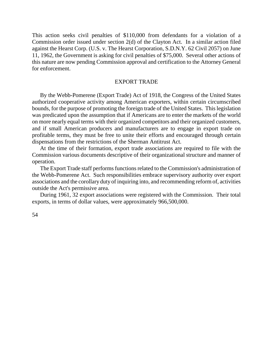This action seeks civil penalties of \$110,000 from defendants for a violation of a Commission order issued under section 2(d) of the Clayton Act. In a similar action filed against the Hearst Corp. (U.S. v. The Hearst Corporation, S.D.N.Y. 62 Civil 2057) on June 11, 1962, the Government is asking for civil penalties of \$75,000. Several other actions of this nature are now pending Commission approval and certification to the Attorney General for enforcement.

# EXPORT TRADE

By the Webb-Pomerene (Export Trade) Act of 1918, the Congress of the United States authorized cooperative activity among American exporters, within certain circumscribed bounds, for the purpose of promoting the foreign trade of the United States. This legislation was predicated upon the assumption that if Americans are to enter the markets of the world on more nearly equal terms with their organized competitors and their organized customers, and if small American producers and manufacturers are to engage in export trade on profitable terms, they must be free to unite their efforts and encouraged through certain dispensations from the restrictions of the Sherman Antitrust Act.

At the time of their formation, export trade associations are required to file with the Commission various documents descriptive of their organizational structure and manner of operation.

The Export Trade staff performs functions related to the Commission's administration of the Webb-Pomerene Act. Such responsibilities embrace supervisory authority over export associations and the corollary duty of inquiring into, and recommending reform of, activities outside the Act's permissive area.

During 1961, 32 export associations were registered with the Commission. Their total exports, in terms of dollar values, were approximately 966,500,000.

54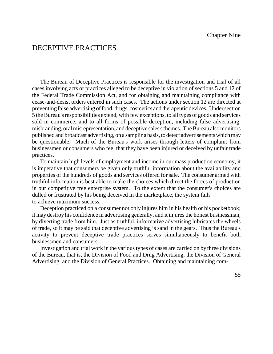# DECEPTIVE PRACTICES

The Bureau of Deceptive Practices is responsible for the investigation and trial of all cases involving acts or practices alleged to be deceptive in violation of sections 5 and 12 of the Federal Trade Commission Act, and for obtaining and maintaining compliance with cease-and-desist orders entered in such cases. The actions under section 12 are directed at preventing false advertising of food, drugs, cosmetics and therapeutic devices. Under section 5 the Bureau's responsibilities extend, with few exceptions, to all types of goods and services sold in commerce, and to all forms of possible deception, including false advertising, misbranding, oral misrepresentation, and deceptive sales schemes. The Bureau also monitors published and broadcast advertising, on a sampling basis, to detect advertisements which may be questionable. Much of the Bureau's work arises through letters of complaint from businessmen or consumers who feel that they have been injured or deceived by unfair trade practices.

To maintain high levels of employment and income in our mass production economy, it is imperative that consumers be given only truthful information about the availability and properties of the hundreds of goods and services offered for sale. The consumer armed with truthful information is best able to make the choices which direct the forces of production in our competitive free enterprise system. To the extent that the consumer's choices are dulled or frustrated by his being deceived in the marketplace, the system fails to achieve maximum success.

Deception practiced on a consumer not only injures him in his health or his pocketbook; it may destroy his confidence in advertising generally, and it injures the honest businessman, by diverting trade from him. Just as truthful, informative advertising lubricates the wheels of trade, so it may be said that deceptive advertising is sand in the gears. Thus the Bureau's activity to prevent deceptive trade practices serves simultaneously to benefit both businessmen and consumers.

Investigation and trial work in the various types of cases are carried on by three divisions of the Bureau, that is, the Division of Food and Drug Advertising, the Division of General Advertising, and the Division of General Practices. Obtaining and maintaining com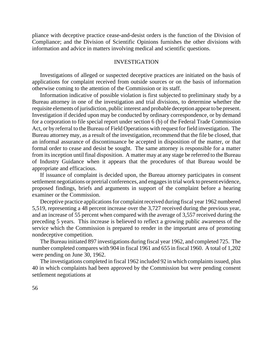pliance with deceptive practice cease-and-desist orders is the function of the Division of Compliance; and the Division of Scientific Opinions furnishes the other divisions with information and advice in matters involving medical and scientific questions.

# INVESTIGATION

Investigations of alleged or suspected deceptive practices are initiated on the basis of applications for complaint received from outside sources or on the basis of information otherwise coming to the attention of the Commission or its staff.

Information indicative of possible violation is first subjected to preliminary study by a Bureau attorney in one of the investigation and trial divisions, to determine whether the requisite elements of jurisdiction, public interest and probable deception appear to be present. Investigation if decided upon may be conducted by ordinary correspondence, or by demand for a corporation to file special report under section 6 (b) of the Federal Trade Commission Act, or by referral to the Bureau of Field Operations with request for field investigation. The Bureau attorney may, as a result of the investigation, recommend that the file be closed, that an informal assurance of discontinuance be accepted in disposition of the matter, or that formal order to cease and desist be sought. The same attorney is responsible for a matter from itsinception until final disposition. A matter may at any stage be referred to the Bureau of Industry Guidance when it appears that the procedures of that Bureau would be appropriate and efficacious.

If issuance of complaint is decided upon, the Bureau attorney participates in consent settlement negotiations or pretrial conferences, and engages in trial work to present evidence, proposed findings, briefs and arguments in support of the complaint before a hearing examiner or the Commission.

Deceptive practice applications for complaint received during fiscal year 1962 numbered 5,519, representing a 48 percent increase over the 3,727 received during the previous year, and an increase of 55 percent when compared with the average of 3,557 received during the preceding 5 years. This increase is believed to reflect a growing public awareness of the service which the Commission is prepared to render in the important area of promoting nondeceptive competition.

The Bureau initiated 897 investigations during fiscal year 1962, and completed 725. The number completed compares with 904 in fiscal 1961 and 655 in fiscal 1960. A total of 1,202 were pending on June 30, 1962.

The investigations completed in fiscal 1962 included 92 in which complaints issued, plus 40 in which complaints had been approved by the Commission but were pending consent settlement negotiations at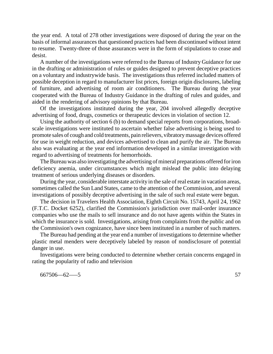the year end. A total of 278 other investigations were disposed of during the year on the basis of informal assurances that questioned practices had been discontinued without intent to resume. Twenty-three of those assurances were in the form of stipulations to cease and desist.

A number of the investigations were referred to the Bureau of Industry Guidance for use in the drafting or administration of rules or guides designed to prevent deceptive practices on a voluntary and industrywide basis. The investigations thus referred included matters of possible deception in regard to manufacturer list prices, foreign origin disclosures, labeling of furniture, and advertising of room air conditioners. The Bureau during the year cooperated with the Bureau of Industry Guidance in the drafting of rules and guides, and aided in the rendering of advisory opinions by that Bureau.

Of the investigations instituted during the year, 204 involved allegedly deceptive advertising of food, drugs, cosmetics or therapeutic devices in violation of section 12.

Using the authority of section 6 (b) to demand special reports from corporations, broadscale investigations were instituted to ascertain whether false advertising is being used to promote sales of cough and cold treatments, pain relievers, vibratory massage devices offered for use in weight reduction, and devices advertised to clean and purify the air. The Bureau also was evaluating at the year end information developed in a similar investigation with regard to advertising of treatments for hemorrhoids.

The Bureau was also investigating the advertising of mineral preparations offered for iron deficiency anemia, under circumstances which might mislead the public into delaying treatment of serious underlying diseases or disorders.

During the year, considerable interstate activity in the sale of real estate in vacation areas, sometimes called the Sun Land States, came to the attention of the Commission, and several investigations of possibly deceptive advertising in the sale of such real estate were begun.

The decision in Travelers Health Association, Eighth Circuit No. 15743, April 24, 1962 (F.T.C. Docket 6252), clarified the Commission's jurisdiction over mail-order insurance companies who use the mails to sell insurance and do not have agents within the States in which the insurance is sold. Investigations, arising from complaints from the public and on the Commission's own cognizance, have since been instituted in a number of such matters.

The Bureau had pending at the year end a number of investigations to determine whether plastic metal menders were deceptively labeled by reason of nondisclosure of potential danger in use.

Investigations were being conducted to determine whether certain concerns engaged in rating the popularity of radio and television

667506—62—–5 57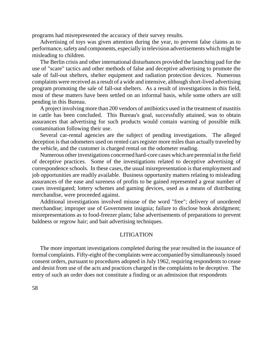programs had misrepresented the accuracy of their survey results.

Advertising of toys was given attention during the year, to prevent false claims as to performance, safety and components, especially in television advertisements which might be misleading to children.

The Berlin crisis and other international disturbances provided the launching pad for the use of "scare" tactics and other methods of false and deceptive advertising to promote the sale of fall-out shelters, shelter equipment and radiation protection devices. Numerous complaints were received as a result of a wide and intensive, although short-lived advertising program promoting the sale of fall-out shelters. As a result of investigations in this field, most of these matters have been settled on an informal basis, while some others are still pending in this Bureau.

A project involving more than 200 vendors of antibiotics used in the treatment of mastitis in cattle has been concluded. This Bureau's goal, successfully attained, was to obtain assurances that advertising for such products would contain warning of possible milk contamination following their use.

Several car-rental agencies are the subject of pending investigations. The alleged deception is that odometers used on rented cars register more miles than actually traveled by the vehicle, and the customer is charged rental on the odometer reading.

Numerous otherinvestigations concerned hard-core cases which are perennial in the field of deceptive practices. Some of the investigations related to deceptive advertising of correspondence schools. In these cases, the usual misrepresentation is that employment and job opportunities are readily available. Business opportunity matters relating to misleading assurances of the ease and sureness of profits to be gained represented a great number of cases investigated; lottery schemes and gaming devices, used as a means of distributing merchandise, were proceeded against.

Additional investigations involved misuse of the word "free"; delivery of unordered merchandise; improper use of Government insignia; failure to disclose book abridgment; misrepresentations as to food-freezer plans; false advertisements of preparations to prevent baldness or regrow hair; and bait advertising techniques.

# LITIGATION

The more important investigations completed during the year resulted in the issuance of formal complaints. Fifty-eight of the complaints were accompanied by simultaneously issued consent orders, pursuant to procedures adopted in July 1962, requiring respondents to cease and desist from use of the acts and practices charged in the complaints to be deceptive. The entry of such an order does not constitute a finding or an admission that respondents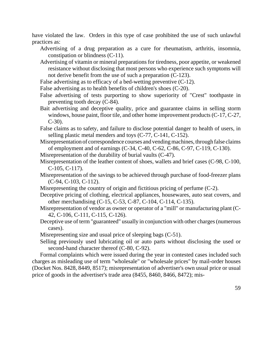have violated the law. Orders in this type of case prohibited the use of such unlawful practices as:

- Advertising of a drug preparation as a cure for rheumatism, arthritis, insomnia, constipation or blindness (C-11).
- Advertising of vitamin or mineral preparations for tiredness, poor appetite, or weakened resistance without disclosing that most persons who experience such symptoms will not derive benefit from the use of such a preparation (C-123).
- False advertising as to efficacy of a bed-wetting preventive (C-12).
- False advertising as to health benefits of children's shoes (C-20).
- False advertising of tests purporting to show superiority of "Crest" toothpaste in preventing tooth decay (C-84).
- Bait advertising and deceptive quality, price and guarantee claims in selling storm windows, house paint, floor tile, and other home improvement products (C-17, C-27,  $C-30$ ).
- False claims as to safety, and failure to disclose potential danger to health of users, in selling plastic metal menders and toys (C-77, C-141, C-152).
- Misrepresentation of correspondence courses and vending machines, through false claims of employment and of earnings (C-34, C-40, C-62, C-86, C-97, C-119, C-130).
- Misrepresentation of the durability of burial vaults (C-47).
- Misrepresentation of the leather content of shoes, wallets and brief cases (C-98, C-100, C-105, C-117).
- Misrepresentation of the savings to be achieved through purchase of food-freezer plans (C-94, C-103, C-112).
- Misrepresenting the country of origin and fictitious pricing of perfume (C-2).
- Deceptive pricing of clothing, electrical appliances, housewares, auto seat covers, and other merchandising (C-15, C-53, C-87, C-104, C-114, C-135).
- Misrepresentation of vendor as owner or operator of a "mill" or manufacturing plant (C-42, C-106, C-111, C-115, C-126).
- Deceptive use of term "guaranteed" usually in conjunction with other charges(numerous cases).
- Misrepresenting size and usual price of sleeping bags (C-51).
- Selling previously used lubricating oil or auto parts without disclosing the used or second-hand character thereof (C-80, C-92).

Formal complaints which were issued during the year in contested cases included such charges as misleading use of term "wholesale" or "wholesale prices" by mail-order houses (Docket Nos. 8428, 8449, 8517); misrepresentation of advertiser's own usual price or usual price of goods in the advertiser's trade area (8455, 8460, 8466, 8472); mis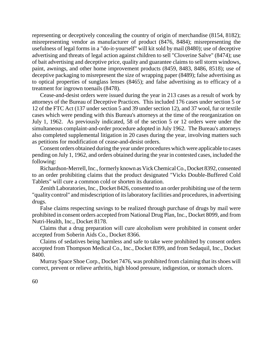representing or deceptively concealing the country of origin of merchandise (8154, 8182); misrepresenting vendor as manufacturer of product (8476, 8484); misrepresenting the usefulness of legal forms in a "do-it-yourself" will kit sold by mail (8480); use of deceptive advertising and threats of legal action against children to sell "Cloverine Salve" (8474); use of bait advertising and deceptive price, quality and guarantee claims to sell storm windows, paint, awnings, and other home improvement products (8459, 8483, 8486, 8518); use of deceptive packaging to misrepresent the size of wrapping paper (8489); false advertising as to optical properties of sunglass lenses (8465); and false advertising as to efficacy of a treatment for ingrown toenails (8478).

Cease-and-desist orders were issued during the year in 213 cases as a result of work by attorneys of the Bureau of Deceptive Practices. This included 176 cases under section 5 or 12 of the FTC Act (137 under section 5 and 39 under section 12), and 37 wool, fur or textile cases which were pending with this Bureau's attorneys at the time of the reorganization on July 1, 1962. As previously indicated, 58 of the section 5 or 12 orders were under the simultaneous complaint-and-order procedure adopted in July 1962. The Bureau's attorneys also completed supplemental litigation in 20 cases during the year, involving matters such as petitions for modification of cease-and-desist orders.

Consent orders obtained during the year under procedures which were applicable to cases pending on July 1, 1962, and orders obtained during the year in contested cases, included the following:

Richardson-Merrell, Inc., formerly known as Vick Chemical Co., Docket 8392, consented to an order prohibiting claims that the product designated "Vicks Double-Buffered Cold Tablets" will cure a common cold or shorten its duration.

Zenith Laboratories, Inc., Docket 8426, consented to an order prohibiting use of the term "quality control" and misdescription of itslaboratory facilities and procedures, in advertising drugs.

False claims respecting savings to be realized through purchase of drugs by mail were prohibited in consent orders accepted from National Drug Plan, Inc., Docket 8099, and from Nutri-Health, Inc., Docket 8178.

Claims that a drug preparation will cure alcoholism were prohibited in consent order accepted from Soberin Aids Co., Docket 8366.

Claims of sedatives being harmless and safe to take were prohibited by consent orders accepted from Thompson Medical Co., Inc., Docket 8399, and from Sedaquil, Inc., Docket 8400.

Murray Space Shoe Corp., Docket 7476, was prohibited from claiming that its shoes will correct, prevent or relieve arthritis, high blood pressure, indigestion, or stomach ulcers.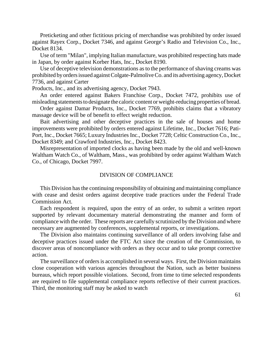Preticketing and other fictitious pricing of merchandise was prohibited by order issued against Rayex Corp., Docket 7346, and against George's Radio and Television Co., Inc., Docket 8134.

Use of term "Milan", implying Italian manufacture, was prohibited respecting hats made in Japan, by order against Korber Hats, Inc., Docket 8190.

Use of deceptive television demonstrations as to the performance of shaving creams was prohibited by orders issued against Colgate-Palmolive Co. and its advertising agency, Docket 7736, and against Carter

Products, Inc., and its advertising agency, Docket 7943.

An order entered against Bakers Franchise Corp., Docket 7472, prohibits use of misleading statements to designate the caloric content or weight-reducing properties of bread.

Order against Damar Products, Inc., Docket 7769, prohibits claims that a vibratory massage device will be of benefit to effect weight reduction.

Bait advertising and other deceptive practices in the sale of houses and home improvements were prohibited by orders entered against Lifetime, Inc., Docket 7616; Pati-Port, Inc., Docket 7665; Luxury Industries Inc., Docket 7728; Celtic Construction Co., Inc., Docket 8349; and Crawford Industries, Inc., Docket 8423.

Misrepresentation of imported clocks as having been made by the old and well-known Waltham Watch Co., of Waltham, Mass., was prohibited by order against Waltham Watch Co., of Chicago, Docket 7997.

# DIVISION OF COMPLIANCE

This Division hasthe continuing responsibility of obtaining and maintaining compliance with cease and desist orders against deceptive trade practices under the Federal Trade Commission Act.

Each respondent is required, upon the entry of an order, to submit a written report supported by relevant documentary material demonstrating the manner and form of compliance with the order. These reports are carefully scrutinized by the Division and where necessary are augmented by conferences, supplemental reports, or investigations.

The Division also maintains continuing surveillance of all orders involving false and deceptive practices issued under the FTC Act since the creation of the Commission, to discover areas of noncompliance with orders as they occur and to take prompt corrective action.

The surveillance of orders is accomplished in several ways. First, the Division maintains close cooperation with various agencies throughout the Nation, such as better business bureaus, which report possible violations. Second, from time to time selected respondents are required to file supplemental compliance reports reflective of their current practices. Third, the monitoring staff may be asked to watch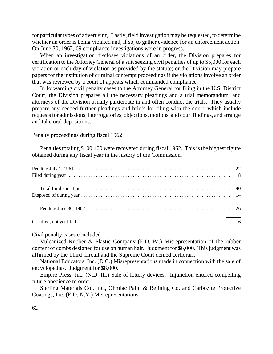for particular types of advertising. Lastly, field investigation may be requested, to determine whether an order is being violated and, if so, to gather evidence for an enforcement action. On June 30, 1962, 69 compliance investigations were in progress.

When an investigation discloses violations of an order, the Division prepares for certification to the Attorney General of a suit seeking civil penalties of up to \$5,000 for each violation or each day of violation as provided by the statute; or the Division may prepare papers for the institution of criminal contempt proceedings if the violationsinvolve an order that was reviewed by a court of appeals which commanded compliance.

In forwarding civil penalty cases to the Attorney General for filing in the U.S. District Court, the Division prepares all the necessary pleadings and a trial memorandum, and attorneys of the Division usually participate in and often conduct the trials. They usually prepare any needed further pleadings and briefs for filing with the court, which include requests for admissions, interrogatories, objections, motions, and court findings, and arrange and take oral depositions.

#### Penalty proceedings during fiscal 1962

Penalties totaling \$100,400 were recovered during fiscal 1962. This is the highest figure obtained during any fiscal year in the history of the Commission.

## Civil penalty cases concluded

Vulcanized Rubber & Plastic Company (E.D. Pa.) Misrepresentation of the rubber content of combs designed for use on human hair. Judgment for \$6,000. This judgment was affirmed by the Third Circuit and the Supreme Court denied certiorari.

National Educators, Inc. (D.C.) Misrepresentations made in connection with the sale of encyclopedias. Judgment for \$8,000.

Empire Press, Inc. (N.D. Ill.) Sale of lottery devices. Injunction entered compelling future obedience to order.

Sterling Materials Co., Inc., Ohmlac Paint & Refining Co. and Carbozite Protective Coatings, Inc. (E.D. N.Y.) Misrepresentations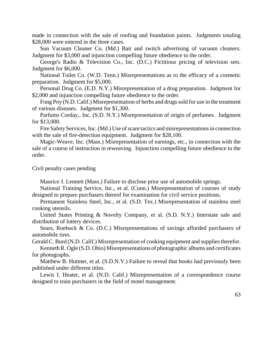made in connection with the sale of roofing and foundation paints. Judgments totaling \$28,000 were entered in the three cases.

Sun Vacuum Cleaner Co. (Md.) Bait and switch advertising of vacuum cleaners. Judgment for \$3,000 and injunction compelling future obedience to the order.

George's Radio & Television Co., Inc. (D.C.) Fictitious pricing of television sets. Judgment for \$6,000.

National Toilet Co. (W.D. Tenn.) Misrepresentations as to the efficacy of a cosmetic preparation. Judgment for \$5,000.

Personal Drug Co. (E.D. N.Y.) Misrepresentation of a drug preparation. Judgment for \$2,000 and injunction compelling future obedience to the order.

Fong Poy (N.D. Calif.) Misrepresentation of herbs and drugs sold for use in the treatment of various diseases. Judgment for \$1,300.

Parfums Corday,. Inc. (S.D. N.Y.) Misrepresentation of origin of perfumes. Judgment for \$13,000.

Fire Safety Services, Inc. (Md.) Use of scare tactics and misrepresentations in connection with the sale of fire-detection equipment. Judgment for \$28,100.

Magic-Weave, Inc. (Mass.) Misrepresentation of earnings, etc., in connection with the sale of a course of instruction in reweaving. Injunction compelling future obedience to the order.

Civil penalty cases pending

Maurice J. Lennett (Mass.) Failure to disclose prior use of automobile springs.

National Training Service, Inc., et al. (Conn.) Misrepresentation of courses of study designed to prepare purchasers thereof for examination for civil service positions.

Permanent Stainless Steel, Inc., et al. (S.D. Tex.) Misrepresentation of stainless steel cooking utensils.

United States Printing & Novelty Company, et al. (S.D. N.Y.) Interstate sale and distribution of lottery devices.

Sears, Roebuck & Co. (D.C.) Misrepresentations of savings afforded purchasers of automobile tires.

Gerald C. Burd (N.D. Calif.) Misrepresentation of cooking equipment and supplies therefor.

Kenneth R. Ogle (S.D. Ohio) Misrepresentations of photographic albums and certificates for photographs.

Matthew B. Huttner, et al. (S.D.N.Y.) Failure to reveal that books had previously been published under different titles.

Lewis I. Heater, et al. (N.D. Calif.) Misrepresentation of a correspondence course designed to train purchasers in the field of motel management.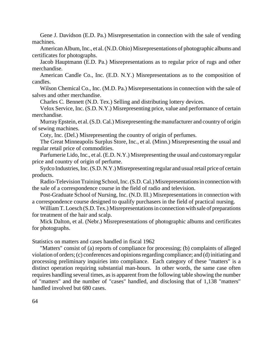Gene J. Davidson (E.D. Pa.) Misrepresentation in connection with the sale of vending machines.

American Album, Inc., et al. (N.D. Ohio) Misrepresentations of photographic albums and certificates for photographs.

Jacob Hauptmann (E.D. Pa.) Misrepresentations as to regular price of rugs and other merchandise.

American Candle Co., Inc. (E.D. N.Y.) Misrepresentations as to the composition of candles.

Wilson Chemical Co., Inc. (M.D. Pa.) Misrepresentations in connection with the sale of salves and other merchandise.

Charles C. Bennett (N.D. Tex.) Selling and distributing lottery devices.

Velox Service, Inc. (S.D. N.Y.) Misrepresenting price, value and performance of certain merchandise.

MurrayEpstein, et al.(S.D.Cal.) Misrepresenting the manufacturer and country of origin of sewing machines.

Coty, Inc. (Del.) Misrepresenting the country of origin of perfumes.

The Great Minneapolis Surplus Store, Inc., et al. (Minn.) Misrepresenting the usual and regular retail price of commodities.

Parfumerie Lido, Inc., et al. (E.D. N.Y.) Misrepresenting the usual and customary regular price and country of origin of perfume.

Sydco Industries, Inc. (S.D. N.Y.) Misrepresenting regular and usual retail price of certain products.

Radio-Television Training School, Inc. (S.D. Cal.) Misrepresentations in connection with the sale of a correspondence course in the field of radio and television.

Post-Graduate School of Nursing, Inc. (N.D. Ill.) Misrepresentations in connection with a correspondence course designed to qualify purchasers in the field of practical nursing.

William T. Loesch (S.D. Tex.) Misrepresentations in connection with sale of preparations for treatment of the hair and scalp.

Mick Dalton, et al. (Nebr.) Misrepresentations of photographic albums and certificates for photographs.

Statistics on matters and cases handled in fiscal 1962

"Matters" consist of (a) reports of compliance for processing; (b) complaints of alleged violation of orders;  $(c)$  conferences and opinions regarding compliance; and  $(d)$  initiating and processing preliminary inquiries into compliance. Each category of these "matters" is a distinct operation requiring substantial man-hours. In other words, the same case often requires handling several times, as is apparent from the following table showing the number of "matters" and the number of "cases" handled, and disclosing that of 1,138 "matters" handled involved but 680 cases.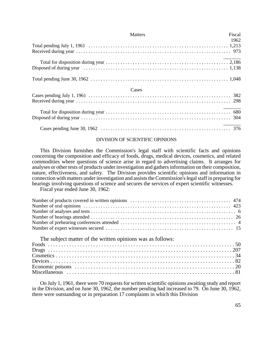| <b>Matters</b> | Fiscal |
|----------------|--------|
|                | 1962   |
|                |        |
|                |        |
|                |        |
|                |        |
|                |        |
| Cases          |        |
|                |        |
|                |        |
|                |        |
|                |        |
|                |        |

#### DIVISION OF SCIENTIFIC OPINIONS

This Division furnishes the Commission's legal staff with scientific facts and opinions concerning the composition and efficacy of foods, drugs, medical devices, cosmetics, and related commodities where questions of science arise in regard to advertising claims. It arranges for analyses or other tests of products under investigation and gathersinformation on their composition, nature, effectiveness, and safety. The Division provides scientific opinions and information in connection with matters under investigation and assists the Commission's legal staff in preparing for hearings involving questions of science and secures the services of expert scientific witnesses.

Fiscal year ended June 30, 1962:

| The subject matter of the written opinions was as follows: |  |
|------------------------------------------------------------|--|
|                                                            |  |
|                                                            |  |
|                                                            |  |
|                                                            |  |

On July 1, 1961, there were 70 requests for written scientific opinions awaiting study and report in the Division, and on June 30, 1962, the number pending had increased to 79. On June 30, 1962, there were outstanding or in preparation 17 complaints in which this Division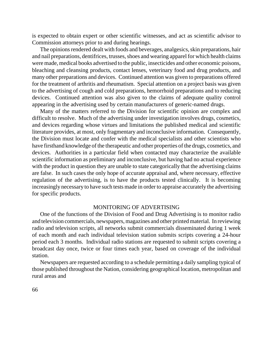is expected to obtain expert or other scientific witnesses, and act as scientific advisor to Commission attorneys prior to and during hearings.

The opinions rendered dealt with foods and beverages, analgesics, skin preparations, hair and nail preparations, dentifrices, trusses, shoes and wearing apparel for which health claims were made, medical books advertised to the public, insecticides and other economic poisons, bleaching and cleansing products, contact lenses, veterinary food and drug products, and many other preparations and devices. Continued attention was given to preparations offered for the treatment of arthritis and rheumatism. Special attention on a project basis was given to the advertising of cough and cold preparations, hemorrhoid preparations and to reducing devices. Continued attention was also given to the claims of adequate quality control appearing in the advertising used by certain manufacturers of generic-named drugs.

Many of the matters referred to the Division for scientific opinion are complex and difficult to resolve. Much of the advertising under investigation involves drugs, cosmetics, and devices regarding whose virtues and limitations the published medical and scientific literature provides, at most, only fragmentary and inconclusive information. Consequently, the Division must locate and confer with the medical specialists and other scientists who have firsthand knowledge of the therapeutic and other properties of the drugs, cosmetics, and devices. Authorities in a particular field when contacted may characterize the available scientific information as preliminary and inconclusive, but having had no actual experience with the product in question they are unable to state categorically that the advertising claims are false. In such cases the only hope of accurate appraisal and, where necessary, effective regulation of the advertising, is to have the products tested clinically. It is becoming increasingly necessary to have such tests made in order to appraise accurately the advertising for specific products.

# MONITORING OF ADVERTISING

One of the functions of the Division of Food and Drug Advertising is to monitor radio and television commercials, newspapers, magazines and other printed material. In reviewing radio and television scripts, all networks submit commercials disseminated during 1 week of each month and each individual television station submits scripts covering a 24-hour period each 3 months. Individual radio stations are requested to submit scripts covering a broadcast day once, twice or four times each year, based on coverage of the individual station.

Newspapers are requested according to a schedule permitting a daily sampling typical of those published throughout the Nation, considering geographical location, metropolitan and rural areas and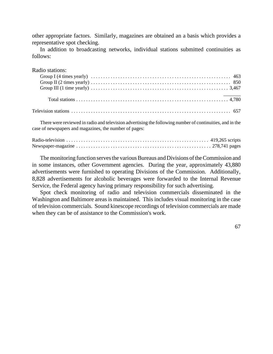other appropriate factors. Similarly, magazines are obtained an a basis which provides a representative spot checking.

In addition to broadcasting networks, individual stations submitted continuities as follows:

Radio stations: Group I (4 times yearly) ......................................................... 463 Group II (2 times yearly) ......................................................... 850 Group III (1 time yearly) ........................................................ 3,467 \_\_\_\_\_\_\_ Total stations .............................................................. 4,780 Television stations ................................................................. 657

There were reviewed in radio and television advertising the following number of continuities, and in the case of newspapers and magazines, the number of pages:

The monitoring function serves the various Bureaus and Divisions of the Commission and in some instances, other Government agencies. During the year, approximately 43,880 advertisements were furnished to operating Divisions of the Commission. Additionally, 8,828 advertisements for alcoholic beverages were forwarded to the Internal Revenue Service, the Federal agency having primary responsibility for such advertising.

Spot check monitoring of radio and television commercials disseminated in the Washington and Baltimore areas is maintained. This includes visual monitoring in the case of television commercials. Sound kinescope recordings of television commercials are made when they can be of assistance to the Commission's work.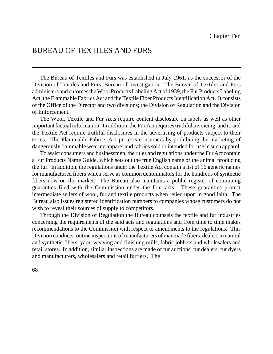# BUREAU OF TEXTILES AND FURS

The Bureau of Textiles and Furs was established in July 1961, as the successor of the Division of Textiles and Furs, Bureau of Investigation. The Bureau of Textiles and Furs administers and enforces the Wool Products Labeling Act of 1939, the Fur Products Labeling Act, the Flammable Fabrics Act and the Textile Fiber Products Identification Act. It consists of the Office of the Director and two divisions; the Division of Regulation and the Division of Enforcement.

The Wool, Textile and Fur Acts require content disclosure on labels as well as other important factual information. In addition, the Fur Act requires truthful invoicing, and it, and the Textile Act require truthful disclosures in the advertising of products subject to their terms. The Flammable Fabrics Act protects consumers by prohibiting the marketing of dangerously flammable wearing apparel and fabrics sold or intended for use in such apparel.

To assist consumers and businessmen, the rules and regulations underthe Fur Act contain a Fur Products Name Guide, which sets out the true English name of the animal producing the fur. In addition, the regulations under the Textile Act contain a list of 16 generic names for manufactured fibers which serve as common denominators for the hundreds of synthetic fibers now on the market. The Bureau also maintains a public register of continuing guaranties filed with the Commission under the four acts. These guaranties protect intermediate sellers of wool, fur and textile products when relied upon in good faith. The Bureau also issues registered identification numbers to companies whose customers do not wish to reveal their sources of supply to competitors.

Through the Division of Regulation the Bureau counsels the textile and fur industries concerning the requirements of the said acts and regulations and from time to time makes recommendations to the Commission with respect to amendments to the regulations. This Division conducts routine inspections of manufacturers of manmade fibers, dealers in natural and synthetic fibers, yarn, weaving and finishing mills, fabric jobbers and wholesalers and retail stores. In addition, similar inspections are made of fur auctions, fur dealers, fur dyers and manufacturers, wholesalers and retail furriers. The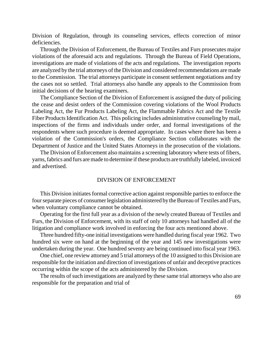Division of Regulation, through its counseling services, effects correction of minor deficiencies.

Through the Division of Enforcement, the Bureau of Textiles and Furs prosecutes major violations of the aforesaid acts and regulations. Through the Bureau of Field Operations, investigations are made of violations of the acts and regulations. The investigation reports are analyzed by the trial attorneys of the Division and considered recommendations are made to the Commission. The trial attorneys participate in consent settlement negotiations and try the cases not so settled. Trial attorneys also handle any appeals to the Commission from initial decisions of the hearing examiners.

The Compliance Section of the Division of Enforcement is assigned the duty of policing the cease and desist orders of the Commission covering violations of the Wool Products Labeling Act, the Fur Products Labeling Act, the Flammable Fabrics Act and the Textile Fiber Products Identification Act. This policing includes administrative counseling by mail, inspections of the firms and individuals under order, and formal investigations of the respondents where such procedure is deemed appropriate. In cases where there has been a violation of the Commission's orders, the Compliance Section collaborates with the Department of Justice and the United States Attorneys in the prosecution of the violations.

The Division of Enforcement also maintains a screening laboratory where tests of fibers, yarns, fabrics and furs are made to determine if these products are truthfully labeled, invoiced and advertised.

### DIVISION OF ENFORCEMENT

This Division initiates formal corrective action against responsible parties to enforce the four separate pieces of consumer legislation administered by the Bureau of Textiles and Furs, when voluntary compliance cannot be obtained.

Operating for the first full year as a division of the newly created Bureau of Textiles and Furs, the Division of Enforcement, with its staff of only 10 attorneys had handled all of the litigation and compliance work involved in enforcing the four acts mentioned above.

Three hundred fifty-one initial investigations were handled during fiscal year 1962. Two hundred six were on hand at the beginning of the year and 145 new investigations were undertaken during the year. One hundred seventy are being continued into fiscal year 1963.

One chief, one review attorney and 5 trial attorneys of the 10 assigned to this Division are responsible for the initiation and direction of investigations of unfair and deceptive practices occurring within the scope of the acts administered by the Division.

The results of such investigations are analyzed by these same trial attorneys who also are responsible for the preparation and trial of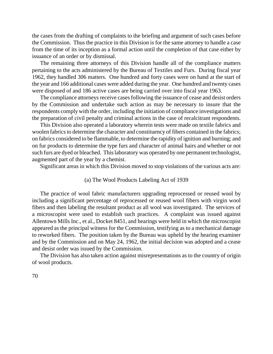the cases from the drafting of complaints to the briefing and argument of such cases before the Commission. Thus the practice in this Division is for the same attorney to handle a case from the time of its inception as a formal action until the completion of that case either by issuance of an order or by dismissal.

The remaining three attorneys of this Division handle all of the compliance matters pertaining to the acts administered by the Bureau of Textiles and Furs. During fiscal year 1962, they handled 306 matters. One hundred and forty cases were on hand at the start of the year and 166 additional cases were added during the year. One hundred and twenty cases were disposed of and 186 active cases are being carried over into fiscal year 1963.

The compliance attorneys receive cases following the issuance of cease and desist orders by the Commission and undertake such action as may be necessary to insure that the respondents comply with the order, including the initiation of compliance investigations and the preparation of civil penalty and criminal actions in the case of recalcitrant respondents.

This Division also operated a laboratory wherein tests were made on textile fabrics and woolen fabrics to determine the character and constituency of fibers contained in the fabrics; on fabrics considered to be flammable, to determine the rapidity of ignition and burning; and on fur products to determine the type furs and character of animal hairs and whether or not such furs are dyed or bleached. This laboratory was operated by one permanent technologist, augmented part of the year by a chemist.

Significant areas in which this Division moved to stop violations of the various acts are:

### (a) The Wool Products Labeling Act of 1939

The practice of wool fabric manufacturers upgrading reprocessed or reused wool by including a significant percentage of reprocessed or reused wool fibers with virgin wool fibers and then labeling the resultant product as all wool was investigated. The services of a microscopist were used to establish such practices. A complaint was issued against Allentown Mills Inc., et al., Docket 8451, and hearings were held in which the microscopist appeared as the principal witness for the Commission, testifying as to a mechanical damage to reworked fibers. The position taken by the Bureau was upheld by the hearing examiner and by the Commission and on May 24, 1962, the initial decision was adopted and a cease and desist order was issued by the Commission.

The Division has also taken action against misrepresentations as to the country of origin of wool products.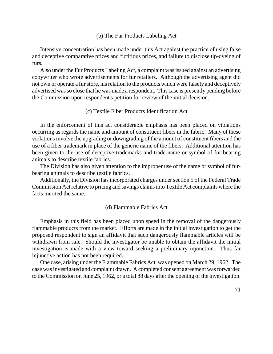#### (b) The Fur Products Labeling Act

Intensive concentration has been made under this Act against the practice of using false and deceptive comparative prices and fictitious prices, and failure to disclose tip-dyeing of furs.

Also under the Fur Products Labeling Act, a complaint was issued against an advertising copywriter who wrote advertisements for fur retailers. Although the advertising agent did not own or operate a fur store, his relation to the products which were falsely and deceptively advertised was so close that he was made a respondent. This case is presently pending before the Commission upon respondent's petition for review of the initial decision.

### (c) Textile Fiber Products Identification Act

In the enforcement of this act considerable emphasis has been placed on violations occurring as regards the name and amount of constituent fibers in the fabric. Many of these violationsinvolve the upgrading or downgrading of the amount of constituent fibers and the use of a fiber trademark in place of the generic name of the fibers. Additional attention has been given to the use of deceptive trademarks and trade name or symbol of fur-bearing animals to describe textile fabrics.

The Division has also given attention to the improper use of the name or symbol of furbearing animals to describe textile fabrics.

Additionally, the Division has incorporated charges under section 5 of the Federal Trade Commission Actrelative to pricing and savings claimsinto Textile Act complaints where the facts merited the same.

### (d) Flammable Fabrics Act

Emphasis in this field has been placed upon speed in the removal of the dangerously flammable products from the market. Efforts are made in the initial investigation to get the proposed respondent to sign an affidavit that such dangerously flammable articles will be withdrawn from sale. Should the investigator be unable to obtain the affidavit the initial investigation is made with a view toward seeking a preliminary injunction. Thus far injunctive action has not been required.

One case, arising under the Flammable Fabrics Act, was opened on March 29, 1962. The case wasinvestigated and complaint drawn. A completed consent agreement was forwarded to the Commission on June 25, 1962, or a total 88 days after the opening of the investigation.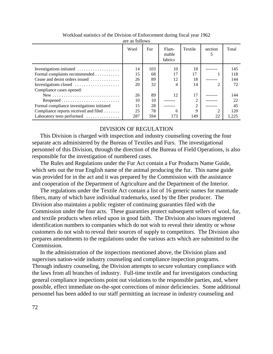|                                                              | Wool | Fur | Flam-<br>mable<br>fabrics | Textile     | section        | Total |
|--------------------------------------------------------------|------|-----|---------------------------|-------------|----------------|-------|
| Investigations initiated                                     | 14   | 103 | 10                        | 18          |                | 145   |
| Formal complaints recommended                                | 15   | 68  | 17                        | 17          |                | 118   |
| Cease and desist orders issued                               | 26   | 89  | 12                        | 18          |                | 144   |
| Investigations closed                                        | 20   | 32  |                           | 14          | 2              | 72    |
| Compliance cases opened:                                     |      |     |                           |             |                |       |
|                                                              | 26   | 89  | 12                        | 17          |                | 144   |
| $Re opened \ldots \ldots \ldots \ldots \ldots \ldots \ldots$ | 10   | 10  |                           |             |                | 22    |
| Formal compliance investigations initiated                   | 15   | 28  |                           |             |                | 45    |
| Compliance reports received and filed                        | 25   | 78  | 6                         | $\mathbf Q$ | $\mathfrak{D}$ | 120   |
| Laboratory tests performed                                   | 287  | 594 | 173                       | 149         | 22             | 1.225 |

Workload statistics of the Division of Enforcement during fiscal year 1962 are as follows

## DIVISION OF REGULATION

This Division is charged with inspection and industry counseling covering the four separate acts administered by the Bureau of Textiles and Furs. The investigational personnel of this Division, through the direction of the Bureau of Field Operations, is also responsible for the investigation of numbered cases.

The Rules and Regulations under the Fur Act contain a Fur Products Name Guide, which sets out the true English name of the animal producing the fur. This name guide was provided for in the act and it was prepared by the Commission with the assistance and cooperation of the Department of Agriculture and the Department of the Interior.

The regulations under the Textile Act contain a list of 16 generic names for manmade fibers, many of which have individual trademarks, used by the fiber producer. The Division also maintains a public register of continuing guaranties filed with the Commission under the four acts. These guaranties protect subsequent sellers of wool, fur, and textile products when relied upon in good faith. The Division also issues registered identification numbers to companies which do not wish to reveal their identity or whose customers do not wish to reveal their sources of supply to competitors. The Division also prepares amendments to the regulations under the various acts which are submitted to the Commission.

In the administration of the inspections mentioned above, the Division plans and supervises nation-wide industry counseling and compliance inspection programs. Through industry counseling, the Division attempts to secure voluntary compliance with the laws from all branches of industry. Full-time textile and fur investigators conducting general compliance inspections point out violations to the responsible parties, and, where possible, effect immediate on-the-spot corrections of minor deficiencies. Some additional personnel has been added to our staff permitting an increase in industry counseling and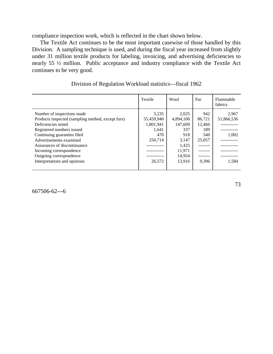compliance inspection work, which is reflected in the chart shown below.

The Textile Act continues to be the most important casewise of those handled by this Division. A sampling technique is used, and during the fiscal year increased from slightly under 31 million textile products for labeling, invoicing, and advertising deficiencies to nearly 55 ½ million. Public acceptance and industry compliance with the Textile Act continues to be very good.

|                                                                                                                                                                                                                                                                                                                    | Textile                                                               | Wool                                                                                        | Fur                                                      | Flammable<br>fabrics                  |
|--------------------------------------------------------------------------------------------------------------------------------------------------------------------------------------------------------------------------------------------------------------------------------------------------------------------|-----------------------------------------------------------------------|---------------------------------------------------------------------------------------------|----------------------------------------------------------|---------------------------------------|
| Number of inspections made<br>Products inspected (sampling method, except furs)<br>Deficiencies noted<br>Registered numbers issued<br>Continuing guaranties filed<br>Advertisements examined<br>Assurances of discontinuance<br>Incoming correspondence<br>Outgoing correspondence<br>Interpretations and opinions | 3,235<br>55,459,940<br>1.801.941<br>1,641<br>470<br>250.714<br>26,572 | 2,025<br>4,894,100<br>147,609<br>337<br>918<br>3.147<br>1,425<br>11,971<br>14,954<br>13,916 | 942<br>86,721<br>12.466<br>189<br>540<br>25,057<br>9,396 | 2,967<br>51,866,536<br>1,002<br>1,584 |
|                                                                                                                                                                                                                                                                                                                    |                                                                       |                                                                                             |                                                          |                                       |

| Division of Regulation Workload statistics—fiscal 1962 |  |  |  |  |
|--------------------------------------------------------|--|--|--|--|
|--------------------------------------------------------|--|--|--|--|

667506-62---6

73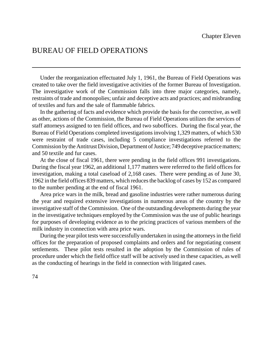# BUREAU OF FIELD OPERATIONS

Under the reorganization effectuated July 1, 1961, the Bureau of Field Operations was created to take over the field investigative activities of the former Bureau of Investigation. The investigative work of the Commission falls into three major categories, namely, restraints of trade and monopolies; unfair and deceptive acts and practices; and misbranding of textiles and furs and the sale of flammable fabrics.

In the gathering of facts and evidence which provide the basis for the corrective, as well as other, actions of the Commission, the Bureau of Field Operations utilizes the services of staff attorneys assigned to ten field offices, and two suboffices. During the fiscal year, the Bureau of Field Operations completed investigations involving 1,329 matters, of which 530 were restraint of trade cases, including 5 compliance investigations referred to the Commission bythe Antitrust Division, Department of Justice; 749 deceptive practice matters; and 50 textile and fur cases.

At the close of fiscal 1961, there were pending in the field offices 991 investigations. During the fiscal year 1962, an additional 1,177 matters were referred to the field offices for investigation, making a total caseload of 2,168 cases. There were pending as of June 30, 1962 in the field offices 839 matters, which reducesthe backlog of cases by 152 as compared to the number pending at the end of fiscal 1961.

Area price wars in the milk, bread and gasoline industries were rather numerous during the year and required extensive investigations in numerous areas of the country by the investigative staff of the Commission. One of the outstanding developments during the year in the investigative techniques employed by the Commission was the use of public hearings for purposes of developing evidence as to the pricing practices of various members of the milk industry in connection with area price wars.

During the year pilot tests were successfully undertaken in using the attorneys in the field offices for the preparation of proposed complaints and orders and for negotiating consent settlements. These pilot tests resulted in the adoption by the Commission of rules of procedure under which the field office staff will be actively used in these capacities, as well as the conducting of hearings in the field in connection with litigated cases.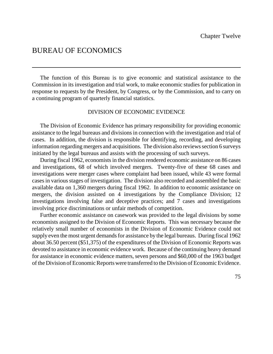# BUREAU OF ECONOMICS

The function of this Bureau is to give economic and statistical assistance to the Commission in its investigation and trial work, to make economic studies for publication in response to requests by the President, by Congress, or by the Commission, and to carry on a continuing program of quarterly financial statistics.

### DIVISION OF ECONOMIC EVIDENCE

The Division of Economic Evidence has primary responsibility for providing economic assistance to the legal bureaus and divisions in connection with the investigation and trial of cases. In addition, the division is responsible for identifying, recording, and developing information regarding mergers and acquisitions. The division also reviews section 6 surveys initiated by the legal bureaus and assists with the processing of such surveys.

During fiscal 1962, economists in the division rendered economic assistance on 86 cases and investigations, 68 of which involved mergers. Twenty-five of these 68 cases and investigations were merger cases where complaint had been issued, while 43 were formal cases in various stages of investigation. The division also recorded and assembled the basic available data on 1,360 mergers during fiscal 1962. In addition to economic assistance on mergers, the division assisted on 4 investigations by the Compliance Division; 12 investigations involving false and deceptive practices; and 7 cases and investigations involving price discriminations or unfair methods of competition.

Further economic assistance on casework was provided to the legal divisions by some economists assigned to the Division of Economic Reports. This was necessary because the relatively small number of economists in the Division of Economic Evidence could not supply even the most urgent demands for assistance by the legal bureaus. During fiscal 1962 about 36.50 percent (\$51,375) of the expenditures of the Division of Economic Reports was devoted to assistance in economic evidence work. Because of the continuing heavy demand for assistance in economic evidence matters, seven persons and \$60,000 of the 1963 budget of the Division of Economic Reports were transferred to the Division of Economic Evidence.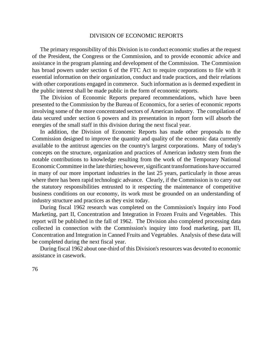### DIVISION OF ECONOMIC REPORTS

The primary responsibility of this Division is to conduct economic studies at the request of the President, the Congress or the Commission, and to provide economic advice and assistance in the program planning and development of the Commission. The Commission has broad powers under section 6 of the FTC Act to require corporations to file with it essential information on their organization, conduct and trade practices, and their relations with other corporations engaged in commerce. Such information as is deemed expedient in the public interest shall be made public in the form of economic reports.

The Division of Economic Reports prepared recommendations, which have been presented to the Commission by the Bureau of Economics, for a series of economic reports involving some of the more concentrated sectors of American industry. The compilation of data secured under section 6 powers and its presentation in report form will absorb the energies of the small staff in this division during the next fiscal year.

In addition, the Division of Economic Reports has made other proposals to the Commission designed to improve the quantity and quality of the economic data currently available to the antitrust agencies on the country's largest corporations. Many of today's concepts on the structure, organization and practices of American industry stem from the notable contributions to knowledge resulting from the work of the Temporary National Economic Committee in the late thirties; however, significant transformations have occurred in many of our more important industries in the last 25 years, particularly in those areas where there has been rapid technologic advance. Clearly, if the Commission is to carry out the statutory responsibilities entrusted to it respecting the maintenance of competitive business conditions on our economy, its work must be grounded on an understanding of industry structure and practices as they exist today.

During fiscal 1962 research was completed on the Commission's Inquiry into Food Marketing, part II, Concentration and Integration in Frozen Fruits and Vegetables. This report will be published in the fall of 1962. The Division also completed processing data collected in connection with the Commission's inquiry into food marketing, part III, Concentration and Integration in Canned Fruits and Vegetables. Analysis of these data will be completed during the next fiscal year.

During fiscal 1962 about one-third of this Division's resources was devoted to economic assistance in casework.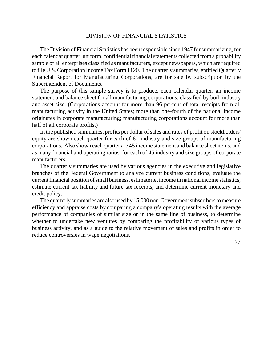# DIVISION OF FINANCIAL STATISTICS

The Division of Financial Statistics has been responsible since 1947 for summarizing, for each calendar quarter, uniform, confidential financial statements collected from a probability sample of all enterprises classified as manufacturers, except newspapers, which are required to file U.S.Corporation Income Tax Form 1120. The quarterly summaries, entitled Quarterly Financial Report for Manufacturing Corporations, are for sale by subscription by the Superintendent of Documents.

The purpose of this sample survey is to produce, each calendar quarter, an income statement and balance sheet for all manufacturing corporations, classified by both industry and asset size. (Corporations account for more than 96 percent of total receipts from all manufacturing activity in the United States; more than one-fourth of the national income originates in corporate manufacturing; manufacturing corporations account for more than half of all corporate profits.)

In the published summaries, profits per dollar of sales and rates of profit on stockholders' equity are shown each quarter for each of 60 industry and size groups of manufacturing corporations. Also shown each quarter are 45 income statement and balance sheet items, and as many financial and operating ratios, for each of 45 industry and size groups of corporate manufacturers.

The quarterly summaries are used by various agencies in the executive and legislative branches of the Federal Government to analyze current business conditions, evaluate the current financial position of small business, estimate net income in national income statistics, estimate current tax liability and future tax receipts, and determine current monetary and credit policy.

The quarterlysummaries are also used by 15,000 non-Government subscribers to measure efficiency and appraise costs by comparing a company's operating results with the average performance of companies of similar size or in the same line of business, to determine whether to undertake new ventures by comparing the profitability of various types of business activity, and as a guide to the relative movement of sales and profits in order to reduce controversies in wage negotiations.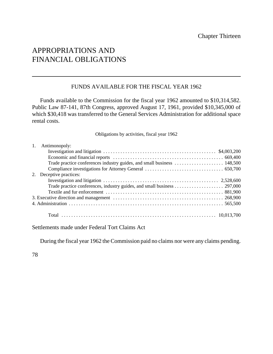# APPROPRIATIONS AND FINANCIAL OBLIGATIONS

# FUNDS AVAILABLE FOR THE FISCAL YEAR 1962

Funds available to the Commission for the fiscal year 1962 amounted to \$10,314,582. Public Law 87-141, 87th Congress, approved August 17, 1961, provided \$10,345,000 of which \$30,418 was transferred to the General Services Administration for additional space rental costs.

Obligations by activities, fiscal year 1962

| 1. Antimonopoly:        |  |
|-------------------------|--|
|                         |  |
|                         |  |
|                         |  |
|                         |  |
| 2. Deceptive practices: |  |
|                         |  |
|                         |  |
|                         |  |
|                         |  |
|                         |  |
|                         |  |

Settlements made under Federal Tort Claims Act

During the fiscal year 1962 the Commission paid no claims nor were any claims pending.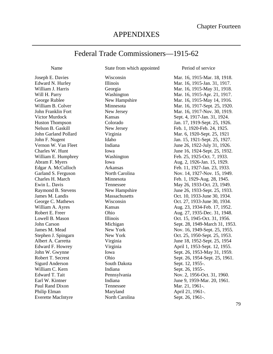# APPENDIXES

# Federal Trade Commissioners—1915-62

Name State from which appointed Period of service

Joseph E. Davies Edward N. Hurley William J. Harris Will H. Parry George Rublee William B. Colver John Franklin Fort Victor Murdock Huston Thompson Nelson B. Gaskill John Garland Pollard John F. Nugent Vernon W. Van Fleet Charles W. Hunt William E. Humphrey Abram F. Myers Edgar A. McCulloch Garland S. Ferguson Charles H. March Ewin L. Davis Raymond B. Stevens James M. Landis George C. Mathews William A. Ayres Robert E. Freer Lowell B. Mason John Carson James M. Mead Stephen J. Spingarn Albert A. Carretta Edward F. Howrey John W. Gwynne Robert T. Secrest Sigurd Anderson William C. Kern Edward T. Tait Earl W. Kintner Paul Rand Dixon Philip Elman Everette MacIntyre

Wisconsin Illinois Georgia Washington New Hampshire Minnesota New Jersey Kansas Colorado New Jersey Virginia Idaho Indiana Iowa Washington Iowa Arkansas North Carolina Minnesota Tennessee New Hampshire **Massachusetts** Wisconsin Kansas Ohio Illinois Michigan New York New York Virginia Virginia Iowa Ohio South Dakota Indiana Pennsylvania Indiana Tennessee Maryland North Carolina

Mar. 16, 1915-Mar. 18, 1918. Mar. 16, 1915-Jan. 31, 1917. Mar. 16, 1915-May 31, 1918. Mar. 16, 1915-Apr. 21, 1917. Mar. 16, 1915-May 14, 1916. Mar. 16, 1917-Sept. 25, 1920. Mar. 16, 1917-Nov. 30, 1919. Sept. 4, 1917-Jan. 31, 1924. Jan. 17, 1919-Sept. 25, 1926. Feb. 1, 1920-Feb. 24, 1925. Mar. 6, 1920-Sept. 25, 1921 Jan. 15, 1921-Sept. 25, 1927. June 26, 1922-July 31, 1926. June 16, 1924-Sept. 25, 1932. Feb. 25, 1925-Oct. 7, 1933. Aug. 2, 1926-Jan. 15, 1929. Feb. 11, 1927-Jan. 23, 1933. Nov. 14, 1927-Nov. 15, 1949. Feb. 1, 1929-Aug. 28, 1945. May 26, 1933-Oct. 23, 1949. June 26, 1933-Sept. 25, 1933. Oct. 10, 1933-June 30, 1934. Oct. 27, 1933-June 30, 1934. Aug. 23, 1934-Feb. 17, 1952. Aug. 27, 1935-Dec. 31, 1948. Oct. 15, 1945-Oct. 31, 1956. Sept. 28, 1949-March 31, 1953. Nov. 16, 1949-Sept. 25, 1955. Oct. 25, 1950-Sept. 25, 1953. June 18, 1952-Sept. 25, 1954 April 1, 1953-Sept. 12, 1955. Sept. 26, 1953-May 31, 1959. Sept. 26, 1954-Sept. 25, 1961. Sept. 12, 1955-. Sept. 26, 1955-. Nov. 2, 1956-Oct. 31, 1960. June 9, 1959-Mar. 20, 1961. Mar. 21, 1961-. April 21, 1961-. Sept. 26, 1961-.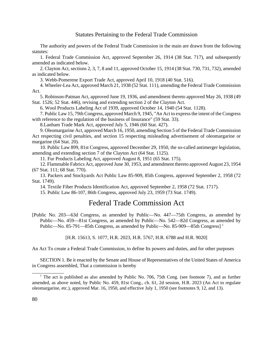### Statutes Pertaining to the Federal Trade Commission

The authority and powers of the Federal Trade Commission in the main are drawn from the following statutes:

1. Federal Trade Commission Act, approved September 26, 1914 (38 Stat. 717), and subsequently amended as indicated below.

2. Clayton Act, sections 2, 3, 7, 8 and 11, approved October 15, 1914 (38 Stat. 730, 731, 732), amended as indicated below.

3. Webb-Pomerene Export Trade Act, approved April 10, 1918 (40 Stat. 516).

4. Wheeler-Lea Act, approved March 21, 1938 (52 Stat. 111), amending the Federal Trade Commission Act.

5. Robinson-Patman Act, approved June 19, 1936, and amendment thereto approved May 26, 1938 (49 Stat. 1526; 52 Stat. 446), revising and extending section 2 of the Clayton Act.

6. Wool Products Labeling Act of 1939, approved October 14, 1940 (54 Stat. 1128).

7. Public Law 15, 79th Congress, approved March 9, 1945, "An Act to expressthe intent of the Congress with reference to the regulation of the business of Insurance" (59 Stat. 33).

8.Lanham Trade Mark Act, approved July 5, 1946 (60 Stat. 427).

9. Oleomargarine Act, approved March 16, 1950, amending Section 5 of the Federal Trade Commission Act respecting civil penalties, and section 15 respecting misleading advertisement of oleomargarine or margarine (64 Stat. 20).

10. Public Law 899, 81st Congress, approved December 29, 1950, the so-called antimerger legislation, amending and extending section 7 of the Clayton Act (64 Stat. 1125).

11. Fur Products Labeling Act, approved August 8, 1951 (65 Stat. 175).

12. Flammable Fabrics Act, approved June 30, 1953, and amendment thereto approved August 23, 1954 (67 Stat. 111; 68 Stat. 770).

13. Packers and Stockyards Act Public Law 85-909, 85th Congress, approved September 2, 1958 (72 Stat. 1749).

14. Textile Fiber Products Identification Act, approved September 2, 1958 (72 Stat. 1717).

15. Public Law 86-107, 86th Congress, approved July 23, 1959 (73 Stat. 1749).

# Federal Trade Commission Act

[Public No. 203—63d Congress, as amended by Public—No. 447—75th Congress, as amended by Public—No. 459—81st Congress, as amended by Public—No. 542—82d Congress, as amended by Public—No. 85-791—85th Congress, as amended by Public—No. 85-909—85th Congress]<sup>1</sup>

[H.R. 15613, S. 1077, H.R. 2023, H.R. 5767, H.R. 6788 and H.R. 9020]

An Act To create a Federal Trade Commission, to define Its powers and duties, and for other purposes

SECTION 1. Be it enacted by the Senate and House of Representatives of the United States of America in Congress assembled, That a commission is hereby

\_\_\_\_\_\_\_\_\_\_\_\_\_

<sup>&</sup>lt;sup>1</sup> The act is published as also amended by Public No. 706, 75th Cong. (see footnote 7), and as further amended, as above noted, by Public No. 459, 81st Cong., ch. 61, 2d session, H.R. 2023 (An Act to regulate oleomargarine, etc.), approved Mar. 16, 1950, and effective July 1, 1950 (see footnotes 9, 12, and 13).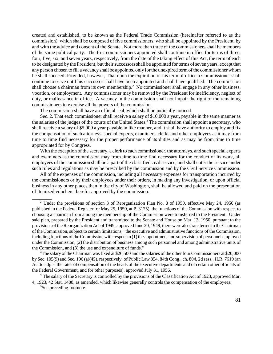created and established, to be known as the Federal Trade Commission (hereinafter referred to as the commission), which shall be composed of five commissioners, who shall be appointed by the President, by and with the advice and consent of the Senate. Not more than three of the commissioners shall be members of the same political party. The first commissioners appointed shall continue in office for terms of three, four, five, six, and seven years, respectively, from the date of the taking effect of this Act, the term of each to be designated by the President, but their successors shall be appointed for terms of seven years, except that any person chosen to fill a vacancy shall be appointed only forthe unexpired termofthe commissioner whom he shall succeed: Provided, however, That upon the expiration of his term of office a Commissioner shall continue to serve until his successor shall have been appointed and shall have qualified. The commission shall choose a chairman from its own membership.<sup>2</sup> No commissioner shall engage in any other business, vocation, or employment. Any commissioner may be removed by the President for inefficiency, neglect of duty, or malfeasance in office. A vacancy in the commission shall not impair the right of the remaining commissioners to exercise all the powers of the commission.

The commission shall have an official seal, which shall be judicially noticed.

Sec. 2. That each commissioner shall receive a salary of \$10,000 a year, payable in the same manner as the salaries of the judges of the courts of the United States.<sup>3</sup> The commission shall appoint a secretary, who shall receive a salary of \$5,000 a year payable in like manner, and it shall have authority to employ and fix the compensation of such attorneys, special experts, examiners, clerks and other employees as it may from time to time find necessary for the proper performance of its duties and as may be from time to time appropriated for by Congress.<sup>5</sup>

With the exception of the secretary, a clerk to each commissioner, the attorneys, and such special experts and examiners as the commission may from time to time find necessary for the conduct of its work, all employees of the commission shall be a part of the classified civil service, and shall enter the service under such rules and regulations as may be prescribed by the commission and by the Civil Service Commission.

All of the expenses of the commission, including all necessary expenses for transportation incurred by the commissioners or by their employees under their orders, in making any investigation, or upon official business in any other places than in the city of Washington, shall be allowed and paid on the presentation of itemized vouchers therefor approved by the commission.

<sup>5</sup>See preceding footnote.

\_\_\_\_\_\_\_\_

 $2$  Under the provisions of section 3 of Reorganization Plan No. 8 of 1950, effective May 24, 1950 (as published in the Federal Register for May 25, 1950, at P. 3175), the functions of the Commission with respect to choosing a chairman from among the membership of the Commission were transferred to the President. Under said plan, prepared by the President and transmitted to the Senate and House on Mar. 13, 1950, pursuant to the provisions oftheReorganization Act of 1949, approved June 20, 1949, there were also transferred to theChairman of the Commission, subject to certain limitations, "the executive and administrative functions of the Commission, including functions of the Commission with respect to  $(1)$  the appointment and supervision of personnel employed under the Commission, (2) the distribution of business among such personnel and among administrative units of the Commission, and (3) the use and expenditure of funds."

<sup>&</sup>lt;sup>3</sup>The salary of the Chairman was fixed at \$20,500 and the salaries of the other four Commissioners at \$20,000 by Sec. 105(9) and Sec. 106 (a)(45), respectively, of Public Law 854, 84th Cong., ch. 804, 2d sess., H.R. 7619 (an Act to adjust the rates of compensation of the heads of the executive departments and of certain other officials of the Federal Government, and for other purposes), approved July 31, 1956.

 $4$  The salary of the Secretary is controlled by the provisions of the Classification Act of 1923, approved Mar. 4, 1923, 42 Stat. 1488, as amended, which likewise generally controls the compensation of the employees.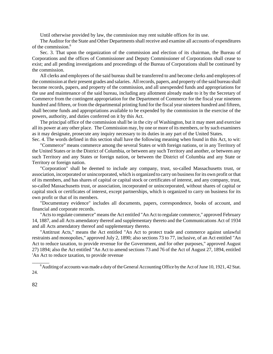Until otherwise provided by law, the commission may rent suitable offices for its use.

The Auditor for the State and Other Departments shall receive and examine all accounts of expenditures of the commission.<sup>6</sup>

Sec. 3. That upon the organization of the commission and election of its chairman, the Bureau of Corporations and the offices of Commissioner and Deputy Commissioner of Corporations shall cease to exist; and all pending investigations and proceedings of the Bureau of Corporations shall be continued by the commission.

All clerks and employees of the said bureau shall be transferred to and become clerks and employees of the commission at their present grades and salaries. All records, papers, and property of the said bureau shall become records, papers, and property of the commission, and all unexpended funds and appropriations for the use and maintenance of the said bureau, including any allotment already made to it by the Secretary of Commerce from the contingent appropriation for the Department of Commerce for the fiscal year nineteen hundred and fifteen, or from the departmental printing fund for the fiscal year nineteen hundred and fifteen, shall become funds and appropriations available to be expended by the commission in the exercise of the powers, authority, and duties conferred on it by this Act.

The principal office of the commission shall be in the city of Washington, but it may meet and exercise all its power at any other place. The Commission may, by one or more of its members, or by such examiners as it may designate, prosecute any inquiry necessary to its duties in any part of the United States.

Sec. 4. The words defined in this section shall have the following meaning when found in this Act, to wit: "Commerce" means commerce among the several States or with foreign nations, or in any Territory of the United States or in the District of Columbia, or between any such Territory and another, or between any such Territory and any States or foreign nation, or between the District of Columbia and any State or Territory or foreign nation.

"Corporation" shall be deemed to include any company, trust, so-called Massachusetts trust, or association, incorporated or unincorporated, which is organized to carry on businessforits own profit or that of its members, and has shares of capital or capital stock or certificates of interest, and any company, trust, so-called Massachusetts trust, or association, incorporated or unincorporated, without shares of capital or capital stock or certificates of interest, except partnerships, which is organized to carry on business for its own profit or that of its members.

"Documentary evidence" includes all documents, papers, correspondence, books of account, and financial and corporate records.

"Acts to regulate commerce" means the Act entitled "An Act to regulate commerce," approved February 14, 1887, and all Acts amendatory thereof and supplementary thereto and the Communications Act of 1934 and all Acts amendatory thereof and supplementary thereto.

"Antitrust Acts," means the Act entitled "An Act to protect trade and commerce against unlawful restraints and monopolies," approved July 2, 1890; also sections 73 to 77, inclusive, of an Act entitled "An Act to reduce taxation, to provide revenue for the Government, and for other purposes," approved August 27) 1894; also the Act entitled "An Act to amend sections 73 and 76 of the Act of August 27, 1894, entitled 'An Act to reduce taxation, to provide revenue

 $\overline{\phantom{a}}$ 

 $6$ Auditing of accounts was made a duty of the General Accounting Office by the Act of June 10, 1921, 42 Stat. 24.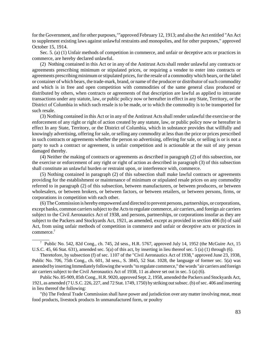for the Government, and for other purposes,'"approved February 12, 1913; and also the Act entitled "An Act to supplement existing laws against unlawful restraints and monopolies, and for other purposes," approved October 15, 1914.

Sec. 5. (a) (1) Unfair methods of competition in commerce, and unfair or deceptive acts or practices in commerce, are hereby declared unlawful.

(2) Nothing contained in this Act or in any of the Antitrust Acts shall render unlawful any contracts or agreements prescribing minimum or stipulated prices, or requiring a vendee to enter into contracts or agreements prescribing minimum or stipulated prices, for the resale of a commodity which bears, or the label or container of which bears, the trade-mark, brand, or name of the producer or distributor of such commodity and which is in free and open competition with commodities of the same general class produced or distributed by others, when contracts or agreements of that description are lawful as applied to intrastate transactions under any statute, law, or public policy now or hereafter in effect in any State, Territory, or the District of Columbia in which such resale is to be made, or to which the commodity is to be transported for such resale.

(3) Nothing contained in this Act or in any of the Antitrust Actsshall render unlawful the exercise or the enforcement of any right or right of action created by any statute, law, or public policy now or hereafter in effect In any State, Territory, or the District of Columbia, which in substance provides that willfully and knowingly advertising, offering for sale, or selling any commodity at less than the price or prices prescribed in such contracts or agreements whether the person so advertising, offering for sale, or selling is or is not a party to such a contract or agreement, is unfair competition and is actionable at the suit of any person damaged thereby.

(4) Neither the making of contracts or agreements as described in paragraph (2) of this subsection, nor the exercise or enforcement of any right or right of action as described in paragraph (3) of this subsection shall constitute an unlawful burden or restraint upon, or interference with, commerce.

(5) Nothing contained in paragraph (2) of this subsection shall make lawful contracts or agreements providing for the establishment or maintenance of minimum or stipulated resale prices on any commodity referred to in paragraph (2) of this subsection, between manufacturers, or between producers, or between wholesalers, or between brokers, or between factors, or between retailers, or between persons, firms, or corporations in competition with each other.

(6)TheCommission is hereby empowered and directed to prevent persons, partnerships, or corporations, except banks, common carriers subject to the Acts to regulate commerce, air carriers, and foreign air carriers subject to the Civil Aeronautics Act of 1938, and persons, partnerships, or corporations insofar as they are subject to the Packers and Stockyards Act, 1921, as amended, except as provided in section 406 (b) of said Act, from using unfair methods of competition in commerce and unfair or deceptive acts or practices in commerce.<sup>7</sup>

\_\_\_\_\_\_\_

"(b) The Federal Trade Commission shall have power and jurisdiction over any matter involving meat, meat food products, livestock products In unmanufactured form, or poultry

<sup>&</sup>lt;sup>7</sup> Public No. 542, 82d Cong., ch. 745, 2d sess., H.R. 5767, approved July 14, 1952 (the McGuire Act, 15 U.S.C. 45, 66 Stat. 631), amended sec. 5(a) of this act, by inserting in lieu thereof sec. 5 (a) (1) through (6).

Theretofore, by subsection (f) of sec. 1107 of the "Civil Aeronautics Act of 1938," approved June 23, 1938, Public No. 706, 75th Cong., ch. 601, 3d sess., S. 3845, 52 Stat. 1028, the language of former sec. 5(a) was amended by inserting Immediately following the words "to regulate commerce," the words "air carriers and foreign air carriers subject to the Civil Aeronautics Act of 1938, 11 as above set out in sec. 5 (a) (6).

Public No. 85-909, 85th Cong., H.R. 9020, approved Sept. 2, 1958, amended the Packers and Stockyards Act, 1921, as amended (7 U.S.C. 226, 227, and 72 Stat. 1749, 1750) by striking out subsec. (b) of sec. 406 and inserting in lieu thereof the following: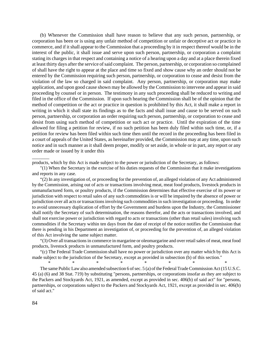(b) Whenever the Commission shall have reason to believe that any such person, partnership, or corporation has been or is using any unfair method of competition or unfair or deceptive act or practice in commerce, and if itshall appear to the Commission that a proceeding by it in respect thereof would be in the interest of the public, it shall issue and serve upon such person, partnership, or corporation a complaint stating its charges in that respect and containing a notice of a hearing upon a day and at a place therein fixed at least thirty days after the service ofsaid complaint. The person, partnership, or corporation so complained of shall have the right to appear at the place and time so fixed and show cause why an order should not be entered by the Commission requiring such person, partnership, or corporation to cease and desist from the violation of the law so charged in said complaint. Any person, partnership, or corporation may make application, and upon good cause shown may be allowed by the Commission to intervene and appear in said proceeding by counsel or in person. The testimony in any such proceeding shall be reduced to writing and filed in the office of the Commission. If upon such hearing the Commission shall be of the opinion that the method of competition or the act or practice in question is prohibited by this Act, it shall make a report in writing in which it shall state its findings as to the facts and shall issue and cause to be served on such person, partnership, or corporation an order requiring such person, partnership, or corporation to cease and desist from using such method of competition or such act or practice. Until the expiration of the time allowed for filing a petition for review, if no such petition has been duly filed within such time, or, if a petition for review has been filed within such time then until the record in the proceeding has been filed in a court of appeals of the United States, as hereinafter provided, the Commission may at any time, upon such notice and in such manner as it shall deem proper, modify or set aside, in whole or in part, any report or any order made or issued by it under this

products, which by this Act is made subject to the power or jurisdiction of the Secretary, as follows:

"(1) When the Secretary in the exercise of his duties requests of the Commission that it make investigations and reports in any case.

"(2) In any investigation of, or proceeding for the prevention of, an alleged violation of any Act administered by the Commission, arising out of acts or transactions involving meat, meat food products, livestock products in unmanufactured form, or poultry products, if the Commission determines that effective exercise of its power or jurisdiction with respect to retail sales of any such commodities is or will be impaired by the absence of power or jurisdiction over all acts or transactionsinvolving such commoditiesin such investigation or proceeding. In order to avoid unnecessary duplication of effort by the Government and burdens upon the Industry, the Commissioner shall notify the Secretary of such determination, the reasons therefor, and the acts or transactions involved, and shall not exercise power or jurisdiction with regard to acts or transactions (other than retail sales) involving such commodities if the Secretary within ten days from the date of receipt of the notice notifies the Commission that there is pending in his Department an investigation of, or proceeding for the prevention of, an alleged violation of this Act involving the same subject matter.

"(3) Over all transactionsin commerce in margarine or oleomargarine and over retailsales of meat, meat food products, livestock products in unmanufactured form, and poultry products.

"(c) The Federal Trade Commission shall have no power or jurisdiction over any matter which by this Act is made subject to the jurisdiction of the Secretary, except as provided in subsection (b) of this section." \* \* \* \* \* \* \* \*

The same Public Law also amended subsection 6 of sec. 5 (a) of the Federal Trade Commission Act (15 U.S.C. 45 (a) (6) and 38 Stat. 719) by substituting "persons, partnerships, or corporations insofar as they are subject to the Packers and Stockyards Act, 1921, as amended, except as provided in sec. 406(b) of said act" for "persons, partnerships, or corporations subject to the Packers and Stockyards Act, 1921, except as provided in sec. 406(b) of said act."

 $\overline{\phantom{a}}$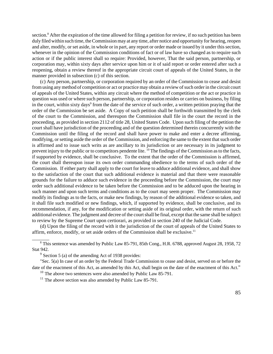section.<sup>8</sup> After the expiration of the time allowed for filing a petition for review, if no such petition has been duly filed within such time, the Commission may at any time, after notice and opportunity for hearing, reopen and alter, modify, or set aside, in whole or in part, any report or order made or issued by it under this section, whenever in the opinion of the Commission conditions of fact or of law have so changed as to require such action or if the public interest shall so require: Provided, however, That the said person, partnership, or corporation may, within sixty days after service upon him or it of said report or order entered after such a reopening, obtain a review thereof in the appropriate circuit court of appeals of the United States, in the manner provided in subsection (c) of this section.

(c) Any person, partnership, or corporation required by an order of the Commission to cease and desist from using any method of competition or act or practice may obtain a review of such order in the circuit court of appeals of the United States, within any circuit where the method of competition or the act or practice in question was used or where such person, partnership, or corporation resides or carries on business, by filing in the court, within sixty days<sup>9</sup> from the date of the service of such order, a written petition praying that the order of the Commission be set aside. A Copy of such petition shall be forthwith transmitted by the clerk of the court to the Commission, and thereupon the Commission shall file in the court the record in the proceeding, as provided in section 2112 of title 28, United States Code. Upon such filing of the petition the court shall have jurisdiction of the proceeding and of the question determined therein concurrently with the Commission until the filing of the record and shall have power to make and enter a decree affirming, modifying, or setting aside the order of the Commission, and enforcing the same to the extent that such order is affirmed and to issue such writs as are ancillary to its jurisdiction or are necessary in its judgment to prevent injury to the public or to competitors pendente lite. <sup>10</sup> The findings of the Commission as to the facts, if supported by evidence, shall be conclusive. To the extent that the order of the Commission is affirmed, the court shall thereupon issue its own order commanding obedience to the terms of such order of the Commission. If either party shall apply to the court for leave to adduce additional evidence, and shall show to the satisfaction of the court that such additional evidence is material and that there were reasonable grounds for the failure to adduce such evidence in the proceeding before the Commission, the court may order such additional evidence to be taken before the Commission and to be adduced upon the hearing in such manner and upon such terms and conditions as to the court may seem proper. The Commission may modify its findings as to the facts, or make new findings, by reason of the additional evidence so taken, and it shall file such modified or new findings, which, if supported by evidence, shall be conclusive, and its recommendation, if any, for the modification or setting aside of its original order, with the return of such additional evidence. The judgment and decree of the court shall be final, except that the same shall be subject to review by the Supreme Court upon certiorari, as provided in section 240 of the Judicial Code.

(d) Upon the filing of the record with it the jurisdiction of the court of appeals of the United States to affirm, enforce, modify, or set aside orders of the Commission shall be exclusive.<sup>11</sup>

<sup>8</sup> This sentence was amended by Public Law 85-791, 85th Cong., H.R. 6788, approved August 28, 1958, 72 Stat 942.

 $9^9$  Section 5 (a) of the amending Act of 1938 provides:

\_\_\_\_\_\_\_

"Sec. 5(a) In case of an order by the Federal Trade Commission to cease and desist, served on or before the date of the enactment of this Act, as amended by this Act, shall begin on the date of the enactment of this Act."

 $10$  The above two sentences were also amended by Public Law 85-791.

 $11$  The above section was also amended by Public Law 85-791.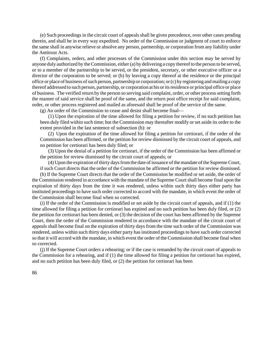(e) Such proceedings in the circuit court of appeals shall be given precedence, over other cases pending therein, and shall be in every way expedited. No order of the Commission or judgment of court to enforce the same shall in anywise relieve or absolve any person, partnership, or corporation from any liability under the Antitrust Acts.

(f) Complaints, orders, and other processes of the Commission under this section may be served by anyone duly authorized by the Commission, either (a) by delivering a copy thereof to the person to be served, or to a member of the partnership to be served, or the president, secretary, or other executive officer or a director of the corporation to be served; or (b) by leaving a copy thereof at the residence or the principal office or place of business of such person, partnership or corporation; or  $(c)$  by registering and mailing a copy thereof addressed to such person, partnership, or corporation at his or its residence or principal office or place of business. The verified return by the person so serving said complaint, order, or other process setting forth the manner of said service shall be proof of the same, and the return post office receipt for said complaint, order, or other process registered and mailed as aforesaid shall be proof of the service of the same.

(g) An order of the Commission to cease and desist shall become final—

(1) Upon the expiration of the time allowed for filing a petition for review, if no such petition has been duly filed within such time; but the Commission may thereafter modify or set aside its order to the extent provided in the last sentence of subsection (b): or

(2) Upon the expiration of the time allowed for filing a petition for certiorari, if the order of the Commission has been affirmed, or the petition for review dismissed by the circuit court of appeals, and no petition for certiorari has been duly filed; or

(3) Upon the denial of a petition for certiorari, if the order of the Commission has been affirmed or the petition for review dismissed by the circuit court of appeals; or

(4) Upon the expiration of thirty days from the date of issuance of the mandate of the Supreme Court, if such Court directs that the order of the Commission be affirmed or the petition for review dismissed.

(h) If the Supreme Court directs that the order of the Commission be modified or set aside, the order of the Commission rendered in accordance with the mandate of the Supreme Courtshall become final upon the expiration of thirty days from the time it was rendered, unless within such thirty days either party has instituted proceedings to have such order corrected to accord with the mandate, in which event the order of the Commission shall become final when so corrected.

(i) If the order of the Commission is modified or set aside by the circuit court of appeals, and if (1) the time allowed for filing a petition for certiorari has expired and no such petition has been duly filed, or (2) the petition for certiorari has been denied, or (3) the decision of the court has been affirmed by the Supreme Court, then the order of the Commission rendered in accordance with the mandate of the circuit court of appeals shall become final on the expiration of thirty days from the time such order of the Commission was rendered, unless within such thirty days either party has instituted proceedings to have such order corrected so that it will accord with the mandate, in which event the order of the Commission shall become final when so corrected.

(j) If the Supreme Court orders a rehearing; or if the case is remanded by the circuit court of appeals to the Commission for a rehearing, and if (1) the time allowed for filing a petition for certiorari has expired, and no such petition has been duly filed, or (2) the petition for certiorari has been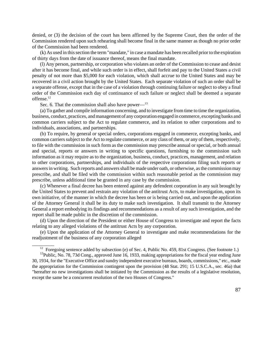denied, or (3) the decision of the court has been affirmed by the Supreme Court, then the order of the Commission rendered upon such rehearing shall become final in the same manner as though no prior order of the Commission had been rendered.

(k) As used in thissection the term "mandate," in case a mandate has been recalled priorto the expiration of thirty days from the date of issuance thereof, means the final mandate.

(l) Any person, partnership, or corporation who violates an order of the Commission to cease and desist after it has become final, and while such order is in effect, shall forfeit and pay to the United States a civil penalty of not more than \$5,000 for each violation, which shall accrue to the United States and may be recovered in a civil action brought by the United States. Each separate violation of such an order shall be a separate offense, except that in the case of a violation through continuing failure or neglect to obey a final order of the Commission each day of continuance of such failure or neglect shall be deemed a separate offense.<sup>12</sup>

Sec. 6. That the commission shall also have power—<sup>13</sup>

\_\_\_\_\_\_\_\_\_

(a) To gather and compile information concerning, and to investigate fromtime to time the organization, business, conduct, practices, andmanagement of any corporation engaged in commerce, excepting banks and common carriers subject to the Act to regulate commerce, and its relation to other corporations and to individuals, associations, and partnerships.

(b) To require, by general or special orders, corporations engaged in commerce, excepting banks, and common carriers subject to the Act to regulate commerce, or any class of them, or any of them, respectively, to file with the commission in such form as the commission may prescribe annual or special, or both annual and special, reports or answers in writing to specific questions, furnishing to the commission such information as it may require as to the organization, business, conduct, practices, management, and relation to other corporations, partnerships, and individuals of the respective corporations filing such reports or answers in writing. Such reports and answers shall be made under oath, or otherwise, as the commission may prescribe, and shall be filed with the commission within such reasonable period as the commission may prescribe, unless additional time be granted in any case by the commission.

(c) Whenever a final decree has been entered against any defendent corporation in any suit brought by the United States to prevent and restrain any violation of the antitrust Acts, to make investigation, upon its own initiative, of the manner in which the decree has been or is being carried out, and upon the application of the Attorney General it shall be its duty to make such investigation. It shall transmit to the Attorney General a report embodying its findings and recommendations as a result of any such investigation, and the report shall be made public in the discretion of the commission.

(d) Upon the direction of the President or either House of Congress to investigate and report the facts relating to any alleged violations of the antitrust Acts by any corporation.

(e) Upon the application of the Attorney General to investigate and make recommendations for the readjustment of the business of any corporation alleged

<sup>&</sup>lt;sup>12</sup> Foregoing sentence added by subsection (e) of Sec. 4, Public No. 459, 81st Congress. (See footnote 1.)

<sup>&</sup>lt;sup>13</sup>Public, No. 78, 73d Cong., approved June 16, 1933, making appropriations for the fiscal year ending June 30, 1934, for the "Executive Office and sundry independent executive bureaus, boards, commissions," etc., made the appropriation for the Commission contingent upon the provision (48 Stat. 291; 15 U.S.C.A., sec. 46a) that "hereafter no new investigations shall be initiated by the Commission as the results of a legislative resolution, except the same be a concurrent resolution of the two Houses of Congress."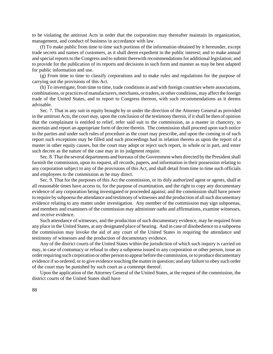to be violating the antitrust Acts in order that the corporation may thereafter maintain its organization, management, and conduct of business in accordance with law.

(f) To make public from time to time such portions of the information obtained by it hereunder, except trade secrets and names of customers, as it shall deem expedient in the public interest; and to make annual and special reports to the Congress and to submit therewith recommendations for additional legislation; and to provide for the publication of its reports and decisions in such form and manner as may be best adapted for public information and use.

(g) From time to time to classify corporations and to make rules and regulations for the purpose of carrying out the provisions of this Act.

(h) To investigate, from time to time, trade conditions in and with foreign countries where associations, combinations, or practices of manufacturers, merchants, or traders, or other conditions, may affect the foreign trade of the United States, and to report to Congress thereon, with such recommendations as it deems advisable.

Sec. 7. That in any suit in equity brought by or under the direction of the Attorney General as provided in the antitrust Acts, the court may, upon the conclusion of the testimony therein, if it shall be then of opinion that the complainant is entitled to relief, refer said suit to the commission, as a master in chancery, to ascertain and report an appropriate form of decree therein. The commission shall proceed upon such notice to the parties and under such rules of procedure as the court may prescribe, and upon the coming in of such report such exceptions may be filled and such proceedings had in relation thereto as upon the report of a master in other equity causes, but the court may adopt or reject such report, in whole or in part, and enter such decree as the nature of the case may in its judgment require.

Sec. 8. That the several departments and bureaus of the Government when directed by the President shall furnish the commission, upon its request, all records, papers, and information in their possession relating to any corporation subject to any of the provisions of this Act, and shall detail from time to time such officials and employees to the commission as he may direct.

Sec. 9. That for the purposes of this Act the commission, or its duly authorized agent or agents, shall at all reasonable times have access to, for the purpose of examination, and the right to copy any documentary evidence of any corporation being investigated or proceeded against; and the commission shall have power to require by subpoena the attendance and testimony of witnesses and the production of all such documentary evidence relating to any matter under investigation. Any member of the commission may sign subpoenas, and members and examiners of the commission may administer oaths and affirmations, examine witnesses, and receive evidence.

Such attendance of witnesses, and the production of such documentary evidence, may be required from any place in the United States, at any designated place of hearing. And in case of disobedience to a subpoena the commission may invoke the aid of any court of the United States in requiring the attendance and testimony of witnesses and the production of documentary evidence.

Any of the district courts of the United States within the jurisdiction of which such inquiry is carried on may, in case of contumacy or refusal to obey a subpoena issued to any corporation or other person, issue an order requiring such corporation or other person to appear before the commission, or to produce documentary evidence ifso ordered, or to give evidence touching the matterin question; and any failure to obey such order of the court may be punished by such court as a contempt thereof.

Upon the application of the Attorney General of the United States, at the request of the commission, the district courts of the United States shall have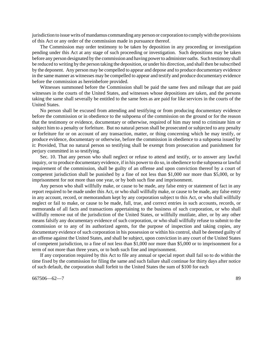jurisdiction to issuewrits ofmandamus commanding any person or corporation to complywith the provisions of this Act or any order of the commission made in pursuance thereof.

The Commission may order testimony to be taken by deposition in any proceeding or investigation pending under this Act at any stage of such proceeding or investigation. Such depositions may be taken before any person designated by the commission and having powerto administer oaths. Such testimony shall be reduced to writing by the person taking the deposition, or under his direction, and shall then be subscribed by the deponent. Any person may be compelled to appear and depose and to produce documentary evidence in the same manner as witnesses may be compelled to appear and testify and produce documentary evidence before the commission as hereinbefore provided.

Witnesses summoned before the Commission shall be paid the same fees and mileage that are paid witnesses in the courts of the United States, and witnesses whose depositions are taken, and the persons taking the same shall severally be entitled to the same fees as are paid for like services in the courts of the United States.

No person shall be excused from attending and testifying or from producing documentary evidence before the commission or in obedience to the subpoena of the commission on the ground or for the reason that the testimony or evidence, documentary or otherwise, required of him may tend to criminate him or subject him to a penalty or forfeiture. But no natural person shall be prosecuted or subjected to any penalty or forfeiture for or on account of any transaction, matter, or thing concerning which he may testify, or produce evidence, documentary or otherwise, before the commission in obedience to a subpoena issued by it: Provided, That no natural person so testifying shall be exempt from prosecution and punishment for perjury committed in so testifying.

Sec. 10. That any person who shall neglect or refuse to attend and testify, or to answer any lawful inquiry, or to produce documentary evidence, if in his power to do so, in obedience to the subpoena or lawful requirement of the commission, shall be guilty of an offense and upon conviction thereof by a court of competent jurisdiction shall be punished by a fine of not less than \$1,000 nor more than \$5,000, or by imprisonment for not more than one year, or by both such fine and imprisonment.

Any person who shall willfully make, or cause to be made, any false entry or statement of fact in any report required to be made under this Act, or who shall willfully make, or cause to be made, any false entry in any account, record, or memorandum kept by any corporation subject to this Act, or who shall willfully neglect or fail to make, or cause to be made, full, true, and correct entries in such accounts, records, or memoranda of all facts and transactions appertaining to the business of such corporation, or who shall willfully remove out of the jurisdiction of the United States, or willfully mutilate, alter, or by any other means falsify any documentary evidence of such corporation, or who shall willfully refuse to submit to the commission or to any of its authorized agents, for the purpose of inspection and taking copies, any documentary evidence of such corporation in his possession or within his control, shall be deemed guilty of an offense against the United States, and shall be subject, upon conviction in any court of the United States of competent jurisdiction, to a fine of not less than \$1,000 nor more than \$5,000 or to imprisonment for a term of not more than three years, or to both such fine and imprisonment.

If any corporation required by this Act to file any annual or special report shall fail so to do within the time fixed by the commission for filing the same and such failure shall continue for thirty days after notice of such default, the corporation shall forfeit to the United States the sum of \$100 for each

667506—62—7 89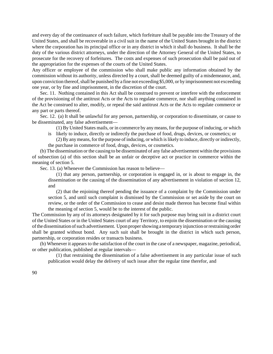and every day of the continuance of such failure, which forfeiture shall be payable into the Treasury of the United States, and shall be recoverable in a civil suit in the name of the United States brought in the district where the corporation has its principal office or in any district in which it shall do business. It shall be the duty of the various district attorneys, under the direction of the Attorney General of the United States, to prosecute for the recovery of forfeitures. The costs and expenses of such prosecution shall be paid out of the appropriation for the expenses of the courts of the United States.

Any officer or employee of the commission who shall make public any information obtained by the commission without its authority, unless directed by a court, shall be deemed guilty of a misdemeanor, and, upon conviction thereof, shall be punished by a fine not exceeding \$5,000, or by imprisonment not exceeding one year, or by fine and imprisonment, in the discretion of the court.

Sec. 11. Nothing contained in this Act shall be construed to prevent or interfere with the enforcement of the provisioning of the antitrust Acts or the Acts to regulate commerce, nor shall anything contained in the Act be construed to alter, modify, or repeal the said antitrust Acts or the Acts to regulate commerce or any part or parts thereof.

Sec. 12. (a) It shall be unlawful for any person, partnership, or corporation to disseminate, or cause to be disseminated, any false advertisement—

(1) By United States mails, or in commerce by any means, for the purpose of inducing, or which

is likely to induce, directly or indirectly the purchase of food, drugs, devices, or cosmetics; or

(2)By anymeans,forthe purpose ofinducing, or which islikely to induce, directly or indirectly, the purchase in commerce of food, drugs, devices, or cosmetics.

(b) The dissemination or the causing to be disseminated of any false advertisement within the provisions of subsection (a) of this section shall be an unfair or deceptive act or practice in commerce within the meaning of section 5.

Sec. 13. (a) Whenever the Commission has reason to believe—

(1) that any person, partnership, or corporation is engaged in, or is about to engage in, the dissemination or the causing of the dissemination of any advertisement in violation of section 12, and

(2) that the enjoining thereof pending the issuance of a complaint by the Commission under section 5, and until such complaint is dismissed by the Commission or set aside by the court on review, or the order of the Commission to cease and desist made thereon has become final within the meaning of section 5, would be to the interest of the public.

The Commission by any of its attorneys designated by it for such purpose may bring suit in a district court of the United States or in the United States court of any Territory, to enjoin the dissemination or the causing of the dissemination of such advertisement. Upon proper showing a temporary injunction or restraining order shall be granted without bond. Any such suit shall be brought in the district in which such person, partnership, or corporation resides or transacts business.

(b) Whenever it appears to the satisfaction of the court in the case of a newspaper, magazine, periodical, or other publication, published at regular intervals—

(1) that restraining the dissemination of a false advertisement in any particular issue of such publication would delay the delivery of such issue after the regular time therefor, and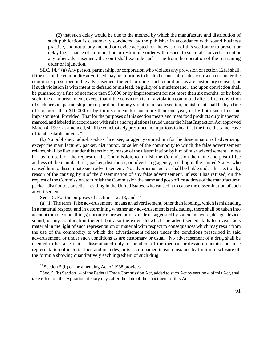(2) that such delay would be due to the method by which the manufacture and distribution of such publication is customarily conducted by the publisher in accordance with sound business practice, and not to any method or device adopted for the evasion of this section or to prevent or delay the issuance of an injunction or restraining order with respect to such false advertisement or any other advertisement, the court shall exclude such issue from the operation of the restraining order or injunction.

SEC. 14.<sup>14</sup> (a) Any person, partnership, or corporation who violates any provision of section 12(a) shall, if the use of the commodity advertised may be injurious to health because of results from such use under the conditions prescribed in the advertisement thereof, or under such conditions as are customary or usual, or if such violation is with intent to defraud or mislead, be guilty of a misdemeanor, and upon conviction shall be punished by a fine of not more than \$5,000 or by imprisonment for not more than six months, or by both such fine or imprisonment; except that if the conviction is for a violation committed after a first conviction of such person, partnership, or corporation, for any violation of such section, punishment shall be by a fine of not more than \$10,000 or by imprisonment for not more than one year, or by both such fine and imprisonment: Provided, That for the purposes of this section meats and meat food products duly inspected, marked, and labeled in accordance with rules and regulations issued under the Meat Inspection Act approved March 4, 1907, as amended, shall be conclusively presumed not injurious to health at the time the same leave official "establishments."

(b) No publisher, radio-broadcast licensee, or agency or medium for the dissemination of advertising, except the manufacturer, packer, distributor, or seller of the commodity to which the false advertisement relates, shall be liable under this section by reason of the dissemination by him of false advertisement, unless he has refused, on the request of the Commission, to furnish the Commission the name and post-office address of the manufacturer, packer, distributor, or advertising agency, residing in the United States, who caused him to disseminate such advertisement. No advertising agency shall be liable under this section by reason of the causing by it of the dissemination of any false advertisement, unless it has refused, on the request oftheCommission, to furnish theCommission the name and post-office address ofthe manufacturer, packer, distributor, or seller, residing in the United States, who caused it to cause the dissemination of such advertisement.

Sec. 15. For the purposes of sections 12, 13, and 14—

(a) (1) The term "false advertisement" means an advertisement, other than labeling, which is misleading in a material respect; and in determining whether any advertisement is misleading, there shall be taken into account (among other things) not only representations made or suggested by statement, word, design, device, sound, or any combination thereof, but also the extent to which the advertisement fails to reveal facts material in the light of such representation or material with respect to consequences which may result from the use of the commodity to which the advertisement relates under the conditions prescribed in said advertisement, or under such conditions as are customary or usual. No advertisement of a drug shall be deemed to be false if it is disseminated only to members of the medical profession, contains no false representation of material fact, and includes, or is accompanied in each instance by truthful disclosure of, the formula showing quantitatively each ingredient of such drug.

 $\overline{\phantom{a}}$ 

 $14$  Section 5 (b) of the amending Act of 1938 provides:

<sup>&</sup>quot;Sec. 5. (b) Section 14 of the Federal Trade Commission Act, added to such Act by section 4 of this Act, shall take effect on the expiration of sixty days after the date of the enactment of this Act."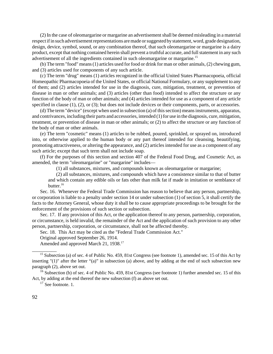(2) In the case of oleomargarine or margarine an advertisementshall be deemed misleading in a material respect if in such advertisement representations are made or suggested by statement, word, grade designation, design, device, symbol, sound, or any combination thereof, that such oleomargarine or margarine is a dairy product, except that nothing contained herein shall prevent a truthful accurate, and fullstatement in any such advertisement of all the ingredients contained in such oleomargarine or margarine.<sup>15</sup>

(b) The term "food" means(1) articles used for food or drink for man or other animals, (2) chewing gum, and (3) articles used for components of any such article.

(c) The term "drug" means (1) articles recognized in the official United States Pharmacopoeia, official Homeopathic Pharmacopoeia of the United States, or official National Formulary, or any supplement to any of them; and (2) articles intended for use in the diagnosis, cure, mitigation, treatment, or prevention of disease in man or other animals; and (3) articles (other than food) intended to affect the structure or any function of the body of man or other animals; and (4) articles intended for use as a component of any article specified in clause (1), (2), or (3); but does not include devices or their components, parts, or accessories.

(d) The term "device" (except when used in subsection (a) of thissection) meansinstruments, apparatus, and contrivances, including their parts and accessories, intended  $(1)$  for use in the diagnosis, cure, mitigation, treatment, or prevention of disease in man or other animals; or (2) to affect the structure or any function of the body of man or other animals.

(e) The term "cosmetic" means (1) articles to be rubbed, poured, sprinkled, or sprayed on, introduced into, or otherwise applied to the human body or any part thereof intended for cleansing, beautifying, promoting attractiveness, or altering the appearance, and (2) articles intended for use as a component of any such article; except that such term shall not include soap.

(f) For the purposes of this section and section 407 of the Federal Food Drug, and Cosmetic Act, as amended, the term "oleomargarine" or "margarine" includes—

(1) all substances, mixtures, and compounds known as oleomargarine or margarine;

(2) all substances, mixtures, and compounds which have a consistence similar to that of butter and which contain any edible oils or fats other than milk fat if made in imitation or semblance of butter.<sup>16</sup>

Sec. 16. Whenever the Federal Trade Commission has reason to believe that any person, partnership, or corporation is liable to a penalty under section 14 or under subsection (1) of section 5, it shall certify the facts to the Attorney General, whose duty it shall be to cause appropriate proceedings to be brought for the enforcement of the provisions of such section or subsection.

Sec. 17. If any provision of this Act, or the application thereof to any person, partnership, corporation, or circumstance, is held invalid, the remainder of the Act and the application of such provision to any other person, partnership, corporation, or circumstance, shall not be affected thereby.

Sec. 18. This Act may be cited as the "Federal Trade Commission Act."

Original approved September 26, 1914.

Amended and approved March 21, 1938.<sup>17</sup>

<sup>16</sup> Subsection (b) of sec. 4 of Public No. 459, 81st Congress (see footnote 1) further amended sec. 15 of this Act, by adding at the end thereof the new subsection (f) as above set out.

 $17$  See footnote. 1.

\_\_\_\_\_\_\_\_\_\_

<sup>&</sup>lt;sup>15</sup> Subsection (a) of sec. 4 of Public No. 459, 81st Congress (see footnote 1), amended sec. 15 of this Act by inserting "(1)" after the letter "(a)" in subsection (a) above, and by adding at the end of such subsection new paragraph (2), above set out.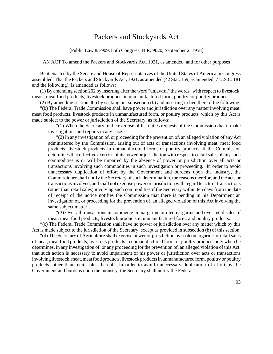# Packers and Stockyards Act

[Public Law 85-909, 85th Congress, H.R. 9020, September 2, 1958]

AN ACT To amend the Packers and Stockyards Act, 1921, as amended, and for other purposes

Be it enacted by the Senate and House of Representatives of the United States of America in Congress assembled, That the Packers and Stockyards Act, 1921, as amended (42 Stat. 159, as amended; 7 U.S.C. 181 and the following), is amended as follows:

(1) By amending section 202 by inserting after the word "unlawful" the words "with respect to livestock, meats, meat food products, livestock products in unmanufactured form, poultry, or poultry products".

(2) By amending section 406 by striking out subsection (b) and inserting in lieu thereof the following:

"(b) The Federal Trade Commission shall have power and jurisdiction over any matter involving meat, meat food products, livestock products in unmanufactured form, or poultry products, which by this Act is made subject to the power or jurisdiction of the Secretary, as follows:

"(1) When the Secretary in the exercise of his duties requests of the Commission that it make investigations and reports in any case.

"(2) In any investigation of, or proceeding for the prevention of, an alleged violation of any Act administered by the Commission, arising out of acts or transactions involving meat, meat food products, livestock products in unmanufactured form, or poultry products, if the Commission determines that effective exercise of its power or jurisdiction with respect to retail sales of any such commodities is or will be impaired by the absence of power or jurisdiction over all acts or transactions involving such commodities in such investigation or proceeding. In order to avoid unnecessary duplication of effort by the Government and burdens upon the industry, the Commissioner shall notify the Secretary of such determination, the reasons therefor, and the acts or transactionsinvolved, and shall not exercise power or jurisdiction with regard to acts or transactions (other than retail sales) involving such commodities if the Secretary within ten days from the date of receipt of the notice notifies the Commission that there is pending in his Department an investigation of, or proceeding for the prevention of, an alleged violation of this Act involving the same subject matter.

"(3) Over all transactions in commerce in margarine or oleomargarine and over retail sales of meat, meat food products, livestock products in unmanufactured form, and poultry products.

"(c) The Federal Trade Commission shall have no power or jurisdiction over any matter which by this Act is made subject to the jurisdiction of the Secretary, except as provided in subsection (b) of this section.

"(d) The Secretary of Agriculture shall exercise power or jurisdiction over oleomargarine or retail sales of meat, meat food products, livestock products in unmanufactured form, or poultry products only when he determines, in any investigation of, or any proceeding for the prevention of, an alleged violation of this Act, that such action is necessary to avoid impairment of his power or jurisdiction over acts or transactions involving livestock, meat, meat food products, livestock products in unmanufactured form, poultry or poultry products, other than retail sales thereof. In order to avoid unnecessary duplication of effort by the Government and burdens upon the industry, the Secretary shall notify the Federal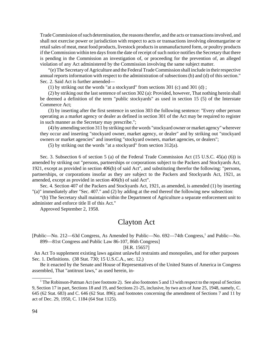Trade Commission of such determination, the reasons therefor, and the acts or transactions involved, and shall not exercise power or jurisdiction with respect to acts or transactions involving oleomargarine or retail sales of meat, meat food products, livestock products in unmanufactured form, or poultry products if the Commission within ten days from the date of receipt of such notice notifies the Secretary that there is pending in the Commission an investigation of, or proceeding for the prevention of, an alleged violation of any Act administered by the Commission involving the same subject matter.

"(e) The Secretary of Agriculture and the Federal TradeCommission shall include in theirrespective annual reports information with respect to the administration of subsections (b) and (d) of this section." Sec. 2. Said Act is further amended—

(1) by striking out the words "at a stockyard" from sections 301 (c) and 301 (d) ;

(2) by striking out the last sentence of section 302 (a): Provided, however, That nothing herein shall be deemed a definition of the term "public stockyards" as used in section 15 (5) of the Interstate Commerce Act;

(3) by inserting after the first sentence in section 303 the following sentence: "Every other person operating as a market agency or dealer as defined in section 301 of the Act may be required to register in such manner as the Secretary may prescribe.";

(4) by amending section 311 by striking out the words "stockyard owner or market agency" wherever they occur and inserting "stockyard owner, market agency, or dealer" and by striking out "stockyard owners or market agencies" and inserting "stockyard owners, market agencies, or dealers";

(5) by striking out the words "at a stockyard" from section 312(a).

Sec. 3. Subsection 6 of section 5 (a) of the Federal Trade Commission Act (15 U.S.C. 45(a) (6)) is amended by striking out "persons, partnerships or corporations subject to the Packers and Stockyards Act, 1921, except as provided in section 406(b) of said Act", and substituting therefor the following: "persons, partnerships, or corporations insofar as they are subject to the Packers and Stockyards Act, 1921, as amended, except as provided in section 406(b) of said Act".

Sec. 4. Section 407 of the Packers and Stockyards Act, 1921, as amended, is amended (1) by inserting "(a)" immediately after "Sec. 407." and (2) by adding at the end thereof the following new subsection:

"(b) The Secretary shall maintain within the Department of Agriculture a separate enforcement unit to administer and enforce title II of this Act."

Approved September 2, 1958.

# Clayton Act

[Public—No. 212—63d Congress, As Amended by Public—No. 692—74th Congress,<sup>1</sup> and Public—No. 899—81st Congress and Public Law 86-107, 86th Congress]

[H.R. 15657]

An Act To supplement existing laws against unlawful restraints and monopolies, and for other purposes Sec. 1. Definitions. (38 Stat. 730; 15 U.S.C.A., sec. 12.)

Be it enacted by the Senate and House of Representatives of the United States of America in Congress assembled, That "antitrust laws," as used herein, in-

\_\_\_\_\_\_\_\_

<sup>&</sup>lt;sup>1</sup> The Robinson-Patman Act (see footnote 2). See also footnotes 5 and 13 with respect to the repeal of Section 9, Section 17 in part, Sections 18 and 19, and Sections 21-25, inclusive, by two acts of June 25, 1948, namely, C. 645 (62 Stat. 683) and C. 646 (62 Stat. 896); and footnotes concerning the amendment of Sections 7 and 11 by act of Dec. 29, 1950, C. 1184 (64 Stat 1125).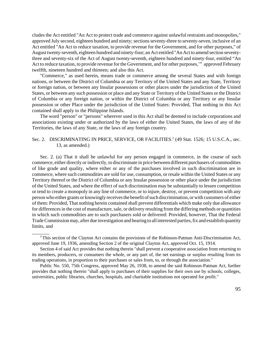cludes the Act entitled "An Act to protect trade and commerce against unlawful restraints and monopolies," approved July second, eighteen hundred and ninety; sections seventy-three to seventy-seven, inclusive of an Act entitled "An Act to reduce taxation, to provide revenue for the Government, and for other purposes," of August twenty-seventh, eighteen hundred and ninety-four; an Act entitled "An Act to amend section seventythree and seventy-six of the Act of August twenty-seventh, eighteen hundred and ninety-four, entitled "An Act to reduce taxation, to provide revenue for the Government, and for other purposes,'" approved February twelfth, nineteen hundred and thirteen; and also this Act.

"Commerce," as used herein, means trade or commerce among the several States and with foreign nations, or between the District of Columbia or any Territory of the United States and any State, Territory or foreign nation, or between any Insular possessions or other places under the jurisdiction of the United States, or between any such possession or place and any State or Territory of the United States or the District of Columbia or any foreign nation, or within the District of Columbia or any Territory or any Insular possession or other Place under the jurisdiction of the United States: Provided, That nothing in this Act contained shall apply to the Philippine Islands.

The word "person" or "persons" wherever used in this Act shall be deemed to include corporations and associations existing under or authorized by the laws of either the United States, the laws of any of the Territories, the laws of any State, or the laws of any foreign country.

#### Sec. 2. DISCRIMINATING IN PRICE, SERVICE, OR FACILITIES.<sup>2</sup> (49 Stat. 1526; 15 U.S.C.A., sec. 13, as amended.)

Sec. 2. (a) That it shall be unlawful for any person engaged in commerce, in the course of such commerce, either directly or indirectly, to discriminate in price between different purchasers of commodities of like grade and quality, where either or any of the purchases involved in such discrimination are in commerce, where such commodities are sold for use, consumption, or resale within the United States or any Territory thereof or the District of Columbia or any Insular possession or other place under the jurisdiction of the United States, and where the effect of such discrimination may be substantially to lessen competition or tend to create a monopoly in any line of commerce, or to injure, destroy, or prevent competition with any person who either grants or knowingly receives the benefit of such discrimination, or with customers of either of them: Provided, That nothing herein contained shall prevent differentials which make only due allowance for differences in the cost of manufacture, sale, or delivery resulting from the differing methods or quantities in which such commodities are to such purchasers sold or delivered: Provided, however, That the Federal Trade Commission may, after due investigation and hearing to all interested parties, fix and establish quantity limits, and

 $\overline{\phantom{a}}$ 

<sup>&</sup>lt;sup>3</sup> This section of the Clayton Act contains the provisions of the Robinson-Patman Anti-Discrimination Act, approved June 19, 1936, amending Section 2 of the original Clayton Act, approved Oct. 15, 1914.

Section 4 of said Act provides that nothing therein "shall prevent a cooperative association from returning to its members, producers, or consumers the whole, or any part of, the net earnings or surplus resulting from its trading operations, in proportion to their purchases or sales from, to, or through the association."

Public No. 550, 75th Congress, approved May 26, 1938, to amend the said Robinson-Patman Act, further provides that nothing therein "shall apply to purchases of their supplies for their own use by schools, colleges, universities, public libraries, churches, hospitals, and charitable institutions not operated for profit."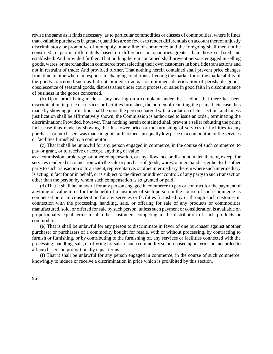revise the same as it finds necessary, as to particular commodities or classes of commodities, where it finds that available purchasers in greater quantities are so few as to render differentials on account thereof unjustly discriminatory or promotive of monopoly in any line of commerce; and the foregoing shall then not be construed to permit differentials based on differences in quantities greater than those so fixed and established: And provided further, That nothing herein contained shall prevent persons engaged in selling goods, wares, or merchandise in commerce from selecting their own customersin bona fide transactions and not in restraint of trade: And provided further, That nothing herein contained shall prevent price changes from time to time where in response to changing conditions affecting the market for or the marketability of the goods concerned such as but not limited to actual or imminent deterioration of perishable goods, obsolescence of seasonal goods, distress sales under court process, or sales in good faith in discontinuance of business in the goods concerned.

(b) Upon proof being made, at any hearing on a complaint under this section, that there has been discrimination in price or services or facilities furnished, the burden of rebutting the prima facie case thus made by showing justification shall be upon the person charged with a violation of this section, and unless justification shall be affirmatively shown, the Commission is authorized to issue an order, terminating the discrimination: Provided, however, That nothing herein contained shall prevent a seller rebutting the prima facie case thus made by showing that his lower price or the furnishing of services or facilities to any purchaser or purchasers was made in good faith to meet an equally low price of a competitor, or the services or facilities furnished by a competitor.

(c) That it shall be unlawful for any person engaged in commerce, in the course of such commerce, to pay or grant, or to receive or accept, anything of value

as a commission, brokerage, or other compensation, or any allowance or discount in lieu thereof, except for services rendered in connection with the sale or purchase of goods, wares, or merchandise, either to the other party to such transaction or to an agent, representative, or other intermediary therein where such intermediary Is acting in fact for or in behalf, or is subject to the direct or indirect control, of any party to such transaction other than the person by whom such compensation is so granted or paid.

(d) That it shall be unlawful for any person engaged in commerce to pay or contract for the payment of anything of value to or for the benefit of a customer of such person in the course of such commerce as compensation or in consideration for any services or facilities furnished by or through such customer in connection with the processing, handling, sale, or offering for sale of any products or commodities manufactured, sold, or offered for sale by such person, unless such payment or consideration is available on proportionally equal terms to all other customers competing in the distribution of such products or commodities.

(e) That is shall be unlawful for any person to discriminate in favor of one purchaser against another purchaser or purchasers of a commodity bought for resale, with or without processing, by contracting to furnish or furnishing, or by contributing to the furnishing of, any services or facilities connected with the processing, handling, sale, or offering for sale of such commodity so purchased upon terms not accorded to all purchasers on proportionally equal terms.

(f) That it shall be unlawful for any person engaged in commerce, in the course of such commerce, knowingly to induce or receive a discrimination in price which is prohibited by this section.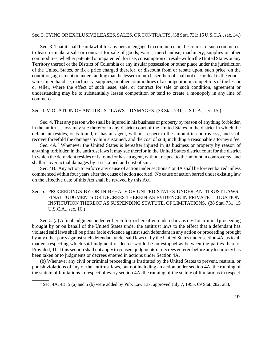#### Sec. 3.TYING OREXCLUSIVELEASES, SALES, ORCONTRACTS.(38 Stat. 731; 15U.S.C.A.,sec. 14.)

Sec. 3. That it shall be unlawful for any person engaged in commerce, in the course of such commerce, to lease or make a sale or contract for sale of goods, wares, merchandise, machinery, supplies or other commodities, whether patented or unpatented, for use, consumption orresale within the United States or any Territory thereof or the District of Columbia or any insular possession or other place under the jurisdiction of the United States, or fix a price charged therefor, or discount from or rebate upon, such price, on the condition, agreement or understanding that the lessee or purchaser thereof shall not use or deal in the goods, wares, merchandise, machinery, supplies, or other commodities of a competitor or competitors of the lessor or seller, where the effect of such lease, sale, or contract for sale or such condition, agreement or understanding may be to substantially lessen competition or tend to create a monopoly in any line of commerce.

#### Sec. 4. VIOLATION OF ANTITRUST LAWS—DAMAGES. (38 Stat. 731; U.S.C.A., sec. 15.)

Sec. 4. That any person who shall be injured in his business or property by reason of anything forbidden in the antitrust laws may sue therefor in any district court of the United States in the district in which the defendant resides, or is found, or has an agent, without respect to the amount in controversy, and shall recover threefold the damages by him sustained, and the cost of suit, including a reasonable attorney's fee.

Sec. 4A.<sup>3</sup> Whenever the United States is hereafter injured in its business or property by reason of anything forbidden in the antitrust laws it may sue therefor in the United States district court for the district in which the defendent resides or is found or has an agent, without respect to the amount in controversy, and shall recover actual damages by it sustained and cost of suit.

Sec. 4B. Any action to enforce any cause of action under sections 4 or 4A shall be forever barred unless commenced within four years after the cause of action accrued. No cause of action barred under existing law on the effective date of this Act shall be revived by this Act.

### Sec. 5. PROCEEDINGS BY OR IN BEHALF OF UNITED STATES UNDER ANTITRUST LAWS. FINAL JUDGMENTS OR DECREES THEREIN AS EVIDENCE IN PRIVATE LITIGATION. INSTITUTION THEREOF AS SUSPENDING STATUTE, OF LIMITATIONS. (38 Stat. 731; 15 U.S.C.A., sec. 16.)

Sec. 5.(a) A final judgment or decree heretofore or hereafter rendered in any civil or criminal proceeding brought by or on behalf of the United States under the antitrust laws to the effect that a defendant has violated said laws shall be prima facie evidence against such defendant in any action or proceeding brought by any other party against such defendant under said laws or by the United States under section 4A, as to all matters respecting which said judgment or decree would be an estoppel as between the parties thereto: Provided, That this section shall not apply to consent judgments or decrees entered before any testimony has been taken or to judgments or decrees entered in actions under Section 4A.

(b) Whenever any civil or criminal proceeding is instituted by the United States to prevent, restrain, or punish violations of any of the antitrust laws, but not including an action under section 4A, the running of the statute of limitations in respect of every section 4A, the running of the statute of limitations in respect

\_\_\_\_\_\_\_

 $3$  Sec. 4A, 4B, 5 (a) and 5 (b) were added by Pub. Law 137, approved July 7, 1955, 69 Stat. 282, 283.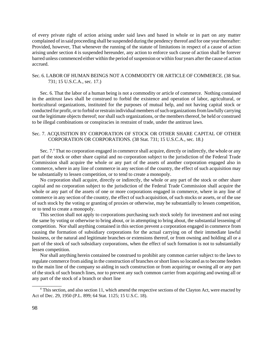of every private right of action arising under said laws and based in whole or in part on any matter complained of in said proceeding shall be suspended during the pendency thereof and for one year thereafter: Provided, however, That whenever the running of the statute of limitations in respect of a cause of action arising under section 4 is suspended hereunder, any action to enforce such cause of action shall be forever barred unless commenced either within the period of suspension or within four years after the cause of action accrued.

#### Sec. 6. LABOR OF HUMAN BEINGS NOT A COMMODITY OR ARTICLE OF COMMERCE. (38 Stat. 731; 15 U.S.C.A., sec. 17.)

Sec. 6. That the labor of a human being is not a commodity or article of commerce. Nothing contained in the antitrust laws shall be construed to forbid the existence and operation of labor, agricultural, or horticultural organizations, instituted for the purposes of mutual help, and not having capital stock or conducted for profit, or to forbid or restrain individual members of such organizations from lawfully carrying out the legitimate objects thereof; nor shall such organizations, or the members thereof, be held or construed to be illegal combinations or conspiracies in restraint of trade, under the antitrust laws.

#### Sec. 7. ACQUISITION BY CORPORATION OF STOCK OR OTHER SHARE CAPITAL OF OTHER CORPORATION OR CORPORATIONS. (38 Stat. 731; 15 U.S.C.A., sec. 18.)

Sec. 7.<sup>4</sup> That no corporation engaged in commerce shall acquire, directly or indirectly, the whole or any part of the stock or other share capital and no corporation subject to the jurisdiction of the Federal Trade Commission shall acquire the whole or any part of the assets of another corporation engaged also in commerce, where in any line of commerce in any section of the country, the effect of such acquisition may be substantially to lessen competition, or to tend to create a monopoly.

No corporation shall acquire, directly or indirectly, the whole or any part of the stock or other share capital and no corporation subject to the jurisdiction of the Federal Trade Commission shall acquire the whole or any part of the assets of one or more corporations engaged in commerce, where in any line of commerce in any section of the country, the effect of such acquisition, of such stocks or assets, or of the use of such stock by the voting or granting of proxies or otherwise, may be substantially to lessen competition, or to tend to create a monopoly.

This section shall not apply to corporations purchasing such stock solely for investment and not using the same by voting or otherwise to bring about, or in attempting to bring about, the substantial lessening of competition. Nor shall anything contained in this section prevent a corporation engaged in commerce from causing the formation of subsidiary corporations for the actual carrying on of their immediate lawful business, or the natural and legitimate branches or extensions thereof, or from owning and holding all or a part of the stock of such subsidiary corporations, when the effect of such formation is not to substantially lessen competition.

Nor shall anything herein contained be construed to prohibit any common carrier subject to the laws to regulate commerce from aiding in the construction of branches or short lines so located as to become feeders to the main line of the company so aiding in such construction or from acquiring or owning all or any part of the stock of such branch lines, nor to prevent any such common carrier from acquiring and owning all or any part of the stock of a branch or short line

\_\_\_\_\_\_\_\_\_\_\_\_

<sup>&</sup>lt;sup>4</sup> This section, and also section 11, which amend the respective sections of the Clayton Act, were enacted by Act of Dec. 29, 1950 (P.L. 899; 64 Stat. 1125; 15 U.S.C. 18).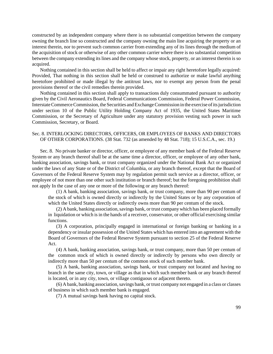constructed by an independent company where there is no substantial competition between the company owning the branch line so constructed and the company owning the main line acquiring the property or an interest therein, nor to prevent such common carrier from extending any of its lines through the medium of the acquisition of stock or otherwise of any other common carrier where there is no substantial competition between the company extending its lines and the company whose stock, property, or an interest therein is so acquired.

Nothing contained in this section shall be held to affect or impair any right heretofore legally acquired: Provided, That nothing in this section shall be held or construed to authorize or make lawful anything heretofore prohibited or made illegal by the antitrust laws, nor to exempt any person from the penal provisions thereof or the civil remedies therein provided.

Nothing contained in this section shall apply to transactions duly consummated pursuant to authority given by the Civil Aeronautics Board, Federal Communications Commission, Federal Power Commission, Interstate Commerce Commission, the Securities and Exchange Commission in the exercise of its jurisdiction under section 10 of the Public Utility Holding Company Act of 1935, the United States Maritime Commission, or the Secretary of Agriculture under any statutory provision vesting such power in such Commission, Secretary, or Board.

#### Sec. 8. INTERLOCKING DIRECTORS, OFFICERS, OR EMPLOYEES OF BANKS AND DIRECTORS OF OTHER CORPORATIONS. (38 Stat. 732 (as amended by 48 Stat. 718); 15 U.S.C.A., sec. 19.)

Sec. 8. No private banker or director, officer, or employee of any member bank of the Federal Reserve System or any branch thereof shall be at the same time a director, officer, or employee of any other bank, banking association, savings bank, or trust company organized under the National Bank Act or organized under the laws of any State or of the District of Columbia, or any branch thereof, except that the Board of Governors of the Federal Reserve System may by regulation permit such service as a director, officer, or employee of not more than one other such institution or branch thereof; but the foregoing prohibition shall not apply In the case of any one or more of the following or any branch thereof:

(1) A bank, banking association, savings bank, or trust company, more than 90 per centum of the stock of which is owned directly or indirectly by the United States or by any corporation of which the United States directly or indirectly owns more than 90 per centum of the stock.

(2) A bank, banking association, savings bank, or trust company which has been placed formally in liquidation or which is in the hands of a receiver, conservator, or other official exercising similar functions.

(3) A corporation, principally engaged in international or foreign banking or banking in a dependency or insular possession of the United States which has entered into an agreement with the Board of Governors of the Federal Reserve System pursuant to section 25 of the Federal Reserve Act.

(4) A bank, banking association, savings bank, or trust company, more than 50 per centum of the common stock of which is owned directly or indirectly by persons who own directly or indirectly more than 50 per centum of the common stock of such member bank.

(5) A bank, banking association, savings bank, or trust company not located and having no branch in the same city, town, or village as that in which such member bank or any branch thereof is located, or in any city, town, or village contiguous or adjacent thereto.

(6) A bank, banking association,savings bank, or trust company not engaged in a class or classes of business in which such member bank is engaged.

(7) A mutual savings bank having no capital stock.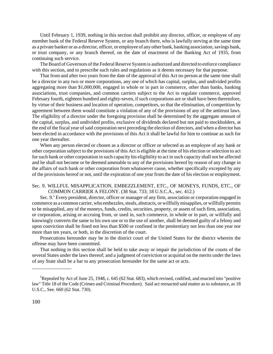Until February 1, 1939, nothing in this section shall prohibit any director, officer, or employee of any member bank of the Federal Reserve System, or any branch there, who is lawfully serving at the same time as a private banker or as a director, officer, or employee of any other bank, banking association, savings bank, or trust company, or any branch thereof, on the date of enactment of the Banking Act of 1935, from continuing such service.

The Board of Governors of the Federal Reserve System is authorized and directed to enforce compliance with this section, and to prescribe such rules and regulations as it deems necessary for that purpose.

That from and after two years from the date of the approval of this Act no person at the same time shall be a director in any two or more corporations, any one of which has capital, surplus, and undivided profits aggregating more than \$1,000,000, engaged in whole or in part in commerce, other than banks, banking associations, trust companies, and common carriers subject to the Act to regulate commerce, approved February fourth, eighteen hundred and eighty-seven, if such corporations are or shall have been theretofore, by virtue of their business and location of operation, competitors, so that the elimination, of competition by agreement between them would constitute a violation of any of the provisions of any of the antitrust laws. The eligibility of a director under the foregoing provision shall be determined by the aggregate amount of the capital, surplus, and undivided profits, exclusive of dividends declared but not paid to stockholders, at the end of the fiscal year of said corporation next preceding the election of directors, and when a director has been elected in accordance with the provisions of this Act it shall be lawful for him to continue as such for one year thereafter.

When any person elected or chosen as a director or officer or selected as an employee of any bank or other corporation subject to the provisions of this Act is eligible at the time of his election or selection to act for such bank or other corporation in such capacity his eligibility to act in such capacity shall not be affected and he shall not become or be deemed amenable to any of the provisions hereof by reason of any change in the affairs of such bank or other corporation from whatsoever cause, whether specifically excepted by any of the provisions hereof or not, until the expiration of one year from the date of his election or employment.

#### Sec. 9. WILLFUL MISAPPLICATION, EMBEZZLEMENT, ETC., OF MONEYS, FUNDS, ETC., OF COMMON CARRIER A FELONY. (38 Stat. 733; 18 U.S.C.A., sec. 412.)

Sec. 9.<sup>5</sup> Every president, director, officer or manager of any firm, association or corporation engaged in commerce as a common carrier, who embezzles, steals, abstracts, or willfully misapplies, or willfully permits to be misapplied, any of the moneys, funds, credits, securities, property, or assets of such firm, association, or corporation, arising or accruing from, or used in, such commerce, in whole or in part, or willfully and knowingly converts the same to his own use or to the use of another, shall be deemed guilty of a felony and upon conviction shall be fined not less than \$500 or confined in the penitentiary not less than one year nor more than ten years, or both, in the discretion of the court.

Prosecutions hereunder may be in the district court of the United States for the district wherein the offense may have been committed.

That nothing in this section shall be held to take away or impair the jurisdiction of the courts of the several States under the laws thereof; and a judgment of conviction or acquittal on the merits under the laws of any State shall be a bar to any prosecution hereunder for the same act or acts.

\_\_\_\_\_\_\_\_\_\_\_\_\_\_\_\_

<sup>5</sup>Repealed by Act of June 25, 1948, c. 645 (62 Stat. 683), which revised, codified, and enacted into "positive law" Title 18 of the Code (Crimes and Criminal Procedure). Said act reenacted said matter as to substance, as 18 U.S.C., See. 660 (62 Stat. 730).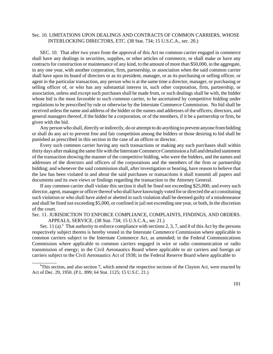#### Sec. 10. LIMITATIONS UPON DEALINGS AND CONTRACTS OF COMMON CARRIERS, WHOSE INTERLOCKING DIRECTORS, ETC. (38 Stat. 734; 15 U.S.C.A., sec. 20.)

SEC. 10. That after two years from the approval of this Act no common carrier engaged in commerce shall have any dealings in securities, supplies, or other articles of commerce, or shall make or have any contracts for construction or maintenance of any kind, to the amount of more than \$50,000, in the aggregate, in any one year, with another corporation, firm, partnership, or association when the said common carrier shall have upon its board of directors or as its president, manager, or as its purchasing or selling officer, or agent in the particular transaction, any person who is at the same time a director, manager, or purchasing or selling officer of, or who has any substantial interest in, such other corporation, firm, partnership, or association, unless and except such purchases shall be made from, or such dealings shall be with, the bidder whose bid is the most favorable to such common carrier, to be ascertained by competitive bidding under regulations to be prescribed by rule or otherwise by the Interstate Commerce Commission. No bid shall be received unless the name and address of the bidder or the names and addresses of the officers, directors, and general managers thereof, if the bidder be a corporation, or of the members, if it be a partnership or firm, be given with the bid.

Any person who shall, directly orindirectly, do or attempt to do anything to prevent anyone frombidding or shall do any act to prevent free and fair competition among the bidders or those desiring to bid shall be punished as prescribed in this section in the case of an officer or director.

Every such common carrier having any such transactions or making any such purchases shall within thirty days after making the same file with the InterstateCommerceCommission a full and detailed statement of the transaction showing the manner of the competitive bidding, who were the bidders, and the names and addresses of the directors and officers of the corporations and the members of the firm or partnership bidding; and whenever the said commission shall, after investigation or hearing, have reason to believe that the law has been violated in and about the said purchases or transactions it shall transmit all papers and documents and its own views or findings regarding the transaction to the Attorney General.

If any common carrier shall violate this section it shall be fined not exceeding \$25,000; and every such director, agent, manager or officer thereof who shall have knowingly voted for or directed the act constituting such violation or who shall have aided or abetted in such violation shall be deemed guilty of a misdemeanor and shall be fined not exceeding \$5,000, or confined in jail not exceeding one year, or both, In the discretion of the court.

#### Sec. 11. JURISDICTION TO ENFORCE COMPLIANCE, COMPLAINTS, FINDINGS, AND ORDERS. APPEALS, SERVICE. (38 Stat. 734; 15 U.S.C.A., sec 21.)

Sec. 11 (a).<sup>6</sup> That authority to enforce compliance with sections 2, 3, 7, and 8 of this Act by the persons respectively subject thereto is hereby vested in the Interstate Commerce Commission where applicable to common carriers subject to the Interstate Commerce Act, as amended; in the Federal Communications Commission where applicable to common carriers engaged in wire or radio communication or radio transmission of energy; in the Civil Aeronautics Board where applicable to air carriers and foreign air carriers subject to the Civil Aeronautics Act of 1938; in the Federal Reserve Board where applicable to

\_\_\_\_\_\_\_\_\_\_

<sup>6</sup>This section, and also section 7, which amend the respective sections of the Clayton Act, were enacted by Act of Dec. 29, 1950. (P.L. 899; 64 Stat. 1125; 15 U.S.C. 21.)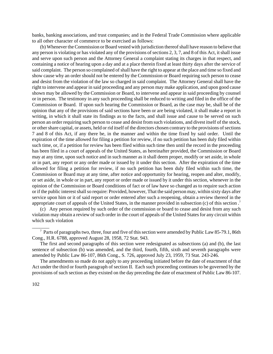banks, banking associations, and trust companies; and in the Federal Trade Commission where applicable to all other character of commerce to be exercised as follows:

(b) Whenever theCommission orBoard vested with jurisdiction thereofshall have reason to believe that any person is violating or has violated any of the provisions of sections 2, 3, 7, and 8 of this Act, it shall issue and serve upon such person and the Attorney General a complaint stating its charges in that respect, and containing a notice of hearing upon a day and at a place therein fixed at least thirty days after the service of said complaint. The person so complained of shall have the right to appear at the place and time so fixed and show cause why an order should not be entered by the Commission or Board requiring such person to cease and desist from the violation of the law so charged in said complaint. The Attorney General shall have the right to intervene and appear in said proceeding and any person may make application, and upon good cause shown may be allowed by the Commission or Board, to intervene and appear in said proceeding by counsel or in person. The testimony in any such proceeding shall be reduced to writing and filed in the office of the Commission or Board. If upon such hearing the Commission or Board, as the case may be, shall be of the opinion that any of the provisions of said sections have been or are being violated, it shall make a report in writing, in which it shall state its findings as to the facts, and shall issue and cause to be served on such person an order requiring such person to cease and desist from such violations, and divest itself of the stock, or other share capital, or assets, held or rid itself of the directors chosen contrary to the provisions of sections 7 and 8 of this Act, if any there be, in the manner and within the time fixed by said order. Until the expiration of the time allowed for filing a petition for review, if no such petition has been duly filed within such time, or, if a petition for review has been flied within such time then until the record in the proceeding has been filed in a court of appeals of the United States, as hereinafter provided, the Commission or Board may at any time, upon such notice and in such manner as it shall deem proper, modify or set aside, in whole or in part, any report or any order made or issued by it under this section. After the expiration of the time allowed for filing a petition for review, if no such petition has been duly filed within such time, the Commission or Board may at any time, after notice and opportunity for hearing, reopen and alter, modify, or set aside, in whole or in part, any report or order made or issued by it under this section, whenever in the opinion of the Commission or Board conditions of fact or of law have so changed as to require such action or if the public interest shall so require: Provided, however, That the said person may, within sixty days after service upon him or it of said report or order entered after such a reopening, obtain a review thereof in the appropriate court of appeals of the United States, in the manner provided in subsection (c) of this section.<sup>7</sup>

(c) Any person required by such order of the commission or board to cease and desist from any such violation may obtain a review of such order in the court of appeals of the United Statesfor any circuit within which such violation

The amendments so made do not apply to any proceeding initiated before the date of enactment of that Act under the third or fourth paragraph of section II. Each such proceeding continues to be governed by the provisions of such section as they existed on the day preceding the date of enactment of Public Law 86-107.

\_\_\_\_\_\_\_

 $7$  Parts of paragraphs two, three, four and five of this section were amended by Public Law 85-79.1, 86th Cong., H.R. 6788, approved August 28, 1958, 72 Stat. 943.

The first and second paragraphs of this section were redesignated as subsections (a) and (b), the last sentence of subsection (b) was amended, and the third, fourth, fifth, sixth and seventh paragraphs were amended by Public Law 86-107, 86th Cong., S. 726, approved July 23, 1959, 73 Stat. 243-246.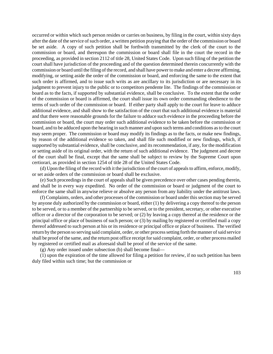occurred or within which such person resides or carries on business, by filing in the court, within sixty days after the date of the service of such order, a written petition praying that the order of the commission or board be set aside. A copy of such petition shall be forthwith transmitted by the clerk of the court to the commission or board, and thereupon the commission or board shall file in the court the record in the proceeding, as provided in section 2112 of title 28, United States Code. Upon such filing of the petition the court shall have jurisdiction of the proceeding and of the question determined therein concurrently with the commission or board until the filing of the record, and shall have power to make and enter a decree affirming, modifying, or setting aside the order of the commission or board, and enforcing the same to the extent that such order is affirmed, and to issue such writs as are ancillary to its jurisdiction or are necessary in its judgment to prevent injury to the public or to competitors pendente lite. The findings of the commission or board as to the facts, if supported by substantial evidence, shall be conclusive. To the extent that the order of the commission or board is affirmed, the court shall issue its own order commanding obedience to the terms of such order of the commission or board. If either party shall apply to the court for leave to adduce additional evidence, and shall show to the satisfaction of the court that such additional evidence is material and that there were reasonable grounds for the failure to adduce such evidence in the proceeding before the commission or board, the court may order such additional evidence to be taken before the commission or board, and to be adduced upon the hearing in such manner and upon such terms and conditions asto the court may seem proper. The commission or board may modify its findings as to the facts, or make new findings, by reason of the additional evidence so taken, and shall file such modified or new findings, which, if supported by substantial evidence, shall be conclusive, and its recommendation, if any, for the modification or setting aside of its original order, with the return of such additional evidence. The judgment and decree of the court shall be final, except that the same shall be subject to review by the Supreme Court upon certiorari, as provided in section 1254 of title 28 of the United States Code.

(d) Upon the filing of the record with it the jurisdiction of the court of appealsto affirm, enforce, modify, or set aside orders of the commission or board shall be exclusive.

(e) Such proceedings in the court of appeals shall be given precedence over other cases pending therein, and shall be in every way expedited. No order of the commission or board or judgment of the court to enforce the same shall in anywise relieve or absolve any person from any liability under the antitrust laws.

(f) Complaints, orders, and other processes of the commission or board under thissection may be served by anyone duly authorized by the commission or board, either (1) by delivering a copy thereof to the person to be served, or to a member of the partnership to be served, or to the president, secretary, or other executive officer or a director of the corporation to be served; or (2) by leaving a copy thereof at the residence or the principal office or place of business of such person; or (3) by mailing by registered or certified mail a copy thereof addressed to such person at his or its residence or principal office or place of business. The verified return by the person so serving said complaint, order, or other process setting forth the manner of said service shall be proof ofthe same, and the return post office receipt forsaid complaint, order, or other process mailed by registered or certified mail as aforesaid shall be proof of the service of the same.

(g) Any order issued under subsection (b) shall become final—

(1) upon the expiration of the time allowed for filing a petition for review, if no such petition has been duly filed within such time; but the commission or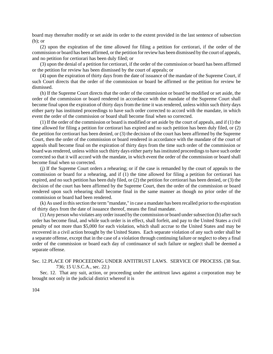board may thereafter modify or set aside its order to the extent provided in the last sentence of subsection (b); or

(2) upon the expiration of the time allowed for filing a petition for certiorari, if the order of the commission or board has been affirmed, or the petition for review has been dismissed by the court of appeals, and no petition for certiorari has been duly filed; or

(3) upon the denial of a petition for certiorari, if the order of the commission or board has been affirmed or the petition for review has been dismissed by the court of appeals; or

(4) upon the expiration of thirty days from the date of issuance of the mandate of the Supreme Court, if such Court directs that the order of the commission or board be affirmed or the petition for review be dismissed.

(h) If the Supreme Court directs that the order of the commission or board be modified or set aside, the order of the commission or board rendered in accordance with the mandate of the Supreme Court shall become final upon the expiration of thirty days from the time it was rendered, unless within such thirty days either party has instituted proceedings to have such order corrected to accord with the mandate, in which event the order of the commission or board shall become final when so corrected.

(1) If the order of the commission or board is modified or set aside by the court of appeals, and if (1) the time allowed for filing a petition for certiorari has expired and no such petition has been duly filed, or (2) the petition for certiorari has been denied, or (3) the decision of the court has been affirmed by the Supreme Court, then the order of the commission or board rendered in accordance with the mandate of the court of appeals shall become final on the expiration of thirty days from the time such order of the commission or board was rendered, unless within such thirty days either party has instituted proceedings to have such order corrected so that it will accord with the mandate, in which event the order of the commission or board shall become final when so corrected.

(j) If the Supreme Court orders a rehearing; or if the case is remanded by the court of appeals to the commission or board for a rehearing, and if (1) the time allowed for filing a petition for certiorari has expired, and no such petition has been duly filed, or (2) the petition for certiorari has been denied, or (3) the decision of the court has been affirmed by the Supreme Court, then the order of the commission or board rendered upon such rehearing shall become final in the same manner as though no prior order of the commission or board had been rendered.

(k) As used in thissection the term "mandate," in case a mandate has been recalled prior to the expiration of thirty days from the date of issuance thereof, means the final mandate.

(1) Any person who violates any order issued by the commission or board under subsection (b) after such order has become final, and while such order is in effect, shall forfeit, and pay to the United States a civil penalty of not more than \$5,000 for each violation, which shall accrue to the United States and may be recovered in a civil action brought by the United States. Each separate violation of any such order shall be a separate offense, except that in the case of a violation through continuing failure or neglect to obey a final order of the commission or board each day of continuance of such failure or neglect shall be deemed a separate offense.

Sec. 12. PLACE OF PROCEEDING UNDER ANTITRUST LAWS. SERVICE OF PROCESS. (38 Stat. 736; 15 U.S.C.A., sec. 22.)

Sec. 12. That any suit, action, or proceeding under the antitrust laws against a corporation may be brought not only in the judicial district whereof it is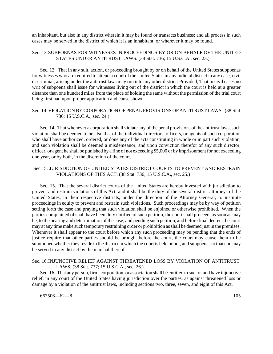an inhabitant, but also in any district wherein it may be found or transacts business; and all process in such cases may be served in the district of which it is an inhabitant, or wherever it may be found.

## Sec. 13.SUBPOENAS FOR WITNESSES IN PROCEEDINGS BY OR ON BEHALF OF THE UNITED STATES UNDER ANTITRUST LAWS. (38 Stat. 736; 15 U.S.C.A., sec. 23.)

Sec. 13. That in any suit, action, or proceeding brought by or on behalf of the United States subpoenas for witnesses who are required to attend a court of the United States in any judicial district in any case, civil or criminal, arising under the antitrust laws may run into any other district: Provided, That in civil cases no writ of subpoena shall issue for witnesses living out of the district in which the court is held at a greater distance than one hundred miles from the place of holding the same without the permission of the trial court being first had upon proper application and cause shown.

## Sec. 14.VIOLATION BY CORPORATION OF PENAL PROVISIONS OF ANTITRUST LAWS. (38 Stat. 736; 15 U.S.C.A., sec. 24.)

Sec. 14. That whenever a corporation shall violate any of the penal provisions of the antitrust laws, such violation shall be deemed to be also that of the individual directors, officers, or agents of such corporation who shall have authorized, ordered, or done any of the acts constituting in whole or in part such violation, and such violation shall be deemed a misdemeanor, and upon conviction therefor of any such director, officer, or agent he shall be punished by a fine of not exceeding \$5,000 or by imprisonment for not exceeding one year, or by both, in the discretion of the court.

## Sec.15. JURISDICTION OF UNITED STATES DISTRICT COURTS TO PREVENT AND RESTRAIN VIOLATIONS OF THIS ACT. (38 Stat. 736; 15 U.S.C.A., sec. 25.)

Sec. 15. That the several district courts of the United States are hereby invested with jurisdiction to prevent and restrain violations of this Act, and it shall be the duty of the several district attorneys of the United States, in their respective districts, under the direction of the Attorney General, to institute proceedings in equity to prevent and restrain such violations. Such proceedings may be by way of petition setting forth the case and praying that such violation shall be enjoined or otherwise prohibited. When the parties complained of shall have been duly notified of such petition, the court shall proceed, as soon as may be, to the hearing and determination of the case; and pending such petition, and before final decree, the court may at any time make such temporary restraining order or prohibition asshall be deemed just in the premises. Whenever it shall appear to the court before which any such proceeding may be pending that the ends of justice require that other parties should be brought before the court, the court may cause them to be summoned whether they reside in the district in which the court is held or not, and subpoenasto that end may be served in any district by the marshal thereof.

## Sec. 16. INJUNCTIVE RELIEF AGAINST THREATENED LOSS BY VIOLATION OF ANTITRUST LAWS. (38 Stat. 737; 15 U.S.C.A., sec. 26.)

Sec. 16. That any person, firm, corporation, or association shall be entitled to sue for and have injunctive relief, in any court of the United States having jurisdiction over the parties, as against threatened loss or damage by a violation of the antitrust laws, including sections two, three, seven, and eight of this Act,

667506—62—8 105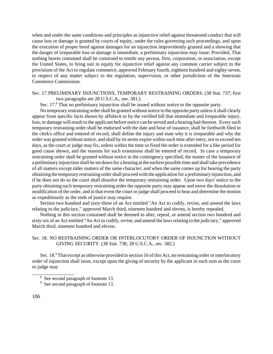when and under the same conditions and principles as injunctive relief against threatened conduct that will cause loss or damage is granted by courts of equity, under the rules governing such proceedings, and upon the execution of proper bond against damages for an injunction improvidently granted and a showing that the danger of irreparable loss or damage is immediate, a preliminary injunction may issue: Provided, That nothing herein contained shall be construed to entitle any person, firm, corporation, or association, except the United States, to bring suit in equity for injunctive relief against any common carrier subject to the provisions of the Act to regulate commerce, approved February fourth, eighteen hundred and eighty-seven, in respect of any matter subject to the regulation, supervision, or other jurisdiction of the Interstate Commerce Commission.

## Sec. 17. PRELIMINARY INJUNCTIONS, TEMPORARY RESTRAINING ORDERS. (38 Stat. 737; first two paragraphs are 28 U.S.C.A., see. 381.)

Sec. 17.<sup>8</sup> That no preliminary injunction shall be issued without notice to the opposite party.

No temporary restraining order shall be granted without notice to the opposite party unless it shall clearly appear from specific facts shown by affidavit or by the verified bill that immediate and irreparable injury, loss, or damage will result to the applicant before notice can be served and a hearing had thereon. Every such temporary restraining order shall be endorsed with the date and hour of issuance, shall be forthwith filed in the clerk's office and entered of record, shall define the injury and state why it is irreparable and why the order was granted without notice, and shall by its terms expire within such time after entry, not to exceed ten days, as the court or judge may fix, unless within the time so fixed the order is extended for a like period for good cause shown, and the reasons for such extensions shall be entered of record. In case a temporary restraining order shall be granted without notice in the contingency specified, the matter of the issuance of a preliminary injunction shall be set down for a hearing at the earliest possible time and shall take precedence of all matters except older matters of the same character; and when the same comes up for hearing the party obtaining the temporary restraining ordershall proceed with the application for a preliminary injunction, and if he does not do so the court shall dissolve the temporary restraining order. Upon two days' notice to the party obtaining such temporary restraining order the opposite party may appear and move the dissolution or modification of the order, and in that event the court or judge shall proceed to hear and determine the motion as expeditiously as the ends of justice may require.

Section two hundred and sixty-three of an Act entitled "An Act to codify, revise, and amend the laws relating to the judiciary," approved March third, nineteen hundred and eleven, is hereby repealed.

Nothing in this section contained shall be deemed to alter, repeal, or amend section two hundred and sixty-six of an Act entitled "An Act to codify, revise, and amend the lawsrelating to the judiciary," approved March third, nineteen hundred and eleven.

## Sec. 18. NO RESTRAINING ORDER OR INTERLOCUTORY ORDER OF INJUNCTION WITHOUT GIVING SECURITY. (38 Stat. 738; 28 U.S.C.A., sec. 382.)

Sec. 18.<sup>9</sup> That except as otherwise provided in section 16 of this Act, no restraining order or interlocutory order of injunction shall issue, except upon the giving of security by the applicant in such sum as the court or judge may

\_\_\_\_\_\_\_\_\_\_\_\_\_\_\_\_\_

<sup>8</sup> See second paragraph of footnote 13.

<sup>&</sup>lt;sup>9</sup> See second paragraph of footnote 13.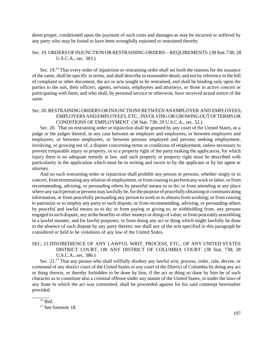deem proper, conditioned upon the payment of such costs and damages as may be incurred or suffered by any party who may be found to have been wrongfully enjoined or restrained thereby.

## Sec. 19. ORDERS OF INJUNCTION OR RESTRAINING ORDERS—REQUIREMENTS. (38 Stat. 738; 28 U.S.C.A., sec. 383.)

Sec. 19.<sup>10</sup> That every order of injunction or restraining order shall set forth the reasons for the issuance of the same, shall be specific in terms, and shall describe in reasonable detail, and not by reference to the bill of complaint or other document, the act or acts sought to be restrained, and shall be binding only upon the parties to the suit, their officers, agents, servants, employees and attorneys, or those in active concert or participating with them, and who shall, by personal service or otherwise, have received actual notice of the same.

# Sec. 20. RESTRAINING ORDERS OR INJUNCTIONS BETWEEN AN EMPLOYER AND EMPLOYEES, EMPLOYERSANDEMPLOYEES,ETC.,INVOLVING OR GROWING OUT OF TERMS OR CONDITIONS OF EMPLOYMENT. (38 Stat. 738; 29 U.S.C.A., sec. 52.)

Sec. 20. That no restraining order or injunction shall be granted by any court of the United States, or a judge or the judges thereof, in any case between an employer and employees, or between employers and employees, or between employees, or between persons employed and persons seeking employment, involving, or growing out of, a dispute concerning terms or conditions of employment, unless necessary to prevent irreparable injury to property, or to a property right of the party making the application, for which injury there is no adequate remedy at law, and such property or property right must be described with particularity in the application which must be in writing and sworn to by the applicant or by his agent or attorney.

And no such restraining order or injunction shall prohibit any person or persons, whether singly or in concert, fromterminating any relation of employment, or fromceasing to performany work or labor, or from recommending, advising, or persuading others by peaceful means so to do; or from attending at any place where any such person or persons may lawfully be, for the purpose of peacefully obtaining or communicating information, or from peacefully persuading any person to work or to abstain from working; or from ceasing to patronize or to employ any party to such dispute, or from recommending, advising, or persuading others by peaceful and lawful means so to do; or from paying or giving to, or withholding from, any persons engaged in such dispute, any strike benefits or other moneys orthings of value; orfrompeaceably assembling in a lawful manner, and for lawful purposes; or from doing any act or thing which might lawfully be done in the absence of such dispute by any party thereto; nor shall any of the acts specified in this paragraph be considered or held to be violations of any law of the United States.

## SEC. 21. DISOBEDIENCE OF ANY LAWFUL WRIT, PROCESS, ETC., OF ANY UNITED STATES DISTRICT COURT, OR ANY DISTRICT OF COLUMBIA COURT. (38 Stat. 738; 28 U.S.C.A., sec. 386.)

Sec. 21.<sup>11</sup> That any person who shall willfully disobey any lawful writ, process, order, rule, decree, or command of any district court of the United States or any court of the District of Columbia by doing any act or thing therein, or thereby forbidden to be done by him, if the act or thing so done by him be of such character as to constitute also a criminal offense under any statute of the United States, or under the laws of any State in which the act was committed, shall be proceeded against for his said contempt hereinafter provided.

\_\_\_\_\_\_\_

 $10$  Ibid.

 $11$  See footnote 18.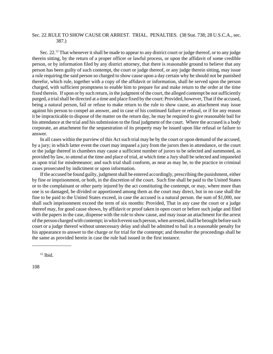## Sec. 22.RULE TO SHOW CAUSE OR ARREST. TRIAL. PENALTIES. (38 Stat. 738; 28 U.S.C.A., sec. 387.)

Sec. 22.<sup>12</sup> That whenever it shall be made to appear to any district court or judge thereof, or to any judge therein sitting, by the return of a proper officer or lawful process, or upon the affidavit of some credible person, or by information filed by any district attorney, that there is reasonable ground to believe that any person has been guilty of such contempt, the court or judge thereof, or any judge therein sitting, may issue a rule requiring the said person so charged to show cause upon a day certain why he should not be punished therefor, which rule, together with a copy of the affidavit or information, shall be served upon the person charged, with sufficient promptness to enable him to prepare for and make return to the order at the time fixed therein. If upon or by such return, in the judgment of the court, the alleged contempt be not sufficiently purged, a trialshall be directed at a time and place fixed by the court: Provided, however, That if the accused, being a natural person, fail or refuse to make return to the rule to show cause, an attachment may issue against his person to compel an answer, and in case of his continued failure or refusal, or if for any reason it be impracticable to dispose of the matter on the return day, he may be required to give reasonable bail for his attendance at the trial and his submission to the final judgment of the court. Where the accused is a body corporate, an attachment for the sequestration of its property may be issued upon like refusal or failure to answer.

In all cases within the purview of this Act such trial may be by the court or upon demand of the accused, by a jury; in which latter event the court may impanel a jury from the jurors then in attendance, or the court or the judge thereof in chambers may cause a sufficient number of jurors to be selected and summoned, as provided by law, to attend at the time and place of trial, at which time a Jury shall be selected and impaneled as upon trial for misdemeanor; and such trial shall conform, as near as may be, to the practice in criminal cases prosecuted by indictment or upon information.

If the accused be found guilty, judgment shall be entered accordingly, prescribing the punishment, either by fine or imprisonment, or both, in the discretion of the court. Such fine shall be paid to the United States or to the complainant or other party injured by the act constituting the contempt, or may, where more than one is so damaged, be divided or apportioned among them as the court may direct, but in no case shall the fine to be paid to the United States exceed, in case the accused is a natural person. the sum of \$1,000, nor shall such imprisonment exceed the term of six months: Provided, That in any case the court or a judge thereof may, for good cause shown, by affidavit or proof taken in open court or before such judge and filed with the papers in the case, dispense with the rule to show cause, and may issue an attachment for the arrest of the person charged with contempt; in which event such person, when arrested, shall be brought before such court or a judge thereof without unnecessary delay and shall be admitted to bail in a reasonable penalty for his appearance to answer to the charge or for trial for the contempt; and thereafter the proceedings shall be the same as provided herein in case the rule had issued in the first instance.

 $12$  Ibid.

\_\_\_\_\_\_\_\_\_\_\_\_\_\_\_\_

108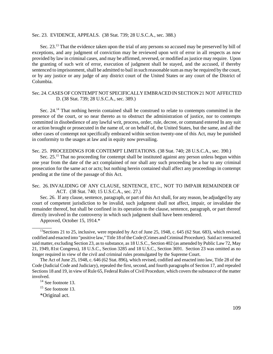#### Sec. 23. EVIDENCE, APPEALS. (38 Stat. 739; 28 U.S.C.A., sec. 388.)

Sec. 23.<sup>13</sup> That the evidence taken upon the trial of any persons so accused may be preserved by bill of exceptions, and any judgment of conviction may be reviewed upon writ of error in all respects as now provided by law in criminal cases, and may be affirmed, reversed, or modified as justice may require. Upon the granting of such writ of error, execution of judgment shall be stayed, and the accused, if thereby sentenced to imprisonment, shall be admitted to bail in such reasonable sum as may be required by the court, or by any justice or any judge of any district court of the United States or any court of the District of Columbia.

## Sec. 24.CASES OFCONTEMPT NOT SPECIFICALLY EMBRACED IN SECTION 21 NOT AFFECTED D. (38 Stat. 739; 28 U.S.C.A., sec. 389.)

Sec. 24.<sup>14</sup> That nothing herein contained shall be construed to relate to contempts committed in the presence of the court, or so near thereto as to obstruct the administration of justice, nor to contempts committed in disobedience of any lawful writ, process, order, rule, decree, or command entered In any suit or action brought or prosecuted in the name of, or on behalf of, the United States, but the same, and all the other cases of contempt not specifically embraced within section twenty-one of this Act, may be punished in conformity to the usages at law and in equity now prevailing.

# Sec. 25. PROCEEDINGS FOR CONTEMPT LIMITATIONS. (38 Stat. 740; 28 U.S.C.A., sec. 390.)

Sec. 25.<sup>15</sup> That no proceeding for contempt shall be instituted against any person unless begun within one year from the date of the act complained of nor shall any such proceeding be a bar to any criminal prosecution for the same act or acts; but nothing herein contained shall affect any proceedings in contempt pending at the time of the passage of this Act.

## Sec. 26. INVALIDING OF ANY CLAUSE, SENTENCE, ETC., NOT TO IMPAIR REMAINDER OF ACT. (38 Stat. 740; 15 U.S.C.A., sec. 27.)

Sec. 26. If any clause, sentence, paragraph, or part of this Act shall, for any reason, be adjudged by any court of competent jurisdiction to be invalid, such judgment shall not affect, impair, or invalidate the remainder thereof, but shall be confined in its operation to the clause, sentence, paragraph, or part thereof directly involved in the controversy in which such judgment shall have been rendered.

Approved, October 15, 1914.\*

\_\_\_\_\_\_\_\_

<sup>&</sup>lt;sup>13</sup>Sections 21 to 25, inclusive, were repealed by Act of June 25, 1948, c. 645 (62 Stat. 683), which revised, codified and enacted into "positive law," Title 18 of the Code (Crimes and Criminal Procedure). Said act reenacted said matter, excluding Section 23, asto substance, as 18 U.S.C., Section 402 (as amended by Public Law 72, May 21, 1949, 81st Congress), 18 U.S.C., Section 3285 and 18 U.S.C., Section 3691. Section 23 was omitted as no longer required in view of the civil and criminal rules promulgated by the Supreme Court.

The Act of June 25, 1948, c. 646 (62 Stat. 896), which revised, codified and enacted into law, Title 28 of the Code (Judicial Code and Judiciary), repealed the first, second, and fourth paragraphs of Section 17, and repealed Sections 18 and 19, in view of Rule 65, Federal Rules of Civil Procedure, which covers the substance of the matter involved.

 $14$  See footnote 13.

<sup>&</sup>lt;sup>15</sup> See footnote 13.

<sup>\*</sup>Original act.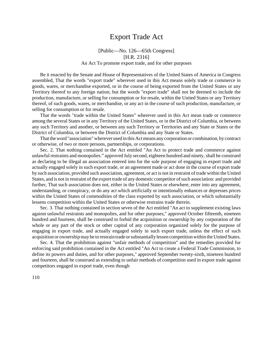# Export Trade Act

# [Public—No. 126—65th Congress] [H.R. 2316] An Act To promote export trade, and for other purposes

Be it enacted by the Senate and House of Representatives of the United States of America in Congress assembled, That the words "export trade" wherever used in this Act means solely trade or commerce in goods, wares, or merchandise exported, or in the course of being exported from the United States or any Territory thereof to any foreign nation; but the words "export trade" shall not be deemed to include the production, manufacture, or selling for consumption or for resale, within the United States or any Territory thereof, of such goods, wares, or merchandise, or any act in the course of such production, manufacture, or selling for consumption or for resale.

That the words "trade within the United States" wherever used in this Act mean trade or commerce among the several States or in any Territory of the United States, or in the District of Columbia, or between any such Territory and another, or between any such Territory or Territories and any State or States or the District of Columbia, or between the District of Columbia and any State or States.

That the word "association" wherever used in this Act means any corporation or combination, by contract or otherwise, of two or more persons, partnerships, or corporations.

Sec. 2. That nothing contained in the Act entitled "An Act to protect trade and commerce against unlawful restraints and monopolies." approved July second, eighteen hundred and ninety, shall be construed as declaring to be illegal an association entered into for the sole purpose of engaging in export trade and actually engaged solely in such export trade, or an agreement made or act done in the course of export trade by such association, provided such association, agreement, or act is not in restraint of trade within the United States, and is not in restraint of the export trade of any domestic competitor of such association: and provided further, That such association does not, either in the United States or elsewhere, enter into any agreement, understanding, or conspiracy, or do any act which artificially or intentionally enhances or depresses prices within the United States of commodities of the class exported by such association, or which substantially lessens competition within the United States or otherwise restrains trade therein.

Sec. 3. That nothing contained in section seven of the Act entitled "An act to supplement existing laws against unlawful restraints and monopolies, and for other purposes," approved October fifteenth, nineteen hundred and fourteen, shall be construed to forbid the acquisition or ownership by any corporation of the whole or any part of the stock or other capital of any corporation organized solely for the purpose of engaging in export trade, and actually engaged solely in such export trade, unless the effect of such acquisition or ownership may be to restrain trade or substantially lessen competition within the United States.

Sec. 4. That the prohibition against "unfair methods of competition" and the remedies provided for enforcing said prohibition contained in the Act entitled "An Act to create a Federal Trade Commission, to define its powers and duties, and for other purposes," approved September twenty-sixth, nineteen hundred and fourteen, shall be construed as extending to unfair methods of competition used in export trade against competitors engaged in export trade, even though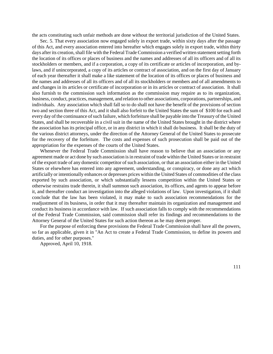the acts constituting such unfair methods are done without the territorial jurisdiction of the United States.

Sec. 5. That every association now engaged solely in export trade, within sixty days after the passage of this Act, and every association entered into hereafter which engages solely in export trade, within thirty days after its creation, shall file with the Federal Trade Commission a verified written statement setting forth the location of its offices or places of business and the names and addresses of all its officers and of all its stockholders or members, and if a corporation, a copy of its certificate or articles of incorporation, and bylaws, and if unincorporated, a copy of its articles or contract of association, and on the first day of January of each year thereafter it shall make a like statement of the location of its offices or places of business and the names and addresses of all its officers and of all its stockholders or members and of all amendments to and changes in its articles or certificate of incorporation or in its articles or contract of association. It shall also furnish to the commission such information as the commission may require as to its organization, business, conduct, practices, management, and relation to other associations, corporations, partnerships, and individuals. Any association which shall fall so to do shall not have the benefit of the provisions of section two and section three of this Act, and it shall also forfeit to the United States the sum of \$100 for each and every day of the continuance of such failure, which forfeiture shall be payable into the Treasury of the United States, and shall be recoverable in a civil suit in the name of the United States brought in the district where the association has its principal office, or in any district in which it shall do business. It shall be the duty of the various district attorneys, under the direction of the Attorney General of the United States to prosecute for the recovery of the forfeiture. The costs and expenses of such prosecution shall be paid out of the appropriation for the expenses of the courts of the United States.

Whenever the Federal Trade Commission shall have reason to believe that an association or any agreement made or act done by such association isin restraint of trade within the United States or in restraint of the export trade of any domestic competitor of such association, or that an association either in the United States or elsewhere has entered into any agreement, understanding, or conspiracy, or done any act which artificially or intentionally enhances or depresses prices within the United States of commodities of the class exported by such association, or which substantially lessens competition within the United States or otherwise restrains trade therein, it shall summon such association, its offices, and agents to appear before it, and thereafter conduct an investigation into the alleged violations of law. Upon investigation, if it shall conclude that the law has been violated, it may make to such association recommendations for the readjustment of its business, in order that it may thereafter maintain its organization and management and conduct its business in accordance with law. If such association falls to comply with the recommendations of the Federal Trade Commission, said commission shall refer its findings and recommendations to the Attorney General of the United States for such action thereon as he may deem proper.

For the purpose of enforcing these provisions the Federal Trade Commission shall have all the powers, so far as applicable, given it in "An Act to create a Federal Trade Commission, to define its powers and duties, and for other purposes."

Approved, April 10, 1918.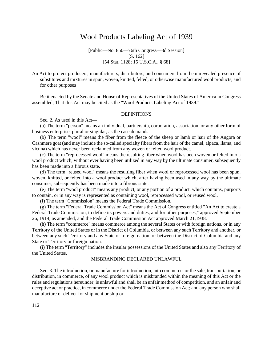# Wool Products Labeling Act of 1939

[Public—No. 850—76th Congress—3d Session] [S. 162] [54 Stat. 1128; 15 U.S.C.A., § 68]

An Act to protect producers, manufacturers, distributors, and consumers from the unrevealed presence of substitutes and mixtures in spun, woven, knitted, felted, or otherwise manufactured wool products, and for other purposes

Be it enacted by the Senate and House of Representatives of the United States of America in Congress assembled, That this Act may be cited as the "Wool Products Labeling Act of 1939."

### **DEFINITIONS**

Sec. 2. As used in this Act—

(a) The term "person" means an individual, partnership, corporation, association, or any other form of business enterprise, plural or singular, as the case demands.

(b) The term "wool" means the fiber from the fleece of the sheep or lamb or hair of the Angora or Cashmere goat (and may include the so-called specialty fibers from the hair of the camel, alpaca, llama, and vicuna) which has never been reclaimed from any woven or felted wool product.

(c) The term "reprocessed wool" means the resulting fiber when wool has been woven or felted into a wool product which, without ever having been utilized in any way by the ultimate consumer, subsequently has been made into a fibrous state.

(d) The term "reused wool" means the resulting fiber when wool or reprocessed wool has been spun, woven, knitted, or felted into a wool product which, after having been used in any way by the ultimate consumer, subsequently has been made into a fibrous state.

(e) The term "wool product" means any product, or any portion of a product, which contains, purports to contain, or in any way is represented as containing wool, reprocessed wool, or reused wool.

(f) The term "Commission" means the Federal Trade Commission.

(g) The term "Federal Trade Commission Act" means the Act of Congress entitled "An Act to create a Federal Trade Commission, to define its powers and duties, and for other purposes," approved September 26, 1914, as amended, and the Federal Trade Commission Act approved March 21,1938.

(h) The term "commerce" means commerce among the several States or with foreign nations, or in any Territory of the United States or in the District of Columbia, or between any such Territory and another, or between any such Territory and any State or foreign nation, or between the District of Columbia and any State or Territory or foreign nation.

(i) The term "Territory" includes the insular possessions of the United States and also any Territory of the United States.

## MISBRANDING DECLARED UNLAWFUL

Sec. 3. The introduction, or manufacture for introduction, into commerce, or the sale, transportation, or distribution, in commerce, of any wool product which is misbranded within the meaning of this Act or the rules and regulations hereunder, is unlawful and shall be an unfair method of competition, and an unfair and deceptive act or practice, in commerce under the Federal Trade Commission Act; and any person who shall manufacture or deliver for shipment or ship or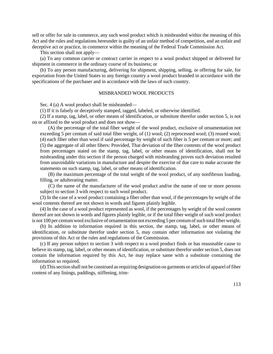sell or offer for sale in commerce, any such wool product which is misbranded within the meaning of this Act and the rules and regulations hereunder is guilty of an unfair method of competition, and an unfair and deceptive act or practice, in commerce within the meaning of the Federal Trade Commission Act.

This section shall not apply—

(a) To any common carrier or contract carrier in respect to a wool product shipped or delivered for shipment in commerce in the ordinary course of its business; or

(b) To any person manufacturing, delivering for shipment, shipping, selling, or offering for sale, for exportation from the United States to any foreign country a wool product branded in accordance with the specifications of the purchaser and in accordance with the laws of such country.

## MISBRANDED WOOL PRODUCTS

Sec. 4 (a) A wool product shall be misbranded—

(1) If it is falsely or deceptively stamped, tagged, labeled, or otherwise identified.

(2) If a stamp, tag, label, or other means of identification, or substitute therefor under section 5, is not on or affixed to the wool product and does not show—

(A) the percentage of the total fiber weight of the wool product, exclusive of ornamentation not exceeding 5 per centum of said total fiber weight, of (1) wool; (2) reprocessed wool; (3) reused wool; (4) each fiber other than wool if said percentage by weight of such fiber is 5 per centum or more; and (5) the aggregate of all other fibers: Provided, That deviation of the fiber contents of the wool product from percentages stated on the stamp, tag, label, or other means of identification, shall not be misbranding under this section if the person charged with misbranding proves such deviation resulted from unavoidable variations in manufacture and despite the exercise of due care to make accurate the statements on such stamp, tag, label, or other means of identification.

(B) the maximum percentage of the total weight of the wool product, of any nonfibrous loading, filling, or adulterating matter.

(C) the name of the manufacturer of the wool product and/or the name of one or more persons subject to section 3 with respect to such wool product.

(3) In the case of a wool product containing a fiber other than wool, if the percentages by weight of the wool contents thereof are not shown in words and figures plainly legible.

(4) In the case of a wool product represented as wool, if the percentages by weight of the wool content thereof are not shown in words and figures plainly legible, or if the total fiber weight of such wool product is not 100 per centum wool exclusive of ornamentation not exceeding 5 per centum of such total fiber weight.

(b) In addition to information required in this section, the stamp, tag, label, or other means of identification, or substitute therefor under section 5, may contain other information not violating the provisions of this Act or the rules and regulations of the Commission.

(c) If any person subject to section 3 with respect to a wool product finds or has reasonable cause to believe its stamp, tag, label, or other means of identification, or substitute therefor under section 5, does not contain the information required by this Act, he may replace same with a substitute containing the information so required.

(d) Thissection shall not be construed asrequiring designation on garments or articles of apparel offiber content of any linings, paddings, stiffening, trim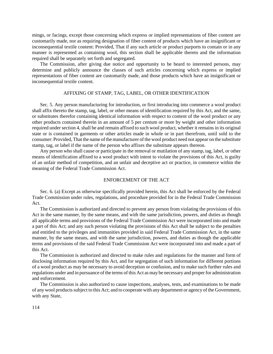mings, or facings, except those concerning which express or implied representations of fiber content are customarily made, nor as requiring designation of fiber content of products which have an insignificant or inconsequential textile content: Provided, That if any such article or product purports to contain or in any manner is represented as containing wool, this section shall be applicable thereto and the information required shall be separately set forth and segregated.

The Commission, after giving due notice and opportunity to be heard to interested persons, may determine and publicly announce the classes of such articles concerning which express or implied representations of fiber content are customarily made, and those products which have an insignificant or inconsequential textile content.

## AFFIXING OF STAMP, TAG, LABEL, OR OTHER IDENTIFICATION

Sec. 5. Any person manufacturing for introduction, or first introducing into commerce a wool product shall affix thereto the stamp, tag, label, or other means of identification required by this Act, and the same, or substitutes therefor containing identical information with respect to content of the wool product or any other products contained therein in an amount of 5 per centum or more by weight and other information required under section 4, shall be and remain affixed to such wool product, whether it remains in its original state or is contained in garments or other articles made in whole or in part therefrom, until sold to the consumer: Provided, That the name of the manufacturer of the wool product need not appear on the substitute stamp, tag, or label if the name of the person who affixes the substitute appears thereon.

Any person who shall cause or participate in the removal or mutilation of any stamp, tag, label, or other means of identification affixed to a wool product with intent to violate the provisions of this Act, is guilty of an unfair method of competition, and an unfair and deceptive act or practice, in commerce within the meaning of the Federal Trade Commission Act.

### ENFORCEMENT OF THE ACT

Sec. 6. (a) Except as otherwise specifically provided herein, this Act shall be enforced by the Federal Trade Commission under rules, regulations, and procedure provided for in the Federal Trade Commission Act.

The Commission is authorized and directed to prevent any person from violating the provisions of this Act in the same manner, by the same means, and with the same jurisdiction, powers, and duties as though all applicable terms and provisions of the Federal Trade Commission Act were incorporated into and made a part of this Act; and any such person violating the provisions of this Act shall be subject to the penalties and entitled to the privileges and immunities provided in said Federal Trade Commission Act, in the same manner, by the same means, and with the same jurisdiction, powers, and duties as though the applicable terms and provisions of the said Federal Trade Commission Act were incorporated into and made a part of this Act.

The Commission is authorized and directed to make rules and regulations for the manner and form of disclosing information required by this Act, and for segregation of such information for different portions of a wool product as may be necessary to avoid deception or confusion, and to make such further rules and regulations under and in pursuance of the terms of this Act as may be necessary and proper for administration and enforcement.

The Commission is also authorized to cause inspections, analyses, tests, and examinations to be made of any wool products subject to this Act; and to cooperate with any department or agency of the Government, with any State,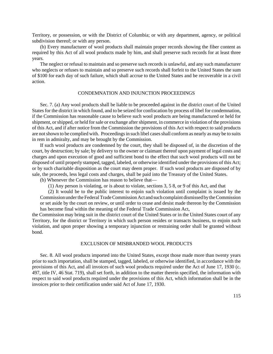Territory, or possession, or with the District of Columbia; or with any department, agency, or political subdivision thereof; or with any person.

(b) Every manufacturer of wool products shall maintain proper records showing the fiber content as required by this Act of all wool products made by him, and shall preserve such records for at least three years.

The neglect or refusal to maintain and so preserve such records is unlawful, and any such manufacturer who neglects or refuses to maintain and so preserve such records shall forfeit to the United States the sum of \$100 for each day of such failure, which shall accrue to the United States and be recoverable in a civil action.

#### CONDEMNATION AND INJUNCTION PROCEEDINGS

Sec. 7. (a) Any wool products shall be liable to be proceeded against in the district court of the United States for the district in which found, and to be seized for confiscation by process of libel for condemnation, if the Commission has reasonable cause to believe such wool products are being manufactured or held for shipment, or shipped, or held for sale or exchange after shipment, in commerce in violation of the provisions of this Act, and if after notice from the Commission the provisions of this Act with respect to said products are notshown to be complied with. Proceedings in such libel cases shall conform as nearly as may be to suits in rem in admiralty, and may be brought by the Commission.

If such wool products are condemned by the court, they shall be disposed of, in the discretion of the court, by destruction; by sale; by delivery to the owner or claimant thereof upon payment of legal costs and charges and upon execution of good and sufficient bond to the effect that such wool products will not be disposed of until properly stamped, tagged, labeled, or otherwise identified under the provisions of this Act; or by such charitable disposition as the court may deem proper. If such wool products are disposed of by sale, the proceeds, less legal costs and charges, shall be paid into the Treasury of the United States.

(b) Whenever the Commission has reason to believe that—

(1) Any person is violating, or is about to violate, sections 3, 5 8, or 9 of this Act, and that

(2) It would be to the public interest to enjoin such violation until complaint is issued by the Commission under the Federal Trade Commission Act and such complaint dismissed by the Commission or set aside by the court on review, or until order to cease and desist made thereon by the Commission has become final within the meaning of the Federal Trade Commission Act,

the Commission may bring suit in the district court of the United States or in the United States court of any Territory, for the district or Territory in which such person resides or transacts business, to enjoin such violation, and upon proper showing a temporary injunction or restraining order shall be granted without bond.

#### EXCLUSION OF MISBRANDED WOOL PRODUCTS

Sec. 8. All wool products imported into the United States, except those made more than twenty years prior to such importation, shall be stamped, tagged, labeled, or otherwise identified, in accordance with the provisions of this Act, and all invoices of such wool products required under the Act of June 17, 1930 (c. 497, title IV, 46 Stat. 719), shall set forth, in addition to the matter therein specified, the information with respect to said wool products required under the provisions of this Act, which information shall be in the invoices prior to their certification under said Act of June 17, 1930.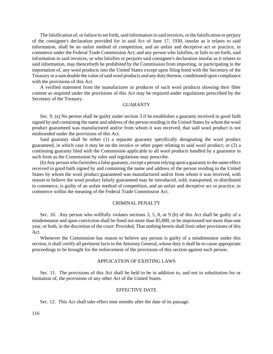The falsification of, or failure to set forth, said information in said invoices, or the falsification or perjury of the consignee's declaration provided for in said Act of June 17, 1930, insofar as it relates to said information, shall be an unfair method of competition, and an unfair and deceptive act or practice, in commerce under the Federal Trade Commission Act; and any person who falsifies, or fails to set forth, said information in said invoices, or who falsifies or perjures said consignee's declaration insofar as it relates to said information, may thenceforth be prohibited by the Commission from importing, or participating in the importation of, any wool products into the United States except upon filing bond with the Secretary of the Treasury in a sumdouble the value ofsaid wool products and any duty thereon, conditioned upon compliance with the provisions of this Act.

A verified statement from the manufacturer or producer of such wool products showing their fiber content as required under the provisions of this Act may be required under regulations prescribed by the Secretary of the Treasury.

## GUARANTY

Sec. 9. (a) No person shall be guilty under section 3 if he establishes a guaranty received in good faith signed by and containing the name and address of the person residing in the United States by whom the wool product guaranteed was manufactured and/or from whom it was received, that said wool product is not misbranded under the provisions of this Act.

Said guaranty shall be either (1) a separate guaranty specifically designating the wool product guaranteed, in which case it may be on the invoice or other paper relating to said wool product; or (2) a continuing guaranty filed with the Commission applicable to all wool products handled by a guarantor in such form as the Commission by rules and regulations may prescribe.

(b) Any person who furnishes a false guaranty, except a person relying upon a guaranty to the same effect received in good faith signed by and containing the name and address of the person residing in the United States by whom the wool product guaranteed was manufactured and/or from whom it was received, with reason to believe the wool product falsely guaranteed may be introduced, sold, transported, or distributed in commerce, is guilty of an unfair method of competition, and an unfair and deceptive act or practice, in commerce within the meaning of the Federal Trade Commission Act.

#### CRIMINAL PENALTY

Sec. 10. Any person who willfully violates sections 3, 5, 8, or 9 (b) of this Act shall be guilty of a misdemeanor and upon conviction shall be fined not more than \$5,000, or be imprisoned not more than one year, or both, in the discretion of the court: Provided, That nothing herein shall limit other provisions of this Act.

Whenever the Commission has reason to believe any person is guilty of a misdemeanor under this section, it shall certify all pertinent facts to the Attorney General, whose duty it shall be to cause appropriate proceedings to be brought for the enforcement of the provisions of this section against such person.

## APPLICATION OF EXISTING LAWS

Sec. 11. The provisions of this Act shall be held to be in addition to, and not in substitution for or limitation of, the provisions of any other Act of the United States.

## EFFECTIVE DATE

Sec. 12. This Act shall take effect nine months after the date of its passage.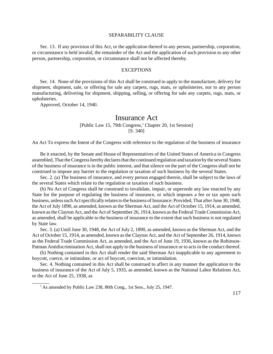#### SEPARABILITY CLAUSE

Sec. 13. If any provision of this Act, or the application thereof to any person, partnership, corporation, or circumstance is held invalid, the remainder of the Act and the application of such provision to any other person, partnership, corporation, or circumstance shall not be affected thereby.

#### **EXCEPTIONS**

Sec. 14. None of the provisions of this Act shall be construed to apply to the manufacture, delivery for shipment, shipment, sale, or offering for sale any carpets, rugs, mats, or upholsteries, nor to any person manufacturing, delivering for shipment, shipping, selling, or offering for sale any carpets, rugs, mats, or upholsteries.

Approved, October 14, 1940.

 $\overline{\phantom{a}}$ 

# Insurance Act

[Public Law 15, 79th Congress,<sup>1</sup> Chapter 20, 1st Session] [S. 340]

An Act To express the Intent of the Congress with reference to the regulation of the business of insurance

Be it enacted, by the Senate and House of Representatives of the United States of America in Congress assembled, That the Congress hereby declares that the continued regulation and taxation by the several States of the business of insurance is in the public interest, and that silence on the part of the Congress shall not be construed to impose any barrier to the regulation or taxation of such business by the several States.

Sec. 2. (a) The business of insurance, and every person engaged therein, shall be subject to the laws of the several States which relate to the regulation or taxation of such business.

(b) No Act of Congress shall be construed to invalidate, impair, or supersede any law enacted by any State for the purpose of regulating the business of insurance, or which imposes a fee or tax upon such business, unlesssuchActspecifically relatesto the business ofInsurance: Provided,That afterJune 30, 1948, the Act of July 1890, as amended, known as the Sherman Act, and the Act of October 15, 1914, as amended, known asthe Clayton Act, and the Act of September 26, 1914, known asthe Federal Trade Commission Act, as amended, shall be applicable to the business of insurance to the extent that such business is not regulated by State law.

Sec. 3. (a) Until June 30, 1948, the Act of July 2, 1890, as amended, known as the Sherman Act, and the Act of October 15, 1914, as amended, known as the Clayton Act, and the Act of September 26, 1914, known as the Federal Trade Commission Act, as amended, and the Act of June 19, 1936, known as the Robinson-Patman Antidiscrimination Act, shall not apply to the business of insurance or to acts in the conduct thereof.

(b) Nothing contained in this Act shall render the said Sherman Act inapplicable to any agreement to boycott, coerce, or intimidate, or act of boycott, coercion, or intimidation.

Sec. 4. Nothing contained in this Act shall be construed to affect in any manner the application to the business of insurance of the Act of July 5, 1935, as amended, known as the National Labor Relations Act, or the Act of June 25, 1938, as

<sup>&</sup>lt;sup>1</sup> As amended by Public Law 238, 80th Cong., 1st Sess., July 25, 1947.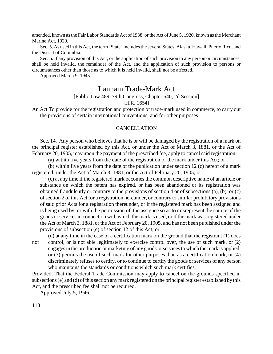amended, known as the Fair Labor Standards Act of 1938, or the Act of June 5, 1920, known as the Merchant Marine Act, 1920.

Sec. 5. As used in this Act, the term "State" includes the several States, Alaska, Hawaii, Puerto Rico, and the District of Columbia.

Sec. 6. If any provision of this Act, or the application of such provision to any person or circumstances, shall be held invalid, the remainder of the Act, and the application of such provision to persons or circumstances other than those as to which it is held invalid, shall not be affected.

Approved March 9, 1945.

# Lanham Trade-Mark Act

## [Public Law 489, 79th Congress, Chapter 540, 2d Session]

## [H.R. 1654]

An Act To provide for the registration and protection of trade-mark used in commerce, to carry out the provisions of certain international conventions, and for other purposes

## CANCELLATION

Sec. 14. Any person who believes that he is or will be damaged by the registration of a mark on the principal register established by this Act, or under the Act of March 3, 1881, or the Act of February 20, 1905, may upon the payment of the prescribed fee, apply to cancel said registration—

(a) within five years from the date of the registration of the mark under this Act; or

(b) within five years from the date of the publication under section 12 (c) hereof of a mark registered under the Act of March 3, 1881, or the Act of February 20, 1905; or

(c) at any time if the registered mark becomes the common descriptive name of an article or substance on which the patent has expired, or has been abandoned or its registration was obtained fraudulently or contrary to the provisions of section 4 or of subsections (a), (b), or (c) of section 2 of this Act for a registration hereunder, or contrary to similar prohibitory provisions of said prior Acts for a registration thereunder, or if the registered mark has been assigned and is being used by, or with the permission of, the assignee so as to misrepresent the source of the goods or services in connection with which the mark is used, or if the mark was registered under the Act of March 3, 1881, or the Act of February 20, 1905, and has not been published under the provisions of subsection (e) of section 12 of this Act; or

(d) at any time in the case of a certification mark on the ground that the registrant (1) does not control, or is not able legitimately to exercise control over, the use of such mark, or (2) engages in the production or marketing of any goods or services to which the mark is applied, or (3) permits the use of such mark for other purposes than as a certification mark, or (4) discriminately refuses to certify, or to continue to certify the goods or services of any person who maintains the standards or conditions which such mark certifies.

Provided, That the Federal Trade Commission may apply to cancel on the grounds specified in subsections (e) and (d) of this section any mark registered on the principal register established by this Act, and the prescribed fee shall not be required.

Approved July 5, 1946.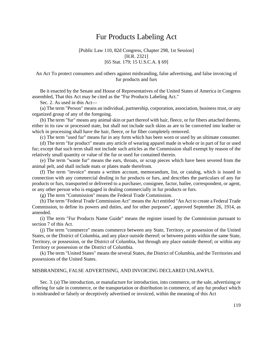# Fur Products Labeling Act

## [Public Law 110, 82d Congress, Chapter 298, 1st Session] [H.R. 2321] [65 Stat. 179; 15 U.S.C.A. § 69]

## An Act To protect consumers and others against misbranding, false advertising, and false invoicing of fur products and furs

Be it enacted by the Senate and House of Representatives of the United States of America in Congress assembled, That this Act may be cited as the "Fur Products Labeling Act."

Sec. 2. As used in this Act—

(a) The term "Person" means an individual, partnership, corporation, association, business trust, or any organized group of any of the foregoing.

(b) The term "fur" means any animal skin or part thereof with hair, fleece, or fur fibers attached thereto, either in its raw or processed state, but shall not include such skins as are to be converted into leather or which in processing shall have the hair, fleece, or fur fiber completely removed.

(c) The term "used fur" means fur in any form which has been worn or used by an ultimate consumer.

(d) The term "fur product" means any article of wearing apparel made in whole or in part of fur or used fur; except that such term shall not include such articles as the Commission shall exempt by reason of the relatively small quantity or value of the fur or used fur contained therein.

(e) The term "waste fur" means the ears, throats, or scrap pieces which have been severed from the animal pelt, and shall include mats or plates made therefrom.

(f) The term "invoice" means a written account, memorandum, list, or catalog, which is issued in connection with any commercial dealing in fur products or furs, and describes the particulars of any fur products or furs, transported or delivered to a purchaser, consignee, factor, bailee, correspondent, or agent, or any other person who is engaged in dealing commercially in fur products or furs.

(g) The term "Commission" means the Federal Trade Commission.

(h) The term "Federal Trade Commission Act" meansthe Act entitled "An Act to create a Federal Trade Commission, to define its powers and duties, and for other purposes", approved September 26, 1914, as amended.

(i) The term "Fur Products Name Guide" means the register issued by the Commission pursuant to section 7 of this Act.

(j) The term "commerce" means commerce between any State, Territory, or possession of the United States, or the District of Columbia, and any place outside thereof; or between points within the same State, Territory, or possession, or the District of Columbia, but through any place outside thereof; or within any Territory or possession or the District of Columbia.

(k) The term "United States" means the several States, the District of Columbia, and the Territories and possessions of the United States.

## MISBRANDING, FALSE ADVERTISING, AND INVOICING DECLARED UNLAWFUL

Sec. 3. (a) The introduction, or manufacture for introduction, into commerce, or the sale, advertising or offering for sale in commerce, or the transportation or distribution in commerce, of any fur product which is misbranded or falsely or deceptively advertised or invoiced, within the meaning of this Act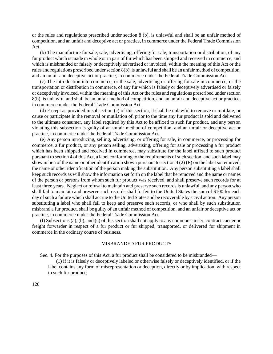or the rules and regulations prescribed under section 8 (b), is unlawful and shall be an unfair method of competition, and an unfair and deceptive act or practice, in commerce under the Federal Trade Commission Act.

(b) The manufacture for sale, sale, advertising, offering for sale, transportation or distribution, of any fur product which is made in whole or in part of fur which has been shipped and received in commerce, and which is misbranded or falsely or deceptively advertised or invoiced, within the meaning of this Act or the rules and regulations prescribed under section 8(b), is unlawful and shall be an unfair method of competition, and an unfair and deceptive act or practice, in commerce under the Federal Trade Commission Act.

(c) The introduction into commerce, or the sale, advertising or offering for sale in commerce, or the transportation or distribution in commerce, of any fur which is falsely or deceptively advertised or falsely or deceptively invoiced, within the meaning of this Act or the rules and regulations prescribed under section 8(b), is unlawful and shall be an unfair method of competition, and an unfair and deceptive act or practice, in commerce under the Federal Trade Commission Act.

(d) Except as provided in subsection (c) of this section, it shall be unlawful to remove or mutilate, or cause or participate in the removal or mutilation of, prior to the time any fur product is sold and delivered to the ultimate consumer, any label required by this Act to be affixed to such fur product, and any person violating this subsection is guilty of an unfair method of competition, and an unfair or deceptive act or practice, in commerce under the Federal Trade Commission Act.

(e) Any person introducing, selling, advertising, or offering for sale, in commerce, or processing for commerce, a fur product, or any person selling, advertising, offering for sale or processing a fur product which has been shipped and received in commerce, may substitute for the label affixed to such product pursuant to section 4 of this Act, a label conforming to the requirements of such section, and such label may show in lieu of the name or other identification shown pursuant to section 4 (2) (E) on the label so removed, the name or other identification of the person making the substitution. Any person substituting a label shall keep such records as will show the information set forth on the label that he removed and the name or names of the person or persons from whom such fur product was received, and shall preserve such records for at least three years. Neglect or refusal to maintain and preserve such records is unlawful, and any person who shall fail to maintain and preserve such records shall forfeit to the United States the sum of \$100 for each day of such a failure which shall accrue to the United States and be recoverable by a civil action. Any person substituting a label who shall fail to keep and preserve such records, or who shall by such substitution misbrand a fur product, shall be guilty of an unfair method of competition, and an unfair or deceptive act or practice, in commerce under the Federal Trade Commission Act.

(f) Subsections (a), (b), and (c) of this section shall not apply to any common carrier, contract carrier or freight forwarder in respect of a fur product or fur shipped, transported, or delivered for shipment in commerce in the ordinary course of business.

## MISBRANDED FUR PRODUCTS

Sec. 4. For the purposes of this Act, a fur product shall be considered to be misbranded—

(1) if it is falsely or deceptively labeled or otherwise falsely or deceptively identified, or if the label contains any form of misrepresentation or deception, directly or by implication, with respect to such fur product;

120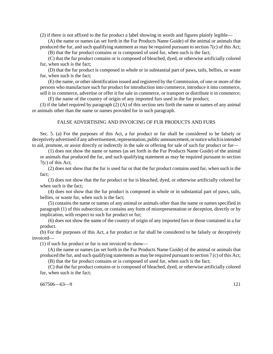(2) if there is not affixed to the fur product a label showing in words and figures plainly legible—

(A) the name or names (as set forth in the Fur Products Name Guide) of the animal or animals that produced the fur, and such qualifying statement as may be required pursuant to section 7(c) of this Act;

(B) that the fur product contains or is composed of used fur, when such is the fact;

(C) that the fur product contains or is composed of bleached, dyed, or otherwise artificially colored fur, when such is the fact;

(D) that the fur product is composed in whole or in substantial part of paws, tails, bellies, or waste fur, when such is the fact;

(E) the name, or other identification issued and registered by the Commission, of one or more of the persons who manufacture such fur product for introduction into commerce, introduce it into commerce, sell it in commerce, advertise or offer it for sale in commerce, or transport or distribute it in commerce;

(F) the name of the country of origin of any imported furs used in the fur product;

(3) if the label required by paragraph (2) (A) of this section sets forth the name or names of any animal or animals other than the name or names provided for in such paragraph.

### FALSE ADVERTISING AND INVOICING OF FUR PRODUCTS AND FURS

Sec. 5. (a) For the purposes of this Act, a fur product or fur shall be considered to be falsely or deceptively advertised if any advertisement, representation, public announcement, or notice which is intended to aid, promote, or assist directly or indirectly in the sale or offering for sale of such fur product or fur—

(1) does not show the name or names (as set forth in the Fur Products Name Guide) of the animal or animals that produced the fur, and such qualifying statement as may be required pursuant to section 7(c) of this Act;

(2) does not show that the fur is used fur or that the fur product contains used fur, when such is the fact;

(3) does not show that the fur product or fur is bleached, dyed, or otherwise artificially colored fur when such is the fact;

(4) does not show that the fur product is composed in whole or in substantial part of paws, tails, bellies, or waste fur, when such is the fact;

(5) contains the name or names of any animal or animals other than the name or names specified in paragraph (1) of this subsection, or contains any form of misrepresentation or deception, directly or by implication, with respect to such fur product or fur;

(6) does not show the name of the country of origin of any imported furs or those contained in a fur product.

(b) For the purposes of this Act, a fur product or fur shall be considered to be falsely or deceptively invoiced—

(1) if such fur product or fur is not invoiced to show—

(A) the name or names (as set forth in the Fur Products Name Guide) of the animal or animals that produced the fur, and such qualifying statements as may be required pursuant to section 7 (c) of this Act;

(B) that the fur product contains or is composed of used fur, when such is the fact;

(C) that the fur product contains or is composed of bleached, dyed, or otherwise artificially colored fur, when such is the fact;

667506—63—9 121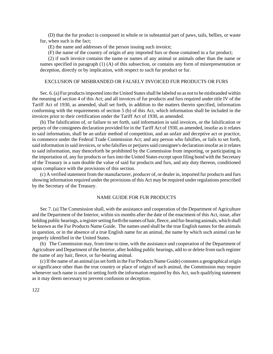(D) that the fur product is composed in whole or in substantial part of paws, tails, bellies, or waste fur, when such is the fact;

(E) the name and addresses of the person issuing such invoice;

(F) the name of the country of origin of any imported furs or those contained in a fur product;

(2) if such invoice contains the name or names of any animal or animals other than the name or names specified in paragraph (1) (A) of this subsection, or contains any form of misrepresentation or deception, directly or by implication, with respect to such fur product or fur.

## EXCLUSION OF MISBRANDED OR FALSELY INVOICED FUR PRODUCTS OR FURS

Sec. 6. (a) Fur products imported into the United States shall be labeled so as not to be misbranded within the meaning of section 4 of this Act; and all invoices of fur products and furs required under title IV of the Tariff Act of 1930, as amended, shall set forth, in addition to the matters therein specified, information conforming with the requirements of section 5 (b) of this Act, which information shall be included in the invoices prior to their certification under the Tariff Act of 1930, as amended.

(b) The falsification of, or failure to set forth, said information in said invoices, or the falsification or perjury of the consignees declaration provided for in the Tariff Act of 1930, as amended, insofar as it relates to said information, shall be an unfair method of competition, and an unfair and deceptive act or practice, in commerce under the Federal Trade Commission Act; and any person who falsifies, or fails to set forth, said information in said invoices, or who falsifies or perjures said consignee's declaration insofar as it relates to said information, may thenceforth be prohibited by the Commission from importing, or participating in the importation of, any fur products or furs into the United States except upon filing bond with the Secretary of the Treasury in a sum double the value of said fur products and furs, and any duty thereon, conditioned upon compliance with the provisions of this section.

(c) A verified statement from the manufacturer, producer of, or dealer in, imported fur products and furs showing information required under the provisions of this Act may be required under regulations prescribed by the Secretary of the Treasury.

## NAME GUIDE FOR FUR PRODUCTS

Sec 7. (a) The Commission shall, with the assistance and cooperation of the Department of Agriculture and the Department of the Interior, within six months after the date of the enactment of this Act, issue, after holding public hearings, a register setting forth the names of hair, fleece, and fur-bearing animals, which shall be known as the Fur Products Name Guide. The names used shall be the true English names for the animals in question, or in the absence of a true English name for an animal, the name by which such animal can be properly identified in the United States.

(b) The Commission may, from time to time, with the assistance and cooperation of the Department of Agriculture and Department of the Interior, after holding public hearings, add to or delete from such register the name of any hair, fleece, or fur-bearing animal.

(c) If the name of an animal (assetforth in the Fur Products Name Guide) connotes a geographical origin or significance other than the true country or place of origin of such animal, the Commission may require whenever such name is used in setting forth the information required by this Act, such qualifying statement as it may deem necessary to prevent confusion or deception.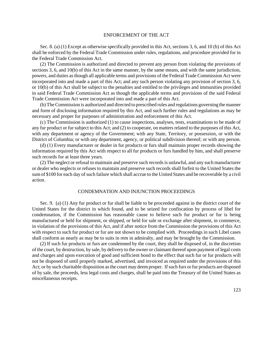#### ENFORCEMENT OF THE ACT

Sec. 8. (a) (1) Except as otherwise specifically provided in this Act, sections 3, 6, and 10 (b) of this Act shall be enforced by the Federal Trade Commission under rules, regulations, and procedure provided for in the Federal Trade Commission Act.

(2) The Commission is authorized and directed to prevent any person from violating the provisions of sections 3, 6, and 10(b) of this Act in the same manner, by the same means, and with the same jurisdiction, powers, and duties asthough all applicable terms and provisions of the Federal Trade Commission Act were incorporated into and made a part of this Act; and any such person violating any provision of section 3, 6, or 10(b) of this Act shall be subject to the penalties and entitled to the privileges and immunities provided in said Federal Trade Commission Act as though the applicable terms and provisions of the said Federal Trade Commission Act were incorporated into and made a part of this Act.

(b) TheCommission is authorized and directed to prescribed rules and regulations governing the manner and form of disclosing information required by this Act, and such further rules and regulations as may be necessary and proper for purposes of administration and enforcement of this Act.

(c) The Commission is authorized (1) to cause inspections, analyses, tests, examinations to be made of any fur product or fur subject to this Act; and (2) to cooperate, on matters related to the purposes of this Act, with any department or agency of the Government; with any State, Territory, or possession, or with the District of Columbia; or with any department, agency, or political subdivision thereof; or with any person.

(d) (1) Every manufacturer or dealer in fur products or furs shall maintain proper records showing the information required by this Act with respect to all fur products or furs handled by him, and shall preserve such records for at least three years.

(2) The neglect or refusal to maintain and preserve such records is unlawful, and any such manufacturer or dealer who neglects or refuses to maintain and preserve such records shall forfeit to the United States the sum of \$100 for each day of such failure which shall accrue to the United States and be recoverable by a civil action.

## CONDEMNATION AND INJUNCTION PROCEEDINGS

Sec. 9. (a) (1) Any fur product or fur shall be liable to be proceeded against in the district court of the United States for the district in which found, and to be seized for confiscation by process of libel for condemnation, if the Commission has reasonable cause to believe such fur product or fur is being manufactured or held for shipment, or shipped, or held for sale or exchange after shipment, in commerce, in violation of the provisions of this Act, and if after notice from the Commission the provisions of this Act with respect to such fur product or fur are not shown to be complied with. Proceedings in such Libel cases shall conform as nearly as may be to suits in rem in admiralty, and may be brought by the Commission.

(2) If such fur products or furs are condemned by the court, they shall be disposed of, in the discretion of the court, by destruction, by sale, by delivery to the owner or claimant thereof upon payment of legal costs and charges and upon execution of good and sufficient bond to the effect that such fur or fur products will not be disposed of until properly marked, advertised, and invoiced as required under the provisions of this Act; or by such charitable disposition asthe court may deemproper. If such furs or fur products are disposed of by sale, the proceeds, less legal costs and charges, shall be paid into the Treasury of the United States as miscellaneous receipts.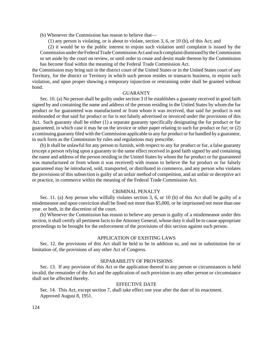(b) Whenever the Commission has reason to believe that—

(1) any person is violating, or is about to violate, section 3, 6, or 10 (b), of this Act; and

(2) it would be to the public interest to enjoin such violation until complaint is issued by the Commission under the Federal Trade Commission Act and such complaint dismissed by the Commission or set aside by the court on review, or until order to cease and desist made thereon by the Commission has become final within the meaning of the Federal Trade Commission Act.

the Commission may bring suit in the district court of the United States or in the United States court of any Territory, for the district or Territory in which such person resides or transacts business, to enjoin such violation, and upon proper showing a temporary injunction or restraining order shall be granted without bond.

## GUARANTY

Sec. 10. (a) No person shall be guilty under section 3 if he establishes a guaranty received in good faith signed by and containing the name and address of the person residing in the United States by whom the fur product or fur guaranteed was manufactured or from whom it was received, that said fur product is not misbranded or that said fur product or fur is not falsely advertised or invoiced under the provisions of this Act. Such guaranty shall be either (1) a separate guaranty specifically designating the fur product or fur guaranteed, in which case it may be on the invoice or other paper relating to such fur product or fur; or (2) a continuing guaranty filed with the Commission applicable to any fur product or fur handled by a guarantor, in such form as the Commission by rules and regulations may prescribe.

(b) It shall be unlawful for any person to furnish, with respect to any fur product or fur, a false guaranty (except a person relying upon a guaranty to the same effect received in good faith signed by and containing the name and address of the person residing in the United States by whom the fur product or fur guaranteed was manufactured or from whom it was received) with reason to believe the fur product or fur falsely guaranteed may be introduced, sold, transported, or distributed in commerce, and any person who violates the provisions of this subsection is guilty of an unfair method of competition, and an unfair or deceptive act or practice, in commerce within the meaning of the Federal Trade Commission Act.

### CRIMINAL PENALTY

Sec. 11. (a) Any person who wilfully violates section 3, 6, or 10 (b) of this Act shall be guilty of a misdemeanor and upon conviction shall be fined not more than \$5,000, or be imprisoned not more than one year. or both, in the discretion of the court.

(b) Whenever the Commission has reason to believe any person is guilty of a misdemeanor under this section, it shall certify all pertinent facts to the Attorney General, whose duty it shall be to cause appropriate proceedings to be brought for the enforcement of the provisions of this section against such person.

#### APPLICATION OF EXISTING LAWS

Sec. 12. the provisions of this Act shall be held to be in addition to, and not in substitution for or limitation of, the provisions of any other Act of Congress.

## SEPARABILITY OF PROVISIONS

Sec. 13. If any provision of this Act or the application thereof to any person or circumstances is held invalid, the remainder of the Act and the application of such provision to any other person or circumstance shall not be affected thereby.

#### EFFECTIVE DATE

Sec. 14. This Act, except section 7, shall take effect one year after the date of its enactment. Approved August 8, 1951.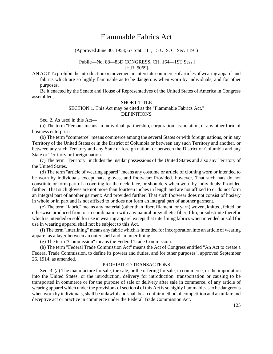# Flammable Fabrics Act

(Approved June 30, 1953; 67 Stat. 111; 15 U. S. C. Sec. 1191)

[Public—No. 88—83D CONGRESS, CH. 164—1ST Sess.] [H.R. 5069]

AN ACT To prohibit the introduction or movement in interstate commerce of articles of wearing apparel and fabrics which are so highly flammable as to be dangerous when worn by individuals, and for other purposes.

Be it enacted by the Senate and House of Representatives of the United States of America in Congress assembled,

#### SHORT TITLE

## SECTION 1. This Act may be cited as the "Flammable Fabrics Act." **DEFINITIONS**

Sec. 2. As used in this Act—

(a) The term "Person" means an individual, partnership, corporation, association, or any other form of business enterprise.

(b) The term "commerce" means commerce among the several States or with foreign nations, or in any Territory of the United States or in the District of Columbia or between any such Territory and another, or between any such Territory and any State or foreign nation, or between the District of Columbia and any State or Territory or foreign nation.

(c) The term "Territory" includes the insular possessions of the United States and also any Territory of the United States.

(d) The term "article of wearing apparel" means any costume or article of clothing worn or intended to be worn by individuals except hats, gloves, and footwear: Provided. however, That such hats do not constitute or form part of a covering for the neck, face, or shoulders when worn by individuals: Provided further, That such gloves are not more than fourteen inches in length and are not affixed to or do not form an integral part of another garment: And provided further, That such footwear does not consist of hosiery in whole or in part and is not affixed to or does not form an integral part of another garment.

(e) The term "fabric" means any material (other than fiber, filament, or yarn) woven, knitted, felted, or otherwise produced from or in combination with any natural or synthetic fiber, film, or substitute therefor which is intended or sold for use in wearing apparel except that interlining fabrics when intended or sold for use in wearing apparel shall not be subject to this Act.

(f) The term "interlining" means any fabric which isintended for incorporation into an article of wearing apparel as a layer between an outer shell and an inner lining.

(g) The term "Commission" means the Federal Trade Commission.

(h) The term "Federal Trade Commission Act" means the Act of Congress entitled "An Act to create a Federal Trade Commission, to define its powers and duties, and for other purposes", approved September 26. 1914, as amended.

#### PROHIBITED TRANSACTIONS

Sec. 3. (a) The manufacture for sale, the sale, or the offering for sale, in commerce, or the importation into the United States, or the introduction, delivery for introduction, transportation or causing to be transported in commerce or for the purpose of sale or delivery after sale in commerce, of any article of wearing apparel which under the provisions of section 4 of this Act is so highly flammable as to be dangerous when worn by individuals, shall be unlawful and shall be an unfair method of competition and an unfair and deceptive act or practice in commerce under the Federal Trade Commission Act.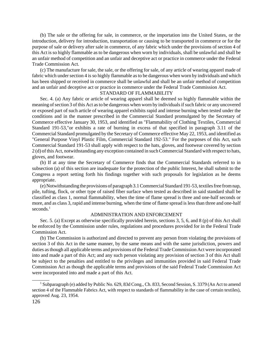(b) The sale or the offering for sale, in commerce, or the importation into the United States, or the introduction, delivery for introduction, transportation or causing to be transported in commerce or for the purpose of sale or delivery after sale in commerce, of any fabric which under the provisions of section 4 of this Act is so highly flammable as to be dangerous when worn by individuals, shall be unlawful and shall be an unfair method of competition and an unfair and deceptive act or practice in commerce under the Federal Trade Commission Act.

(c) The manufacture for sale, the sale, or the offering for sale, of any article of wearing apparel made of fabric which under section 4 is so highly flammable as to be dangerous when worn by individuals and which has been shipped or received in commerce shall be unlawful and shall be an unfair method of competition and an unfair and deceptive act or practice in commerce under the Federal Trade Commission Act.

### STANDARD OF FLAMMABILITY

Sec. 4. (a) Any fabric or article of wearing apparel shall be deemed so highly flammable within the meaning of section 3 of this Act as to be dangerous when worn by individuals if such fabric or any uncovered or exposed part of such article of wearing apparel exhibits rapid and intense burning when tested under the conditions and in the manner prescribed in the Commercial Standard promulgated by the Secretary of Commerce effective January 30, 1953, and identified as "Flammability of Clothing Textiles, Commercial Standard 191-53,"or exhibits a rate of burning in excess of that specified in paragraph 3.11 of the Commercial Standard promulgated by the Secretary of Commerce effective May 22, 1953, and identified as "General Purpose Vinyl Plastic Film, Commercial Standard 192-53." For the purposes of this Act, such Commercial Standard 191-53 shall apply with respect to the hats, gloves, and footwear covered by section 2 (d) of this Act, notwithstanding any exception contained in such Commercial Standard with respect to hats, gloves, and footwear.

(b) If at any time the Secretary of Commerce finds that the Commercial Standards referred to in subsection (a) of this section are inadequate for the protection of the public Interest, he shall submit to the Congress a report setting forth his findings together with such proposals for legislation as he deems appropriate.

(e) Notwithstanding the provisions of paragraph 3.1Commercial Standard 191-53, textiles free from nap, pile, tufting, flock, or other type of raised fiber surface when tested as described in said standard shall be classified as class 1, normal flammability, when the time of flame spread is three and one-half seconds or more, and as class 3, rapid and intense burning, when the time of flame spread is less than three and one-half  $seconds.<sup>1</sup>$ 

#### ADMINISTRATION AND ENFORCEMENT

Sec. 5. (a) Except as otherwise specifically provided herein, sections 3, 5, 6, and 8 (p) of this Act shall be enforced by the Commission under rules, regulations and procedures provided for in the Federal Trade Commission Act.

(b) The Commission is authorized and directed to prevent any person from violating the provisions of section 3 of this Act in the same manner, by the same means and with the same jurisdiction, powers and duties as though all applicable terms and provisions of the Federal Trade Commission Act were incorporated into and made a part of this Act; and any such person violating any provision of section 3 of this Act shall be subject to the penalties and entitled to the privileges and immunities provided in said Federal Trade Commission Act as though the applicable terms and provisions of the said Federal Trade Commission Act were incorporated into and made a part of this Act.

\_\_\_\_\_\_\_

<sup>&</sup>lt;sup>1</sup> Subparagraph (e) added by Public No. 629, 83d Cong., Ch. 833, Second Session, S. 3379 (An Act to amend section 4 of the Flammable Fabrics Act, with respect to standards of flammability in the case of certain textiles), approved Aug. 23, 1954.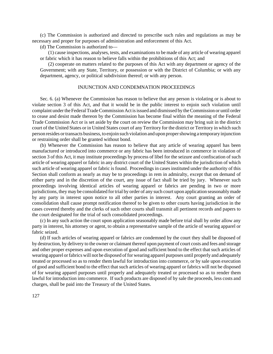(c) The Commission is authorized and directed to prescribe such rules and regulations as may be necessary and proper for purposes of administration and enforcement of this Act.

(d) The Commission is authorized to—

(1) cause inspections, analyses, tests, and examinationsto be made of any article of wearing apparel or fabric which it has reason to believe falls within the prohibitions of this Act; and

(2) cooperate on matters related to the purposes of this Act with any department or agency of the Government; with any State, Territory, or possession or with the District of Columbia; or with any department, agency, or political subdivision thereof; or with any person.

#### INJUNCTION AND CONDEMNATION PROCEEDINGS

Sec. 6. (a) Whenever the Commission has reason to believe that any person is violating or is about to violate section 3 of this Act, and that it would be in the public interest to enjoin such violation until complaint under the Federal Trade Commission Act is issued and dismissed by the Commission or until order to cease and desist made thereon by the Commission has become final within the meaning of the Federal Trade Commission Act or is set aside by the court on review the Commission may bring suit in the district court of the United States or in United States court of any Territory for the district or Territory in which such person resides ortransacts business, to enjoin such violation and upon propershowing a temporary injunction or restraining order shall be granted without bond.

(b) Whenever the Commission has reason to believe that any article of wearing apparel has been manufactured or introduced into commerce or any fabric has been introduced in commerce in violation of section 3 of this Act, it may institute proceedings by process of libel for the seizure and confiscation of such article of wearing apparel or fabric in any district court of the United States within the jurisdiction of which such article of wearing apparel or fabric is found. Proceedings in cases instituted under the authority of this Section shall conform as nearly as may be to proceedings in rem in admiralty, except that on demand of either party and in the discretion of the court, any issue of fact shall be tried by jury. Whenever such proceedings involving identical articles of wearing apparel or fabrics are pending in two or more jurisdictions, they may be consolidated for trial by order of any such court upon application seasonably made by any party in interest upon notice to all other parties in interest. Any court granting an order of consolidation shall cause prompt notification thereof to be given to other courts having jurisdiction in the cases covered thereby and the clerks of such other courts shall transmit all pertinent records and papers to the court designated for the trial of such consolidated proceedings.

(c) In any such action the court upon application seasonably made before trial shall by order allow any party in interest, his attorney or agent, to obtain a representative sample of the article of wearing apparel or fabric seized.

(d) If such articles of wearing apparel or fabrics are condemned by the court they shall be disposed of by destruction, by delivery to the owner or claimant thereof upon payment of court costs and fees and storage and other proper expenses and upon execution of good and sufficient bond to the effect that such articles of wearing apparel or fabrics will not be disposed of for wearing apparel purposes until properly and adequately treated or processed so as to render them lawful for introduction into commerce, or by sale upon execution of good and sufficient bond to the effect that such articles of wearing apparel or fabrics will not be disposed of for wearing apparel purposes until properly and adequately treated or processed so as to render them lawful for introduction into commerce. If such products are disposed of by sale the proceeds, less costs and charges, shall be paid into the Treasury of the United States.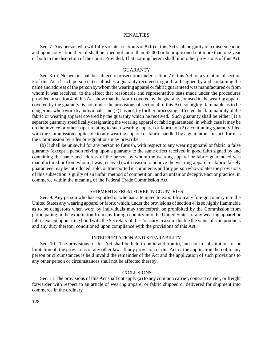#### PENALTIES

Sec. 7. Any person who willfully violates section 3 or 8 (b) of this Act shall be guilty of a misdemeanor, and upon conviction thereof shall be fined not more than \$5,000 or be imprisoned not more than one year or both in the discretion of the court: Provided, That nothing herein shall limit other provisions of this Act.

#### **GUARANTY**

Sec. 8. (a) No person shall be subject to prosecution under section 7 of this Act for a violation of section 3 of this Act if such person (1) establishes a guaranty received in good faith signed by and containing the name and address of the person by whom the wearing apparel or fabric guaranteed was manufactured or from whom it was received, to the effect that reasonable and representative tests made under the procedures provided in section 4 of this Act show that the fabric covered by the guaranty, or used in the wearing apparel covered by the guaranty, is not, under the provisions of section 4 of this Act, so highly flammable as to be dangerous when worn by individuals, and (2) has not, by further processing, affected the flammability of the fabric or wearing apparel covered by the guaranty which he received. Such guaranty shall be either (1) a separate guaranty specifically designating the wearing apparel or fabric guaranteed, in which case it may be on the invoice or other paper relating to such wearing apparel or fabric; or (2) a continuing guaranty filed with the Commission applicable to any wearing apparel or fabric handled by a guarantor. In such form as the Commission by rules or regulations may prescribe.

(b) It shall be unlawful for any person to furnish, with respect to any wearing apparel or fabric, a false guaranty (except a person relying upon a guaranty to the same effect received in good faith signed by and containing the name and address of the person by whom the wearing apparel or fabric guaranteed was manufactured or from whom it was received) with reason to believe the wearing apparel or fabric falsely guaranteed may be introduced, sold, or transported in commerce, and any person who violates the provisions of this subsection is guilty of an unfair method of competition, and an unfair or deceptive act or practice, in commerce within the meaning of the Federal Trade Commission Act.

## SHIPMENTS FROM FOREIGN COUNTRIES

Sec. 9. Any person who has exported or who has attempted to export from any foreign country into the United States any wearing apparel or fabric which, under the provisions of section 4, is so highly flammable as to be dangerous when worn by individuals may thenceforth be prohibited by the Commission from participating in the exportation from any foreign country into the United States of any wearing apparel or fabric except upon filing bond with the Secretary of the Treasury in a sum double the value of said products and any duty thereon, conditioned upon compliance with the provisions of this Act.

#### INTERPRETATION AND SEPARABILITY

Sec. 10. The provisions of this Act shall be held to be in addition to, and not in substitution for or limitation of, the provisions of any other law. If any provision of this Act or the application thereof to any person or circumstances is held invalid the remainder of the Act and the application of such provisions to any other person or circumstances shall not be affected thereby.

#### EXCLUSIONS

Sec. 11.The provisions of this Act shall not apply (a) to any common carrier, contract carrier, or freight forwarder with respect to an article of wearing apparel or fabric shipped or delivered for shipment into commerce in the ordinary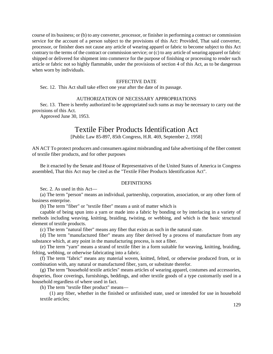course of its business; or (b) to any converter, processor, or finisher in performing a contract or commission service for the account of a person subject to the provisions of this Act: Provided, That said converter, processor, or finisher does not cause any article of wearing apparel or fabric to become subject to this Act contrary to the terms of the contract or commission service; or (c) to any article of wearing apparel or fabric shipped or delivered for shipment into commerce for the purpose of finishing or processing to render such article or fabric not so highly flammable, under the provisions of section 4 of this Act, as to be dangerous when worn by individuals.

#### EFFECTIVE DATE

Sec. 12. This Act shall take effect one year after the date of its passage.

## AUTHORIZATION OF NECESSARY APPROPRIATIONS

Sec. 13. There is hereby authorized to be appropriated such sums as may be necessary to carry out the provisions of this Act.

Approved June 30, 1953.

# Textile Fiber Products Identification Act

[Public Law 85-897, 85th Congress, H.R. 469, September 2, 1958]

AN ACT To protect producers and consumers against misbranding and false advertising of the fiber content of textile fiber products, and for other purposes

Be it enacted by the Senate and House of Representatives of the United States of America in Congress assembled, That this Act may be cited as the "Textile Fiber Products Identification Act".

## **DEFINITIONS**

Sec. 2. As used in this Act—

(a) The term "person" means an individual, partnership, corporation, association, or any other form of business enterprise.

(b) The term "fiber" or "textile fiber" means a unit of matter which is

capable of being spun into a yarn or made into a fabric by bonding or by interlacing in a variety of methods including weaving, knitting, braiding, twisting, or webbing, and which is the basic structural element of textile products.

(c) The term "natural fiber" means any fiber that exists as such in the natural state.

(d) The term "manufactured fiber" means any fiber derived by a process of manufacture from any substance which, at any point in the manufacturing process, is not a fiber.

(e) The term "yarn" means a strand of textile fiber in a form suitable for weaving, knitting, braiding, felting, webbing, or otherwise fabricating into a fabric.

(f) The term "fabric" means any material woven, knitted, felted, or otherwise produced from, or in combination with, any natural or manufactured fiber, yarn, or substitute therefor.

(g) The term "household textile articles" means articles of wearing apparel, costumes and accessories, draperies, floor coverings, furnishings, beddings, and other textile goods of a type customarily used in a household regardless of where used in fact.

(h) The term "textile fiber product" means—

(1) any fiber, whether in the finished or unfinished state, used or intended for use in household textile articles;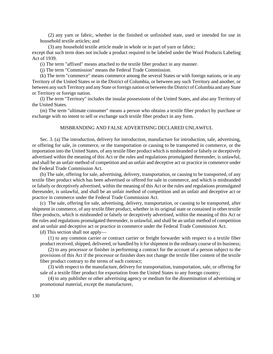(2) any yarn or fabric, whether in the finished or unfinished state, used or intended for use in household textile articles; and

(3) any household textile article made in whole or in part of yarn or fabric;

except that such term does not include a product required to be labeled under the Wool Products Labeling Act of 1939.

(i) The term "affixed" means attached to the textile fiber product in any manner.

(j) The term "Commission" means the Federal Trade Commission.

(k) The term "commerce" means commerce among the several States or with foreign nations, or in any Territory of the United States or in the District of Columbia, or between any such Territory and another, or between any such Territory and any State or foreign nation or between the District of Columbia and any State or Territory or foreign nation.

(l) The term "Territory" includes the insular possessions of the United States, and also any Territory of the United States.

(m) The term "ultimate consumer" means a person who obtains a textile fiber product by purchase or exchange with no intent to sell or exchange such textile fiber product in any form.

## MISBRANDING AND FALSE ADVERTISING DECLARED UNLAWFUL

Sec. 3. (a) The introduction, delivery for introduction, manufacture for introduction, sale, advertising, or offering for sale, in commerce, or the transportation or causing to be transported in commerce, or the importation into the United States, of any textile fiber product which is misbranded or falsely or deceptively advertised within the meaning of this Act or the rules and regulations promulgated thereunder, is unlawful, and shall be an unfair method of competition and an unfair and deceptive act or practice in commerce under the Federal Trade Commission Act.

(b) The sale, offering for sale, advertising, delivery, transportation, or causing to be transported, of any textile fiber product which has been advertised or offered for sale in commerce, and which is misbranded or falsely or deceptively advertised, within the meaning of this Act or the rules and regulations promulgated thereunder, is unlawful, and shall be an unfair method of competition and an unfair and deceptive act or practice in commerce under the Federal Trade Commission Act.

(c) The sale, offering for sale, advertising, delivery, transportation, or causing to be transported, after shipment in commerce, of any textile fiber product, whether in its original state or contained in other textile fiber products, which is misbranded or falsely or deceptively advertised, within the meaning of this Act or the rules and regulations promulgated thereunder, is unlawful, and shall be an unfair method of competition and an unfair and deceptive act or practice in commerce under the Federal Trade Commission Act.

(d) This section shall not apply—

(1) to any common carrier or contract carrier or freight forwarder with respect to a textile fiber product received, shipped, delivered, or handled by it for shipment in the ordinary course of its business;

(2) to any processor or finisher in performing a contract for the account of a person subject to the provisions of this Act if the processor or finisher does not change the textile fiber content of the textile fiber product contrary to the terms of such contract;

(3) with respect to the manufacture, delivery for transportation, transportation, sale, or offering for sale of a textile fiber product for exportation from the United States to any foreign country;

(4) to any publisher or other advertising agency or medium for the dissemination of advertising or promotional material, except the manufacturer,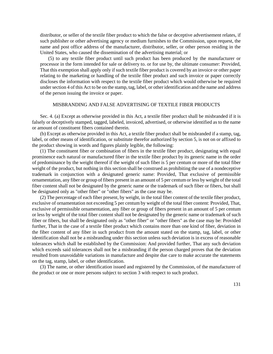distributor, or seller of the textile fiber product to which the false or deceptive advertisement relates, if such publisher or other advertising agency or medium furnishes to the Commission, upon request, the name and post office address of the manufacturer, distributor, seller, or other person residing in the United States, who caused the dissemination of the advertising material; or

(5) to any textile fiber product until such product has been produced by the manufacturer or processor in the form intended for sale or delivery to. or for use by, the ultimate consumer: Provided, That this exemption shall apply only if such textile fiber product is covered by an invoice or other paper relating to the marketing or handling of the textile fiber product and such invoice or paper correctly discloses the information with respect to the textile fiber product which would otherwise be required under section 4 of this Act to be on the stamp, tag, label, or other identification and the name and address of the person issuing the invoice or paper.

#### MISBRANDING AND FALSE ADVERTISING OF TEXTILE FIBER PRODUCTS

Sec. 4. (a) Except as otherwise provided in this Act, a textile fiber product shall be misbranded if it is falsely or deceptively stamped, tagged, labeled, invoiced, advertised, or otherwise identified as to the name or amount of constituent fibers contained therein.

(b) Except as otherwise provided in this Act, a textile fiber product shall be misbranded if a stamp, tag, label, or other means of identification, or substitute therefor authorized by section 5, is not on or affixed to the product showing in words and figures plainly legible, the following:

(1) The constituent fiber or combination of fibers in the textile fiber product, designating with equal prominence each natural or manufactured fiber in the textile fiber product by its generic name in the order of predominance by the weight thereof if the weight of such fiber is 5 per centum or more of the total fiber weight of the product, but nothing in this section shall be construed as prohibiting the use of a nondeceptive trademark in conjunction with a designated generic name: Provided, That exclusive of permissible ornamentation, any fiber or group of fibers present in an amount of 5 per centumor less by weight of the total fiber content shall not be designated by the generic name or the trademark of such fiber or fibers, but shall be designated only as "other fiber" or "other fibers" as the case may be.

(2) The percentage of each fiber present, by weight, in the total fiber content of the textile fiber product, exclusive of ornamentation not exceeding 5 per centum by weight of the total fiber content: Provided, That, exclusive of permissible ornamentation, any fiber or group of fibers present in an amount of 5 per centum or less by weight of the total fiber content shall not be designated by the generic name or trademark of such fiber or fibers, but shall be designated only as "other fiber" or "other fibers" as the case may be: Provided further, That in the case of a textile fiber product which contains more than one kind of fiber, deviation in the fiber content of any fiber in such product from the amount stated on the stamp, tag, label, or other identification shall not be a misbranding under this section unless such deviation is in excess of reasonable tolerances which shall be established by the Commission: And provided further, That any such deviation which exceeds said tolerances shall not be a misbranding if the person charged proves that the deviation resulted from unavoidable variations in manufacture and despite due care to make accurate the statements on the tag, stamp, label, or other identification.

(3) The name, or other identification issued and registered by the Commission, of the manufacturer of the product or one or more persons subject to section 3 with respect to such product.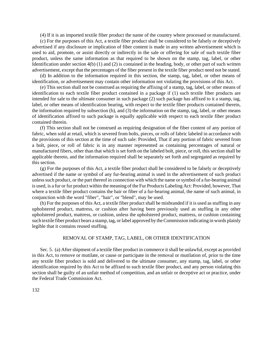(4) If it is an imported textile fiber product the name of the country where processed or manufactured.

(c) For the purposes of this Act, a textile fiber product shall be considered to be falsely or deceptively advertised if any disclosure or implication of fiber content is made in any written advertisement which is used to aid, promote, or assist directly or indirectly in the sale or offering for sale of such textile fiber product, unless the same information as that required to be shown on the stamp, tag, label, or other Identification under section 4(b) (1) and (2) is contained in the heading, body, or other part of such written advertisement, except that the percentages of the fiber present in the textile fiber product need not be stated.

(d) In addition to the information required in this section, the stamp, tag, label, or other means of identification, or advertisement may contain other information not violating the provisions of this Act.

(e) This section shall not be construed as requiring the affixing of a stamp, tag, label, or other means of identification to each textile fiber product contained in a package if (1) such textile fiber products are intended for sale to the ultimate consumer in such package (2) such package has affixed to it a stamp, tag, label, or other means of identification bearing, with respect to the textile fiber products contained therein, the information required by subsection (b), and (3) the information on the stamp, tag, label, or other means of identification affixed to such package is equally applicable with respect to each textile fiber product contained therein.

(f) This section shall not be construed as requiring designation of the fiber content of any portion of fabric, when sold at retail, which is severed from bolts, pieces, or rolls of fabric labeled in accordance with the provisions of this section at the time of such sale: Provided, That if any portion of fabric severed from a bolt, piece, or roll of fabric is in any manner represented as containing percentages of natural or manufactured fibers, other than that which is set forth on the labeled bolt, piece, or roll, this section shall be applicable thereto, and the information required shall be separately set forth and segregated as required by this section.

(g) For the purposes of this Act, a textile fiber product shall be considered to be falsely or deceptively advertised if the name or symbol of any fur-bearing animal is used in the advertisement of such product unless such product, or the part thereof in connection with which the name or symbol of a fur-bearing animal is used, is a fur or fur product within the meaning of the Fur Products Labeling Act: Provided, however, That where a textile fiber product contains the hair or fiber of a fur-bearing animal, the name of such animal, in conjunction with the word "fiber", "hair", or "blend", may be used.

(h) For the purposes of this Act, a textile fiber product shall be misbranded if it is used as stuffing in any upholstered product, mattress, or cushion after having been previously used as stuffing in any other upholstered product, mattress, or cushion, unless the upholstered product, mattress, or cushion containing such textile fiber product bears a stamp, tag, or label approved by the Commission indicating in words plainly legible that it contains reused stuffing.

#### REMOVAL OF STAMP, TAG, LABEL, OR OTHER IDENTIFICATION

Sec. 5. (a) After shipment of a textile fiber product in commerce it shall be unlawful, except as provided in this Act, to remove or mutilate, or cause or participate in the removal or mutilation of, prior to the time any textile fiber product is sold and delivered to the ultimate consumer, any stamp, tag, label, or other identification required by this Act to be affixed to such textile fiber product, and any person violating this section shall be guilty of an unfair method of competition, and an unfair or deceptive act or practice, under the Federal Trade Commission Act.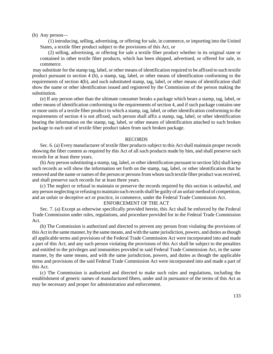(b) Any person—

(1) introducing, selling, advertising, or offering for sale, in commerce, or importing into the United States, a textile fiber product subject to the provisions of this Act, or

(2) selling, advertising, or offering for sale a textile fiber product whether in its original state or contained in other textile fiber products, which has been shipped, advertised, or offered for sale, in commerce.

may substitute for the stamp tag, label, or other means of identification required to be affixed to such textile product pursuant to section 4 (b), a stamp, tag, label, or other means of identification conforming to the requirements of section 4(b), and such substituted stamp, tag, label, or other means of identification shall show the name or other identification issued and registered by the Commission of the person making the substitution.

(e) If any person other than the ultimate consumer breaks a package which bears a stamp, tag, label, or other means of identification conforming to the requirements of section 4, and if such package contains one or more units of a textile fiber product to which a stamp, tag, label, or other identification conforming to the requirements of section 4 is not affixed, such person shall affix a stamp, tag, label, or other identification bearing the information on the stamp, tag, label, or other means of identification attached to such broken package to each unit of textile fiber product taken from such broken package.

#### RECORDS

Sec. 6. (a) Every manufacturer of textile fiber products subject to this Act shall maintain proper records showing the fiber content as required by this Act of all such products made by him, and shall preserve such records for at least three years.

 $(b)$  Any person substituting a stamp, tag, label, or other identification pursuant to section 5 $(b)$  shall keep such records as will show the information set forth on the stamp, tag, label, or other identification that he removed and the name or names of the person or personsfromwhomsuch textile fiber product wasreceived, and shall preserve such records for at least three years.

(c) The neglect or refusal to maintain or preserve the records required by this section is unlawful, and any person neglecting or refusing to maintain such records shall be guilty of an unfair method of competition, and an unfair or deceptive act or practice, in commerce, under the Federal Trade Commission Act.

#### ENFORCEMENT OF THE ACT

Sec. 7. (a) Except as otherwise specifically provided herein, this Act shall be enforced by the Federal Trade Commission under rules, regulations, and procedure provided for in the Federal Trade Commission Act.

(b) The Commission is authorized and directed to prevent any person from violating the provisions of this Act in the same manner, by the same means, and with the same jurisdiction, powers, and duties asthough all applicable terms and provisions of the Federal Trade Commission Act were incorporated into and made a part of this Act; and any such person violating the provisions of this Act shall be subject to the penalties and entitled to the privileges and immunities provided in said Federal Trade Commission Act, in the same manner, by the same means, and with the same jurisdiction, powers, and duties as though the applicable terms and provisions of the said Federal Trade Commission Act were incorporated into and made a part of this Act.

(c) The Commission is authorized and directed to make such rules and regulations, including the establishment of generic names of manufactured fibers, under and in pursuance of the terms of this Act as may be necessary and proper for administration and enforcement.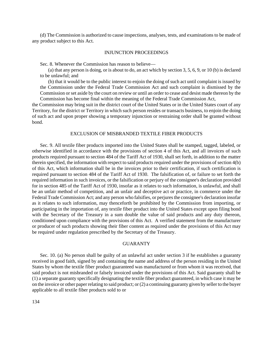(d) The Commission is authorized to cause inspections, analyses, tests, and examinations to be made of any product subject to this Act.

#### INJUNCTION PROCEEDINGS

Sec. 8. Whenever the Commission has reason to believe—

(a) that any person is doing, or is about to do, an act which by section 3, 5, 6, 9, or 10 (b) is declared to be unlawful; and

(b) that it would be to the public interest to enjoin the doing of such act until complaint is issued by the Commission under the Federal Trade Commission Act and such complaint is dismissed by the Commission or set aside by the court on review or until an order to cease and desist made thereon by the Commission has become final within the meaning of the Federal Trade Commission Act,

the Commission may bring suit in the district court of the United States or in the United States court of any Territory, for the district or Territory in which such person resides or transacts business, to enjoin the doing of such act and upon proper showing a temporary injunction or restraining order shall be granted without bond.

## EXCLUSION OF MISBRANDED TEXTILE FIBER PRODUCTS

Sec. 9. All textile fiber products imported into the United States shall be stamped, tagged, labeled, or otherwise identified in accordance with the provisions of section 4 of this Act, and all invoices of such products required pursuant to section 484 of the Tariff Act of 1930, shall set forth, in addition to the matter therein specified, the information with respect to said products required under the provisions of section 4(b) of this Act, which information shall be in the invoices prior to their certification, if such certification is required pursuant to section 484 of the Tariff Act of 1930. The falsification of, or failure to set forth the required information in such invoices, or the falsification or perjury of the consignee's declaration provided for in section 485 of the Tariff Act of 1930, insofar as it relates to such information, is unlawful, and shall be an unfair method of competition, and an unfair and deceptive act or practice, in commerce under the Federal Trade Commission Act; and any person who falsifies, or perjures the consignee's declaration insofar as it relates to such information, may thenceforth be prohibited by the Commission from importing, or participating in the importation of, any textile fiber product into the United States except upon filing bond with the Secretary of the Treasury in a sum double the value of said products and any duty thereon, conditioned upon compliance with the provisions of this Act. A verified statement from the manufacturer or producer of such products showing their fiber content as required under the provisions of this Act may be required under regulation prescribed by the Secretary of the Treasury.

## GUARANTY

Sec. 10. (a) No person shall be guilty of an unlawful act under section 3 if he establishes a guaranty received in good faith, signed by and containing the name and address of the person residing in the United States by whom the textile fiber product guaranteed was manufactured or from whom it was received, that said product is not misbranded or falsely invoiced under the provisions of this Act. Said guaranty shall be (1) a separate guaranty specifically designating the textile fiber product guaranteed, in which case it may be on the invoice or other paper relating to said product; or(2) a continuing guaranty given by sellerto the buyer applicable to all textile fiber products sold to or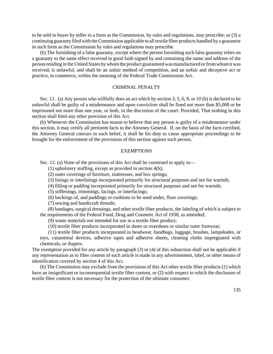to be sold to buyer by seller in a form as the Commission, by rules and regulations, may prescribe; or (3) a continuing guaranty filed with theCommission applicable to all textile fiber products handled by a guarantor in such form as the Commission by rules and regulations may prescribe.

(b) The furnishing of a false guaranty, except where the person furnishing such false guaranty relies on a guaranty to the same effect received in good faith signed by and containing the name and address of the person residing in the United States by whom the product guaranteed was manufactured or from whom it was received, is unlawful, and shall be an unfair method of competition, and an unfair and deceptive act or practice, in commerce, within the meaning of the Federal Trade Commission Act.

#### CRIMINAL PENALTY

Sec. 11. (a) Any person who willfully does an act which by section 3, 5, 6, 9, or 10 (b) is declared to be unlawful shall be guilty of a misdemeanor and upon conviction shall be fined not more than \$5,000 or be imprisoned not more than one year, or both, in the discretion of the court: Provided, That nothing in this section shall limit any other provision of this Act.

(b) Whenever the Commission has reason to believe that any person is guilty of a misdemeanor under this section, it may certify all pertinent facts to the Attorney General. If, on the basis of the facts certified, the Attorney General concurs in such belief, it shall be his duty to cause appropriate proceedings to be brought for the enforcement of the provisions of this section against such person.

#### **EXEMPTIONS**

Sec. 12. (a) None of the provisions of this Act shall be construed to apply to—

(1) upholstery stuffing, except as provided in section 4(h);

(2) outer coverings of furniture, mattresses, and box springs;

(3) linings or interlinings incorporated primarily for structural purposes and not for warmth;

(4) filling or padding incorporated primarily for structural purposes and not for warmth;

(5) stiffenings, trimmings, facings, or interfacings;

(6) backings of, and paddings or cushions to be used under, floor coverings;

(7) sewing and handicraft threads;

(8) bandages, surgical dressings, and other textile fiber products, the labeling of which is subject to the requirements of the Federal Food, Drug and Cosmetic Act of 1938, as amended;

(9) waste materials not intended for use in a textile fiber product;

(10) textile fiber products incorporated in shoes or overshoes or similar outer footwear;

(11) textile fiber products incorporated in headwear, handbags, luggage, brushes, lampshades, or toys, catamenial devices, adhesive tapes and adhesive sheets, cleaning cloths impregnated with

chemicals, or diapers.

The exemption provided for any article by paragraph (3) or (4) of this subsection shall not be applicable if any representation as to fiber content of such article is made in any advertisement, label, or other means of identification covered by section 4 of this Act.

(b) The Commission may exclude from the provisions of this Act other textile fiber products (1) which have an insignificant or inconsequential textile fiber content, or (2) with respect to which the disclosure of textile fiber content is not necessary for the protection of the ultimate consumer.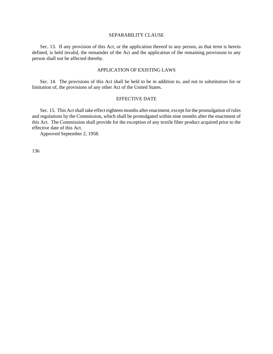#### SEPARABILITY CLAUSE

Sec. 13. If any provision of this Act, or the application thereof to any person, as that term is herein defined, is held invalid, the remainder of the Act and the application of the remaining provisions to any person shall not be affected thereby.

## APPLICATION OF EXISTING LAWS

Sec. 14. The provisions of this Act shall be held to be in addition to, and not in substitution for or limitation of, the provisions of any other Act of the United States.

# EFFECTIVE DATE

Sec. 15. This Act shall take effect eighteen months after enactment, except for the promulgation of rules and regulations by the Commission, which shall be promulgated within nine months after the enactment of this Act. The Commission shall provide for the exception of any textile fiber product acquired prior to the effective date of this Act.

Approved September 2, 1958.

136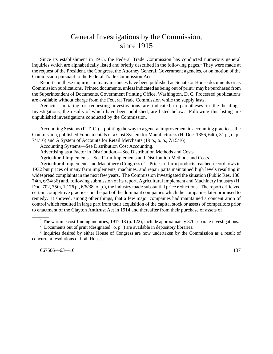# General Investigations by the Commission, since 1915

Since its establishment in 1915, the Federal Trade Commission has conducted numerous general inquiries which are alphabetically listed and briefly described in the following pages.<sup>1</sup> They were made at the request of the President, the Congress, the Attorney General, Government agencies, or on motion of the Commission pursuant to the Federal Trade Commission Act.

Reports on these inquiries in many instances have been published as Senate or House documents or as Commission publications. Printed documents, unless indicated as being out of print, $\frac{2}{3}$  may be purchased from the Superintendent of Documents, Government Printing Office, Washington, D. C. Processed publications are available without charge from the Federal Trade Commission while the supply lasts.

Agencies initiating or requesting investigations are indicated in parentheses in the headings. Investigations, the results of which have been published, are listed below. Following this listing are unpublished investigations conducted by the Commission.

Accounting Systems (F. T. C.)—pointing the way to a general improvement in accounting practices, the Commission, published Fundamentals of a Cost System for Manufacturers (H. Doc. 1356, 64th, 31 p., o. p., 7/1/16) and A System of Accounts for Retail Merchants (19 p., o. p., 7/15/16).

Accounting Systems—See Distribution Cost Accounting.

Advertising as a Factor in Distribution.—See Distribution Methods and Costs.

Agricultural Implements—See Farm Implements and Distribution Methods and Costs.

Agricultural Implements and Machinery (Congress).<sup>3</sup>—Prices of farm products reached record lows in 1932 but prices of many farm implements, machines, and repair parts maintained high levels resulting in widespread complaints in the next few years. The Commission investigated the situation (Public Res. 130, 74th, 6/24/36) and, following submission of its report, Agricultural Implement and Machinery Industry (H. Doc. 702, 75th, 1,176 p., 6/6/38, o. p.), the industry made substantial price reductions. The report criticized certain competitive practices on the part of the dominant companies which the companies later promised to remedy. It showed, among other things, that a few major companies had maintained a concentration of control which resulted in large part from their acquisition of the capital stock or assets of competitors prior to enactment of the Clayton Antitrust Act in 1914 and thereafter from their purchase of assets of

<sup>1</sup> The wartime cost-finding inquiries, 1917-18 (p. 122), include approximately 870 separate investigations.

 $2$  Documents out of print (designated "o. p.") are available in depository libraries.

<sup>3</sup> Inquiries desired by either House of Congress are now undertaken by the Commission as a result of concurrent resolutions of both Houses.

667506—63—10 137

 $\overline{\phantom{a}}$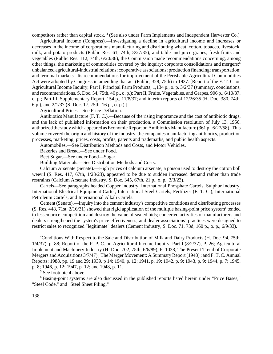competitors rather than capital stock.<sup>4</sup> (See also under Farm Implements and Independent Harvester Co.)

Agricultural Income (Congress).—Investigating a decline in agricultural income and increases or decreases in the income of corporations manufacturing and distributing wheat, cotton, tobacco, livestock, milk, and potato products (Public Res. 61, 74th, 8/27/35), and table and juice grapes, fresh fruits and vegetables (Public Res. 112, 74th, 6/20/36), the Commission made recommendations concerning, among other things, the marketing of commodities covered by the inquiry; corporate consolidations and mergers;<sup>5</sup> unbalanced agricultural-industrial relations; cooperative associations; production financing; transportation; and terminal markets. Its recommendations for improvement of the Perishable Agricultural Commodities Act were adopted by Congress in amending that act (Public, 328, 75th) in 1937. [Report of the F. T. C. on Agricultural Income Inquiry, Part I, Principal Farm Products, 1,134 p., o. p. 3/2/37 (summary, conclusions, and recommendations, S. Doc. 54, 75th, 40 p., o. p.); Part II, Fruits, Vegetables, and Grapes, 906 p., 6/10/37, o. p.; Part III, Supplementary Report, 154 p., 11/8/37; and interim reports of 12/26/35 (H. Doc. 380, 74th, 6 p.), and 2/1/37 (S. Doc. 17, 75th, 16 p., o. p.).]

Agricultural Prices—See Price Deflation.

Antibiotics Manufacture (F. T. C.).—Because of the rising importance and the cost of antibiotic drugs, and the lack of published information on their production, a Commission resolution of July 13, 1956, authorized the study which appeared as Economic Report on Antibiotics Manufacture (361 p., 6/27/58). This volume covered the origin and history of the industry, the companies manufacturing antibiotics, production processes, marketing, prices, costs, profits, patents and trademarks, and public health aspects.

Automobiles.—See Distribution Methods and Costs, and Motor Vehicles.

Bakeries and Bread.—See under Food.

Beet Sugar.—See under Food—Sugar.

Building Materials.—See Distribution Methods and Costs.

Calcium Arsenate (Senate).—High prices of calcium arsenate, a poison used to destroy the cotton boll weevil (S. Res. 417, 67th, 1/23/23), appeared to be due to sudden increased demand rather than trade restraints (Calcium Arsenate Industry, S. Doc. 345, 67th, 21 p., o. p., 3/3/23).

Cartels—See paragraphs headed Copper Industry, International Phosphate Cartels, Sulphur Industry, International Electrical Equipment Cartel, International Steel Cartels, Fertilizer (F. T. C.), International Petroleum Cartels, and International Alkali Cartels.

Cement (Senate).—Inquiry into the cement industry's competitive conditions and distributing processes  $(S. Res. 448, 71st, 2/16/31)$  showed that rigid application of the multiple basing-point price system<sup>6</sup> tended to lessen price competition and destroy the value of sealed bids; concerted activities of manufacturers and dealers strengthened the system's price effectiveness; and dealer associations' practices were designed to restrict sales to recognized "legitimate" dealers (Cement industry, S. Doc. 71, 73d, 160 p., o. p., 6/9/33).

\_\_\_\_\_\_\_

<sup>4</sup>Conditions With Respect to the Sale and Distribution of Milk and Dairy Products (H. Doc. 94, 75th, 1/4/37), p. 88; Report of the P. P. C. on Agricultural Income Inquiry, Part I (8/2/37), P. 26; Agricultural Implement and Machinery Industry (H. Doc. 702, 75th, 6/6/89), P. 1038, The Present Trend of Corporate Mergers and Acquisitions 3/7/47); The Merger Movement: A Summary Report (1948); and F. T. C. Annual Reports: 1988, pp. 19 and 29: 1939, p 14: 1940, p. 12; 1941, p. 19; 1942, p. 9; 1943, p. 9; 1944, p. 7; 1945, p. 8; 1946, p. 12; 1947, p. 12; and 1948, p. 11.

<sup>5</sup> See footnote 4 above.

<sup>6</sup> Basing-point systems are also discussed in the published reports listed herein under "Price Bases," "Steel Code," and "Steel Sheet Piling."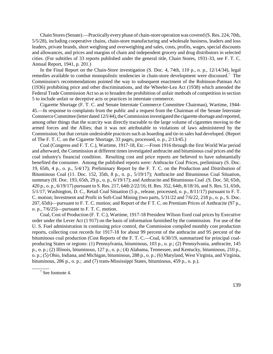Chain Stores(Senate).—Practically every phase of chain-store operation was covered (S.Res. 224, 70th, 5/5/28), including cooperative chains, chain-store manufacturing and wholesale business, leaders and loss leaders, private brands, short weighing and overweighing and sales, costs, profits, wages, special discounts and allowances, and prices and margins of chain and independent grocery and drug distributors in selected cities. (For subtitles of 33 reports published under the general title, Chain Stores, 1931-33, see F. T. C. Annual Report, 1941, p. 201.)

In the Final Report on the Chain-Store investigation (S. Doc. 4, 74th, 110 p., o. p., 12/14/34), legal remedies available to combat monopolistic tendencies in chain-store development were discussed.<sup>7</sup> The Commission's recommendations pointed the way to subsequent enactment of the Robinson-Patman Act (1936) prohibiting price and other discriminations, and the Wheeler-Lea Act (1938) which amended the Federal Trade Commission Act so as to broaden the prohibition of unfair methods of competition in section 5 to include unfair or deceptive acts or practices in interstate commerce.

Cigarette Shortage (F. T. C. and Senate Interstate Commerce Committee Chairman), Wartime, 1944- 45.—In response to complaints from the public and a request from the Chairman of the Senate Interstate Commerce Committee (letter dated 12/l/44), the Commission investigated the cigarette shortage and reported, among other things that the scarcity was directly traceable to the large volume of cigarettes moving to the armed forces and the Allies; that it was not attributable to violations of laws administered by the Commission; but that certain undesirable practices such as hoarding and tie-in sales had developed. (Report of The F. T. C. on the Cigarette Shortage, 33 pages, processed, o. p., 2/13/45.)

Coal (Congress and F. T. C.), Wartime, 1917-18, Etc.—From 1916 through the first World War period and afterward, the Commission at different times investigated anthracite and bituminous coal prices and the coal industry's financial condition. Resulting cost and price reports are believed to have substantially benefited the consumer. Among the published reports were: Anthracite Coal Prices, preliminary (S. Doc. 19, 65th, 4 p., o. p., 5/4/17); Preliminary Report by the F. T. C. on the Production and Distribution of Bituminous Coal (11. Doc. 152, 35th, 8 p., o. p., 5/19/17); Anthracite and Bituminous Coal Situation, summary (H. Doc. 193, 65th, 29 p., o. p., 6/19/17); and Anthracite and Bituminous Coal .(S. Doc. 50, 65th, 420 p., o. p., 6/19/17) pursuant to S. Res. 217, 64th 2/22/16; H. Res. 352, 64th, 8/18/16, and S. Res. 51, 65th, 5/1/17; Washington, D. C., Retail Coal Situation (5 p., release, processed, o. p., 8/11/17) pursuant to F. T. C. motion; Investment and Profit in Soft-Coal Mining (two parts, 5/31/22 and 7/6/22, 218 p., o. p., S. Doc. 207, 65th)—pursuant to F. T. C. motion; and Report of the F T. C. on Premium Prices of Anthracite (97 p., o. p., 7/6/25)—pursuant to F. T. C. motion.

Coal, Cost of Production (F. T. C.), Wartime, 1917-18 President Wilson fixed coal prices by Executive order under the Lever Act (1 917) on the basis of information furnished by the commission. For use of the U. S. Fuel administration in continuing price control, the Commission compiled monthly cost production reports, collecting cost records for 1917-18 for about 99 percent of the anthracite and 95 percent of the bituminous coal production (Cost Reports of the F. T. C.—Coal, 6/30/19, summarized for principal coalproducing States or regions: (1) Pennsylvania, bituminous, 103 p., o. p.; (2) Pennsylvania, anthracite, 145 p., o. p.; (2) Illinois, bituminous, 127 p., o. p.; (4) Alabama, Tennessee, and Kentucky, bituminous, 210 p., o. p.; (5) Ohio, Indiana, and Michigan, bituminous, 288 p., o. p.; (6) Maryland, West Virginia, and Virginia, bituminous, 286 p., o. p.; .and (7) trans-Mississippi States, bituminous, 459 p., o. p.).

<sup>7</sup> See footnote 4.

\_\_\_\_\_\_\_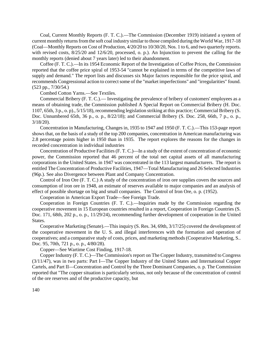Coal, Current Monthly Reports (F. T. C.).—The Commission (December 1919) initiated a system of current monthly returns from the soft coal industry similar to those compiled during the World War, 1917-18 (Coal—Monthly Reports on Cost of Production, 4/20/20 to 10/30/20, Nos. 1 to 6, and two quarterly reports. with revised costs, 8/25/20 and 12/6/20, processed, o. p.). An Injunction to prevent the calling for the monthly reports (denied about 7 years later) led to their abandonment.

Coffee (F. T. C.).—In its 1954 Economic Report of the Investigation of Coffee Prices, the Commission reported that the coffee price spiral of 1953-54 "cannot be explained in terms of the competitive laws of supply and demand." The report lists and discusses six Major factors responsible for the price spiral, and recommends Congressional action to correct some of the "market imperfections" and "irregularities" found. (523 pp., 7/30/54.)

Combed Cotton Yarns.—See Textiles.

Commercial Bribery (F. T. C.).— Investigating the prevalence of bribery of customers' employees as a means of obtaining trade, the Commission published A Special Report on Commercial Bribery (H. Doc. 1107, 65th, 3 p., o. p)., 5/15/18), recommending legislation striking at this practice; Commercial Bribery (S. Doc. Unnumbered 65th, 36 p., o. p., 8/22/18); and Commercial Bribery (S. Doc. 258, 66th, 7 p., o. p., 3/18/20).

Concentration in Manufacturing, Changes in, 1935 to 1947 and 1950 (F. T. C.).—This 153-page report shows that, on the basis of a study of the top 200 companies, concentration in American manufacturing was 2.8 percentage points higher in 1950 than in 1935. The report explores the reasons for the changes in recorded concentration in individual industries

Concentration of Productive Facilities (F. T. C.)—In a study of the extent of concentration of economic power, the Commission reported that 46 percent of the total net capital assets of all manufacturing corporations in the United States. in 1947 was concentrated in the 113 largest manufacturers. The report is entitled The Concentration of Productive Facilities, 1947—Total Manufacturing and 26 Selected Industries (96p.). See also Divergence between Plant and Company Concentration.

Control of Iron Ore (F. T. C.) A study of the concentration of iron ore supplies covers the sources and consumption of iron ore in 1948, an estimate of reserves available to major companies and an analysis of effect of possible shortage on big and small companies. The Control of Iron Ore, o. p. (1952).

Cooperation in American Export Trade—See Foreign Trade.

Cooperation in Foreign Countries (F. T. C.).—Inquiries made by the Commission regarding the cooperative movement in 15 European countries resulted in a report, Cooperation in Foreign Countries (S. Doc. 171, 68th, 202 p., o. p., 11/29/24), recommending further development of cooperation in the United States.

Cooperative Marketing (Senate).—This inquiry (S. Res. 34, 69th, 3/17/25) covered the development of the cooperative movement in the U. S. and illegal interferences with the formation and operation of cooperatives; and a comparative study of costs, prices, and marketing methods (Cooperative Marketing, S.. Doc. 95, 70th, 721 p., o. p., 4/80/28).

Copper—See Wartime Cost Finding, 1917-18.

Copper Industry (F. T. C.)—The Commission's report on The Copper Industry, transmitted to Congress (3/11/47), was in two parts: Part I—The Copper Industry of the United States and International Copper Cartels, and Part II—Concentration and Control by the Three Dominant Companies, o. p. The Commission reported that "The copper situation is particularly serious, not only because of the concentration of control of the ore reserves and of the productive capacity, but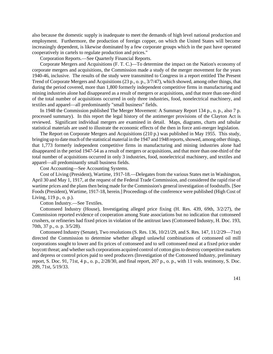also because the domestic supply is inadequate to meet the demands of high level national production and employment. Furthermore, the production of foreign copper, on which the United States will become increasingly dependent, is likewise dominated by a few corporate groups which in the past have operated cooperatively in cartels to regulate production and prices."

Corporation Reports.—See Quarterly Financial Reports.

Corporate Mergers and Acquisitions (F. T. C.)—To determine the impact on the Nation's economy of corporate mergers and acquisitions, the Commission made a study of the merger movement for the years 1940-46, inclusive. The results of the study were transmitted to Congress in a report entitled The Present Trend of Corporate Mergers and Acquisitions (23 p., o. p., 3/7/47), which showed, among other things, that during the period covered, more than 1,800 formerly independent competitive firms in manufacturing and mining industries alone had disappeared as a result of mergers or acquisitions, and that more than one-third of the total number of acquisitions occurred in only three industries, food, nonelectrical machinery, and textiles and apparel—all predominantly "small business" fields.

In 1948 the Commission published The Merger Movement: A Summary Report 134 p., o. p., also 7 p. processed summary). In this report the legal history of the antimerger provisions of the Clayton Act is reviewed. Significant individual mergers are examined in detail. Maps, diagrams, charts and tabular statistical materials are used to illustrate the economic effects of the then in force anti-merger legislation.

The Report on Corporate Mergers and Acquisitions (210 p.) was published in May 1955. This study, bringing up to date much of the statistical material in the 1947 and 1948 reports, showed, among other things, that 1,773 formerly independent competitive firms in manufacturing and mining industries alone had disappeared in the period 1947-54 as a result of mergers or acquisitions, and that more than one-third of the total number of acquisitions occurred in only 3 industries, food, nonelectrical machinery, and textiles and apparel—all predominantly small business fields.

Cost Accounting—See Accounting Systems.

Cost of Living (President), Wartime, 1917-18.—Delegates from the various States met in Washington, April 30 and May 1, 1917, at the request of the Federal Trade Commission, and considered the rapid rise of wartime prices and the plans then being made for the Commission's general investigation of foodstuffs. [See Foods (President), Wartime, 1917-18, herein.] Proceedings of the conference were published (High Cost of Living, 119 p., o. p.).

Cotton Industry.—See Textiles.

Cottonseed Industry (House), Investigating alleged price fixing (H. Res. 439, 69th, 3/2/27), the Commission reported evidence of cooperation among State associations but no indication that cottonseed crushers, or refineries had fixed prices in violation of the antitrust laws (Cottonseed Industry, H. Doc. 193, 70th, 37 p., o. p. 3/5/28).

Cottonseed Industry (Senate), Two resolutions (S. Res. 136, 10/21/29, and S. Res. 147, 11/2/29—71st) directed the Commission to determine whether alleged unlawful combinations of cottonseed oil mill corporations sought to lower and fix prices of cottonseed and to sell cottonseed meal at a fixed price under boycott threat; and whether such corporations acquired control of cotton gins to destroy competitive markets and depress or control prices paid to seed producers (Investigation of the Cottonseed Industry, preliminary report, S. Doc. 91, 71st, 4 p., o. p., 2/28/30, and final report, 207 p., o. p., with 11 vols. testimony, S. Doc. 209, 71st, 5/19/33.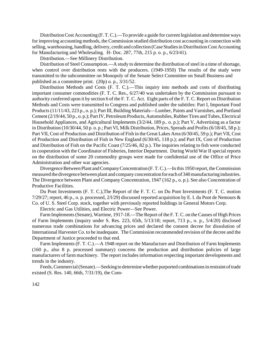Distribution Cost Accounting (F. T. C.).—To provide a guide for current legislation and determine ways for improving accounting methods, the Commission studied distribution cost accounting in connection with selling, warehousing, handling, delivery, credit and collection (Case Studiesin DistributionCost Accounting for Manufacturing and Wholesaling. H- Doc. 287, 77th, 215 p. o. p., 6/23/41).

Distribution.—See Millinery Distribution.

Distribution of Steel Consumption.—A study to determine the distribution of steel in a time of shortage, when control over distribution rests with the producers. (1949-1950) The results of the study were transmitted to the subcommittee on Monopoly of the Senate Select Committee on Small Business and published as a committee print. (20p) o. p., 3/31/52.

Distribution Methods and Costs (F. T. C.).—This inquiry into methods and costs of distributing important consumer commodities (F. T. C. Res., 6/27/40 was undertaken by the Commission pursuant to authority conferred upon it by section 6 of the F. T. C. Act. Eight parts of the F. T. C. Report on Distribution Methods and Costs were transmitted to Congress and published under the subtitles: Part I, Important Food Products(11/11/43, 223 p., o. p.); Part III, Building Materials—Lumber, Paints and Varnishes, and Portland Cement (2/19/44, 50 p., o. p.); Part IV, Petroleum Products, Automobiles, Rubber Tires and Tubes, Electrical Household Appliances, and Agricultural Implements (3/2/44, 189 p.. o. p.); Part V, Advertising as a factor in Distribution (10/30/44, 50 p. o. p.; Part VI, Milk Distribution, Prices, Spreads and Profits(6/18/45, 58 p.); Part VII, Cost of Production and Distribution of Fish in the Great Lakes Area (6/30/45, 59 p.); Part VII, Cost of Production and Distribution of Fish in New England (6/30/45, 118 p.); and Part IX, Cost of Production and Distribution of Fish on the Pacific Coast (7/25/46, 82 p.). The inquiries relating to fish were conducted in cooperation with the Coordinator of Fisheries, Interior Department. During World War II special reports on the distribution of some 20 commodity groups were made for confidential use of the Office of Price Administration and other war agencies.

Divergence Between Plant and Company Concentration (F. T. C.).—In this 1950 report, the Commission measured the divergence between plant and company concentration for each of 340 manufacturing industries. The Divergence between Plant and Company Concentration, 1947 (162 p., o. p.). See also Concentration of Productive Facilities.

Du Pont Investments (F. T. C.),The Report of the F. T. C. on Du Pont Investments (F. T. C. motion 7/29/27; report, 46 p., o. p. processed, 2/l/29) discussed reported acquisition by E. I. du Pont de Nemours & Co. of U. S. Steel Corp. stock, together with previously reported holdings in General Motors Corp.

Electric and Gas Utilities, and Electric Power—See Power.

FarmImplements(Senate), Wartime, 1917-18.—The Report of the F. T. C. on the Causes of High Prices of Farm Implements (inquiry under S. Res. 223, 65th, 5/13/18; report, 713 p., o. p., 5/4/20) disclosed numerous trade combinations for advancing prices and declared the consent decree for dissolution of International Harvester Co. to be inadequate. The Commission recommended revision of the decree and the Department of Justice proceeded to that end.

Farm Implements (F. T. C.).—A 1948 report on the Manufacture and Distribution of Farm Implements (160 p., also 8 p. processed summary) concerns the production and distribution policies of large manufacturers of farm machinery. The report includes information respecting important developments and trends in the industry.

Feeds,Commercial(Senate).—Seeking to determinewhether purported combinations in restraint of trade existed (S. Res. 140, 66th, 7/31/19), the Com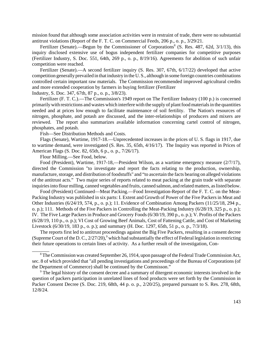mission found that although some association activities were in restraint of trade, there were no substantial antitrust violations (Report of the F. T. C. on Commercial Feeds, 206 p., o. p., 3/29/21.

Fertilizer (Senate).—Begun by the Commissioner of Corporations<sup>8</sup> (S. Res. 487, 62d, 3/1/13), this inquiry disclosed extensive use of bogus independent fertilizer companies for competitive purposes (Fertilizer Industry, S. Doc. 551, 64th, 269 p., o. p., 8/19/16). Agreements for abolition of such unfair competition were reached.

Fertilizer (Senate).—A second fertilizer inquiry (S. Res. 307, 67th, 6/17/22) developed that active competition generally prevailed in that industry in theU.S., although in some foreign countries combinations controlled certain important raw materials. The Commission recommended improved agricultural credits and more extended cooperation by farmers in buying fertilizer (Fertilizer

Industry, S. Doc. 347, 67th, 87 p., o. p., 3/8/23).

Fertilizer (F. T. C.).—The Commission's 1949 report on The Fertilizer Industry (100 p.) is concerned primarily with restrictions and wastes which interfere with the supply of plant food materials in the quantities needed and at prices low enough to facilitate maintenance of soil fertility. The Nation's resources of nitrogen, phosphate, and potash are discussed, and the inter-relationships of producers and mixers are reviewed. The report also summarizes available information concerning cartel control of nitrogen, phosphates, and potash.

Fish—See Distribution Methods and Costs.

Flags (Senate), Wartime, 1917-18.—Unprecedented increases in the prices of U. S. flags in 1917, due to wartime demand, were investigated (S. Res. 35, 65th, 4/16/17). The Inquiry was reported in Prices of American Flags (S. Doc. 82, 65th, 6 p., o. p., 7/26/17).

Flour Milling.—See Food, below.

\_\_\_\_\_\_\_

Food (President), Wartime, 1917-18,—President Wilson, as a wartime emergency measure (2/7/17), directed the Commission "to investigate and report the facts relating to the production, ownership, manufacture, storage, and distribution of foodstuffs" and "to ascertain the facts bearing on alleged violations of the antitrust acts." Two major series of reports related to meat packing at the grain trade with separate inquiries into flour milling, canned vegetables and fruits, canned salmon, and related matters, as listed below.

Food (President) Continued—Meat Packing.—Food Investigation-Report of the F. T. C. on the Meat-Packing Industry was published in six parts: I. Extent and Growth of Power of the Five Packers in Meat and Other Industries (6/24/19, 574, p., o. p.); 11. Evidence of Combination Among Packers (11/25/18, 294 p., o. p.); 111. Methods of the Five Packers in Controlling the Meat-Packing Industry (6/28/19, 325 p., o. p.); IV. The Five Large Packers in Produce and Grocery Foods (6/30/19, 390 p., o. p.); V. Profits of the Packers (6/28/19, 110 p., o. p.); VI Cost of Growing Beef Animals, Cost of Fattening Cattle, and Cost of Marketing Livestock (6/30/19, 183 p., o. p.); and summary (H. Doc. 1297, 65th, 51 p., o. p., 7/3/18).

The reports first led to antitrust proceedings against the Big Five Packers, resulting in a consent decree (Supreme Court of the D. C.,  $2/27/20$ ),<sup>9</sup> which had substantially the effect of Federal legislation in restricting their future operations to certain lines of activity. As a further result of the investigation, Con-

 $8$  The Commission was created September 26, 1914, upon passage of the Federal Trade Commission Act, sec. 8 of which provided that "all pending investigations and proceedings of the Bureau of Corporations (of the Department of Commerce) shall be continued by the Commisson."

<sup>&</sup>lt;sup>9</sup> The legal history of the consent decree and a summary of ditergent economic interests involved in the question of packers participation in unrelated lines of food products were set forth by the Commission in Packer Consent Decree (S. Doc. 219, 68th, 44 p. o. p., 2/20/25), prepared pursuant to S. Res. 278, 68th, 12/8/24.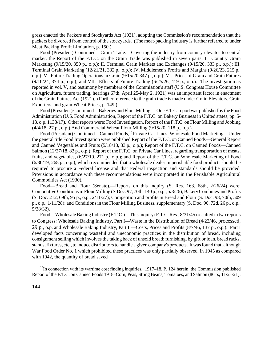gress enacted the Packers and Stockyards Act (1921), adopting the Commission's recommendation that the packers be divorced from control of the stockyards. (The meat-packing industry is further referred to under Meat Packing Profit Limitation, p. 150.)

Food (President) Continued—Grain Trade.—Covering the industry from country elevator to central market, the Report of the F.T.C. on the Grain Trade was published in seven parts: I. Country Grain Marketing (9/15/20, 350 p., o.p.): II. Terminal Grain Markets and Exchanges (9/15/20, 333 p., o.p.); III. Terminal Grain Marketing (12/21/21, 332 p., o.p.); IV. Middlemen's Profits and Margins (9/26/23, 215 p., o.p.); V. Future Trading Operations in Grain (9/15/20 347 p., o.p.); VI. Prices of Grain and Grain Futures  $(9/10/24, 374 \text{ p.}, 0. p.);$  and VII. Effects of Future Trading  $(6/25/26, 419 \text{ p.}, 0. p.).$  The investigation as reported in vol. V, and testimony by members of the Commission's staff (U.S. Congress House Committee on Agriculture, future trading, hearings 67th, April 25-May 2, 1921) was an important factor in enactment of the Grain Futures Act (1921). (Further reference to the grain trade is made under Grain Elevators, Grain Exporters, and grain Wheat Prices, p. 149.)

Food (President) Continued—Bakeries and Flour Milling.—One F.T.C. report was published by the Food Administration (U.S. Food Administration, Report of the F.T.C. on Bakery Business in United states, pp. 5- 13, o.p. 1133/17). Other reports were: Food Investigation, Report of the F.T.C. on Flour Milling and Jobbing (4/4/18, 27 p., o.p.) And Commercial Wheat Flour Milling (9/15/20, 118 p., o.p.).

Food (President) Continued—Canned Foods,<sup>10</sup> Private Car Lines, Wholesale Food Marketing—Under the general title Food Investigation were published Report of the F.T.C. on Canned Foods—General Report and Canned Vegetables and Fruits (5/18/18, 83 p., o.p.); Report of the F.T.C. on Canned Foods—Canned Salmon (12/27/18, 83 p., o.p.); Report of the F.T.C. on Private Car Lines, regarding transportation of meats, fruits, and vegetables, (6/27/19, 271 p., o.p.); and Report of the F.T.C. on Wholesale Marketing of Food (6/30/19, 268 p., o.p.), which recommended that a wholesale dealer in perishable food products should be required to procure a Federal license and that Federal inspection and standards should be provided. Provisions in accordance with these recommendations were incorporated in the Perishable Agricultural Commodities Act (1930).

Food—Bread and Flour (Senate).—Reports on this inquiry (S. Res. 163, 68th, 2/26/24) were: Competitive Conditions in Flour Milling (S.Doc. 97, 70th, 140 p., o.p., 5/3/26); Bakery Combines and Profits (S. Doc. 212, 69th, 95 p., o.p., 2/11/27); Competition and profits in Bread and Flour (S. Doc. 98, 70th, 509 p., o.p., 1/11/28); and Conditions in the Flour Milling Business, supplementary (S. Doc. 96, 72d, 26 p., o.p., 5/28/32).

Food—Wholesale Baking Industry (F.T.C.)—This inquiry (F.T.C. Res., 8/31/45) resulted in two reports to Congress: Wholesale Baking Industry, Part I—Waste in the Distribution of Bread (4/22/46, processed, 29 p., o.p. and Wholesale Baking Industry, Part II—Costs, Prices and Profits (8/7/46, 137 p., o.p.). Part I developed facts concerning wasteful and uneconomic practices in the distribution of bread, including consignment selling which involves the taking back of unsold bread; furnishing, by gift or loan, bread racks, stands, fixtures, etc., to induce distributors to handle a given company's products. It was found that, although War Food Order No. 1 which prohibited these practices was only partially observed, in 1945 as compared with 1942, the quantity of bread saved

 $\overline{\phantom{a}}$ 

 $10$ In connection with its wartime cost finding inquiries. 1917–18. P. 124 herein, the Commission published Report of the F.T.C. on Canned Foods 1918–Corn, Peas, String Beans, Tomatoes, and Salmon (86 p., 11/21/21).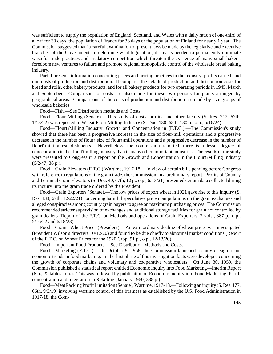was sufficient to supply the population of England, Scotland, and Wales with a daily ration of one-third of a loaf for 30 days, the population of France for 36 days or the population of Finland for nearly 1 year. The Commission suggested that "a careful examination of present laws be made by the legislative and executive branches of the Government, to determine what legislation, if any, is needed to permanently eliminate wasteful trade practices and predatory competition which threaten the existence of many small bakers, foredoom new ventures to failure and promote regional monopolistic control of the wholesale bread baking industry."

Part II presents information concerning prices and pricing practices in the industry, profits earned, and unit costs of production and distribution. It compares the details of production and distribution costs for bread and rolls, other bakery products, and for all bakery products for two operating periods in 1945, March and September. Comparisons of costs are also made for these two periods for plants arranged by geographical areas. Comparisons of the costs of production and distribution are made by size groups of wholesale bakeries.

Food—Fish.—See Distribution methods and Costs.

Food—Flour Milling (Senate).—This study of costs, profits, and other factors (S. Res. 212, 67th, 1/18/22) was reported in Wheat Flour Milling Industry (S. Doc. 130, 68th, 130 p., o.p., 5/16/24).

Food—FlournMilling Industry, Growth and Concentration in (F.T.C.).—The Commission's study showed that there has been a progressive increase in the size of flour-mill operations and a progressive decrease in the number of flournsize of flournmill operations and a progressive decrease in the number of flournmilling establishments. Nevertheless, the commission reported, there is a lesser degree of concentration in the flournmilling industry than in many other important industries. The results of the study were presented to Congress in a report on the Growth and Concentration in the FlournMilling Industry (6/2/47, 36 p.).

Food—Grain Elevators (F.T.C.) Wartime, 1917-18.—In view of certain bills pending before Congress with reference to regulations of the grain trade, the Commission, in a preliminary report. Profits of Country and Terminal Grain Elevators (S. Doc. 40, 67th, 12 p., o.p., 6/13/21) presented certain data collected during its inquiry into the grain trade ordered by the President.

Food—Grain Exporters (Senate).—The low prices of export wheat in 1921 gave rise to this inquiry (S. Res. 133, 67th, 12/22/21) concerning harmful speculative price manipulations on the grain exchanges and alleged conspiracies among country grain buyers to agree on maximum purchasing prices. The Commission recommended stricter supervision of exchanges and additional storage facilities for grain not controlled by grain dealers (Report of the F.T.C. on Methods and operations of Grain Exporters, 2 vols., 387 p., o.p., 5/16/22 and 6/18/23).

Food—Grain. Wheat Prices (President).—An extraordinary decline of wheat prices was investigated (President Wilson's directive 10/12/20) and found to be due chiefly to abnormal market conditions (Report of the F.T.C. on Wheat Prices for the 1920 Crop, 91 p., o.p., 12/13/20).

Food—Important Food Products.—See Distribution Methods and Costs.

Food—Marketing (F.T.C.).—On October 9, 1958, the Commission launched a study of significant economic trends in food marketing. In the first phase of this investigation facts were developed concerning the growth of corporate chains and voluntary and cooperative wholesalers. On June 30, 1959, the Commission published a statistical report entitled Economic Inquiry into Food Marketing—Interim Report (6 p., 22 tables, o.p.). This was followed by publication of Economic Inquiry into Food Marketing, Part I, concentration and integration in Retailing (January 1960, 338 p.).

Food—Meat Packing Profit Limitation (Senate), Wartime, 1917-18.—Following an inquiry (S. Res. 177, 66th, 9/3/19) involving wartime control of this business as established by the U.S. Food Administration in 1917-18, the Com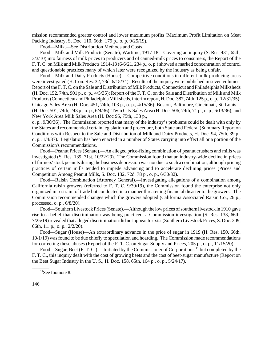mission recommended greater control and lower maximum profits (Maximum Profit Limitation on Meat Packing Industry, S. Doc. 110, 66th, 179 p., o. p. 9/25/19).

Food—Milk.—See Distribution Methods and Costs.

Food—Milk and Milk Products (Senate), Wartime, 1917-18—Covering an inquiry (S. Res. 431, 65th, 3/3/10) into fairness of milk prices to producers and of canned-milk prices to consumers, the Report of the F. T. C. on Milk and Milk Products 1914-18 (6/6/21, 234 p., o. p.)showed a marked concentration of control and questionable practices many of which later were recognized by the industry as being unfair.

Food—Milk and Dairy Products (House).—Competitive conditions in different milk-producing areas were investigated (H. Con. Res. 32, 73d, 6/15/34). Results of the inquiry were published in seven volumes: Report of the F. T. C. on the Sale and Distribution of Milk Products, Connecticut and Philadelphia Milksheds (H. Doc. 152, 74th, 901 p., o. p., 4/5/35); Report of the F. T. C. on the Sale and Distribution of Milk and Milk Products (Connecticut and Philadelphia Milksheds, interim report, H. Doc. 387, 74th, 125 p., o. p., 12/31/35); Chicago Sales Area (H. Doc. 451, 74th, 103 p., o. p., 4/15/36); Boston, Baltimore, Cincinnati, St. Louis (H. Doc. 501, 74th, 243 p., o. p., 6/4/36); Twin City Sales Area (H. Doc. 506, 74th, 71 p., o. p., 6/13/36); and New York Area Milk Sales Area (H. Doc 95, 75th, 138 p.,

o. p., 9/30/36). The Commission reported that many of the industry's problems could be dealt with only by the States and recommended certain legislation and procedure, both State and Federal (Summary Report on Conditions with Respect to the Sale and Distribution of Milk and Dairy Products, H. Doc. 94, 75th, 39 p., o. p., 1/4/37). Legislation has been enacted in a number of States carrying into effect all or a portion of the Commission's recommendations.

Food—Peanut Prices (Senate).—An alleged price-fixing combination of peanut crushers and mills was investigated (S. Res. 139, 71st, 10/22/29). The Commission found that an industry-wide decline in prices offarmers'stock peanuts during the business depression was not due to such a combination, although pricing practices of certain mills tended to impede advancing and to accelerate declining prices (Prices and Competition Among Peanut Mills, S. Doc. 132, 72d, 78 p., o. p., 6/30/32).

Food—Raisin Combination (Attorney General).—Investigating allegations of a combination among California raisin growers (referred to F. T. C. 9/30/19), the Commission found the enterprise not only organized in restraint of trade but conducted in a manner threatening financial disaster to the growers. The Commission recommended changes which the growers adopted (California Associated Raisin Co., 26 p., processed, o. p., 6/8/20).

Food—Southern Livestock Prices (Senate).—Although the low prices of southern livestock in 1910 gave rise to a belief that discrimination was being practiced, a Commission investigation (S. Res. 133, 66th, 7/25/19)revealed that alleged discrimination did not appearto exist(Southern Livestock Prices, S. Doc. 209, 66th, 11. p., o. p., 2/2/20).

Food—Sugar (House)—An extraordinary advance in the price of sugar in 1919 (H. Res. 150, 66th, 10/1/19) wasfound to be due chiefly to speculation and hoarding. The Commission made recommendations for correcting these abuses (Report of the F. T. C. on Sugar Supply and Prices, 205 p., o. p., 11/15/20).

Food—Sugar, Beet (F. T. C.).—Initiated by the Commissioner of Corporations,<sup>11</sup> but completed by the F. T. C., this inquiry dealt with the cost of growing beets and the cost of beet-sugar manufacture (Report on the Beet Sugar Industry in the U. S., H. Doc. 158, 65th, 164 p., o. p., 5/24/17).

<sup>11</sup>See footnote 8.

\_\_\_\_\_\_\_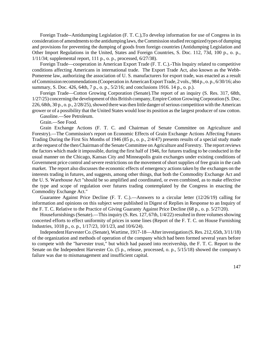Foreign Trade--Antidumping Legislation (F. T. C.),To develop information for use of Congress in its consideration of amendments to the antidumping laws, the Commission studied recognized types of dumping and provisions for preventing the dumping of goods from foreign countries (Antidumping Legislation and Other Import Regulations in the United, States and Foreign Countries, S. Doc. 112, 73d, 100 p., o. p., 1/11/34; supplemental report, 111 p., o. p., processed, 6/27/38).

Foreign Trade—cooperation in American Export Trade (F. T. C.).-This Inquiry related to competitive conditions affecting Americans in international trade. The Export Trade Act, also known as the Webb-Pomerene law, authorizing the association of U. S. manufacturers for export trade, was enacted as a result ofCommission recommendations(Cooperation in AmericanExportTrade, 2 vols., 984 p., o. p., 6/30/16; also summary, S. Doc. 426, 64th, 7 p., o. p., 5/2/16; and conclusions 1916. 14 p., o. p.).

Foreign Trade—Cotton Growing Corporation (Senate).The report of an inquiry (S. Res. 317, 68th, 1/27/25) concerning the development of this British company, Empire Cotton Growing Corporation (S. Doc. 226, 68th, 30 p., o. p., 2/28/25), showed there was then little danger of serious competition with the American grower or of a possibility that the United States would lose its position asthe largest producer of raw cotton.

Gasoline.—See Petroleum.

Grain.—See Food.

Grain Exchange Actions (F. T. C. and Chairman of Senate Committee on Agriculture and Forestry).—The Commission's report on Economic Effects of Grain Exchange Actions Affecting Futures Trading During the First Six Months of 1946 (85 p., o. p., 2/4/47) presents results of a special study made at the request of the then Chairman of the Senate Committee on Agriculture and Forestry. The report reviews the factors which made it impossible, during the first half of 1946, for futures trading to be conducted in the usual manner on the Chicago, Kansas City and Minneapolis grain exchanges under existing conditions of Government price control and severe restrictions on the movement of short supplies of free grain in the cash market. The report also discusses the economic effects of emergency actions taken by the exchanges on the interests trading in futures, and suggests, among other things, that both the Commodity Exchange Act and the U. S. Warehouse Act "should be so amplified and coordinated, or even combined, as to make effective the type and scope of regulation over futures trading contemplated by the Congress in enacting the Commodity Exchange Act."

Guarantee Against Price Decline (F. T. C.).—Answers to a circular letter (12/26/19) calling for information and opinions on this subject were published in Digest of Replies in Response to an Inquiry of the F. T. C. Relative to the Practice of Giving Guaranty Against Price Decline (68 p., o. p. 5/27/20).

Housefurnishings (Senate).—This inquiry (S. Res. 127, 67th, 1/4/22) resulted in three volumes showing concerted efforts to effect uniformity of prices in some lines (Report of the F. T. C. on House Furnishing Industries, 1018 p., o. p., 1/17/23, 10/1/23, and 10/6/24).

Independent Harvester Co. (Senate), Wartime, 1917-18—After investigation (S. Res. 212, 65th, 3/11/18) of the organization and methods of operation of the company which had been formed several years before to compete with the "harvester trust," but which had passed into receivership, the F. T. C. Report to the Senate on the Independent Harvester Co. (5 p., release, processed, o. p., 5/15/18) showed the company's failure was due to mismanagement and insufficient capital.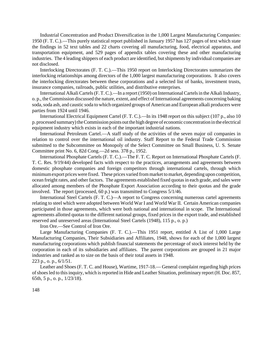Industrial Concentration and Product Diversification in the 1,000 Largest Manufacturing Companies: 1950 (F. T. C.).—This purely statistical report published in January 1957 has 127 pages of text which state the findings in 52 text tables and 22 charts covering all manufacturing, food, electrical apparatus, and transportation equipment, and 529 pages of appendix tables covering these and other manufacturing industries. The 4 leading shippers of each product are identified, but shipments by individual companies are not disclosed.

Interlocking Directorates (F. T. C.).—This 1950 report on Interlocking Directorates summarizes the interlocking relationships among directors of the 1,000 largest manufacturing corporations. It also covers the interlocking directorates between these corporations and a selected list of banks, investment trusts, insurance companies, railroads, public utilities, and distributive enterprises.

International Alkali Cartels (F. T. C.).—In a report (1950) on International Cartels in the Alkali Industry, o. p., the Commission discussed the nature, extent, and effect of International agreements concerning baking soda,soda ash, and caustic soda to which organized groups of American and European alkali producers were parties from 1924 until 1946.

International Electrical Equipment Cartel (F. T. C.).—In its 1948 report on this subject (107 p., also 10 p. processed summary) the Commission points out the high degree of economic concentration in the electrical equipment industry which exists in each of the important industrial nations.

International Petroleum Cartel.—A staff study of the activities of the seven major oil companies in relation to control over the international oil industry. Staff Report to the Federal Trade Commission submitted to the Subcommittee on Monopoly of the Select Committee on Small Business, U. S. Senate Committee print No. 6, 82d Cong.—2d sess. 378 p., 1952.

International Phosphate Cartels (F. T. C.).—The F. T. C. Report on International Phosphate Cartels (F. T. C. Res. 9/19/44) developed facts with respect to the practices, arrangements and agreements between domestic phosphate companies and foreign competitors through international cartels, through which minimumexport prices were fixed. These prices varied from market to market, depending upon competition, ocean freight rates, and other factors. The agreements established fixed quotas in each grade, and sales were allocated among members of the Phosphate Export Association according to their quotas and the grade involved. The report (processed, 60 p.) was transmitted to Congress 5/1/46.

International Steel Cartels (F. T. C.)—A report to Congress concerning numerous cartel agreements relating to steel which were adopted between World War I and World War II. Certain American companies participated in those agreements, which were both national and international in scope. The International agreements allotted quotas to the different national groups, fixed prices in the export trade, and established reserved and unreserved areas (International Steel Cartels (1948), 115 p., o. p.)

Iron Ore.—See Control of Iron Ore.

Large Manufacturing Companies (F. T. C.).—This 1951 report, entitled A List of 1,000 Large Manufacturing Companies, Their Subsidiaries and Affiliates, 1948, shows for each of the 1,000 largest manufacturing corporations which publish financial statements the percentage of stock interest held by the corporation in each of its subsidiaries and affiliates. The parent corporations are grouped in 21 major industries and ranked as to size on the basis of their total assets in 1948. 223 p., o. p., 6/1/51.

Leather and Shoes (F. T. C. and House), Wartime, 1917-18.— General complaint regarding high prices of shoes led to this inquiry, which is reported in Hide and Leather Situation, preliminary report (H. Doc. 857, 65th, 5 p., o. p., 1/23/18).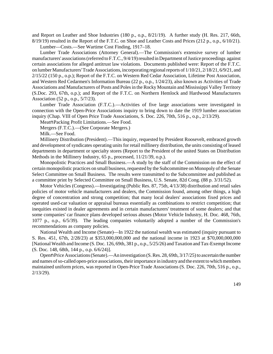and Report on Leather and Shoe Industries (180 p., o.p., 8/21/19). A further study (H. Res. 217, 66th, 8/19/19) resulted in the Report of the F.T.C. on Shoe and Leather Costs and Prices (212 p., o.p., 6/10/21).

Lumber—Costs.—See Wartime Cost Finding, 1917–18.

Lumber Trade Associations (Attorney General).—The Commission's extensive survey of lumber manufacturers' associations(referred to F.T.C., 9/4/19) resulted in Department of Justice proceedings against certain associations for alleged antitrust law violations. Documents published were: Report of the F.T.C. on lumberManufacturers'Trade Associations, incorporating regionalreports of 1/10/21, 2/18/21, 6/9/21, and 2/15/22 (150 p., o.p.); Report of the F.T.C. on Western Red Cedar Association, Lifetime Post Association, and Western Red Cedarmen's Information Bureau (22 p., o.p., 1/24/23), also known as Activities of Trade Associations and Manufacturers of Posts and Polesin the Rocky Mountain and Mississippi Valley Territory (S.Doc. 293, 67th, o.p.); and Report of the F.T.C. on Northern Hemlock and Hardwood Manufacturers Association (52 p., o.p., 5/7/23).

Lumber Trade Association (F.T.C.).—Activities of five large associations were investigated in connection with the Open-Price Associations inquiry to bring down to date the 1919 lumber association inquiry (Chap. VIII of Open Price Trade Associations, S. Doc. 226, 70th, 516 p., o.p., 2/13/29).

MeatnPacking Profit Limitations.—See Food.

Mergers (F.T.C.).—(See Corporate Mergers.)

Milk.—See Food.

Millinery Distribution (President).—This inquiry, requested by President Roosevelt, embraced growth and development of syndicates operating units for retail millinery distribution, the units consisting of leased departments in department or specialty stores (Report to the President of the united States on Distribution Methods in the Millinery Industry, 65 p., processed, 11/21/39, o.p.).

Monopolistic Practices and Small Business.—A study by the staff of the Commission on the effect of certain monopolistic practices on small business, requested by the Subcommittee on Monopoly of the Senate Select Committee on Small Business. The results were transmitted to the Subcommittee and published as a committee print by Selected Committee on Small Business, U.S. Senate, 82d Cong. (88 p. 3/31/52).

Motor Vehicles (Congress).—Investigating (Public Res. 87, 75th, 4/13/38) distribution and retail sales policies of motor vehicle manufacturers and dealers, the Commission found, among other things, a high degree of concentration and strong competition; that many local dealers' associations fixed prices and operated used-car valuation or appraisal bureaus essentially as combinations to restrict competition; that inequities existed in dealer agreements and in certain manufacturers' treatment of some dealers; and that some companies' car finance plans developed serious abuses (Motor Vehicle Industry, H. Doc. 468, 76th, 1077 p., o.p., 6/5/39). The leading companies voluntarily adopted a number of the Commission's recommendations as company policies.

National Wealth and Income (Senate)—In 1922 the national wealth was estimated (inquiry pursuant to S. Res. 451, 67th, 2/28/23) at \$353,000,000,000 and the national income in 1923 at \$70,000,000,000 [NationalWealth and Income (S. Doc. 126, 69th, 381 p., o.p., 5/25/26) andTaxation andTax-ExemptIncome (S. Doc. 148, 68th, 144 p., o.p. 6/6/24)].

OpennPrice Associations (Senate).—An investigation (S. Res. 28, 69th,  $3/17/25$ ) to ascertain the number and names of so-called open-price associations, their importance in industry and the extent to which members maintained uniform prices, was reported in Open-Price Trade Associations (S. Doc. 226, 70th, 516 p., o.p., 2/13/29).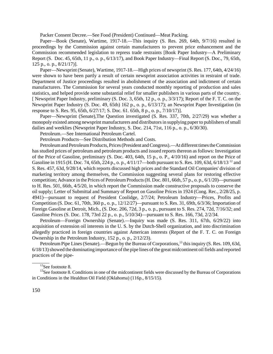Packer Consent Decree.—See Food (President) Continued—Meat Packing.

Paper—Book (Senate), Wartime, 1917-18.—This inquiry (S. Res. 269, 64th, 9/7/16) resulted in proceedings by the Commission against certain manufacturers to prevent price enhancement and the Commission recommended legislation to repress trade restraints [Book Paper Industry—A Preliminary Report (S. Doc. 45, 65th, 11 p., o. p., 6/13/17), and Book Paper Industry—Final Report (S. Doc., 79, 65th, 125 p., o. p., 8/21/17)].

Paper—Newsprint (Senate), Wartime, 1917-18.—High prices of newsprint (S. Res. 177, 64th, 4/24/16) were shown to have been partly a result of certain newsprint association activities in restraint of trade. Department of Justice proceedings resulted in abolishment of the association and indictment of certain manufacturers. The Commission for several years conducted monthly reporting of production and sales statistics, and helped provide some substantial relief for smaller publishers in various parts of the country. [ Newsprint Paper Industry, preliminary (S. Doc. 3, 65th, 12 p., o. p., 3/3/17); Report of the F. T. C. on the Newsprint Paper Industry (S. Doc. 49, 65th) 162 p., o. p., 6/13/17); an Newsprint Paper Investigation (in response to S. Res. 95, 65th, 6/27/17; S. Doc. 61. 65th, 8 p., o. p., 7/10/17)].

Paper—Newsprint (Senate),The Question investigated (S. Res. 337, 70th, 2/27/29) was whether a monopoly existed among newsprint manufacturers and distributorsin supplying paper to publishers ofsmall dailies and weeklies (Newsprint Paper Industry, S. Doc. 214, 71st, 116 p., o. p., 6/30/30).

Petroleum.—See International Petroleum Cartel.

Petroleum Products—See Distribution Methods and Costs.

Petroleum and Petroleum Products, Prices (President and Congress).—At different times the Commission has studied prices of petroleum and petroleum products and issued reports thereon as follows: Investigation of the Price of Gasoline, preliminary (S. Doc. 403, 64th, 15 p., o. P., 4/10/16) and report on the Price of Gasoline in 1915 (H. Doc. 74, 65th, 224 p., o. p., 4/11/17—both pursuant to S. Res. 109, 63d, 6/18/13 <sup>12</sup> and S. Res. 457, 63d, 9/28/14, which reports discussed high prices and the Standard Oil Companies' division of marketing territory among themselves, the Commission suggesting several plans for restoring effective competition; Advance in the Prices of Petroleum Products (H. Doc. 801, 66th, 57 p., o. p., 6/1/20)—pursuant to H. Res. 501, 66th, 4/5/20, in which report the Commission made constructive proposals to conserve the oil supply; Letter of Submittal and Summary of Report on Gasoline Prices in 1924 (Cong. Rec., 2/28/25, p. 4941)—pursuant to request of President Coolidge, 2/7/24; Petroleum Industry—Prices, Profits and Competition (S. Doc. 61, 70th, 360 p., o. p., 12/12/27)—pursuant to S. Res. 31, 69th, 6/3/36; Importation of Foreign Gasoline at Detroit, Mich., (S. Doc. 206, 72d, 3 p., o. p., pursuant to S. Res. 274, 72d, 7/16/32; and Gasoline Prices (S. Doc. 178, 73rd 22 p., o. p., 5/10/34)—pursuant to S. Res. 166, 73d, 2/2/34.

Petroleum—Foreign Ownership (Senate).—Inquiry was made (S. Res. 311, 67th, 6/29/22) into acquisition of extension oil interests in the U. S. by the Dutch-Shell organization, and into discrimination allegedly practiced in foreign countries against American interests (Report of the F. T. C. on Foreign Ownership in the Petroleum Industry, 152 p., o. p., 2/12/23).

Petroleum Pipe Lines (Senate).—Begun by the Bureau of Corporations,<sup>13</sup> this inquiry (S. Res. 109, 63d, 6/18/13) showed the dominating importance of the pipe lines of the great midcontinent oil fields and reported practices of the pipe-

<sup>13</sup>See footnote 8. Conditions in one of the midcontinent fields were discussed by the Bureau of Corporations in Conditions in the Healdton Oil Field (Oklahoma) (116p., 8/15/15).

 $\overline{\phantom{a}}$ 

<sup>&</sup>lt;sup>12</sup>See footnote 8.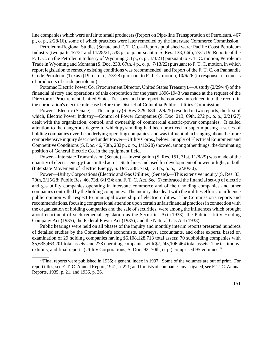line companies which were unfair to small producers(Report on Pipe-line Transportation of Petroleum, 467 p., o. p., 2/28/16), some of which practices were later remedied by the Interstate Commerce Commission.

Petroleum-Regional Studies (Senate and F. T. C.).—Reports published were: Pacific Coast Petroleum Industry (two parts 4/7/21 and 11/28/21, 538 p., o. p. pursuant to S. Res. 138, 66th, 7/31/19; Reports of the F. T. C. on the Petroleum Industry of Wyoming (54 p., o. p., 1/3/21) pursuant to F. T. C. motion; Petroleum Trade in Wyoming and Montana (S. Doc. 233, 67th, 4 p., o. p., 7/13/22) pursuant to F. T. C. motion, in which report legislation to remedy existing conditions was recommended; and Report of the F. T. C. on Panhandle Crude Petroleum (Texas) (19 p., o. p., 2/3/28) pursuant to F. T. C. motion, 10/6/26 (in response to requests of producers of crude petroleum).

Potomac Electric Power Co. (Procurement Director, United States Treasury).—A study (2/29/44) of the financial history and operations of this corporation for the years 1896-1943 was made at the request of the Director of Procurement, United States Treasury, and the report thereon was introduced into the record in the corporation's electric rate case before the District of Columbia Public Utilities Commission.

Power—Electric (Senate).—This inquiry (S. Res. 329, 68th, 2/9/25) resulted in two reports, the first of which, Electric Power Industry—Control of Power Companies (S. Doc. 213, 69th, 272 p., o. p., 2/21/27) dealt with the organization, control, and ownership of commercial electric-power companies. It called attention to the dangerous degree to which pyramiding had been practiced in superimposing a series of holding companies over the underlying operating companies, and was influential in bringing about the more comprehensive inquiry described under Power—Utility Corps., below. Supply of Electrical Equipment and Competitive Conditions (S. Doc. 46, 70th, 282 p., o. p., 1/12/28) showed, among other things, the dominating position of General Electric Co. in the equipment field.

Power—Interstate Transmission (Senate).— Investigation (S. Res. 151, 71st, 11/8/29) was made of the quantity of electric energy transmitted across State lines and used for development of power or light, or both (Interstate Movement of Electric Energy, S. Doc. 238, 71st, 134 p., o. p., 12/20/30).

Power—Utility Corporations (Electric and Gas Utilities) (Senate).—This extensive inquiry (S. Res. 83, 70th, 2/15/28; Public Res. 46, 73d, 6/1/34; and F. T. C. Act, Sec. 6) embraced the financial set-up of electric and gas utility companies operating in interstate commerce and of their holding companies and other companies controlled by the holding companies. The inquiry also dealt with the utilities efforts to influence public opinion with respect to municipal ownership of electric utilities. The Commission's reports and recommendations, focusing congressional attention upon certain unfair financial practices in connection with the organization of holding companies and the sale of securities, were among the influences which brought about enactment of such remedial legislation as the Securities Act (1933), the Public Utility Holding Company Act (1935), the Federal Power Act (1935), and the Natural Gas Act (1938).

Public hearings were held on all phases of the inquiry and monthly interim reports presented hundreds of detailed studies by the Commission's economists, attorneys, accountants, and other experts, based on examination of 29 holding companies having \$6,108,128,713 total assets; 70 subholding companies with \$5,635,463,201 total assets; and 278 operating companies with \$7,245,106,464 total assets. The testimony, exhibits, and final reports (Utility Corporations, S. Doc. 92, 70th, o. p.) comprised 95 volumes.<sup>14</sup>

\_\_\_\_\_\_\_

<sup>&</sup>lt;sup>14</sup>Final reports were published in 1935; a general index in 1937. Some of the volumes are out of print. For report titles, see F. T. C. Annual Report, 1941, p. 221; and for lists of companies investigated, see F. T. C. Annual Reports, 1935, p. 21, and 1936, p. 36.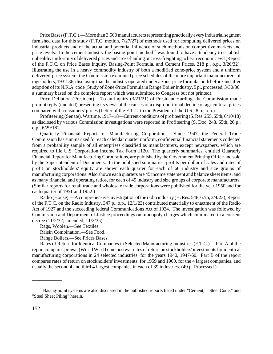Price Bases (F.T.C.).—More than 3,500 manufacturers representing practically every industrial segment furnished data for this study (F.T.C. motion, 7/27/27) of methods used for computing delivered prices on industrial products and of the actual and potential influence of such methods on competitive markets and price levels. In the cement industry the basing-point method<sup>15</sup> was found to have a tendency to establish unhealthy uniformity of delivered prices and cross-hauling or cross-freighting to be an economic evil(Report of the F.T.C. on Price Bases Inquiry, Basing-Point Formula, and Cement Prices, 218 p., o.p., 3/26/32). Illustrating the use in a heavy commodity industry of both a modified zone-price system and a uniform delivered-price system, the Commission examined price schedules of the more important manufacturers of rage boilers, 1932-36, disclosing that the industry operated under a zone-price formula, both before and after adoption of its N.R.A. code (Study of Zone-Price Formula in Range Boiler Industry, 5 p., processed, 3/30/36, a summary based on the complete report which was submitted to Congress but not printed).

Price Deflation (President).—To an inquiry (3/21/21) of President Harding, the Commission made prompt reply (undated) presenting its views of the causes of a disproportional decline of agricultural prices compared with consumers' prices (Letter of the F.T.C. to the President of the U.S., 8 p., o.p.).

Profiteering (Senate), Wartime, 1917–18—Current conditions of profiteering (S. Res. 255, 65th, 6/10/18) as disclosed by various Commission investigations were reported in Profiteering (S. Doc. 248, 65th, 20 p., o.p., 6/29/18).

Quarterly Financial Report for Manufacturing Corporations.—Since 1947, the Federal Trade Commission has summarized for each calendar quarter uniform, confidential financial statements collected from a probability sample of all enterprises classified as manufacturers, except newspapers, which are required to file U.S. Corporation Income Tax Form 1120. The quarterly summaries, entitled Quarterly Financial Report for Manufacturing Corporations, are published by the Government Printing Office and sold by the Superintendent of Documents. In the published summaries, profits per dollar of sales and rates of profit on stockholders' equity are shown each quarter for each of 60 industry and size groups of manufacturing corporations. Also shown each quarters are 45 income statement and balance sheet items, and as many financial and operating ratios, for each of 45 industry and size groups of corporate manufacturers. (Similar reports for retail trade and wholesale trade corporations were published for the year 1950 and for each quarter of 1951 and 1952.)

Radio (House).—Acomprehensive investigation of the radio industry (H. Res. 548, 67th, 3/4/23); Report of the F.T.C. on the Radio Industry, 347 p., o.p., 12/1/23) contributed materially to enactment of the Radio Act of 1927 and the succeeding federal Communications Act of 1934. The investigation was followed by Commission and Department of Justice proceedings on monopoly charges which culminated in a consent decree (11/2/32; amended, 11/2/35).

Rags, Woolen.—See Textiles.

Raisin Combination.—See Food.

Range Boilers.—See Prices Bases.

Rates of Return for Identical Companies in Selected Manufacturing Industries (F.T.C.).—Part A of the report compares prewar (World War II) and postwar rates of return on stockholders' investments for identical manufacturing corporations in 24 selected industries, for the years 1940, 1947-60. Part B of the report compares rates of return on stockholders' investments, for 1959 and 1960, for the 4 largest companies, and usually the second 4 and third 4 largest companies in each of 39 industries. (49 p. Processed.)

\_\_\_\_\_\_\_\_\_\_\_\_

<sup>&</sup>lt;sup>15</sup>Basing-point systems are also discussed in the published reports listed under "Cement," "Steel Code," and "Steel Sheet Piling" herein.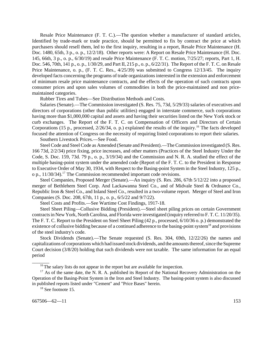Resale Price Maintenance (F. T. C.).—The question whether a manufacturer of standard articles, Identified by trade-mark or trade practice, should be permitted to fix by contract the price at which purchasers should resell them, led to the first inquiry, resulting in a report, Resale Price Maintenance (H. Doc. 1480, 65th, 3 p., o. p., 12/2/18). Other reports were: A Report on Resale Price Maintenance (H. Doc. 145, 66th, 3 p., o. p., 6/30/19) and resale Price Maintenance (F. T. C. motion, 7/25/27; reports, Part 1, H. Doc. 546, 70th, 141 p., o. p., 1/30/29, and Part II, 215 p., o. p., 6/22/31). The Report of the F. T. C. on Resale Price Maintenance, o. p., (F. T. C. Res., 4/25/39) was submitted to Congress 12/13/45. The inquiry developed facts concerning the programs of trade organizations interested in the extension and enforcement of minimum resale price maintenance contracts, and the effects of the operation of such contracts upon consumer prices and upon sales volumes of commodities in both the price-maintained and non pricemaintained categories.

Rubber Tires and Tubes—See Distribution Methods and Costs.

Salaries (Senate).—The Commission investigated (S. Res. 75, 73d, 5/29/33) salaries of executives and directors of corporations (other than public utilities) engaged in interstate commerce, such corporations having more than \$1,000,000 capital and assets and having their securities listed on the New York stock or curb exchanges. The Report of the F. T. C. on Compensation of Officers and Directors of Certain Corporations (15 p., processed, 2/26/34, o. p.) explained the results of the inquiry.<sup>16</sup> The facts developed focused the attention of Congress on the necessity of requiring listed corporations to report their salaries.

Southern Livestock Prices.—See Food.

Steel Code and Steel Code as Amended (Senate and President).—The Commission investigated (S. Res. 166 73d, 2/2/34) price fixing, price increases, and other matters (Practices of the Steel Industry Under the Code, S. Doc. 159, 73d. 79 p., o. p., 3/19/34) and the Commission and N. R. A. studied the effect of the multiple basing-point system under the amended code (Report of the F. T. C. to the President in Response to Executive Order of May 30, 1934, with Respect to the Basing-point System in the Steel Industry, 125 p., o p., 11/30/34).<sup>17</sup> The Commission recommended important code revisions.

Steel Companies, Proposed Merger (Senate).—An inquiry (S. Res. 286, 67th 5/12/22 into a proposed merger of Bethlehem Steel Corp. And Lackawanna Steel Co., and of Midvale Steel & Ordnance Co., Republic Iron & Steel Co., and Inland Steel Co., resulted in a two-volume report. Merger of Steel and Iron Companies (S. Doc. 208, 67th, 11 p., o. p., 6/5/22 and 9/7/22).

Steel Costs and Profits.—See Wartime Cost Findings, 1917-18.

Steel Sheet Piling—Collusive Bidding (President).—Steel sheet piling prices on certain Government contractsin New York, North Carolina, and Florida were investigated (inquiry referred to F. T.C. 11/20/35). The F. T. C. Report to the President on Steel Sheet Piling (42 p., processed, 6/10/36 o. p.) demonstrated the existence of collusive bidding because of a continued adherence to the basing-point system<sup>18</sup> and provisions of the steel industry's code.

Stock Dividends (Senate).—The Senate requested (S. Res. 304, 69th, 12/22/26) the names and capitalizations of corporations which had issued stock dividends, and the amounts thereof, since the Supreme Court decision (3/8/20) holding that such dividends were not taxable. The same information for an equal period

 $\overline{\phantom{a}}$ 

 $16$ <sup>16</sup>The salary lists do not appear in the report but are available for inspection.

<sup>&</sup>lt;sup>17</sup> As of the same date, the N. R. A. published its Report of the National Recovery Administration on the Operation of the Basing-Point System in the Iron and Steel Industry. The basing-point system is also discussed in published reports listed under "Cement" and "Price Bases" herein.

 $18$  See footnote 15.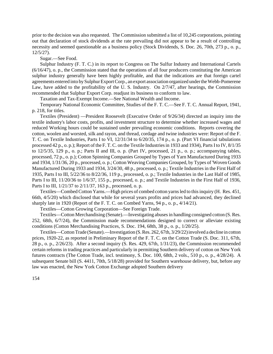prior to the decision was also requested. The Commission submitted a list of 10,245 corporations, pointing out that declaration of stock dividends at the rate prevailing did not appear to be a result of controlling necessity and seemed questionable as a business policy (Stock Dividends, S. Doc. 26, 70th, 273 p., o. p., 12/5/27).

Sugar.—See Food.

Sulphur Industry (F. T. C.) in its report to Congress on The Sulfur Industry and International Cartels (6/16/47), o. p., the Commission stated that the operations of all four producers constituting the American sulphur industry generally have been highly profitable, and that the indications are that foreign cartel agreements entered into by Sulphur Export Corp., an export association organized under the Webb-Pomerene Law, have added to the profitability of the U. S. Industry. On 2/7/47, after hearings, the Commission recommended that Sulphur Export Corp. readjust its business to conform to law.

Taxation and Tax-Exempt Income.—See National Wealth and Income.

Temporary National Economic Committee, Studies of the F. T. C.—See F. T. C. Annual Report, 1941, p. 218, for titles.

Textiles (President) —President Roosevelt (Executive Order of 9/26/34) directed an inquiry into the textile industry's labor costs, profits, and investment structure to determine whether increased wages and reduced Working hours could be sustained under prevailing economic conditions. Reports covering the cotton, woolen and worsted, silk and rayon, and thread, cordage and twine industries were: Report of the F. T. C. on Textile Industries, Parts I to VI, 12/31/34 to 6/20/35, 174 p., o. p. (Part VI financial tabulations processed 42 p., o. p.); Report of the F. T. C. on the Textile Industries in 1933 and 1934), Parts I to IV, 8/1/35 to 12/5/35, 129 p., o. p.; Parts II and III, o. p. (Part IV, processed, 21 p., o. p.; accompanying tables, processed, 72 p., o. p.); Cotton Spinning Companies Grouped by Types of Yarn Manufactured During 1933 and 1934, 1/31/36, 20 p., processed, o. p.; Cotton Weaving Companies Grouped, by Types of 'Woven Goods Manufactured During 1933 and 1934, 3/24/30, 48 p., processed, o. p.; Textile Industries in the First Half of 1935, Parts I to III, 5/22/36 to 8/22/36, 119 p., processed, o. p.; Textile Industries in the Last Half of 1985, Parts I to III,  $11/20/36$  to  $1/6/37$ , 155 p., processed, o. p.; and Textile Industries in the First Half of 1936, Parts I to III, 1/21/37 to 2/11/37, 163 p., processed, o. p.

Textiles—Combed Cotton Yarns.—High prices of combed cotton yarnsled to thisinquiry (H. Res. 451, 66th, 4/5/20) which disclosed that while for several years profits and prices had advanced, they declined sharply late in 1920 (Report of the F. T. C. on Combed Yarns, 94 p., o. p., 4/14/21).

Textiles—Cotton Growing Corporation—See Foreign Trade.

Textiles—Cotton Merchandising (Senate).—Investigating abusesin handling consigned cotton (S. Res. 252, 68th, 6/7/24), the Commission made recommendations designed to correct or alleviate existing conditions (Cotton Merchandising Practices, S. Doc. 194, 68th, 38 p., o. p., 1/20/25).

Textiles—Cotton Trade (Senate).—Investigation (S. Res. 262, 67th, 3/29/22) involved a decline in cotton prices, 1920-22, as reported in Preliminary Report of the F. T. C. on the Cotton Trade (S. Doc. 311, 67th, 28 p., o. p., 2/26/23). After a second inquiry (S. Res. 429, 67th, 1/31/23), the Commission recommended certain reforms in trading practices and particularly in permitting Southern delivery of cotton on New York futures contracts (The Cotton Trade, incl. testimony, S. Doc. 100, 68th, 2 vols., 510 p., o. p., 4/28/24). A subsequent Senate bill (S. 4411, 70th, 5/18/28) provided for Southern warehouse delivery, but, before any law was enacted, the New York Cotton Exchange adopted Southern delivery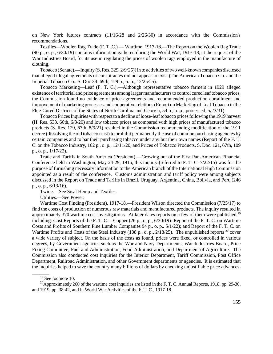on New York futures contracts (11/16/28 and 2/26/30) in accordance with the Commission's recommendations.

Textiles—Woolen Rag Trade (F. T. C.).— Wartime, 1917-18.—The Report on the Woolen Rag Trade (90 p., o. p., 6/30/19) contains information gathered during the World War, 1917-18, at the request of the War Industries Board, for its use in regulating the prices of woolen rags employed in the manufacture of clothing.

Tobacco (Senate).—Inquiry  $(S. Res. 329, 2/9/25)$  in to activities of two well-known companies disclosed that alleged illegal agreements or conspiracies did not appear to exist (The American Tobacco Co. and the Imperial Tobacco Co.. S. Doc 34. 69th, 129 p., o. p., 12/25/25).

Tobacco Marketing—Leaf (F. T. C.).—Although representative tobacco farmers in 1929 alleged existence of territorial and price agreements among larger manufacturers to control cured leaf tobacco prices, the Commission found no evidence of price agreements and recommended production curtailment and improvement of marketing processes and cooperative relations(Report on Marketing of Leaf Tobacco in the Flue-Cured Districts of the States of North Carolina and Georgia, 54 p., o. p., processed, 5/23/31).

Tobacco Prices Inquiries with respect to a decline of loose-leaf tobacco prices following the 1919 harvest (H. Res. 533, 66th, 6/3/20) and low tobacco prices as compared with high prices of manufactured tobacco products (S. Res. 129, 67th, 8/9/21) resulted in the Commission recommending modification of the 1911 decree (dissolving the old tobacco trust) to prohibit permanently the use of common purchasing agencies by certain companies and to bar their purchasing tobacco under any but their own names (Report of the F. T. C. on the Tobacco Industry, 162 p., o. p., 12/11/20, and Prices of Tobacco Products, S. Doc. 121, 67th, 109 p., o. p., 1/17/22).

Trade and Tariffs in South America (President).—Growing out of the First Pan-American Financial Conference held in Washington, May 24-29, 1915, this inquiry (referred to F. T. C. 7/22/15) was for the purpose of furnishing necessary information to the American branch of the International High Commission appointed as a result of the conference. Customs administration and tariff policy were among subjects discussed in the Report on Trade and Tariffs in Brazil, Uruguay, Argentina, China, Bolivia, and Peru (246 p., o. p., 6/13/16).

Twine.—See Sisal Hemp and Textiles.

Utilities.—See Power.

Wartime Cost Finding (President), 1917-18.—President Wilson directed the Commission (7/25/17) to find the costs of production of numerous raw materials and manufactured products. The inquiry resulted in approximately 370 wartime cost investigations. At later dates reports on a few of them were published,<sup>19</sup> including: Cost Reports of the F. T. C.—Copper (26 p., o. p., 6/30/19): Report of the F. T. C. on Wartime Costs and Profits of Southern Pine Lumber Companies 94 p., o. p.. 5/1/22); and Report of the F. T. C. on Wartime Profits and Costs of the Steel Industry (138 p., o. p.,  $2/18/25$ ). The unpublished reports  $^{20}$  cover a wide variety of subject. On the basis of the costs as found, prices were fixed, or controlled in various degrees, by Government agencies such as the War and Navy Departments, War Industries Board, Price Fixing Committee, Fuel and Administration, Food Administration, and Department of Agriculture. The Commission also conducted cost inquiries for the Interior Department, Tariff Commission, Post Office Department, Railroad Administration, and other Government departments or agencies. It is estimated that the inquiries helped to save the country many billions of dollars by checking unjustifiable price advances.

 $\overline{\phantom{a}}$ 

<sup>&</sup>lt;sup>19</sup> See footnote 10.

<sup>&</sup>lt;sup>20</sup>Approximately 260 of the wartime cost inquiries are listed in the F. T. C. Annual Reports, 1918, pp. 29-30, and 1919, pp. 38-42, and in World War Activities of the F. T. C., 1917-18.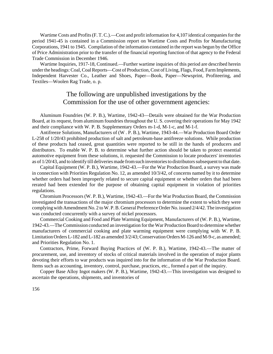Wartime Costs and Profits (F. T. C.).—Cost and profit information for 4,107 identical companies for the period 1941-45 is contained in a Commission report on Wartime Costs and Profits for Manufacturing Corporations, 1941 to 1945. Compilation of the information contained in the report was begun by the Office of Price Administration prior to the transfer of the financial reporting function of that agency to the Federal Trade Commission in December 1946.

Wartime Inquiries, 1917-18, Continued.—Further wartime inquiries of this period are described herein under the headings: Coal, Coal Reports—Cost of Production, Cost of Living, Flags, Food, Farm Implements, Independent Harvester Co., Leather and Shoes, Paper—Book, Paper—Newsprint, Profiteering, and Textiles—Woolen Rag Trade, o. p.

## The following are unpublished investigations by the Commission for the use of other government agencies:

Aluminum Foundries (W. P. B.), Wartime, 1942-43—Details were obtained for the War Production Board, at its request, from aluminum foundries throughout the U. S. covering their operations for May 1942 and their compliance with W. P. B. Supplementary Orders m-1-d, M-1-c, and M-1-f.

Antifreeze Solutions, Manufacturers of (W . P. B.), Wartime, 1943-44.—War Production Board Order L-258 of 1/20/43 prohibited production of salt and petroleum-base antifreeze solutions. While production of these products had ceased, great quantities were reported to be still in the hands of producers and distributors. To enable W. P. B. to determine what further action should be taken to protect essential automotive equipment from these solutions, it. requested the Commission to locate producers' inventories as of  $1/20/43$ , and to identify till deliveries made from such inventories to distributors subsequent to that date.

Capital Equipment (W. P. B.), Wartime, 1942-43.—For the War Production Board, a survey was made in connection with Priorities Regulation No. 12, as amended 10/3/42, of concerns named by it to determine whether orders had been improperly related to secure capital equipment or whether orders that had been rerated had been extended for the purpose of obtaining capital equipment in violation of priorities regulations.

Chromium Processors (W. P. B.), Wartime, 1942-43.—For the War Production Board, the Commission investigated the transactions of the major chromium processors to determine the extent to which they were complyingwith Amendment No. 2 toW. P.B. General Preference Order No. issued 2/4/42. The investigation was conducted concurrently with a survey of nickel processors.

Commercial Cooking and Food and Plate Warming Equipment, Manufacturers of (W. P. B.), Wartime, 1942-43.—TheCommission conducted an investigation for the War ProductionBoard to determine whether manufacturers of commercial cooking and plate warming equipment were complying with W. P. B. Limitation Orders L-182 and L-182 as amended 3/2/43;Conservation Orders M-126 and M-9-c, as amended; and Priorities Regulation No. 1.

Contractors, Prime, Forward Buying Practices of (W. P. B.), Wartime, 1942-43.—The matter of procurement, use, and inventory of stocks of critical materials involved in the operation of major plants devoting their efforts to war products was inquired into for the information of the War Production Board. Items such as accounting, inventory, control, purchase, practices, etc., formed a part of the inquiry.

Copper Base Alloy Ingot makers (W. P. B.), Wartime, 1942-43.—This investigation was designed to ascertain the operations, shipments, and inventories of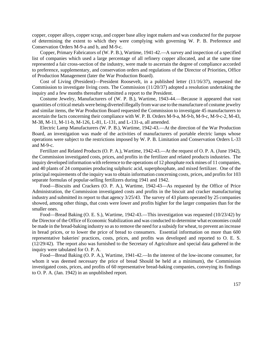copper, copper alloys, copper scrap, and copper base alloy ingot makers and was conducted for the purpose of determining the extent to which they were complying with governing W. P. B. Preference and Conservation Orders M-9-a and b, and M-9-c.

Copper, Primary Fabricators of (W. P. B.), Wartime, 1941-42.—A survey and inspection of a specified list of companies which used a large percentage of all refinery copper allocated, and at the same time represented a fair cross-section of the industry, were made to ascertain the degree of compliance accorded to preference, supplementary, and conservation orders and regulations of the Director of Priorities, Office of Production Management (later the War Production Board).

Cost of Living (President)—President Roosevelt, in a published letter (11/16/37), requested the Commission to investigate living costs. The Commission (11/20/37) adopted a resolution undertaking the inquiry and a few months thereafter submitted a report to the President.

Costume Jewelry, Manufacturers of (W. P. B.), Wartime, 1943-44.—Because it appeared that vast quantities of critical metals were being diverted illegally fromwar use to the manufacture of costume jewelry and similar items, the War Production Board requested the Commission to investigate 45 manufacturers to ascertain the facts concerning their compliance with W. P. B. Orders M-9-a, M-9-b, M-9-c, M-9-c-2, M-43, M-38, M-11, M-11-b, M-126, L-81, L-131, and L-131-a, all amended.

Electric Lamp Manufacturers (W. P. B.), Wartime, 1942-43.—At the direction of the War Production Board, an investigation was made of the activities of manufacturers of portable electric lamps whose operations were subject to the restrictions imposed by W. P. B. Limitation and Conservation Orders L-33 and M-9-c.

Fertilizer and Related Products (O. P. A.), Wartime, 1942-43.—At the request of O. P. A. (June 1942), the Commission investigated costs, prices, and profits in the fertilizer and related products industries. The inquiry developed information with reference to the operations of 12 phosphate rock mines of 11 companies, and 40 plants of 24 companies producing sulphuric acid, superphosphate, and mixed fertilizer. One of the principal requirements of the inquiry was to obtain information concerning costs, prices, and profits for 103 separate formulas of popular-selling fertilizers during 1941 and 1942.

Food—Biscuits and Crackers (O. P. A.), Wartime, 1942-43—As requested by the Office of Price Administration, the Commission investigated costs and profits in the biscuit and cracker manufacturing industry and submitted its report to that agency 3/25/43. The survey of 43 plants operated by 25 companies showed, among other things, that costs were lower and profits higher for the larger companies than for the smaller ones.

Food—Bread Baking (O. E. S.), Wartime, 1942-43.—This investigation was requested (10/23/42) by the Director of the Office of Economic Stabilization and was conducted to determine what economies could be made in the bread-baking industry so asto remove the need for a subsidy for wheat, to prevent an increase in bread prices, or to lower the price of bread to consumers. Essential information on more than 600 representative bakeries' practices, costs, prices, and profits was developed and reported to O. E. S. (12/29/42). The report also was furnished to the Secretary of Agriculture and special data gathered in the inquiry were tabulated for O. P. A.

Food—Bread Baking (O. P. A.), Wartime, 1941-42.—In the interest of the low-income consumer, for whom it was deemed necessary the price of bread Should be held at a minimum), the Commission investigated costs, prices, and profits of 60 representative bread-baking companies, conveying its findings to O. P. A. (Jan. 1942) in an unpublished report.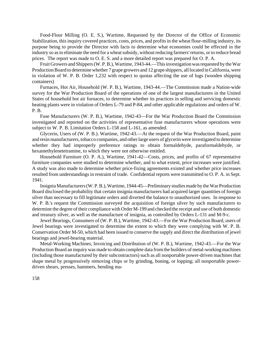Food-Flour Milling (O. E. S.), Wartime, Requested by the Director of the Office of Economic Stabilization, this inquiry covered practices, costs, prices, and profits in the wheat flour-milling industry, its purpose being to provide the Director with facts to determine what economies could be effected in the industry so as to eliminate the need for a wheat subsidy, without reducing farmers' returns, or to reduce bread prices. The report was made to O. E. S. and a more detailed report was prepared for O. P. A.

FruitGrowers and Shippers (W. P. B.), Wartime, 1943-44.—This investigation was requested by the War Production Board to determine whether 7 grape growers and 12 grape shippers, all located in California, were in violation of W. P. B. Order 1,232 with respect to quotas affecting the use of lugs (wooden shipping containers)

Furnaces, Hot Air, Household (W. P. B.), Wartime, 1943-44.—The Commission made a Nation-wide survey for the War Production Board of the operations of one of the largest manufacturers in the United States of household hot air furnaces, to determine whether its practices in selling and servicing domestic heating plants were in violation of Orders L-79 and P-84, and other applicable regulations and orders of W. P. B.

Fuse Manufacturers (W. P. B.), Wartime, 1942-43—For the War Production Board the Commission investigated and reported on the activities of representative fuse manufacturers whose operations were subject to W. P. B. Limitation Orders L-158 and L-161, as amended.

Glycerin, Users of (W. P. B.). Wartime, 1942-43.—At the request of the War Production Board, paint and resin manufacturers, tobacco companies, and other large users of glycerin were investigated to determine whether they had improperly preference ratings to obtain formaldehyde, paraformaldehyde, or hexamethylenetetramine, to which they were not otherwise entitled.

Household Furniture (O. P. A.), Wartime, 1941-42—Costs, prices, and profits of 67 representative furniture companies were studied to determine whether, and to what extent, price increases were justified. A study was also made to determine whether price-fixing agreements existed and whether price increases resulted from understandings in restraint of trade. Confidential reports were transmitted to O. P. A. in Sept. 1941.

Insignia Manufacturers (W. P.B.), Wartime, 1944-45—Preliminary studies made by the War Production Board disclosed the probability that certain insignia manufacturers had acquired larger quantities of foreign silver than necessary to fill legitimate orders and diverted the balance to unauthorized uses. In response to W. P. B.'s request the Commission surveyed the acquisition of foreign silver by such manufacturers to determine the degree of their compliance with Order M-199 and checked the receipt and use of both domestic and treasury silver, as well as the manufacture of insignia, as controlled by Orders L-131 and M-9-c.

Jewel Bearings, Consumers of (W. P. B.), Wartime, 1942-43.—For the War Production Board, users of Jewel bearings were investigated to determine the extent to which they were complying with W. P. B. Conservation Order M-50, which had been issued to conserve the supply and direct the distribution of jewel bearings and jewel-bearing material.

Metal-Working Machines, Invoicing and Distribution of (W. P. B.), Wartime, 1942-43.—For the War Production Board an inquiry was made to obtain complete data fromthe builders of metal-working machines (including those manufactured by their subcontractors) such as all nonportable power-driven machines that shape metal by progressively removing chips or by grinding, boning, or lopping; all nonportable powerdriven shears, presses, hammers, bending ma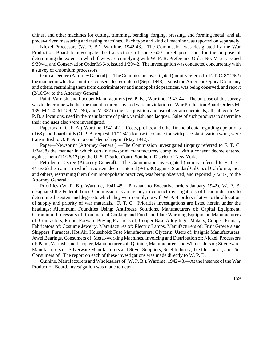chines, and other machines for cutting, trimming, bending, forging, pressing, and forming metal; and all power-driven measuring and testing machines. Each type and kind of machine was reported on separately.

Nickel Processors (W. P. B.), Wartime, 1942-43.—The Commission was designated by the War Production Board to investigate the transactions of some 600 nickel processors for the purpose of determining the extent to which they were complying with W. P. B. Preference Order No. M-6-a, issued 9/30/41, and Conservation Order M-6-b, issued 1/20/42. The investigation was conducted concurrently with a survey of chromium processors.

Optical Decree (Attorney General).—The Commission investigated (inquiry referred to F.T.C. 8/12/52) the manner in which an antitrust consent decree entered (Sept. 1948) against the American Optical Company and others, restraining them from discriminatory and monopolistic practices, was being observed, and report (2/10/54) to the Attorney General.

Paint, Varnish, and Lacquer Manufacturers (W. P. B.), Wartime, 1943-44—The purpose of this survey was to determine whether the manufacturers covered were in violation of War Production Board Orders M-139, M-150, M-159, M-246, and M-327 in their acquisition and use of certain chemicals, all subject to W. P. B. allocations, used in the manufacture of paint, varnish, and lacquer. Sales of such products to determine their end uses also were investigated.

Paperboard (O. P. A.), Wartime, 1941-42.—Costs, profits, and other financial data regarding operations of 68 paperboard mills (O. P. A. request, 11/12/41) for use in connection with price stabilization work, were transmitted to O. P. A. in a confidential report (May 1942).

Paper—Newsprint (Attorney General).—The Commission investigated (inquiry referred to F. T. C. 1/24/38) the manner in which certain newsprint manufacturers complied with a consent decree entered against them (11/26/17) by the U. S. District Court, Southern District of New York.

Petroleum Decree (Attorney General).—The Commission investigated (inquiry referred to F. T. C. 4/16/36) the manner in which a consent decree entered (9/15/30) against Standard Oil Co. of California, Inc., and others, restraining them from monopolistic practices, was being observed, and reported (4/2/37) to the Attorney General.

Priorities (W. P. B.), Wartime, 1941-45.—Pursuant to Executive orders January 1942), W. P. B. designated the Federal Trade Commission as an agency to conduct investigations of basic industries to determine the extent and degree to which they were complying with W. P. B. orders relative to the allocation of supply and priority of war materials. F. T. C. Priorities investigations are listed herein under the headings: Aluminum, Foundries Using; Antifreeze Solutions, Manufacturers of; Capital Equipment, Chromium, Processors of; Commercial Cooking and Food and Plate Warming Equipment, Manufacturers of; Contractors, Prime, Forward Buying Practices of; Copper Base Alloy Ingot Makers; Copper, Primary Fabricators of; Costume Jewelry, Manufactures of; Electric Lamps, Manufacturers of; Fruit Growers and Shippers; Furnaces, Hot Air, Household; Fuse Manufacturers; Glycerin, Users of; Insignia Manufacturers; Jewel Bearings, Consumers of; Metal-working Machines, Invoicing and Distribution of; Nickel, Processors of; Paint, Varnish, and Lacquer, Manufacturers of; Quinine, Manufacturers and Wholesalers of; Silverware, Manufacturers of; Silverware Manufacturers and Silver Suppliers; Steel Industry; Textile Cotton; and Tin, Consumers of. The report on each of these investigations was made directly to W. P. B.

Quinine, Manufacturers and Wholesalers of (W. P. B.), Wartime, 1942-43.—At the instance of the War Production Board, investigation was made to deter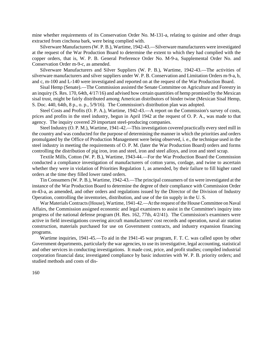mine whether requirements of its Conservation Order No. M-131-a, relating to quinine and other drugs extracted from cinchona bark, were being complied with.

Silverware Manufacturers(W. P. B.), Wartime, 1942-43.—Silverware manufacturers were investigated at the request of the War Production Board to determine the extent to which they had complied with the copper orders, that is, W. P. B. General Preference Order No. M-9-a, Supplemental Order No. and Conservation Order m-9-c, as amended.

Silverware Manufacturers and Silver Suppliers (W. P. B.), Wartime, 1942-43.—The activities of silverware manufacturers and silver suppliers under W. P. B. Conservation and Limitation Orders m-9-a, b, and c, m-100 and L-140 were investigated and reported on at the request of the War Production Board.

Sisal Hemp (Senate).—The Commission assisted the Senate Committee on Agriculture and Forestry in an inquiry (S. Res. 170, 64th, 4/17/16) and advised how certain quantities of hemp promised by the Mexican sisal trust, might be fairly distributed among American distributors of binder twine (Mexican Sisal Hemp, S. Doc. 440, 64th, 8 p., o. p., 5/9/16). The Commission's distribution plan was adopted.

Steel Costs and Profits (O. P. A.), Wartime, 1942-43.—A report on the Commission's survey of costs, prices and profits in the steel industry, begun in April 1942 at the request of O. P. A., was made to that agency. The inquiry covered 29 important steel-producing companies.

Steel Industry (O. P. M.), Wartime, 1941-42.—This investigation covered practically every steel mill in the country and was conducted for the purpose of determining the manner in which the priorities and orders promulgated by the Office of Production Management were being observed, i. e., the technique used in the steel industry in meeting the requirements of O. P. M. (later the War Production Board) orders and forms controlling the distribution of pig iron, iron and steel, iron and steel alloys, and iron and steel scrap.

Textile Mills, Cotton (W. P. B.), Wartime, 1943-44.—For the War Production Board the Commission conducted a compliance investigation of manufacturers of cotton yarns, cordage, and twine to ascertain whether they were in violation of Priorities Regulation 1, as amended, by their failure to fill higher rated orders at the time they filled lower rated orders.

Tin Consumers(W. P. B.), Wartime, 1942-43.—The principal consumers of tin were investigated at the instance of the War Production Board to determine the degree of their compliance with Commission Order m-43-a, as amended, and other orders and regulations issued by the Director of the Division of Industry Operation, controlling the inventories, distribution, and use of the tin supply in the U. S.

War Materials Contracts (House), Wartime, 1941-42.—At the request of the House Committee on Naval Affairs, the Commission assigned economic and legal examiners to assist in the Committee's inquiry into progress of the national defense program (H. Res. 162, 77th, 4/2/41). The Commission's examiners were active in field investigations covering aircraft manufacturers' cost records and operation, naval air station construction, materials purchased for use on Government contracts, and industry expansion financing programs.

Wartime inquiries, 1941-45.—To aid in the 1941-45 war program, F. T. C. was called upon by other Government departments, particularly the war agencies, to use its investigative, legal accounting, statistical and other services in conducting investigations. It made cost, price, and profit studies; compiled industrial corporation financial data; investigated compliance by basic industries with W. P. B. priority orders; and studied methods and costs of dis